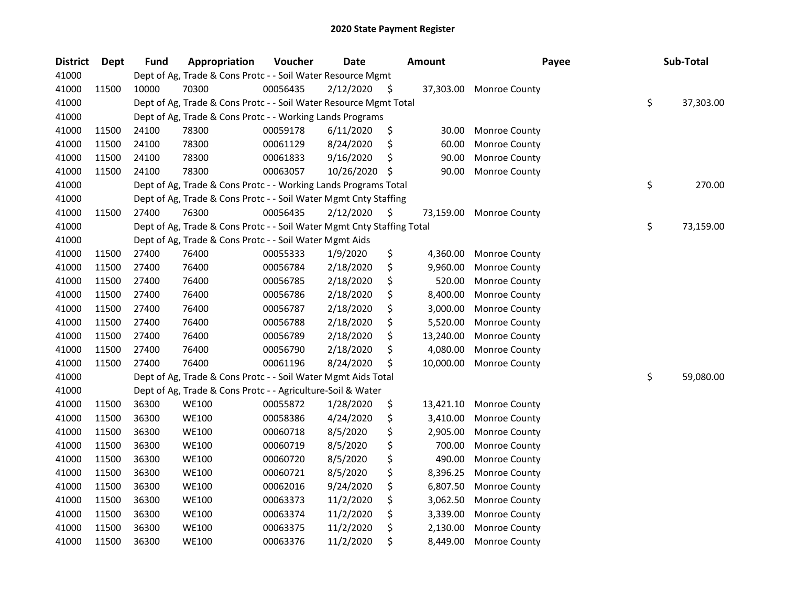| <b>District</b> | Dept  | <b>Fund</b> | Appropriation                                                          | Voucher  | <b>Date</b> |     | <b>Amount</b> | Payee                | Sub-Total       |
|-----------------|-------|-------------|------------------------------------------------------------------------|----------|-------------|-----|---------------|----------------------|-----------------|
| 41000           |       |             | Dept of Ag, Trade & Cons Protc - - Soil Water Resource Mgmt            |          |             |     |               |                      |                 |
| 41000           | 11500 | 10000       | 70300                                                                  | 00056435 | 2/12/2020   | \$  | 37,303.00     | Monroe County        |                 |
| 41000           |       |             | Dept of Ag, Trade & Cons Protc - - Soil Water Resource Mgmt Total      |          |             |     |               |                      | \$<br>37,303.00 |
| 41000           |       |             | Dept of Ag, Trade & Cons Protc - - Working Lands Programs              |          |             |     |               |                      |                 |
| 41000           | 11500 | 24100       | 78300                                                                  | 00059178 | 6/11/2020   | \$  | 30.00         | Monroe County        |                 |
| 41000           | 11500 | 24100       | 78300                                                                  | 00061129 | 8/24/2020   | \$  | 60.00         | Monroe County        |                 |
| 41000           | 11500 | 24100       | 78300                                                                  | 00061833 | 9/16/2020   | \$  | 90.00         | Monroe County        |                 |
| 41000           | 11500 | 24100       | 78300                                                                  | 00063057 | 10/26/2020  | \$  | 90.00         | Monroe County        |                 |
| 41000           |       |             | Dept of Ag, Trade & Cons Protc - - Working Lands Programs Total        |          |             |     |               |                      | \$<br>270.00    |
| 41000           |       |             | Dept of Ag, Trade & Cons Protc - - Soil Water Mgmt Cnty Staffing       |          |             |     |               |                      |                 |
| 41000           | 11500 | 27400       | 76300                                                                  | 00056435 | 2/12/2020   | \$. | 73,159.00     | Monroe County        |                 |
| 41000           |       |             | Dept of Ag, Trade & Cons Protc - - Soil Water Mgmt Cnty Staffing Total |          |             |     |               |                      | \$<br>73,159.00 |
| 41000           |       |             | Dept of Ag, Trade & Cons Protc - - Soil Water Mgmt Aids                |          |             |     |               |                      |                 |
| 41000           | 11500 | 27400       | 76400                                                                  | 00055333 | 1/9/2020    | \$  | 4,360.00      | <b>Monroe County</b> |                 |
| 41000           | 11500 | 27400       | 76400                                                                  | 00056784 | 2/18/2020   | \$  | 9,960.00      | Monroe County        |                 |
| 41000           | 11500 | 27400       | 76400                                                                  | 00056785 | 2/18/2020   | \$  | 520.00        | Monroe County        |                 |
| 41000           | 11500 | 27400       | 76400                                                                  | 00056786 | 2/18/2020   | \$  | 8,400.00      | Monroe County        |                 |
| 41000           | 11500 | 27400       | 76400                                                                  | 00056787 | 2/18/2020   | \$  | 3,000.00      | Monroe County        |                 |
| 41000           | 11500 | 27400       | 76400                                                                  | 00056788 | 2/18/2020   | \$  | 5,520.00      | Monroe County        |                 |
| 41000           | 11500 | 27400       | 76400                                                                  | 00056789 | 2/18/2020   | \$  | 13,240.00     | Monroe County        |                 |
| 41000           | 11500 | 27400       | 76400                                                                  | 00056790 | 2/18/2020   | \$  | 4,080.00      | Monroe County        |                 |
| 41000           | 11500 | 27400       | 76400                                                                  | 00061196 | 8/24/2020   | \$  | 10,000.00     | Monroe County        |                 |
| 41000           |       |             | Dept of Ag, Trade & Cons Protc - - Soil Water Mgmt Aids Total          |          |             |     |               |                      | \$<br>59,080.00 |
| 41000           |       |             | Dept of Ag, Trade & Cons Protc - - Agriculture-Soil & Water            |          |             |     |               |                      |                 |
| 41000           | 11500 | 36300       | <b>WE100</b>                                                           | 00055872 | 1/28/2020   | \$  | 13,421.10     | Monroe County        |                 |
| 41000           | 11500 | 36300       | <b>WE100</b>                                                           | 00058386 | 4/24/2020   | \$  | 3,410.00      | Monroe County        |                 |
| 41000           | 11500 | 36300       | <b>WE100</b>                                                           | 00060718 | 8/5/2020    | \$  | 2,905.00      | Monroe County        |                 |
| 41000           | 11500 | 36300       | <b>WE100</b>                                                           | 00060719 | 8/5/2020    | \$  | 700.00        | Monroe County        |                 |
| 41000           | 11500 | 36300       | <b>WE100</b>                                                           | 00060720 | 8/5/2020    | \$  | 490.00        | Monroe County        |                 |
| 41000           | 11500 | 36300       | <b>WE100</b>                                                           | 00060721 | 8/5/2020    | \$  | 8,396.25      | Monroe County        |                 |
| 41000           | 11500 | 36300       | <b>WE100</b>                                                           | 00062016 | 9/24/2020   | \$  | 6,807.50      | Monroe County        |                 |
| 41000           | 11500 | 36300       | <b>WE100</b>                                                           | 00063373 | 11/2/2020   | \$  | 3,062.50      | Monroe County        |                 |
| 41000           | 11500 | 36300       | <b>WE100</b>                                                           | 00063374 | 11/2/2020   | \$  | 3,339.00      | <b>Monroe County</b> |                 |
| 41000           | 11500 | 36300       | <b>WE100</b>                                                           | 00063375 | 11/2/2020   | \$  | 2,130.00      | Monroe County        |                 |
| 41000           | 11500 | 36300       | <b>WE100</b>                                                           | 00063376 | 11/2/2020   | \$  | 8,449.00      | Monroe County        |                 |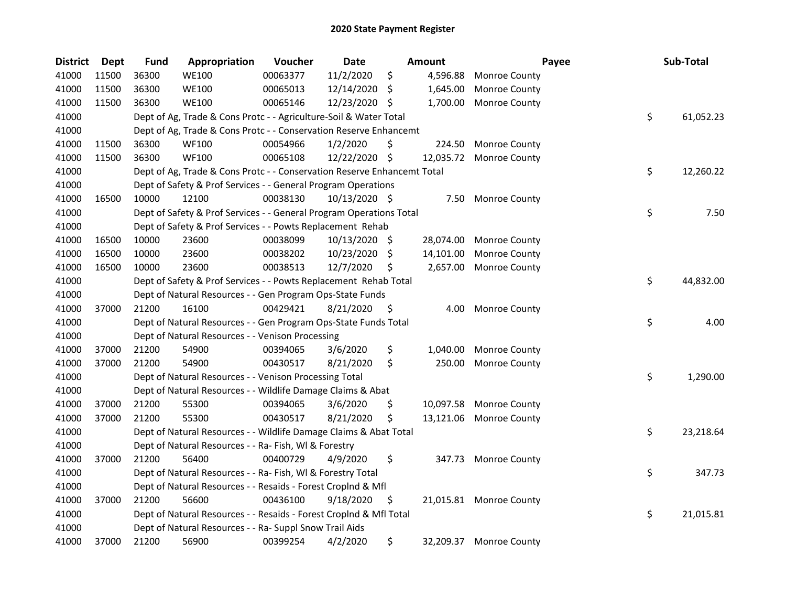| <b>District</b> | <b>Dept</b> | <b>Fund</b> | Appropriation                                                           | Voucher  | <b>Date</b>   |    | Amount    | Payee                   | Sub-Total       |
|-----------------|-------------|-------------|-------------------------------------------------------------------------|----------|---------------|----|-----------|-------------------------|-----------------|
| 41000           | 11500       | 36300       | <b>WE100</b>                                                            | 00063377 | 11/2/2020     | \$ | 4,596.88  | <b>Monroe County</b>    |                 |
| 41000           | 11500       | 36300       | <b>WE100</b>                                                            | 00065013 | 12/14/2020    | S  | 1,645.00  | <b>Monroe County</b>    |                 |
| 41000           | 11500       | 36300       | <b>WE100</b>                                                            | 00065146 | 12/23/2020    | \$ | 1,700.00  | <b>Monroe County</b>    |                 |
| 41000           |             |             | Dept of Ag, Trade & Cons Protc - - Agriculture-Soil & Water Total       |          |               |    |           |                         | \$<br>61,052.23 |
| 41000           |             |             | Dept of Ag, Trade & Cons Protc - - Conservation Reserve Enhancemt       |          |               |    |           |                         |                 |
| 41000           | 11500       | 36300       | <b>WF100</b>                                                            | 00054966 | 1/2/2020      | \$ | 224.50    | Monroe County           |                 |
| 41000           | 11500       | 36300       | <b>WF100</b>                                                            | 00065108 | 12/22/2020    | \$ | 12,035.72 | Monroe County           |                 |
| 41000           |             |             | Dept of Ag, Trade & Cons Protc - - Conservation Reserve Enhancemt Total |          |               |    |           |                         | \$<br>12,260.22 |
| 41000           |             |             | Dept of Safety & Prof Services - - General Program Operations           |          |               |    |           |                         |                 |
| 41000           | 16500       | 10000       | 12100                                                                   | 00038130 | 10/13/2020 \$ |    | 7.50      | <b>Monroe County</b>    |                 |
| 41000           |             |             | Dept of Safety & Prof Services - - General Program Operations Total     |          |               |    |           |                         | \$<br>7.50      |
| 41000           |             |             | Dept of Safety & Prof Services - - Powts Replacement Rehab              |          |               |    |           |                         |                 |
| 41000           | 16500       | 10000       | 23600                                                                   | 00038099 | 10/13/2020 \$ |    | 28,074.00 | <b>Monroe County</b>    |                 |
| 41000           | 16500       | 10000       | 23600                                                                   | 00038202 | 10/23/2020    | S  | 14,101.00 | Monroe County           |                 |
| 41000           | 16500       | 10000       | 23600                                                                   | 00038513 | 12/7/2020     | \$ | 2,657.00  | <b>Monroe County</b>    |                 |
| 41000           |             |             | Dept of Safety & Prof Services - - Powts Replacement Rehab Total        |          |               |    |           |                         | \$<br>44,832.00 |
| 41000           |             |             | Dept of Natural Resources - - Gen Program Ops-State Funds               |          |               |    |           |                         |                 |
| 41000           | 37000       | 21200       | 16100                                                                   | 00429421 | 8/21/2020     | \$ | 4.00      | <b>Monroe County</b>    |                 |
| 41000           |             |             | Dept of Natural Resources - - Gen Program Ops-State Funds Total         |          |               |    |           |                         | \$<br>4.00      |
| 41000           |             |             | Dept of Natural Resources - - Venison Processing                        |          |               |    |           |                         |                 |
| 41000           | 37000       | 21200       | 54900                                                                   | 00394065 | 3/6/2020      | \$ | 1,040.00  | <b>Monroe County</b>    |                 |
| 41000           | 37000       | 21200       | 54900                                                                   | 00430517 | 8/21/2020     | \$ | 250.00    | <b>Monroe County</b>    |                 |
| 41000           |             |             | Dept of Natural Resources - - Venison Processing Total                  |          |               |    |           |                         | \$<br>1,290.00  |
| 41000           |             |             | Dept of Natural Resources - - Wildlife Damage Claims & Abat             |          |               |    |           |                         |                 |
| 41000           | 37000       | 21200       | 55300                                                                   | 00394065 | 3/6/2020      | \$ | 10,097.58 | <b>Monroe County</b>    |                 |
| 41000           | 37000       | 21200       | 55300                                                                   | 00430517 | 8/21/2020     | \$ | 13,121.06 | Monroe County           |                 |
| 41000           |             |             | Dept of Natural Resources - - Wildlife Damage Claims & Abat Total       |          |               |    |           |                         | \$<br>23,218.64 |
| 41000           |             |             | Dept of Natural Resources - - Ra- Fish, WI & Forestry                   |          |               |    |           |                         |                 |
| 41000           | 37000       | 21200       | 56400                                                                   | 00400729 | 4/9/2020      | \$ |           | 347.73 Monroe County    |                 |
| 41000           |             |             | Dept of Natural Resources - - Ra- Fish, WI & Forestry Total             |          |               |    |           |                         | \$<br>347.73    |
| 41000           |             |             | Dept of Natural Resources - - Resaids - Forest Croplnd & Mfl            |          |               |    |           |                         |                 |
| 41000           | 37000       | 21200       | 56600                                                                   | 00436100 | 9/18/2020     | \$ |           | 21,015.81 Monroe County |                 |
| 41000           |             |             | Dept of Natural Resources - - Resaids - Forest CropInd & Mfl Total      |          |               |    |           |                         | \$<br>21,015.81 |
| 41000           |             |             | Dept of Natural Resources - - Ra- Suppl Snow Trail Aids                 |          |               |    |           |                         |                 |
| 41000           | 37000       | 21200       | 56900                                                                   | 00399254 | 4/2/2020      | \$ |           | 32,209.37 Monroe County |                 |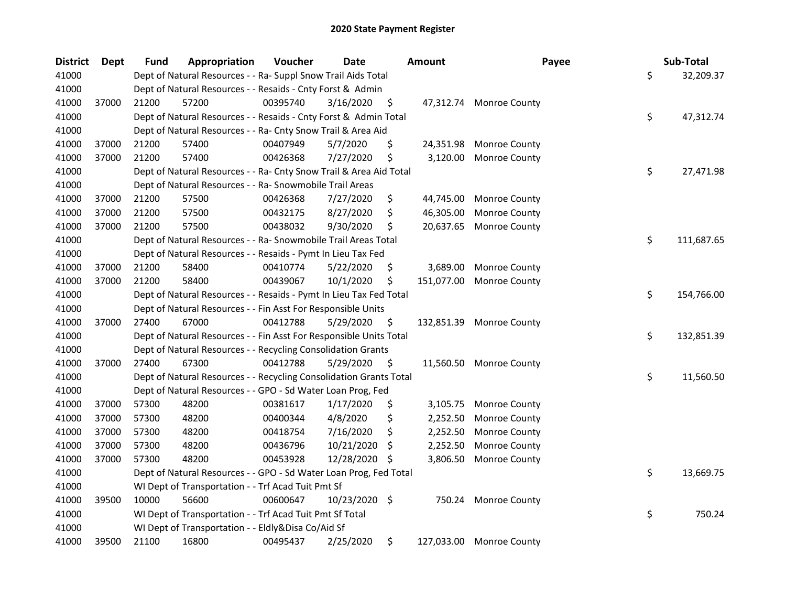| <b>District</b> | <b>Dept</b> | <b>Fund</b> | Appropriation                                                      | Voucher  | Date          |      | Amount     | Payee                   | Sub-Total        |
|-----------------|-------------|-------------|--------------------------------------------------------------------|----------|---------------|------|------------|-------------------------|------------------|
| 41000           |             |             | Dept of Natural Resources - - Ra- Suppl Snow Trail Aids Total      |          |               |      |            |                         | \$<br>32,209.37  |
| 41000           |             |             | Dept of Natural Resources - - Resaids - Cnty Forst & Admin         |          |               |      |            |                         |                  |
| 41000           | 37000       | 21200       | 57200                                                              | 00395740 | 3/16/2020     | \$   |            | 47,312.74 Monroe County |                  |
| 41000           |             |             | Dept of Natural Resources - - Resaids - Cnty Forst & Admin Total   |          |               |      |            |                         | \$<br>47,312.74  |
| 41000           |             |             | Dept of Natural Resources - - Ra- Cnty Snow Trail & Area Aid       |          |               |      |            |                         |                  |
| 41000           | 37000       | 21200       | 57400                                                              | 00407949 | 5/7/2020      | \$   | 24,351.98  | Monroe County           |                  |
| 41000           | 37000       | 21200       | 57400                                                              | 00426368 | 7/27/2020     | \$   | 3,120.00   | Monroe County           |                  |
| 41000           |             |             | Dept of Natural Resources - - Ra- Cnty Snow Trail & Area Aid Total |          |               |      |            |                         | \$<br>27,471.98  |
| 41000           |             |             | Dept of Natural Resources - - Ra- Snowmobile Trail Areas           |          |               |      |            |                         |                  |
| 41000           | 37000       | 21200       | 57500                                                              | 00426368 | 7/27/2020     | \$   | 44,745.00  | Monroe County           |                  |
| 41000           | 37000       | 21200       | 57500                                                              | 00432175 | 8/27/2020     | \$   | 46,305.00  | Monroe County           |                  |
| 41000           | 37000       | 21200       | 57500                                                              | 00438032 | 9/30/2020     | \$   | 20,637.65  | Monroe County           |                  |
| 41000           |             |             | Dept of Natural Resources - - Ra- Snowmobile Trail Areas Total     |          |               |      |            |                         | \$<br>111,687.65 |
| 41000           |             |             | Dept of Natural Resources - - Resaids - Pymt In Lieu Tax Fed       |          |               |      |            |                         |                  |
| 41000           | 37000       | 21200       | 58400                                                              | 00410774 | 5/22/2020     | \$   | 3,689.00   | Monroe County           |                  |
| 41000           | 37000       | 21200       | 58400                                                              | 00439067 | 10/1/2020     | \$   | 151,077.00 | Monroe County           |                  |
| 41000           |             |             | Dept of Natural Resources - - Resaids - Pymt In Lieu Tax Fed Total |          |               |      |            |                         | \$<br>154,766.00 |
| 41000           |             |             | Dept of Natural Resources - - Fin Asst For Responsible Units       |          |               |      |            |                         |                  |
| 41000           | 37000       | 27400       | 67000                                                              | 00412788 | 5/29/2020     | \$   | 132,851.39 | <b>Monroe County</b>    |                  |
| 41000           |             |             | Dept of Natural Resources - - Fin Asst For Responsible Units Total |          |               |      |            |                         | \$<br>132,851.39 |
| 41000           |             |             | Dept of Natural Resources - - Recycling Consolidation Grants       |          |               |      |            |                         |                  |
| 41000           | 37000       | 27400       | 67300                                                              | 00412788 | 5/29/2020     | - \$ |            | 11,560.50 Monroe County |                  |
| 41000           |             |             | Dept of Natural Resources - - Recycling Consolidation Grants Total |          |               |      |            |                         | \$<br>11,560.50  |
| 41000           |             |             | Dept of Natural Resources - - GPO - Sd Water Loan Prog, Fed        |          |               |      |            |                         |                  |
| 41000           | 37000       | 57300       | 48200                                                              | 00381617 | 1/17/2020     | \$   | 3,105.75   | <b>Monroe County</b>    |                  |
| 41000           | 37000       | 57300       | 48200                                                              | 00400344 | 4/8/2020      | \$   | 2,252.50   | Monroe County           |                  |
| 41000           | 37000       | 57300       | 48200                                                              | 00418754 | 7/16/2020     | \$   | 2,252.50   | Monroe County           |                  |
| 41000           | 37000       | 57300       | 48200                                                              | 00436796 | 10/21/2020    | \$   | 2,252.50   | Monroe County           |                  |
| 41000           | 37000       | 57300       | 48200                                                              | 00453928 | 12/28/2020    | S.   | 3,806.50   | <b>Monroe County</b>    |                  |
| 41000           |             |             | Dept of Natural Resources - - GPO - Sd Water Loan Prog, Fed Total  |          |               |      |            |                         | \$<br>13,669.75  |
| 41000           |             |             | WI Dept of Transportation - - Trf Acad Tuit Pmt Sf                 |          |               |      |            |                         |                  |
| 41000           | 39500       | 10000       | 56600                                                              | 00600647 | 10/23/2020 \$ |      | 750.24     | Monroe County           |                  |
| 41000           |             |             | WI Dept of Transportation - - Trf Acad Tuit Pmt Sf Total           |          |               |      |            |                         | \$<br>750.24     |
| 41000           |             |             | WI Dept of Transportation - - Eldly&Disa Co/Aid Sf                 |          |               |      |            |                         |                  |
| 41000           | 39500       | 21100       | 16800                                                              | 00495437 | 2/25/2020     | \$   | 127,033.00 | <b>Monroe County</b>    |                  |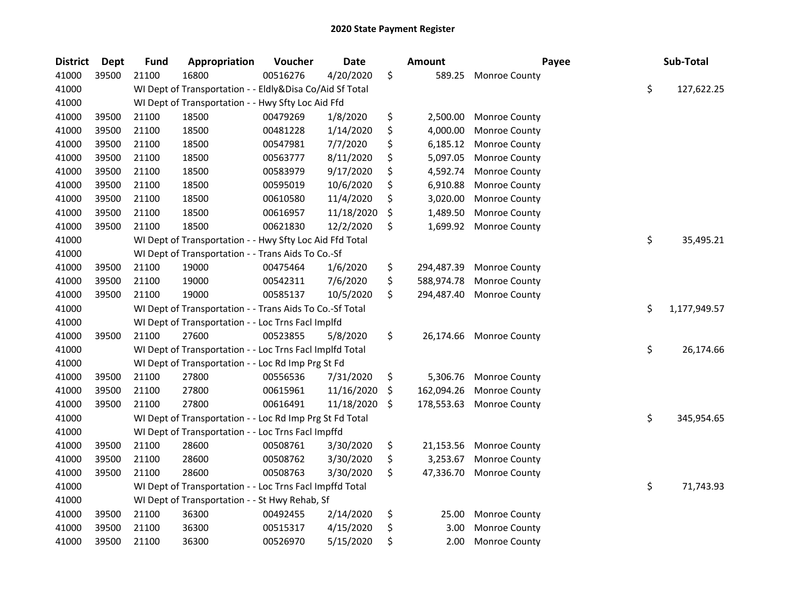| <b>District</b> | <b>Dept</b> | <b>Fund</b> | Appropriation                                            | Voucher  | Date       | <b>Amount</b>    | Payee         | Sub-Total          |
|-----------------|-------------|-------------|----------------------------------------------------------|----------|------------|------------------|---------------|--------------------|
| 41000           | 39500       | 21100       | 16800                                                    | 00516276 | 4/20/2020  | \$<br>589.25     | Monroe County |                    |
| 41000           |             |             | WI Dept of Transportation - - Eldly&Disa Co/Aid Sf Total |          |            |                  |               | \$<br>127,622.25   |
| 41000           |             |             | WI Dept of Transportation - - Hwy Sfty Loc Aid Ffd       |          |            |                  |               |                    |
| 41000           | 39500       | 21100       | 18500                                                    | 00479269 | 1/8/2020   | \$<br>2,500.00   | Monroe County |                    |
| 41000           | 39500       | 21100       | 18500                                                    | 00481228 | 1/14/2020  | \$<br>4,000.00   | Monroe County |                    |
| 41000           | 39500       | 21100       | 18500                                                    | 00547981 | 7/7/2020   | \$<br>6,185.12   | Monroe County |                    |
| 41000           | 39500       | 21100       | 18500                                                    | 00563777 | 8/11/2020  | \$<br>5,097.05   | Monroe County |                    |
| 41000           | 39500       | 21100       | 18500                                                    | 00583979 | 9/17/2020  | \$<br>4,592.74   | Monroe County |                    |
| 41000           | 39500       | 21100       | 18500                                                    | 00595019 | 10/6/2020  | \$<br>6,910.88   | Monroe County |                    |
| 41000           | 39500       | 21100       | 18500                                                    | 00610580 | 11/4/2020  | \$<br>3,020.00   | Monroe County |                    |
| 41000           | 39500       | 21100       | 18500                                                    | 00616957 | 11/18/2020 | \$<br>1,489.50   | Monroe County |                    |
| 41000           | 39500       | 21100       | 18500                                                    | 00621830 | 12/2/2020  | \$<br>1,699.92   | Monroe County |                    |
| 41000           |             |             | WI Dept of Transportation - - Hwy Sfty Loc Aid Ffd Total |          |            |                  |               | \$<br>35,495.21    |
| 41000           |             |             | WI Dept of Transportation - - Trans Aids To Co.-Sf       |          |            |                  |               |                    |
| 41000           | 39500       | 21100       | 19000                                                    | 00475464 | 1/6/2020   | \$<br>294,487.39 | Monroe County |                    |
| 41000           | 39500       | 21100       | 19000                                                    | 00542311 | 7/6/2020   | \$<br>588,974.78 | Monroe County |                    |
| 41000           | 39500       | 21100       | 19000                                                    | 00585137 | 10/5/2020  | \$<br>294,487.40 | Monroe County |                    |
| 41000           |             |             | WI Dept of Transportation - - Trans Aids To Co.-Sf Total |          |            |                  |               | \$<br>1,177,949.57 |
| 41000           |             |             | WI Dept of Transportation - - Loc Trns FacI Implfd       |          |            |                  |               |                    |
| 41000           | 39500       | 21100       | 27600                                                    | 00523855 | 5/8/2020   | \$<br>26,174.66  | Monroe County |                    |
| 41000           |             |             | WI Dept of Transportation - - Loc Trns Facl Implfd Total |          |            |                  |               | \$<br>26,174.66    |
| 41000           |             |             | WI Dept of Transportation - - Loc Rd Imp Prg St Fd       |          |            |                  |               |                    |
| 41000           | 39500       | 21100       | 27800                                                    | 00556536 | 7/31/2020  | \$<br>5,306.76   | Monroe County |                    |
| 41000           | 39500       | 21100       | 27800                                                    | 00615961 | 11/16/2020 | \$<br>162,094.26 | Monroe County |                    |
| 41000           | 39500       | 21100       | 27800                                                    | 00616491 | 11/18/2020 | \$<br>178,553.63 | Monroe County |                    |
| 41000           |             |             | WI Dept of Transportation - - Loc Rd Imp Prg St Fd Total |          |            |                  |               | \$<br>345,954.65   |
| 41000           |             |             | WI Dept of Transportation - - Loc Trns Facl Impffd       |          |            |                  |               |                    |
| 41000           | 39500       | 21100       | 28600                                                    | 00508761 | 3/30/2020  | \$<br>21,153.56  | Monroe County |                    |
| 41000           | 39500       | 21100       | 28600                                                    | 00508762 | 3/30/2020  | \$<br>3,253.67   | Monroe County |                    |
| 41000           | 39500       | 21100       | 28600                                                    | 00508763 | 3/30/2020  | \$<br>47,336.70  | Monroe County |                    |
| 41000           |             |             | WI Dept of Transportation - - Loc Trns Facl Impffd Total |          |            |                  |               | \$<br>71,743.93    |
| 41000           |             |             | WI Dept of Transportation - - St Hwy Rehab, Sf           |          |            |                  |               |                    |
| 41000           | 39500       | 21100       | 36300                                                    | 00492455 | 2/14/2020  | \$<br>25.00      | Monroe County |                    |
| 41000           | 39500       | 21100       | 36300                                                    | 00515317 | 4/15/2020  | \$<br>3.00       | Monroe County |                    |
| 41000           | 39500       | 21100       | 36300                                                    | 00526970 | 5/15/2020  | \$<br>2.00       | Monroe County |                    |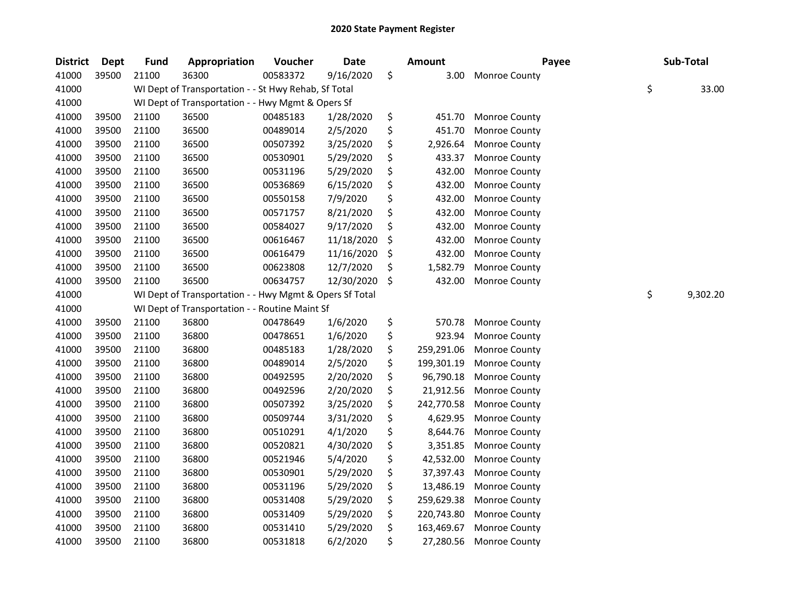| <b>District</b> | Dept  | <b>Fund</b> | Appropriation                                           | Voucher  | <b>Date</b> | Amount           | Payee         | Sub-Total      |
|-----------------|-------|-------------|---------------------------------------------------------|----------|-------------|------------------|---------------|----------------|
| 41000           | 39500 | 21100       | 36300                                                   | 00583372 | 9/16/2020   | \$<br>3.00       | Monroe County |                |
| 41000           |       |             | WI Dept of Transportation - - St Hwy Rehab, Sf Total    |          |             |                  |               | \$<br>33.00    |
| 41000           |       |             | WI Dept of Transportation - - Hwy Mgmt & Opers Sf       |          |             |                  |               |                |
| 41000           | 39500 | 21100       | 36500                                                   | 00485183 | 1/28/2020   | \$<br>451.70     | Monroe County |                |
| 41000           | 39500 | 21100       | 36500                                                   | 00489014 | 2/5/2020    | \$<br>451.70     | Monroe County |                |
| 41000           | 39500 | 21100       | 36500                                                   | 00507392 | 3/25/2020   | \$<br>2,926.64   | Monroe County |                |
| 41000           | 39500 | 21100       | 36500                                                   | 00530901 | 5/29/2020   | \$<br>433.37     | Monroe County |                |
| 41000           | 39500 | 21100       | 36500                                                   | 00531196 | 5/29/2020   | \$<br>432.00     | Monroe County |                |
| 41000           | 39500 | 21100       | 36500                                                   | 00536869 | 6/15/2020   | \$<br>432.00     | Monroe County |                |
| 41000           | 39500 | 21100       | 36500                                                   | 00550158 | 7/9/2020    | \$<br>432.00     | Monroe County |                |
| 41000           | 39500 | 21100       | 36500                                                   | 00571757 | 8/21/2020   | \$<br>432.00     | Monroe County |                |
| 41000           | 39500 | 21100       | 36500                                                   | 00584027 | 9/17/2020   | \$<br>432.00     | Monroe County |                |
| 41000           | 39500 | 21100       | 36500                                                   | 00616467 | 11/18/2020  | \$<br>432.00     | Monroe County |                |
| 41000           | 39500 | 21100       | 36500                                                   | 00616479 | 11/16/2020  | \$<br>432.00     | Monroe County |                |
| 41000           | 39500 | 21100       | 36500                                                   | 00623808 | 12/7/2020   | \$<br>1,582.79   | Monroe County |                |
| 41000           | 39500 | 21100       | 36500                                                   | 00634757 | 12/30/2020  | \$<br>432.00     | Monroe County |                |
| 41000           |       |             | WI Dept of Transportation - - Hwy Mgmt & Opers Sf Total |          |             |                  |               | \$<br>9,302.20 |
| 41000           |       |             | WI Dept of Transportation - - Routine Maint Sf          |          |             |                  |               |                |
| 41000           | 39500 | 21100       | 36800                                                   | 00478649 | 1/6/2020    | \$<br>570.78     | Monroe County |                |
| 41000           | 39500 | 21100       | 36800                                                   | 00478651 | 1/6/2020    | \$<br>923.94     | Monroe County |                |
| 41000           | 39500 | 21100       | 36800                                                   | 00485183 | 1/28/2020   | \$<br>259,291.06 | Monroe County |                |
| 41000           | 39500 | 21100       | 36800                                                   | 00489014 | 2/5/2020    | \$<br>199,301.19 | Monroe County |                |
| 41000           | 39500 | 21100       | 36800                                                   | 00492595 | 2/20/2020   | \$<br>96,790.18  | Monroe County |                |
| 41000           | 39500 | 21100       | 36800                                                   | 00492596 | 2/20/2020   | \$<br>21,912.56  | Monroe County |                |
| 41000           | 39500 | 21100       | 36800                                                   | 00507392 | 3/25/2020   | \$<br>242,770.58 | Monroe County |                |
| 41000           | 39500 | 21100       | 36800                                                   | 00509744 | 3/31/2020   | \$<br>4,629.95   | Monroe County |                |
| 41000           | 39500 | 21100       | 36800                                                   | 00510291 | 4/1/2020    | \$<br>8,644.76   | Monroe County |                |
| 41000           | 39500 | 21100       | 36800                                                   | 00520821 | 4/30/2020   | \$<br>3,351.85   | Monroe County |                |
| 41000           | 39500 | 21100       | 36800                                                   | 00521946 | 5/4/2020    | \$<br>42,532.00  | Monroe County |                |
| 41000           | 39500 | 21100       | 36800                                                   | 00530901 | 5/29/2020   | \$<br>37,397.43  | Monroe County |                |
| 41000           | 39500 | 21100       | 36800                                                   | 00531196 | 5/29/2020   | \$<br>13,486.19  | Monroe County |                |
| 41000           | 39500 | 21100       | 36800                                                   | 00531408 | 5/29/2020   | \$<br>259,629.38 | Monroe County |                |
| 41000           | 39500 | 21100       | 36800                                                   | 00531409 | 5/29/2020   | \$<br>220,743.80 | Monroe County |                |
| 41000           | 39500 | 21100       | 36800                                                   | 00531410 | 5/29/2020   | \$<br>163,469.67 | Monroe County |                |
| 41000           | 39500 | 21100       | 36800                                                   | 00531818 | 6/2/2020    | \$<br>27,280.56  | Monroe County |                |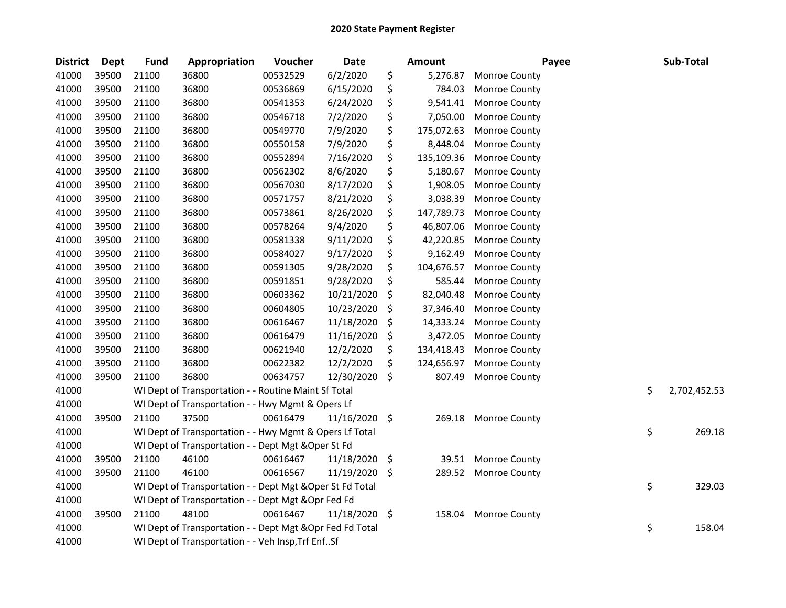| <b>District</b> | <b>Dept</b> | <b>Fund</b> | Appropriation                                             | Voucher  | Date          |      | <b>Amount</b> | Payee                | Sub-Total          |
|-----------------|-------------|-------------|-----------------------------------------------------------|----------|---------------|------|---------------|----------------------|--------------------|
| 41000           | 39500       | 21100       | 36800                                                     | 00532529 | 6/2/2020      | \$   | 5,276.87      | Monroe County        |                    |
| 41000           | 39500       | 21100       | 36800                                                     | 00536869 | 6/15/2020     | \$   | 784.03        | Monroe County        |                    |
| 41000           | 39500       | 21100       | 36800                                                     | 00541353 | 6/24/2020     | \$   | 9,541.41      | <b>Monroe County</b> |                    |
| 41000           | 39500       | 21100       | 36800                                                     | 00546718 | 7/2/2020      | \$   | 7,050.00      | Monroe County        |                    |
| 41000           | 39500       | 21100       | 36800                                                     | 00549770 | 7/9/2020      | \$   | 175,072.63    | Monroe County        |                    |
| 41000           | 39500       | 21100       | 36800                                                     | 00550158 | 7/9/2020      | \$   | 8,448.04      | Monroe County        |                    |
| 41000           | 39500       | 21100       | 36800                                                     | 00552894 | 7/16/2020     | \$   | 135,109.36    | Monroe County        |                    |
| 41000           | 39500       | 21100       | 36800                                                     | 00562302 | 8/6/2020      | \$   | 5,180.67      | Monroe County        |                    |
| 41000           | 39500       | 21100       | 36800                                                     | 00567030 | 8/17/2020     | \$   | 1,908.05      | Monroe County        |                    |
| 41000           | 39500       | 21100       | 36800                                                     | 00571757 | 8/21/2020     | \$   | 3,038.39      | Monroe County        |                    |
| 41000           | 39500       | 21100       | 36800                                                     | 00573861 | 8/26/2020     | \$   | 147,789.73    | Monroe County        |                    |
| 41000           | 39500       | 21100       | 36800                                                     | 00578264 | 9/4/2020      | \$   | 46,807.06     | Monroe County        |                    |
| 41000           | 39500       | 21100       | 36800                                                     | 00581338 | 9/11/2020     | \$   | 42,220.85     | Monroe County        |                    |
| 41000           | 39500       | 21100       | 36800                                                     | 00584027 | 9/17/2020     | \$   | 9,162.49      | Monroe County        |                    |
| 41000           | 39500       | 21100       | 36800                                                     | 00591305 | 9/28/2020     | \$   | 104,676.57    | Monroe County        |                    |
| 41000           | 39500       | 21100       | 36800                                                     | 00591851 | 9/28/2020     | \$   | 585.44        | Monroe County        |                    |
| 41000           | 39500       | 21100       | 36800                                                     | 00603362 | 10/21/2020    | \$   | 82,040.48     | Monroe County        |                    |
| 41000           | 39500       | 21100       | 36800                                                     | 00604805 | 10/23/2020    | \$   | 37,346.40     | Monroe County        |                    |
| 41000           | 39500       | 21100       | 36800                                                     | 00616467 | 11/18/2020    | \$   | 14,333.24     | Monroe County        |                    |
| 41000           | 39500       | 21100       | 36800                                                     | 00616479 | 11/16/2020    | \$   | 3,472.05      | Monroe County        |                    |
| 41000           | 39500       | 21100       | 36800                                                     | 00621940 | 12/2/2020     | \$   | 134,418.43    | Monroe County        |                    |
| 41000           | 39500       | 21100       | 36800                                                     | 00622382 | 12/2/2020     | \$   | 124,656.97    | Monroe County        |                    |
| 41000           | 39500       | 21100       | 36800                                                     | 00634757 | 12/30/2020    | \$   | 807.49        | Monroe County        |                    |
| 41000           |             |             | WI Dept of Transportation - - Routine Maint Sf Total      |          |               |      |               |                      | \$<br>2,702,452.53 |
| 41000           |             |             | WI Dept of Transportation - - Hwy Mgmt & Opers Lf         |          |               |      |               |                      |                    |
| 41000           | 39500       | 21100       | 37500                                                     | 00616479 | 11/16/2020    | - \$ | 269.18        | <b>Monroe County</b> |                    |
| 41000           |             |             | WI Dept of Transportation - - Hwy Mgmt & Opers Lf Total   |          |               |      |               |                      | \$<br>269.18       |
| 41000           |             |             | WI Dept of Transportation - - Dept Mgt & Oper St Fd       |          |               |      |               |                      |                    |
| 41000           | 39500       | 21100       | 46100                                                     | 00616467 | 11/18/2020    | \$   |               | 39.51 Monroe County  |                    |
| 41000           | 39500       | 21100       | 46100                                                     | 00616567 | 11/19/2020    | \$   | 289.52        | <b>Monroe County</b> |                    |
| 41000           |             |             | WI Dept of Transportation - - Dept Mgt & Oper St Fd Total |          |               |      |               |                      | \$<br>329.03       |
| 41000           |             |             | WI Dept of Transportation - - Dept Mgt & Opr Fed Fd       |          |               |      |               |                      |                    |
| 41000           | 39500       | 21100       | 48100                                                     | 00616467 | 11/18/2020 \$ |      | 158.04        | <b>Monroe County</b> |                    |
| 41000           |             |             | WI Dept of Transportation - - Dept Mgt & Opr Fed Fd Total |          |               |      |               |                      | \$<br>158.04       |
| 41000           |             |             | WI Dept of Transportation - - Veh Insp, Trf EnfSf         |          |               |      |               |                      |                    |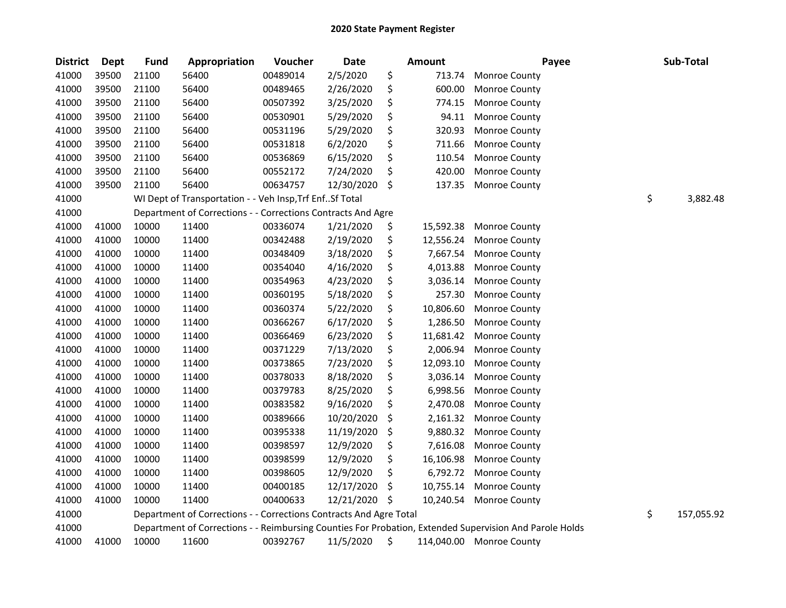| <b>District</b> | Dept  | <b>Fund</b> | Appropriation                                                      | Voucher  | <b>Date</b> |     | Amount    | Payee                                                                                                   | Sub-Total        |
|-----------------|-------|-------------|--------------------------------------------------------------------|----------|-------------|-----|-----------|---------------------------------------------------------------------------------------------------------|------------------|
| 41000           | 39500 | 21100       | 56400                                                              | 00489014 | 2/5/2020    | \$  | 713.74    | <b>Monroe County</b>                                                                                    |                  |
| 41000           | 39500 | 21100       | 56400                                                              | 00489465 | 2/26/2020   | \$  | 600.00    | <b>Monroe County</b>                                                                                    |                  |
| 41000           | 39500 | 21100       | 56400                                                              | 00507392 | 3/25/2020   | \$  | 774.15    | Monroe County                                                                                           |                  |
| 41000           | 39500 | 21100       | 56400                                                              | 00530901 | 5/29/2020   | \$  | 94.11     | Monroe County                                                                                           |                  |
| 41000           | 39500 | 21100       | 56400                                                              | 00531196 | 5/29/2020   | \$  | 320.93    | Monroe County                                                                                           |                  |
| 41000           | 39500 | 21100       | 56400                                                              | 00531818 | 6/2/2020    | \$  | 711.66    | Monroe County                                                                                           |                  |
| 41000           | 39500 | 21100       | 56400                                                              | 00536869 | 6/15/2020   | \$  | 110.54    | Monroe County                                                                                           |                  |
| 41000           | 39500 | 21100       | 56400                                                              | 00552172 | 7/24/2020   | \$  | 420.00    | Monroe County                                                                                           |                  |
| 41000           | 39500 | 21100       | 56400                                                              | 00634757 | 12/30/2020  | \$  | 137.35    | Monroe County                                                                                           |                  |
| 41000           |       |             | WI Dept of Transportation - - Veh Insp, Trf EnfSf Total            |          |             |     |           |                                                                                                         | \$<br>3,882.48   |
| 41000           |       |             | Department of Corrections - - Corrections Contracts And Agre       |          |             |     |           |                                                                                                         |                  |
| 41000           | 41000 | 10000       | 11400                                                              | 00336074 | 1/21/2020   | \$  | 15,592.38 | Monroe County                                                                                           |                  |
| 41000           | 41000 | 10000       | 11400                                                              | 00342488 | 2/19/2020   | \$  | 12,556.24 | Monroe County                                                                                           |                  |
| 41000           | 41000 | 10000       | 11400                                                              | 00348409 | 3/18/2020   | \$  | 7,667.54  | Monroe County                                                                                           |                  |
| 41000           | 41000 | 10000       | 11400                                                              | 00354040 | 4/16/2020   | \$  | 4,013.88  | Monroe County                                                                                           |                  |
| 41000           | 41000 | 10000       | 11400                                                              | 00354963 | 4/23/2020   | \$  | 3,036.14  | Monroe County                                                                                           |                  |
| 41000           | 41000 | 10000       | 11400                                                              | 00360195 | 5/18/2020   | \$  | 257.30    | Monroe County                                                                                           |                  |
| 41000           | 41000 | 10000       | 11400                                                              | 00360374 | 5/22/2020   | \$  | 10,806.60 | Monroe County                                                                                           |                  |
| 41000           | 41000 | 10000       | 11400                                                              | 00366267 | 6/17/2020   | \$  | 1,286.50  | Monroe County                                                                                           |                  |
| 41000           | 41000 | 10000       | 11400                                                              | 00366469 | 6/23/2020   | \$  | 11,681.42 | Monroe County                                                                                           |                  |
| 41000           | 41000 | 10000       | 11400                                                              | 00371229 | 7/13/2020   | \$  | 2,006.94  | Monroe County                                                                                           |                  |
| 41000           | 41000 | 10000       | 11400                                                              | 00373865 | 7/23/2020   | \$  | 12,093.10 | Monroe County                                                                                           |                  |
| 41000           | 41000 | 10000       | 11400                                                              | 00378033 | 8/18/2020   | \$  | 3,036.14  | Monroe County                                                                                           |                  |
| 41000           | 41000 | 10000       | 11400                                                              | 00379783 | 8/25/2020   | \$  | 6,998.56  | Monroe County                                                                                           |                  |
| 41000           | 41000 | 10000       | 11400                                                              | 00383582 | 9/16/2020   | \$  | 2,470.08  | Monroe County                                                                                           |                  |
| 41000           | 41000 | 10000       | 11400                                                              | 00389666 | 10/20/2020  | \$  | 2,161.32  | Monroe County                                                                                           |                  |
| 41000           | 41000 | 10000       | 11400                                                              | 00395338 | 11/19/2020  | \$  | 9,880.32  | Monroe County                                                                                           |                  |
| 41000           | 41000 | 10000       | 11400                                                              | 00398597 | 12/9/2020   | \$  | 7,616.08  | Monroe County                                                                                           |                  |
| 41000           | 41000 | 10000       | 11400                                                              | 00398599 | 12/9/2020   | \$  | 16,106.98 | Monroe County                                                                                           |                  |
| 41000           | 41000 | 10000       | 11400                                                              | 00398605 | 12/9/2020   | \$  | 6,792.72  | Monroe County                                                                                           |                  |
| 41000           | 41000 | 10000       | 11400                                                              | 00400185 | 12/17/2020  | \$  | 10,755.14 | Monroe County                                                                                           |                  |
| 41000           | 41000 | 10000       | 11400                                                              | 00400633 | 12/21/2020  | \$, | 10,240.54 | <b>Monroe County</b>                                                                                    |                  |
| 41000           |       |             | Department of Corrections - - Corrections Contracts And Agre Total |          |             |     |           |                                                                                                         | \$<br>157,055.92 |
| 41000           |       |             |                                                                    |          |             |     |           | Department of Corrections - - Reimbursing Counties For Probation, Extended Supervision And Parole Holds |                  |
| 41000           | 41000 | 10000       | 11600                                                              | 00392767 | 11/5/2020   | \$  |           | 114,040.00 Monroe County                                                                                |                  |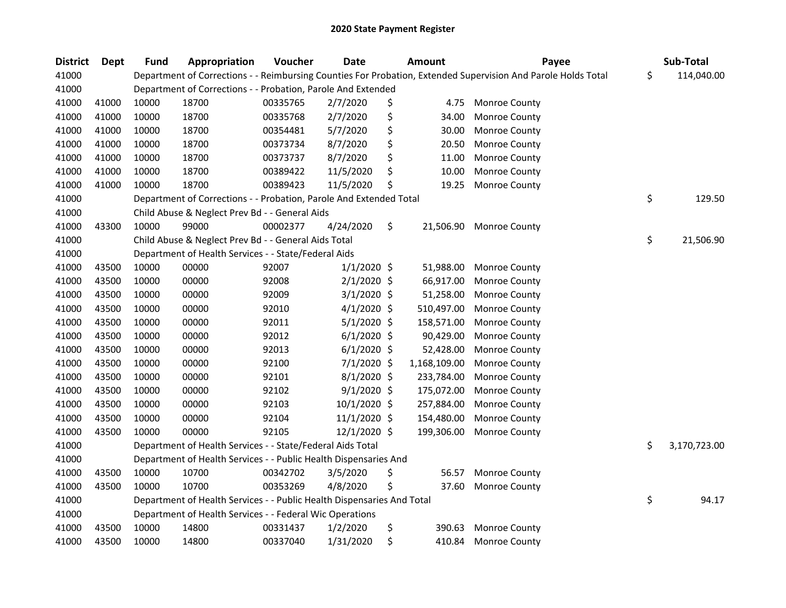| <b>District</b> | <b>Dept</b> | <b>Fund</b> | Appropriation                                                          | Voucher  | <b>Date</b>    | <b>Amount</b>   | Payee                                                                                                         | Sub-Total          |
|-----------------|-------------|-------------|------------------------------------------------------------------------|----------|----------------|-----------------|---------------------------------------------------------------------------------------------------------------|--------------------|
| 41000           |             |             |                                                                        |          |                |                 | Department of Corrections - - Reimbursing Counties For Probation, Extended Supervision And Parole Holds Total | \$<br>114,040.00   |
| 41000           |             |             | Department of Corrections - - Probation, Parole And Extended           |          |                |                 |                                                                                                               |                    |
| 41000           | 41000       | 10000       | 18700                                                                  | 00335765 | 2/7/2020       | \$<br>4.75      | <b>Monroe County</b>                                                                                          |                    |
| 41000           | 41000       | 10000       | 18700                                                                  | 00335768 | 2/7/2020       | \$<br>34.00     | Monroe County                                                                                                 |                    |
| 41000           | 41000       | 10000       | 18700                                                                  | 00354481 | 5/7/2020       | \$<br>30.00     | Monroe County                                                                                                 |                    |
| 41000           | 41000       | 10000       | 18700                                                                  | 00373734 | 8/7/2020       | \$<br>20.50     | Monroe County                                                                                                 |                    |
| 41000           | 41000       | 10000       | 18700                                                                  | 00373737 | 8/7/2020       | \$<br>11.00     | Monroe County                                                                                                 |                    |
| 41000           | 41000       | 10000       | 18700                                                                  | 00389422 | 11/5/2020      | \$<br>10.00     | Monroe County                                                                                                 |                    |
| 41000           | 41000       | 10000       | 18700                                                                  | 00389423 | 11/5/2020      | \$<br>19.25     | Monroe County                                                                                                 |                    |
| 41000           |             |             | Department of Corrections - - Probation, Parole And Extended Total     |          |                |                 |                                                                                                               | \$<br>129.50       |
| 41000           |             |             | Child Abuse & Neglect Prev Bd - - General Aids                         |          |                |                 |                                                                                                               |                    |
| 41000           | 43300       | 10000       | 99000                                                                  | 00002377 | 4/24/2020      | \$<br>21,506.90 | Monroe County                                                                                                 |                    |
| 41000           |             |             | Child Abuse & Neglect Prev Bd - - General Aids Total                   |          |                |                 |                                                                                                               | \$<br>21,506.90    |
| 41000           |             |             | Department of Health Services - - State/Federal Aids                   |          |                |                 |                                                                                                               |                    |
| 41000           | 43500       | 10000       | 00000                                                                  | 92007    | $1/1/2020$ \$  | 51,988.00       | Monroe County                                                                                                 |                    |
| 41000           | 43500       | 10000       | 00000                                                                  | 92008    | $2/1/2020$ \$  | 66,917.00       | Monroe County                                                                                                 |                    |
| 41000           | 43500       | 10000       | 00000                                                                  | 92009    | 3/1/2020 \$    | 51,258.00       | Monroe County                                                                                                 |                    |
| 41000           | 43500       | 10000       | 00000                                                                  | 92010    | $4/1/2020$ \$  | 510,497.00      | Monroe County                                                                                                 |                    |
| 41000           | 43500       | 10000       | 00000                                                                  | 92011    | 5/1/2020 \$    | 158,571.00      | Monroe County                                                                                                 |                    |
| 41000           | 43500       | 10000       | 00000                                                                  | 92012    | $6/1/2020$ \$  | 90,429.00       | Monroe County                                                                                                 |                    |
| 41000           | 43500       | 10000       | 00000                                                                  | 92013    | $6/1/2020$ \$  | 52,428.00       | Monroe County                                                                                                 |                    |
| 41000           | 43500       | 10000       | 00000                                                                  | 92100    | 7/1/2020 \$    | 1,168,109.00    | Monroe County                                                                                                 |                    |
| 41000           | 43500       | 10000       | 00000                                                                  | 92101    | 8/1/2020 \$    | 233,784.00      | Monroe County                                                                                                 |                    |
| 41000           | 43500       | 10000       | 00000                                                                  | 92102    | $9/1/2020$ \$  | 175,072.00      | Monroe County                                                                                                 |                    |
| 41000           | 43500       | 10000       | 00000                                                                  | 92103    | $10/1/2020$ \$ | 257,884.00      | Monroe County                                                                                                 |                    |
| 41000           | 43500       | 10000       | 00000                                                                  | 92104    | $11/1/2020$ \$ | 154,480.00      | Monroe County                                                                                                 |                    |
| 41000           | 43500       | 10000       | 00000                                                                  | 92105    | 12/1/2020 \$   | 199,306.00      | Monroe County                                                                                                 |                    |
| 41000           |             |             | Department of Health Services - - State/Federal Aids Total             |          |                |                 |                                                                                                               | \$<br>3,170,723.00 |
| 41000           |             |             | Department of Health Services - - Public Health Dispensaries And       |          |                |                 |                                                                                                               |                    |
| 41000           | 43500       | 10000       | 10700                                                                  | 00342702 | 3/5/2020       | \$<br>56.57     | Monroe County                                                                                                 |                    |
| 41000           | 43500       | 10000       | 10700                                                                  | 00353269 | 4/8/2020       | \$<br>37.60     | Monroe County                                                                                                 |                    |
| 41000           |             |             | Department of Health Services - - Public Health Dispensaries And Total |          |                |                 |                                                                                                               | \$<br>94.17        |
| 41000           |             |             | Department of Health Services - - Federal Wic Operations               |          |                |                 |                                                                                                               |                    |
| 41000           | 43500       | 10000       | 14800                                                                  | 00331437 | 1/2/2020       | \$<br>390.63    | Monroe County                                                                                                 |                    |
| 41000           | 43500       | 10000       | 14800                                                                  | 00337040 | 1/31/2020      | \$<br>410.84    | Monroe County                                                                                                 |                    |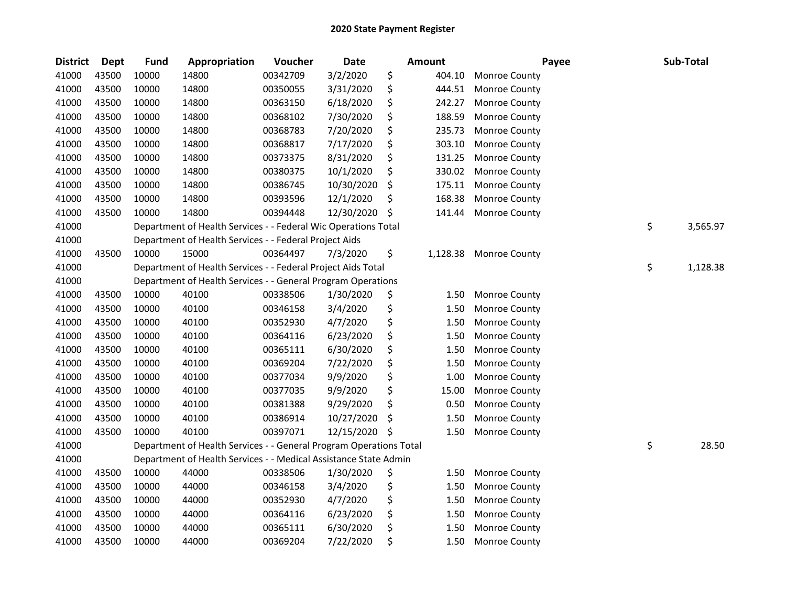| <b>District</b> | <b>Dept</b> | <b>Fund</b> | Appropriation                                                      | Voucher  | <b>Date</b> |     | Amount   | Payee                | Sub-Total      |
|-----------------|-------------|-------------|--------------------------------------------------------------------|----------|-------------|-----|----------|----------------------|----------------|
| 41000           | 43500       | 10000       | 14800                                                              | 00342709 | 3/2/2020    | \$  | 404.10   | Monroe County        |                |
| 41000           | 43500       | 10000       | 14800                                                              | 00350055 | 3/31/2020   | \$  | 444.51   | Monroe County        |                |
| 41000           | 43500       | 10000       | 14800                                                              | 00363150 | 6/18/2020   | \$  | 242.27   | Monroe County        |                |
| 41000           | 43500       | 10000       | 14800                                                              | 00368102 | 7/30/2020   | \$  | 188.59   | Monroe County        |                |
| 41000           | 43500       | 10000       | 14800                                                              | 00368783 | 7/20/2020   | \$  | 235.73   | Monroe County        |                |
| 41000           | 43500       | 10000       | 14800                                                              | 00368817 | 7/17/2020   | \$  | 303.10   | Monroe County        |                |
| 41000           | 43500       | 10000       | 14800                                                              | 00373375 | 8/31/2020   | \$  | 131.25   | Monroe County        |                |
| 41000           | 43500       | 10000       | 14800                                                              | 00380375 | 10/1/2020   | \$  | 330.02   | Monroe County        |                |
| 41000           | 43500       | 10000       | 14800                                                              | 00386745 | 10/30/2020  | \$  | 175.11   | Monroe County        |                |
| 41000           | 43500       | 10000       | 14800                                                              | 00393596 | 12/1/2020   | \$  | 168.38   | Monroe County        |                |
| 41000           | 43500       | 10000       | 14800                                                              | 00394448 | 12/30/2020  | \$  | 141.44   | Monroe County        |                |
| 41000           |             |             | Department of Health Services - - Federal Wic Operations Total     |          |             |     |          |                      | \$<br>3,565.97 |
| 41000           |             |             | Department of Health Services - - Federal Project Aids             |          |             |     |          |                      |                |
| 41000           | 43500       | 10000       | 15000                                                              | 00364497 | 7/3/2020    | \$  | 1,128.38 | <b>Monroe County</b> |                |
| 41000           |             |             | Department of Health Services - - Federal Project Aids Total       |          |             |     |          |                      | \$<br>1,128.38 |
| 41000           |             |             | Department of Health Services - - General Program Operations       |          |             |     |          |                      |                |
| 41000           | 43500       | 10000       | 40100                                                              | 00338506 | 1/30/2020   | \$  | 1.50     | Monroe County        |                |
| 41000           | 43500       | 10000       | 40100                                                              | 00346158 | 3/4/2020    | \$  | 1.50     | Monroe County        |                |
| 41000           | 43500       | 10000       | 40100                                                              | 00352930 | 4/7/2020    | \$  | 1.50     | Monroe County        |                |
| 41000           | 43500       | 10000       | 40100                                                              | 00364116 | 6/23/2020   | \$  | 1.50     | Monroe County        |                |
| 41000           | 43500       | 10000       | 40100                                                              | 00365111 | 6/30/2020   | \$  | 1.50     | Monroe County        |                |
| 41000           | 43500       | 10000       | 40100                                                              | 00369204 | 7/22/2020   | \$  | 1.50     | Monroe County        |                |
| 41000           | 43500       | 10000       | 40100                                                              | 00377034 | 9/9/2020    | \$  | 1.00     | Monroe County        |                |
| 41000           | 43500       | 10000       | 40100                                                              | 00377035 | 9/9/2020    | \$  | 15.00    | Monroe County        |                |
| 41000           | 43500       | 10000       | 40100                                                              | 00381388 | 9/29/2020   | \$  | 0.50     | Monroe County        |                |
| 41000           | 43500       | 10000       | 40100                                                              | 00386914 | 10/27/2020  | \$  | 1.50     | Monroe County        |                |
| 41000           | 43500       | 10000       | 40100                                                              | 00397071 | 12/15/2020  | -\$ | 1.50     | Monroe County        |                |
| 41000           |             |             | Department of Health Services - - General Program Operations Total |          |             |     |          |                      | \$<br>28.50    |
| 41000           |             |             | Department of Health Services - - Medical Assistance State Admin   |          |             |     |          |                      |                |
| 41000           | 43500       | 10000       | 44000                                                              | 00338506 | 1/30/2020   | \$  | 1.50     | Monroe County        |                |
| 41000           | 43500       | 10000       | 44000                                                              | 00346158 | 3/4/2020    | \$  | 1.50     | Monroe County        |                |
| 41000           | 43500       | 10000       | 44000                                                              | 00352930 | 4/7/2020    | \$  | 1.50     | Monroe County        |                |
| 41000           | 43500       | 10000       | 44000                                                              | 00364116 | 6/23/2020   | \$  | 1.50     | Monroe County        |                |
| 41000           | 43500       | 10000       | 44000                                                              | 00365111 | 6/30/2020   | \$  | 1.50     | Monroe County        |                |
| 41000           | 43500       | 10000       | 44000                                                              | 00369204 | 7/22/2020   | \$  | 1.50     | Monroe County        |                |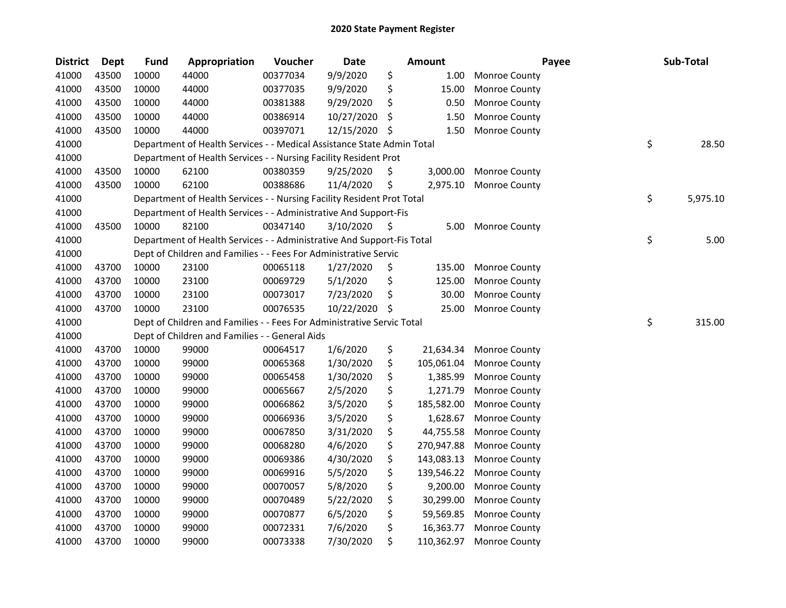| <b>District</b> | Dept  | <b>Fund</b> | Appropriation                                                          | Voucher  | Date       |     | <b>Amount</b> | Payee                | Sub-Total      |
|-----------------|-------|-------------|------------------------------------------------------------------------|----------|------------|-----|---------------|----------------------|----------------|
| 41000           | 43500 | 10000       | 44000                                                                  | 00377034 | 9/9/2020   | \$  | 1.00          | Monroe County        |                |
| 41000           | 43500 | 10000       | 44000                                                                  | 00377035 | 9/9/2020   | \$  | 15.00         | Monroe County        |                |
| 41000           | 43500 | 10000       | 44000                                                                  | 00381388 | 9/29/2020  | \$  | 0.50          | Monroe County        |                |
| 41000           | 43500 | 10000       | 44000                                                                  | 00386914 | 10/27/2020 | \$  | 1.50          | Monroe County        |                |
| 41000           | 43500 | 10000       | 44000                                                                  | 00397071 | 12/15/2020 | -\$ | 1.50          | Monroe County        |                |
| 41000           |       |             | Department of Health Services - - Medical Assistance State Admin Total |          |            |     |               |                      | \$<br>28.50    |
| 41000           |       |             | Department of Health Services - - Nursing Facility Resident Prot       |          |            |     |               |                      |                |
| 41000           | 43500 | 10000       | 62100                                                                  | 00380359 | 9/25/2020  | \$  | 3,000.00      | Monroe County        |                |
| 41000           | 43500 | 10000       | 62100                                                                  | 00388686 | 11/4/2020  | \$  | 2,975.10      | Monroe County        |                |
| 41000           |       |             | Department of Health Services - - Nursing Facility Resident Prot Total |          |            |     |               |                      | \$<br>5,975.10 |
| 41000           |       |             | Department of Health Services - - Administrative And Support-Fis       |          |            |     |               |                      |                |
| 41000           | 43500 | 10000       | 82100                                                                  | 00347140 | 3/10/2020  | \$  | 5.00          | Monroe County        |                |
| 41000           |       |             | Department of Health Services - - Administrative And Support-Fis Total |          |            |     |               |                      | \$<br>5.00     |
| 41000           |       |             | Dept of Children and Families - - Fees For Administrative Servic       |          |            |     |               |                      |                |
| 41000           | 43700 | 10000       | 23100                                                                  | 00065118 | 1/27/2020  | \$  | 135.00        | <b>Monroe County</b> |                |
| 41000           | 43700 | 10000       | 23100                                                                  | 00069729 | 5/1/2020   | \$  | 125.00        | Monroe County        |                |
| 41000           | 43700 | 10000       | 23100                                                                  | 00073017 | 7/23/2020  | \$  | 30.00         | Monroe County        |                |
| 41000           | 43700 | 10000       | 23100                                                                  | 00076535 | 10/22/2020 | -S  | 25.00         | Monroe County        |                |
| 41000           |       |             | Dept of Children and Families - - Fees For Administrative Servic Total |          |            |     |               |                      | \$<br>315.00   |
| 41000           |       |             | Dept of Children and Families - - General Aids                         |          |            |     |               |                      |                |
| 41000           | 43700 | 10000       | 99000                                                                  | 00064517 | 1/6/2020   | \$  | 21,634.34     | Monroe County        |                |
| 41000           | 43700 | 10000       | 99000                                                                  | 00065368 | 1/30/2020  | \$  | 105,061.04    | Monroe County        |                |
| 41000           | 43700 | 10000       | 99000                                                                  | 00065458 | 1/30/2020  | \$  | 1,385.99      | Monroe County        |                |
| 41000           | 43700 | 10000       | 99000                                                                  | 00065667 | 2/5/2020   | \$  | 1,271.79      | Monroe County        |                |
| 41000           | 43700 | 10000       | 99000                                                                  | 00066862 | 3/5/2020   | \$  | 185,582.00    | Monroe County        |                |
| 41000           | 43700 | 10000       | 99000                                                                  | 00066936 | 3/5/2020   | \$  | 1,628.67      | Monroe County        |                |
| 41000           | 43700 | 10000       | 99000                                                                  | 00067850 | 3/31/2020  | \$  | 44,755.58     | Monroe County        |                |
| 41000           | 43700 | 10000       | 99000                                                                  | 00068280 | 4/6/2020   | \$  | 270,947.88    | Monroe County        |                |
| 41000           | 43700 | 10000       | 99000                                                                  | 00069386 | 4/30/2020  | \$  | 143,083.13    | Monroe County        |                |
| 41000           | 43700 | 10000       | 99000                                                                  | 00069916 | 5/5/2020   | \$  | 139,546.22    | Monroe County        |                |
| 41000           | 43700 | 10000       | 99000                                                                  | 00070057 | 5/8/2020   | \$  | 9,200.00      | Monroe County        |                |
| 41000           | 43700 | 10000       | 99000                                                                  | 00070489 | 5/22/2020  | \$  | 30,299.00     | Monroe County        |                |
| 41000           | 43700 | 10000       | 99000                                                                  | 00070877 | 6/5/2020   | \$  | 59,569.85     | Monroe County        |                |
| 41000           | 43700 | 10000       | 99000                                                                  | 00072331 | 7/6/2020   | \$  | 16,363.77     | Monroe County        |                |
| 41000           | 43700 | 10000       | 99000                                                                  | 00073338 | 7/30/2020  | \$  | 110,362.97    | Monroe County        |                |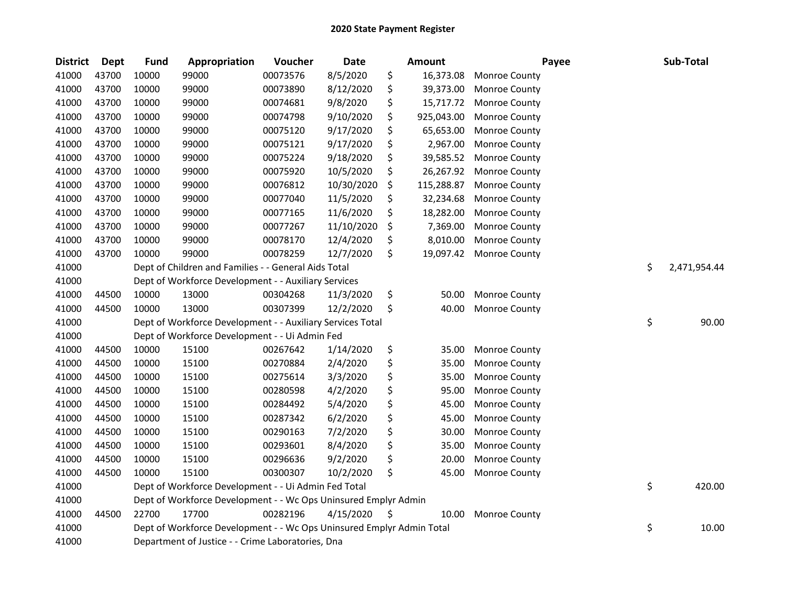| <b>District</b> | <b>Dept</b> | <b>Fund</b> | Appropriation                                                         | Voucher  | <b>Date</b> | <b>Amount</b>    | Payee                | Sub-Total          |
|-----------------|-------------|-------------|-----------------------------------------------------------------------|----------|-------------|------------------|----------------------|--------------------|
| 41000           | 43700       | 10000       | 99000                                                                 | 00073576 | 8/5/2020    | \$<br>16,373.08  | Monroe County        |                    |
| 41000           | 43700       | 10000       | 99000                                                                 | 00073890 | 8/12/2020   | \$<br>39,373.00  | Monroe County        |                    |
| 41000           | 43700       | 10000       | 99000                                                                 | 00074681 | 9/8/2020    | \$<br>15,717.72  | Monroe County        |                    |
| 41000           | 43700       | 10000       | 99000                                                                 | 00074798 | 9/10/2020   | \$<br>925,043.00 | Monroe County        |                    |
| 41000           | 43700       | 10000       | 99000                                                                 | 00075120 | 9/17/2020   | \$<br>65,653.00  | Monroe County        |                    |
| 41000           | 43700       | 10000       | 99000                                                                 | 00075121 | 9/17/2020   | \$<br>2,967.00   | Monroe County        |                    |
| 41000           | 43700       | 10000       | 99000                                                                 | 00075224 | 9/18/2020   | \$<br>39,585.52  | Monroe County        |                    |
| 41000           | 43700       | 10000       | 99000                                                                 | 00075920 | 10/5/2020   | \$<br>26,267.92  | Monroe County        |                    |
| 41000           | 43700       | 10000       | 99000                                                                 | 00076812 | 10/30/2020  | \$<br>115,288.87 | Monroe County        |                    |
| 41000           | 43700       | 10000       | 99000                                                                 | 00077040 | 11/5/2020   | \$<br>32,234.68  | Monroe County        |                    |
| 41000           | 43700       | 10000       | 99000                                                                 | 00077165 | 11/6/2020   | \$<br>18,282.00  | Monroe County        |                    |
| 41000           | 43700       | 10000       | 99000                                                                 | 00077267 | 11/10/2020  | \$<br>7,369.00   | Monroe County        |                    |
| 41000           | 43700       | 10000       | 99000                                                                 | 00078170 | 12/4/2020   | \$<br>8,010.00   | Monroe County        |                    |
| 41000           | 43700       | 10000       | 99000                                                                 | 00078259 | 12/7/2020   | \$<br>19,097.42  | Monroe County        |                    |
| 41000           |             |             | Dept of Children and Families - - General Aids Total                  |          |             |                  |                      | \$<br>2,471,954.44 |
| 41000           |             |             | Dept of Workforce Development - - Auxiliary Services                  |          |             |                  |                      |                    |
| 41000           | 44500       | 10000       | 13000                                                                 | 00304268 | 11/3/2020   | \$<br>50.00      | Monroe County        |                    |
| 41000           | 44500       | 10000       | 13000                                                                 | 00307399 | 12/2/2020   | \$<br>40.00      | Monroe County        |                    |
| 41000           |             |             | Dept of Workforce Development - - Auxiliary Services Total            |          |             |                  |                      | \$<br>90.00        |
| 41000           |             |             | Dept of Workforce Development - - Ui Admin Fed                        |          |             |                  |                      |                    |
| 41000           | 44500       | 10000       | 15100                                                                 | 00267642 | 1/14/2020   | \$<br>35.00      | Monroe County        |                    |
| 41000           | 44500       | 10000       | 15100                                                                 | 00270884 | 2/4/2020    | \$<br>35.00      | Monroe County        |                    |
| 41000           | 44500       | 10000       | 15100                                                                 | 00275614 | 3/3/2020    | \$<br>35.00      | Monroe County        |                    |
| 41000           | 44500       | 10000       | 15100                                                                 | 00280598 | 4/2/2020    | \$<br>95.00      | Monroe County        |                    |
| 41000           | 44500       | 10000       | 15100                                                                 | 00284492 | 5/4/2020    | \$<br>45.00      | Monroe County        |                    |
| 41000           | 44500       | 10000       | 15100                                                                 | 00287342 | 6/2/2020    | \$<br>45.00      | Monroe County        |                    |
| 41000           | 44500       | 10000       | 15100                                                                 | 00290163 | 7/2/2020    | \$<br>30.00      | Monroe County        |                    |
| 41000           | 44500       | 10000       | 15100                                                                 | 00293601 | 8/4/2020    | \$<br>35.00      | Monroe County        |                    |
| 41000           | 44500       | 10000       | 15100                                                                 | 00296636 | 9/2/2020    | \$<br>20.00      | Monroe County        |                    |
| 41000           | 44500       | 10000       | 15100                                                                 | 00300307 | 10/2/2020   | \$<br>45.00      | Monroe County        |                    |
| 41000           |             |             | Dept of Workforce Development - - Ui Admin Fed Total                  |          |             |                  |                      | \$<br>420.00       |
| 41000           |             |             | Dept of Workforce Development - - Wc Ops Uninsured Emplyr Admin       |          |             |                  |                      |                    |
| 41000           | 44500       | 22700       | 17700                                                                 | 00282196 | 4/15/2020   | \$<br>10.00      | <b>Monroe County</b> |                    |
| 41000           |             |             | Dept of Workforce Development - - Wc Ops Uninsured Emplyr Admin Total |          |             |                  |                      | \$<br>10.00        |
| 41000           |             |             | Department of Justice - - Crime Laboratories, Dna                     |          |             |                  |                      |                    |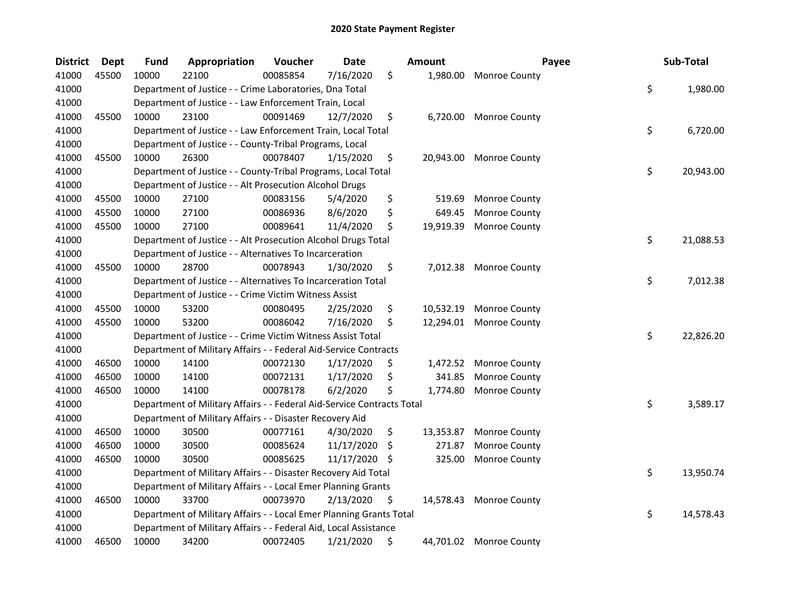| <b>District</b> | <b>Dept</b> | <b>Fund</b> | Appropriation                                                          | Voucher  | <b>Date</b> |     | <b>Amount</b> | Payee                   | Sub-Total       |
|-----------------|-------------|-------------|------------------------------------------------------------------------|----------|-------------|-----|---------------|-------------------------|-----------------|
| 41000           | 45500       | 10000       | 22100                                                                  | 00085854 | 7/16/2020   | \$  | 1,980.00      | Monroe County           |                 |
| 41000           |             |             | Department of Justice - - Crime Laboratories, Dna Total                |          |             |     |               |                         | \$<br>1,980.00  |
| 41000           |             |             | Department of Justice - - Law Enforcement Train, Local                 |          |             |     |               |                         |                 |
| 41000           | 45500       | 10000       | 23100                                                                  | 00091469 | 12/7/2020   | \$  | 6,720.00      | <b>Monroe County</b>    |                 |
| 41000           |             |             | Department of Justice - - Law Enforcement Train, Local Total           |          |             |     |               |                         | \$<br>6,720.00  |
| 41000           |             |             | Department of Justice - - County-Tribal Programs, Local                |          |             |     |               |                         |                 |
| 41000           | 45500       | 10000       | 26300                                                                  | 00078407 | 1/15/2020   | \$  | 20,943.00     | <b>Monroe County</b>    |                 |
| 41000           |             |             | Department of Justice - - County-Tribal Programs, Local Total          |          |             |     |               |                         | \$<br>20,943.00 |
| 41000           |             |             | Department of Justice - - Alt Prosecution Alcohol Drugs                |          |             |     |               |                         |                 |
| 41000           | 45500       | 10000       | 27100                                                                  | 00083156 | 5/4/2020    | \$  | 519.69        | Monroe County           |                 |
| 41000           | 45500       | 10000       | 27100                                                                  | 00086936 | 8/6/2020    | \$  | 649.45        | Monroe County           |                 |
| 41000           | 45500       | 10000       | 27100                                                                  | 00089641 | 11/4/2020   | \$  | 19,919.39     | Monroe County           |                 |
| 41000           |             |             | Department of Justice - - Alt Prosecution Alcohol Drugs Total          |          |             |     |               |                         | \$<br>21,088.53 |
| 41000           |             |             | Department of Justice - - Alternatives To Incarceration                |          |             |     |               |                         |                 |
| 41000           | 45500       | 10000       | 28700                                                                  | 00078943 | 1/30/2020   | \$  | 7,012.38      | Monroe County           |                 |
| 41000           |             |             | Department of Justice - - Alternatives To Incarceration Total          |          |             |     |               |                         | \$<br>7,012.38  |
| 41000           |             |             | Department of Justice - - Crime Victim Witness Assist                  |          |             |     |               |                         |                 |
| 41000           | 45500       | 10000       | 53200                                                                  | 00080495 | 2/25/2020   | \$  | 10,532.19     | Monroe County           |                 |
| 41000           | 45500       | 10000       | 53200                                                                  | 00086042 | 7/16/2020   | \$  | 12,294.01     | Monroe County           |                 |
| 41000           |             |             | Department of Justice - - Crime Victim Witness Assist Total            |          |             |     |               |                         | \$<br>22,826.20 |
| 41000           |             |             | Department of Military Affairs - - Federal Aid-Service Contracts       |          |             |     |               |                         |                 |
| 41000           | 46500       | 10000       | 14100                                                                  | 00072130 | 1/17/2020   | \$  | 1,472.52      | <b>Monroe County</b>    |                 |
| 41000           | 46500       | 10000       | 14100                                                                  | 00072131 | 1/17/2020   | \$  | 341.85        | Monroe County           |                 |
| 41000           | 46500       | 10000       | 14100                                                                  | 00078178 | 6/2/2020    | \$  | 1,774.80      | Monroe County           |                 |
| 41000           |             |             | Department of Military Affairs - - Federal Aid-Service Contracts Total |          |             |     |               |                         | \$<br>3,589.17  |
| 41000           |             |             | Department of Military Affairs - - Disaster Recovery Aid               |          |             |     |               |                         |                 |
| 41000           | 46500       | 10000       | 30500                                                                  | 00077161 | 4/30/2020   | \$  | 13,353.87     | <b>Monroe County</b>    |                 |
| 41000           | 46500       | 10000       | 30500                                                                  | 00085624 | 11/17/2020  | \$. | 271.87        | Monroe County           |                 |
| 41000           | 46500       | 10000       | 30500                                                                  | 00085625 | 11/17/2020  | S   | 325.00        | Monroe County           |                 |
| 41000           |             |             | Department of Military Affairs - - Disaster Recovery Aid Total         |          |             |     |               |                         | \$<br>13,950.74 |
| 41000           |             |             | Department of Military Affairs - - Local Emer Planning Grants          |          |             |     |               |                         |                 |
| 41000           | 46500       | 10000       | 33700                                                                  | 00073970 | 2/13/2020   | \$  |               | 14,578.43 Monroe County |                 |
| 41000           |             |             | Department of Military Affairs - - Local Emer Planning Grants Total    |          |             |     |               |                         | \$<br>14,578.43 |
| 41000           |             |             | Department of Military Affairs - - Federal Aid, Local Assistance       |          |             |     |               |                         |                 |
| 41000           | 46500       | 10000       | 34200                                                                  | 00072405 | 1/21/2020   | \$  |               | 44,701.02 Monroe County |                 |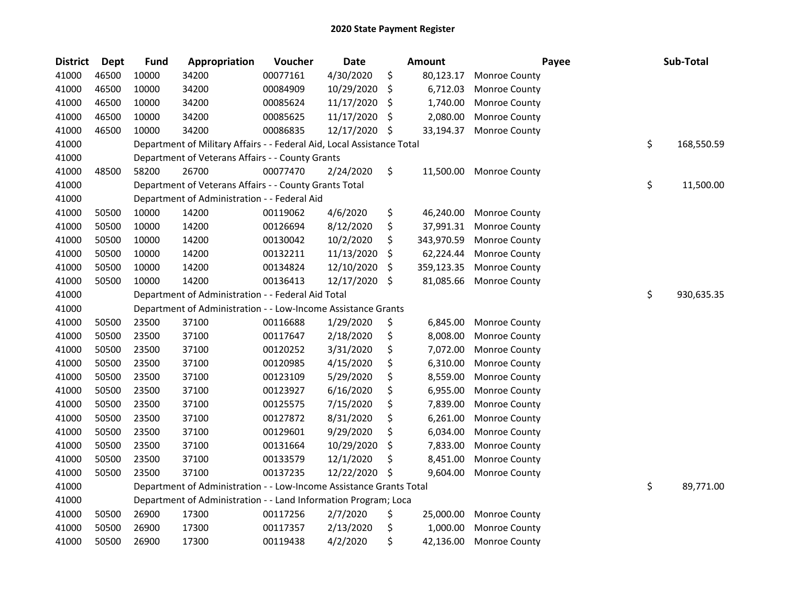| <b>District</b> | Dept  | <b>Fund</b> | Appropriation                                                          | Voucher  | <b>Date</b> | <b>Amount</b>    |                      | Payee | Sub-Total        |
|-----------------|-------|-------------|------------------------------------------------------------------------|----------|-------------|------------------|----------------------|-------|------------------|
| 41000           | 46500 | 10000       | 34200                                                                  | 00077161 | 4/30/2020   | \$<br>80,123.17  | Monroe County        |       |                  |
| 41000           | 46500 | 10000       | 34200                                                                  | 00084909 | 10/29/2020  | \$<br>6,712.03   | Monroe County        |       |                  |
| 41000           | 46500 | 10000       | 34200                                                                  | 00085624 | 11/17/2020  | \$<br>1,740.00   | Monroe County        |       |                  |
| 41000           | 46500 | 10000       | 34200                                                                  | 00085625 | 11/17/2020  | \$<br>2,080.00   | Monroe County        |       |                  |
| 41000           | 46500 | 10000       | 34200                                                                  | 00086835 | 12/17/2020  | \$<br>33,194.37  | Monroe County        |       |                  |
| 41000           |       |             | Department of Military Affairs - - Federal Aid, Local Assistance Total |          |             |                  |                      |       | \$<br>168,550.59 |
| 41000           |       |             | Department of Veterans Affairs - - County Grants                       |          |             |                  |                      |       |                  |
| 41000           | 48500 | 58200       | 26700                                                                  | 00077470 | 2/24/2020   | \$<br>11,500.00  | Monroe County        |       |                  |
| 41000           |       |             | Department of Veterans Affairs - - County Grants Total                 |          |             |                  |                      |       | \$<br>11,500.00  |
| 41000           |       |             | Department of Administration - - Federal Aid                           |          |             |                  |                      |       |                  |
| 41000           | 50500 | 10000       | 14200                                                                  | 00119062 | 4/6/2020    | \$<br>46,240.00  | Monroe County        |       |                  |
| 41000           | 50500 | 10000       | 14200                                                                  | 00126694 | 8/12/2020   | \$<br>37,991.31  | Monroe County        |       |                  |
| 41000           | 50500 | 10000       | 14200                                                                  | 00130042 | 10/2/2020   | \$<br>343,970.59 | Monroe County        |       |                  |
| 41000           | 50500 | 10000       | 14200                                                                  | 00132211 | 11/13/2020  | \$<br>62,224.44  | Monroe County        |       |                  |
| 41000           | 50500 | 10000       | 14200                                                                  | 00134824 | 12/10/2020  | \$<br>359,123.35 | Monroe County        |       |                  |
| 41000           | 50500 | 10000       | 14200                                                                  | 00136413 | 12/17/2020  | \$<br>81,085.66  | Monroe County        |       |                  |
| 41000           |       |             | Department of Administration - - Federal Aid Total                     |          |             |                  |                      |       | \$<br>930,635.35 |
| 41000           |       |             | Department of Administration - - Low-Income Assistance Grants          |          |             |                  |                      |       |                  |
| 41000           | 50500 | 23500       | 37100                                                                  | 00116688 | 1/29/2020   | \$<br>6,845.00   | Monroe County        |       |                  |
| 41000           | 50500 | 23500       | 37100                                                                  | 00117647 | 2/18/2020   | \$<br>8,008.00   | Monroe County        |       |                  |
| 41000           | 50500 | 23500       | 37100                                                                  | 00120252 | 3/31/2020   | \$<br>7,072.00   | Monroe County        |       |                  |
| 41000           | 50500 | 23500       | 37100                                                                  | 00120985 | 4/15/2020   | \$<br>6,310.00   | Monroe County        |       |                  |
| 41000           | 50500 | 23500       | 37100                                                                  | 00123109 | 5/29/2020   | \$<br>8,559.00   | Monroe County        |       |                  |
| 41000           | 50500 | 23500       | 37100                                                                  | 00123927 | 6/16/2020   | \$<br>6,955.00   | Monroe County        |       |                  |
| 41000           | 50500 | 23500       | 37100                                                                  | 00125575 | 7/15/2020   | \$<br>7,839.00   | Monroe County        |       |                  |
| 41000           | 50500 | 23500       | 37100                                                                  | 00127872 | 8/31/2020   | \$<br>6,261.00   | Monroe County        |       |                  |
| 41000           | 50500 | 23500       | 37100                                                                  | 00129601 | 9/29/2020   | \$<br>6,034.00   | Monroe County        |       |                  |
| 41000           | 50500 | 23500       | 37100                                                                  | 00131664 | 10/29/2020  | \$<br>7,833.00   | Monroe County        |       |                  |
| 41000           | 50500 | 23500       | 37100                                                                  | 00133579 | 12/1/2020   | \$<br>8,451.00   | Monroe County        |       |                  |
| 41000           | 50500 | 23500       | 37100                                                                  | 00137235 | 12/22/2020  | \$<br>9,604.00   | Monroe County        |       |                  |
| 41000           |       |             | Department of Administration - - Low-Income Assistance Grants Total    |          |             |                  |                      |       | \$<br>89,771.00  |
| 41000           |       |             | Department of Administration - - Land Information Program; Loca        |          |             |                  |                      |       |                  |
| 41000           | 50500 | 26900       | 17300                                                                  | 00117256 | 2/7/2020    | \$<br>25,000.00  | Monroe County        |       |                  |
| 41000           | 50500 | 26900       | 17300                                                                  | 00117357 | 2/13/2020   | \$<br>1,000.00   | <b>Monroe County</b> |       |                  |
| 41000           | 50500 | 26900       | 17300                                                                  | 00119438 | 4/2/2020    | \$<br>42,136.00  | Monroe County        |       |                  |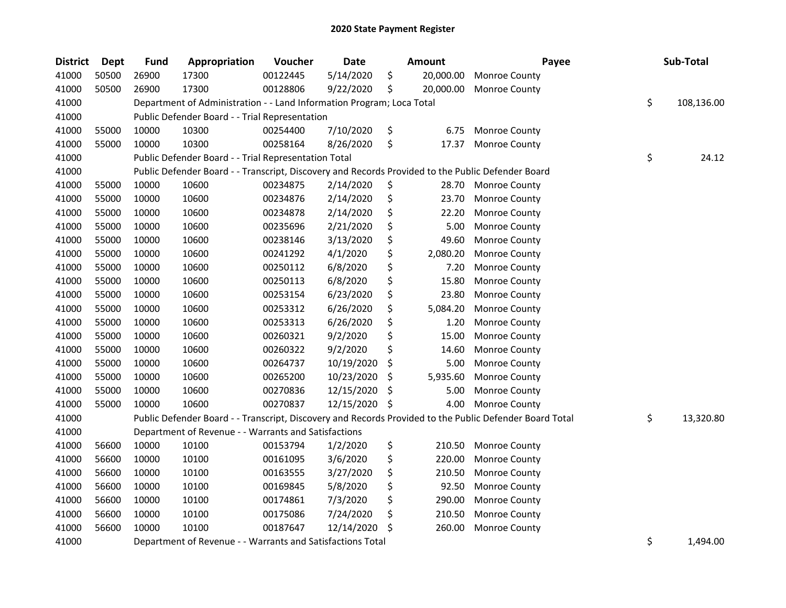| <b>District</b> | <b>Dept</b> | <b>Fund</b> | Appropriation                                                                                     | Voucher  | <b>Date</b> | Amount          | Payee                                                                                                   | Sub-Total        |
|-----------------|-------------|-------------|---------------------------------------------------------------------------------------------------|----------|-------------|-----------------|---------------------------------------------------------------------------------------------------------|------------------|
| 41000           | 50500       | 26900       | 17300                                                                                             | 00122445 | 5/14/2020   | \$<br>20,000.00 | Monroe County                                                                                           |                  |
| 41000           | 50500       | 26900       | 17300                                                                                             | 00128806 | 9/22/2020   | \$<br>20,000.00 | Monroe County                                                                                           |                  |
| 41000           |             |             | Department of Administration - - Land Information Program; Loca Total                             |          |             |                 |                                                                                                         | \$<br>108,136.00 |
| 41000           |             |             | Public Defender Board - - Trial Representation                                                    |          |             |                 |                                                                                                         |                  |
| 41000           | 55000       | 10000       | 10300                                                                                             | 00254400 | 7/10/2020   | \$<br>6.75      | Monroe County                                                                                           |                  |
| 41000           | 55000       | 10000       | 10300                                                                                             | 00258164 | 8/26/2020   | \$<br>17.37     | Monroe County                                                                                           |                  |
| 41000           |             |             | Public Defender Board - - Trial Representation Total                                              |          |             |                 |                                                                                                         | \$<br>24.12      |
| 41000           |             |             | Public Defender Board - - Transcript, Discovery and Records Provided to the Public Defender Board |          |             |                 |                                                                                                         |                  |
| 41000           | 55000       | 10000       | 10600                                                                                             | 00234875 | 2/14/2020   | \$<br>28.70     | Monroe County                                                                                           |                  |
| 41000           | 55000       | 10000       | 10600                                                                                             | 00234876 | 2/14/2020   | \$<br>23.70     | Monroe County                                                                                           |                  |
| 41000           | 55000       | 10000       | 10600                                                                                             | 00234878 | 2/14/2020   | \$<br>22.20     | Monroe County                                                                                           |                  |
| 41000           | 55000       | 10000       | 10600                                                                                             | 00235696 | 2/21/2020   | \$<br>5.00      | Monroe County                                                                                           |                  |
| 41000           | 55000       | 10000       | 10600                                                                                             | 00238146 | 3/13/2020   | \$<br>49.60     | Monroe County                                                                                           |                  |
| 41000           | 55000       | 10000       | 10600                                                                                             | 00241292 | 4/1/2020    | \$<br>2,080.20  | Monroe County                                                                                           |                  |
| 41000           | 55000       | 10000       | 10600                                                                                             | 00250112 | 6/8/2020    | \$<br>7.20      | Monroe County                                                                                           |                  |
| 41000           | 55000       | 10000       | 10600                                                                                             | 00250113 | 6/8/2020    | \$<br>15.80     | Monroe County                                                                                           |                  |
| 41000           | 55000       | 10000       | 10600                                                                                             | 00253154 | 6/23/2020   | \$<br>23.80     | Monroe County                                                                                           |                  |
| 41000           | 55000       | 10000       | 10600                                                                                             | 00253312 | 6/26/2020   | \$<br>5,084.20  | Monroe County                                                                                           |                  |
| 41000           | 55000       | 10000       | 10600                                                                                             | 00253313 | 6/26/2020   | \$<br>1.20      | Monroe County                                                                                           |                  |
| 41000           | 55000       | 10000       | 10600                                                                                             | 00260321 | 9/2/2020    | \$<br>15.00     | Monroe County                                                                                           |                  |
| 41000           | 55000       | 10000       | 10600                                                                                             | 00260322 | 9/2/2020    | \$<br>14.60     | Monroe County                                                                                           |                  |
| 41000           | 55000       | 10000       | 10600                                                                                             | 00264737 | 10/19/2020  | \$<br>5.00      | Monroe County                                                                                           |                  |
| 41000           | 55000       | 10000       | 10600                                                                                             | 00265200 | 10/23/2020  | \$<br>5,935.60  | Monroe County                                                                                           |                  |
| 41000           | 55000       | 10000       | 10600                                                                                             | 00270836 | 12/15/2020  | \$<br>5.00      | Monroe County                                                                                           |                  |
| 41000           | 55000       | 10000       | 10600                                                                                             | 00270837 | 12/15/2020  | \$<br>4.00      | Monroe County                                                                                           |                  |
| 41000           |             |             |                                                                                                   |          |             |                 | Public Defender Board - - Transcript, Discovery and Records Provided to the Public Defender Board Total | \$<br>13,320.80  |
| 41000           |             |             | Department of Revenue - - Warrants and Satisfactions                                              |          |             |                 |                                                                                                         |                  |
| 41000           | 56600       | 10000       | 10100                                                                                             | 00153794 | 1/2/2020    | \$<br>210.50    | Monroe County                                                                                           |                  |
| 41000           | 56600       | 10000       | 10100                                                                                             | 00161095 | 3/6/2020    | \$<br>220.00    | Monroe County                                                                                           |                  |
| 41000           | 56600       | 10000       | 10100                                                                                             | 00163555 | 3/27/2020   | \$<br>210.50    | Monroe County                                                                                           |                  |
| 41000           | 56600       | 10000       | 10100                                                                                             | 00169845 | 5/8/2020    | \$<br>92.50     | Monroe County                                                                                           |                  |
| 41000           | 56600       | 10000       | 10100                                                                                             | 00174861 | 7/3/2020    | \$<br>290.00    | Monroe County                                                                                           |                  |
| 41000           | 56600       | 10000       | 10100                                                                                             | 00175086 | 7/24/2020   | \$<br>210.50    | Monroe County                                                                                           |                  |
| 41000           | 56600       | 10000       | 10100                                                                                             | 00187647 | 12/14/2020  | \$<br>260.00    | Monroe County                                                                                           |                  |
| 41000           |             |             | Department of Revenue - - Warrants and Satisfactions Total                                        |          |             |                 |                                                                                                         | \$<br>1,494.00   |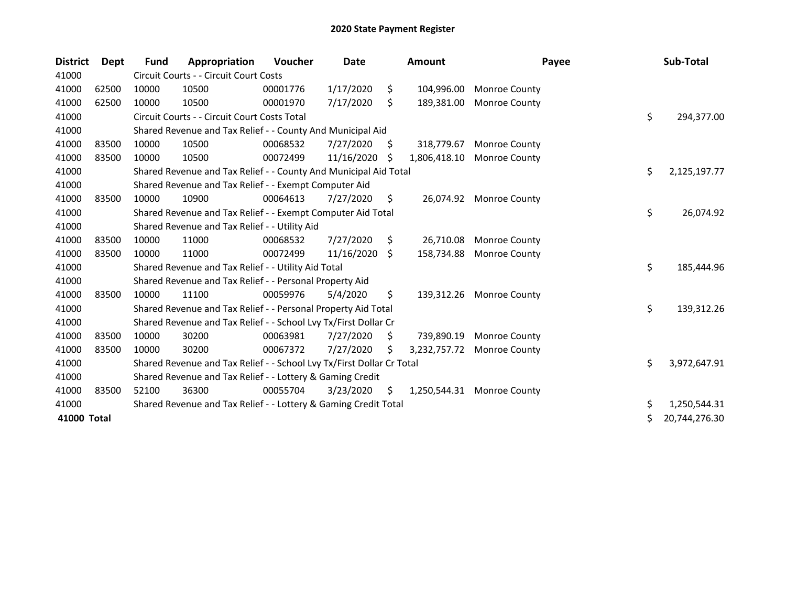| <b>District</b> | Dept  | Fund  | Appropriation                                                         | Voucher  | Date       |     | <b>Amount</b> | Payee                | Sub-Total           |
|-----------------|-------|-------|-----------------------------------------------------------------------|----------|------------|-----|---------------|----------------------|---------------------|
| 41000           |       |       | Circuit Courts - - Circuit Court Costs                                |          |            |     |               |                      |                     |
| 41000           | 62500 | 10000 | 10500                                                                 | 00001776 | 1/17/2020  | \$  | 104,996.00    | <b>Monroe County</b> |                     |
| 41000           | 62500 | 10000 | 10500                                                                 | 00001970 | 7/17/2020  | \$  | 189,381.00    | Monroe County        |                     |
| 41000           |       |       | Circuit Courts - - Circuit Court Costs Total                          |          |            |     |               |                      | \$<br>294,377.00    |
| 41000           |       |       | Shared Revenue and Tax Relief - - County And Municipal Aid            |          |            |     |               |                      |                     |
| 41000           | 83500 | 10000 | 10500                                                                 | 00068532 | 7/27/2020  | \$. | 318,779.67    | <b>Monroe County</b> |                     |
| 41000           | 83500 | 10000 | 10500                                                                 | 00072499 | 11/16/2020 | S   | 1,806,418.10  | <b>Monroe County</b> |                     |
| 41000           |       |       | Shared Revenue and Tax Relief - - County And Municipal Aid Total      |          |            |     |               |                      | \$<br>2,125,197.77  |
| 41000           |       |       | Shared Revenue and Tax Relief - - Exempt Computer Aid                 |          |            |     |               |                      |                     |
| 41000           | 83500 | 10000 | 10900                                                                 | 00064613 | 7/27/2020  | \$  | 26,074.92     | Monroe County        |                     |
| 41000           |       |       | Shared Revenue and Tax Relief - - Exempt Computer Aid Total           |          |            |     |               |                      | \$<br>26,074.92     |
| 41000           |       |       | Shared Revenue and Tax Relief - - Utility Aid                         |          |            |     |               |                      |                     |
| 41000           | 83500 | 10000 | 11000                                                                 | 00068532 | 7/27/2020  | \$  | 26,710.08     | Monroe County        |                     |
| 41000           | 83500 | 10000 | 11000                                                                 | 00072499 | 11/16/2020 | Ŝ.  | 158,734.88    | Monroe County        |                     |
| 41000           |       |       | Shared Revenue and Tax Relief - - Utility Aid Total                   |          |            |     |               |                      | \$<br>185,444.96    |
| 41000           |       |       | Shared Revenue and Tax Relief - - Personal Property Aid               |          |            |     |               |                      |                     |
| 41000           | 83500 | 10000 | 11100                                                                 | 00059976 | 5/4/2020   | \$  | 139,312.26    | <b>Monroe County</b> |                     |
| 41000           |       |       | Shared Revenue and Tax Relief - - Personal Property Aid Total         |          |            |     |               |                      | \$<br>139,312.26    |
| 41000           |       |       | Shared Revenue and Tax Relief - - School Lvy Tx/First Dollar Cr       |          |            |     |               |                      |                     |
| 41000           | 83500 | 10000 | 30200                                                                 | 00063981 | 7/27/2020  | \$  | 739,890.19    | <b>Monroe County</b> |                     |
| 41000           | 83500 | 10000 | 30200                                                                 | 00067372 | 7/27/2020  | Ś   | 3,232,757.72  | <b>Monroe County</b> |                     |
| 41000           |       |       | Shared Revenue and Tax Relief - - School Lvy Tx/First Dollar Cr Total |          |            |     |               |                      | \$<br>3,972,647.91  |
| 41000           |       |       | Shared Revenue and Tax Relief - - Lottery & Gaming Credit             |          |            |     |               |                      |                     |
| 41000           | 83500 | 52100 | 36300                                                                 | 00055704 | 3/23/2020  | \$  | 1,250,544.31  | <b>Monroe County</b> |                     |
| 41000           |       |       | Shared Revenue and Tax Relief - - Lottery & Gaming Credit Total       |          |            |     |               |                      | \$<br>1,250,544.31  |
| 41000 Total     |       |       |                                                                       |          |            |     |               |                      | \$<br>20,744,276.30 |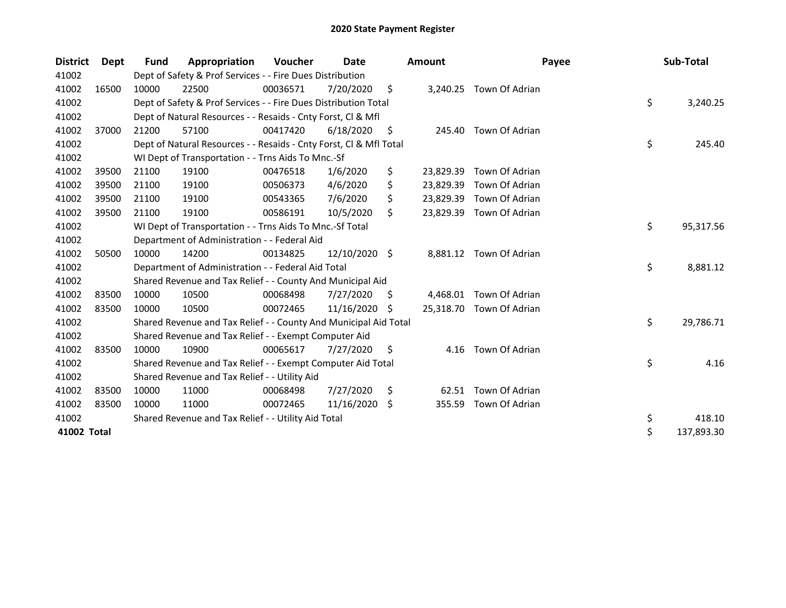| <b>District</b> | Dept  | Fund  | Appropriation                                                      | Voucher  | Date          |    | <b>Amount</b> | Payee                   | Sub-Total        |
|-----------------|-------|-------|--------------------------------------------------------------------|----------|---------------|----|---------------|-------------------------|------------------|
| 41002           |       |       | Dept of Safety & Prof Services - - Fire Dues Distribution          |          |               |    |               |                         |                  |
| 41002           | 16500 | 10000 | 22500                                                              | 00036571 | 7/20/2020     | \$ |               | 3,240.25 Town Of Adrian |                  |
| 41002           |       |       | Dept of Safety & Prof Services - - Fire Dues Distribution Total    |          |               |    |               |                         | \$<br>3,240.25   |
| 41002           |       |       | Dept of Natural Resources - - Resaids - Cnty Forst, Cl & Mfl       |          |               |    |               |                         |                  |
| 41002           | 37000 | 21200 | 57100                                                              | 00417420 | 6/18/2020     | \$ | 245.40        | Town Of Adrian          |                  |
| 41002           |       |       | Dept of Natural Resources - - Resaids - Cnty Forst, CI & Mfl Total |          |               |    |               |                         | \$<br>245.40     |
| 41002           |       |       | WI Dept of Transportation - - Trns Aids To Mnc.-Sf                 |          |               |    |               |                         |                  |
| 41002           | 39500 | 21100 | 19100                                                              | 00476518 | 1/6/2020      | \$ | 23,829.39     | Town Of Adrian          |                  |
| 41002           | 39500 | 21100 | 19100                                                              | 00506373 | 4/6/2020      | \$ | 23,829.39     | Town Of Adrian          |                  |
| 41002           | 39500 | 21100 | 19100                                                              | 00543365 | 7/6/2020      | \$ | 23,829.39     | Town Of Adrian          |                  |
| 41002           | 39500 | 21100 | 19100                                                              | 00586191 | 10/5/2020     | \$ | 23,829.39     | Town Of Adrian          |                  |
| 41002           |       |       | WI Dept of Transportation - - Trns Aids To Mnc.-Sf Total           |          |               |    |               |                         | \$<br>95,317.56  |
| 41002           |       |       | Department of Administration - - Federal Aid                       |          |               |    |               |                         |                  |
| 41002           | 50500 | 10000 | 14200                                                              | 00134825 | 12/10/2020 \$ |    | 8,881.12      | Town Of Adrian          |                  |
| 41002           |       |       | Department of Administration - - Federal Aid Total                 |          |               |    |               |                         | \$<br>8,881.12   |
| 41002           |       |       | Shared Revenue and Tax Relief - - County And Municipal Aid         |          |               |    |               |                         |                  |
| 41002           | 83500 | 10000 | 10500                                                              | 00068498 | 7/27/2020     | \$ | 4,468.01      | Town Of Adrian          |                  |
| 41002           | 83500 | 10000 | 10500                                                              | 00072465 | 11/16/2020    | S  | 25,318.70     | Town Of Adrian          |                  |
| 41002           |       |       | Shared Revenue and Tax Relief - - County And Municipal Aid Total   |          |               |    |               |                         | \$<br>29,786.71  |
| 41002           |       |       | Shared Revenue and Tax Relief - - Exempt Computer Aid              |          |               |    |               |                         |                  |
| 41002           | 83500 | 10000 | 10900                                                              | 00065617 | 7/27/2020     | \$ | 4.16          | Town Of Adrian          |                  |
| 41002           |       |       | Shared Revenue and Tax Relief - - Exempt Computer Aid Total        |          |               |    |               |                         | \$<br>4.16       |
| 41002           |       |       | Shared Revenue and Tax Relief - - Utility Aid                      |          |               |    |               |                         |                  |
| 41002           | 83500 | 10000 | 11000                                                              | 00068498 | 7/27/2020     | \$ | 62.51         | Town Of Adrian          |                  |
| 41002           | 83500 | 10000 | 11000                                                              | 00072465 | 11/16/2020 \$ |    | 355.59        | Town Of Adrian          |                  |
| 41002           |       |       | Shared Revenue and Tax Relief - - Utility Aid Total                |          |               |    |               |                         | \$<br>418.10     |
| 41002 Total     |       |       |                                                                    |          |               |    |               |                         | \$<br>137,893.30 |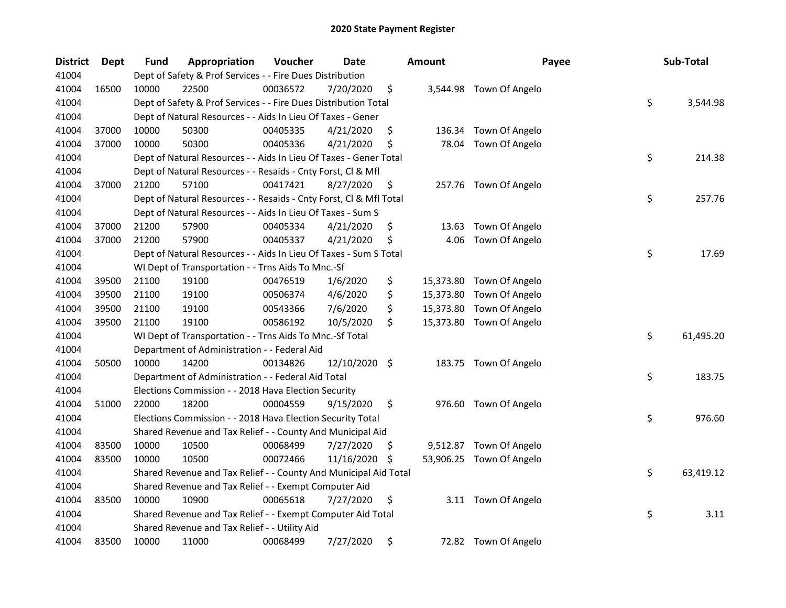| <b>District</b> | <b>Dept</b> | Fund  | Appropriation                                                      | Voucher  | Date          |     | <b>Amount</b> | Payee                    | Sub-Total       |
|-----------------|-------------|-------|--------------------------------------------------------------------|----------|---------------|-----|---------------|--------------------------|-----------------|
| 41004           |             |       | Dept of Safety & Prof Services - - Fire Dues Distribution          |          |               |     |               |                          |                 |
| 41004           | 16500       | 10000 | 22500                                                              | 00036572 | 7/20/2020     | \$  |               | 3,544.98 Town Of Angelo  |                 |
| 41004           |             |       | Dept of Safety & Prof Services - - Fire Dues Distribution Total    |          |               |     |               |                          | \$<br>3,544.98  |
| 41004           |             |       | Dept of Natural Resources - - Aids In Lieu Of Taxes - Gener        |          |               |     |               |                          |                 |
| 41004           | 37000       | 10000 | 50300                                                              | 00405335 | 4/21/2020     | \$  | 136.34        | Town Of Angelo           |                 |
| 41004           | 37000       | 10000 | 50300                                                              | 00405336 | 4/21/2020     | \$  | 78.04         | Town Of Angelo           |                 |
| 41004           |             |       | Dept of Natural Resources - - Aids In Lieu Of Taxes - Gener Total  |          |               |     |               |                          | \$<br>214.38    |
| 41004           |             |       | Dept of Natural Resources - - Resaids - Cnty Forst, Cl & Mfl       |          |               |     |               |                          |                 |
| 41004           | 37000       | 21200 | 57100                                                              | 00417421 | 8/27/2020     | \$  |               | 257.76 Town Of Angelo    |                 |
| 41004           |             |       | Dept of Natural Resources - - Resaids - Cnty Forst, Cl & Mfl Total |          |               |     |               |                          | \$<br>257.76    |
| 41004           |             |       | Dept of Natural Resources - - Aids In Lieu Of Taxes - Sum S        |          |               |     |               |                          |                 |
| 41004           | 37000       | 21200 | 57900                                                              | 00405334 | 4/21/2020     | \$  | 13.63         | Town Of Angelo           |                 |
| 41004           | 37000       | 21200 | 57900                                                              | 00405337 | 4/21/2020     | \$  | 4.06          | Town Of Angelo           |                 |
| 41004           |             |       | Dept of Natural Resources - - Aids In Lieu Of Taxes - Sum S Total  |          |               |     |               |                          | \$<br>17.69     |
| 41004           |             |       | WI Dept of Transportation - - Trns Aids To Mnc.-Sf                 |          |               |     |               |                          |                 |
| 41004           | 39500       | 21100 | 19100                                                              | 00476519 | 1/6/2020      | \$  | 15,373.80     | Town Of Angelo           |                 |
| 41004           | 39500       | 21100 | 19100                                                              | 00506374 | 4/6/2020      | \$  | 15,373.80     | Town Of Angelo           |                 |
| 41004           | 39500       | 21100 | 19100                                                              | 00543366 | 7/6/2020      | \$  | 15,373.80     | Town Of Angelo           |                 |
| 41004           | 39500       | 21100 | 19100                                                              | 00586192 | 10/5/2020     | \$  |               | 15,373.80 Town Of Angelo |                 |
| 41004           |             |       | WI Dept of Transportation - - Trns Aids To Mnc.-Sf Total           |          |               |     |               |                          | \$<br>61,495.20 |
| 41004           |             |       | Department of Administration - - Federal Aid                       |          |               |     |               |                          |                 |
| 41004           | 50500       | 10000 | 14200                                                              | 00134826 | 12/10/2020 \$ |     |               | 183.75 Town Of Angelo    |                 |
| 41004           |             |       | Department of Administration - - Federal Aid Total                 |          |               |     |               |                          | \$<br>183.75    |
| 41004           |             |       | Elections Commission - - 2018 Hava Election Security               |          |               |     |               |                          |                 |
| 41004           | 51000       | 22000 | 18200                                                              | 00004559 | 9/15/2020     | \$  |               | 976.60 Town Of Angelo    |                 |
| 41004           |             |       | Elections Commission - - 2018 Hava Election Security Total         |          |               |     |               |                          | \$<br>976.60    |
| 41004           |             |       | Shared Revenue and Tax Relief - - County And Municipal Aid         |          |               |     |               |                          |                 |
| 41004           | 83500       | 10000 | 10500                                                              | 00068499 | 7/27/2020     | \$. |               | 9,512.87 Town Of Angelo  |                 |
| 41004           | 83500       | 10000 | 10500                                                              | 00072466 | 11/16/2020    | S   |               | 53,906.25 Town Of Angelo |                 |
| 41004           |             |       | Shared Revenue and Tax Relief - - County And Municipal Aid Total   |          |               |     |               |                          | \$<br>63,419.12 |
| 41004           |             |       | Shared Revenue and Tax Relief - - Exempt Computer Aid              |          |               |     |               |                          |                 |
| 41004           | 83500       | 10000 | 10900                                                              | 00065618 | 7/27/2020     | \$  |               | 3.11 Town Of Angelo      |                 |
| 41004           |             |       | Shared Revenue and Tax Relief - - Exempt Computer Aid Total        |          |               |     |               |                          | \$<br>3.11      |
| 41004           |             |       | Shared Revenue and Tax Relief - - Utility Aid                      |          |               |     |               |                          |                 |
| 41004           | 83500       | 10000 | 11000                                                              | 00068499 | 7/27/2020     | \$  |               | 72.82 Town Of Angelo     |                 |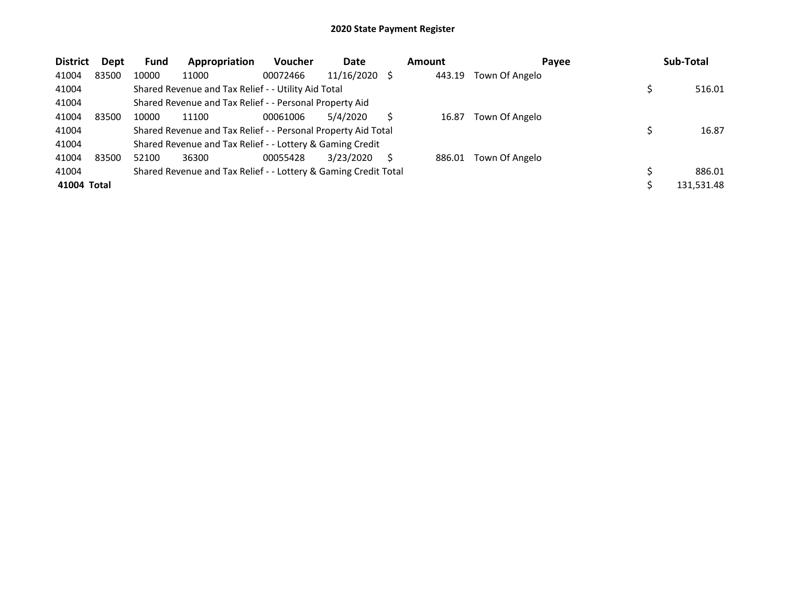| <b>District</b> | Dept  | <b>Fund</b> | Appropriation                                                   | <b>Voucher</b> | Date       | <b>Amount</b> | Payee          | Sub-Total  |
|-----------------|-------|-------------|-----------------------------------------------------------------|----------------|------------|---------------|----------------|------------|
| 41004           | 83500 | 10000       | 11000                                                           | 00072466       | 11/16/2020 | 443.19        | Town Of Angelo |            |
| 41004           |       |             | Shared Revenue and Tax Relief - - Utility Aid Total             |                |            |               |                | 516.01     |
| 41004           |       |             | Shared Revenue and Tax Relief - - Personal Property Aid         |                |            |               |                |            |
| 41004           | 83500 | 10000       | 11100                                                           | 00061006       | 5/4/2020   | 16.87         | Town Of Angelo |            |
| 41004           |       |             | Shared Revenue and Tax Relief - - Personal Property Aid Total   |                |            |               |                | 16.87      |
| 41004           |       |             | Shared Revenue and Tax Relief - - Lottery & Gaming Credit       |                |            |               |                |            |
| 41004           | 83500 | 52100       | 36300                                                           | 00055428       | 3/23/2020  | 886.01        | Town Of Angelo |            |
| 41004           |       |             | Shared Revenue and Tax Relief - - Lottery & Gaming Credit Total |                |            |               |                | 886.01     |
| 41004 Total     |       |             |                                                                 |                |            |               |                | 131,531.48 |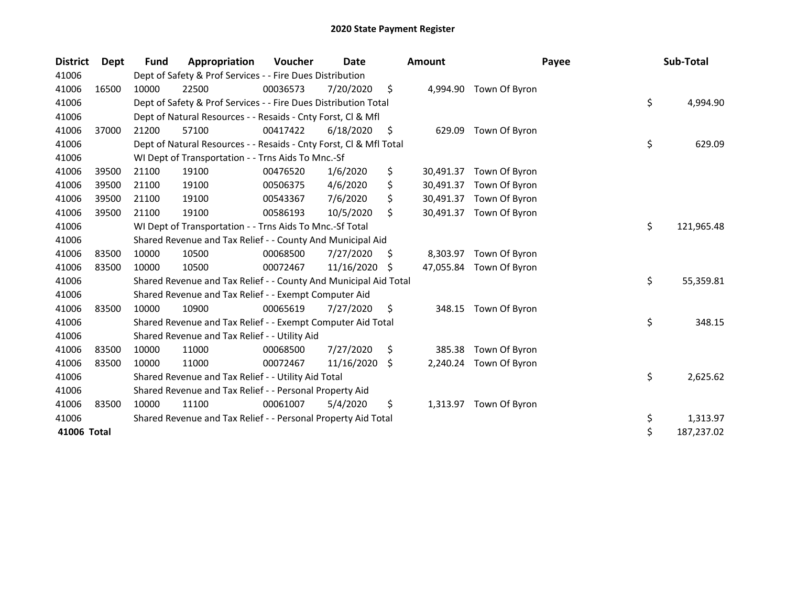| <b>District</b> | Dept  | Fund  | Appropriation                                                      | <b>Voucher</b> | Date       |    | <b>Amount</b> | Payee                   | Sub-Total        |
|-----------------|-------|-------|--------------------------------------------------------------------|----------------|------------|----|---------------|-------------------------|------------------|
| 41006           |       |       | Dept of Safety & Prof Services - - Fire Dues Distribution          |                |            |    |               |                         |                  |
| 41006           | 16500 | 10000 | 22500                                                              | 00036573       | 7/20/2020  | \$ | 4,994.90      | Town Of Byron           |                  |
| 41006           |       |       | Dept of Safety & Prof Services - - Fire Dues Distribution Total    |                |            |    |               |                         | \$<br>4,994.90   |
| 41006           |       |       | Dept of Natural Resources - - Resaids - Cnty Forst, CI & Mfl       |                |            |    |               |                         |                  |
| 41006           | 37000 | 21200 | 57100                                                              | 00417422       | 6/18/2020  | \$ | 629.09        | Town Of Byron           |                  |
| 41006           |       |       | Dept of Natural Resources - - Resaids - Cnty Forst, Cl & Mfl Total |                |            |    |               |                         | \$<br>629.09     |
| 41006           |       |       | WI Dept of Transportation - - Trns Aids To Mnc.-Sf                 |                |            |    |               |                         |                  |
| 41006           | 39500 | 21100 | 19100                                                              | 00476520       | 1/6/2020   | \$ | 30,491.37     | Town Of Byron           |                  |
| 41006           | 39500 | 21100 | 19100                                                              | 00506375       | 4/6/2020   | \$ | 30,491.37     | Town Of Byron           |                  |
| 41006           | 39500 | 21100 | 19100                                                              | 00543367       | 7/6/2020   | \$ | 30,491.37     | Town Of Byron           |                  |
| 41006           | 39500 | 21100 | 19100                                                              | 00586193       | 10/5/2020  | Ŝ. | 30,491.37     | Town Of Byron           |                  |
| 41006           |       |       | WI Dept of Transportation - - Trns Aids To Mnc.-Sf Total           |                |            |    |               |                         | \$<br>121,965.48 |
| 41006           |       |       | Shared Revenue and Tax Relief - - County And Municipal Aid         |                |            |    |               |                         |                  |
| 41006           | 83500 | 10000 | 10500                                                              | 00068500       | 7/27/2020  | \$ | 8,303.97      | Town Of Byron           |                  |
| 41006           | 83500 | 10000 | 10500                                                              | 00072467       | 11/16/2020 | \$ |               | 47,055.84 Town Of Byron |                  |
| 41006           |       |       | Shared Revenue and Tax Relief - - County And Municipal Aid Total   |                |            |    |               |                         | \$<br>55,359.81  |
| 41006           |       |       | Shared Revenue and Tax Relief - - Exempt Computer Aid              |                |            |    |               |                         |                  |
| 41006           | 83500 | 10000 | 10900                                                              | 00065619       | 7/27/2020  | \$ | 348.15        | Town Of Byron           |                  |
| 41006           |       |       | Shared Revenue and Tax Relief - - Exempt Computer Aid Total        |                |            |    |               |                         | \$<br>348.15     |
| 41006           |       |       | Shared Revenue and Tax Relief - - Utility Aid                      |                |            |    |               |                         |                  |
| 41006           | 83500 | 10000 | 11000                                                              | 00068500       | 7/27/2020  | \$ | 385.38        | Town Of Byron           |                  |
| 41006           | 83500 | 10000 | 11000                                                              | 00072467       | 11/16/2020 | S. | 2,240.24      | Town Of Byron           |                  |
| 41006           |       |       | Shared Revenue and Tax Relief - - Utility Aid Total                |                |            |    |               |                         | \$<br>2,625.62   |
| 41006           |       |       | Shared Revenue and Tax Relief - - Personal Property Aid            |                |            |    |               |                         |                  |
| 41006           | 83500 | 10000 | 11100                                                              | 00061007       | 5/4/2020   | \$ | 1,313.97      | Town Of Byron           |                  |
| 41006           |       |       | Shared Revenue and Tax Relief - - Personal Property Aid Total      |                |            |    |               |                         | \$<br>1,313.97   |
| 41006 Total     |       |       |                                                                    |                |            |    |               |                         | \$<br>187,237.02 |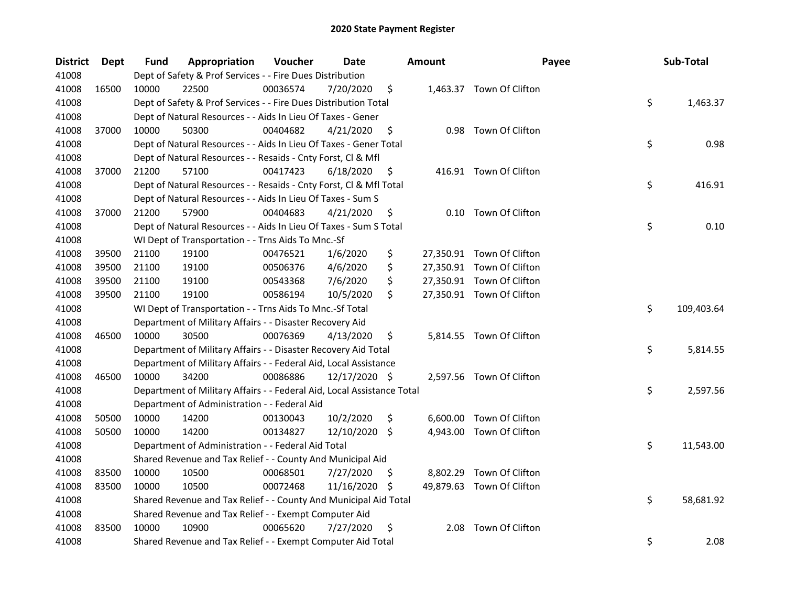| <b>District</b> | Dept  | Fund  | Appropriation                                                          | Voucher  | Date          |     | <b>Amount</b> | Payee                     | Sub-Total        |
|-----------------|-------|-------|------------------------------------------------------------------------|----------|---------------|-----|---------------|---------------------------|------------------|
| 41008           |       |       | Dept of Safety & Prof Services - - Fire Dues Distribution              |          |               |     |               |                           |                  |
| 41008           | 16500 | 10000 | 22500                                                                  | 00036574 | 7/20/2020     | \$  |               | 1,463.37 Town Of Clifton  |                  |
| 41008           |       |       | Dept of Safety & Prof Services - - Fire Dues Distribution Total        |          |               |     |               |                           | \$<br>1,463.37   |
| 41008           |       |       | Dept of Natural Resources - - Aids In Lieu Of Taxes - Gener            |          |               |     |               |                           |                  |
| 41008           | 37000 | 10000 | 50300                                                                  | 00404682 | 4/21/2020     | \$  |               | 0.98 Town Of Clifton      |                  |
| 41008           |       |       | Dept of Natural Resources - - Aids In Lieu Of Taxes - Gener Total      |          |               |     |               |                           | \$<br>0.98       |
| 41008           |       |       | Dept of Natural Resources - - Resaids - Cnty Forst, Cl & Mfl           |          |               |     |               |                           |                  |
| 41008           | 37000 | 21200 | 57100                                                                  | 00417423 | 6/18/2020     | \$  |               | 416.91 Town Of Clifton    |                  |
| 41008           |       |       | Dept of Natural Resources - - Resaids - Cnty Forst, Cl & Mfl Total     |          |               |     |               |                           | \$<br>416.91     |
| 41008           |       |       | Dept of Natural Resources - - Aids In Lieu Of Taxes - Sum S            |          |               |     |               |                           |                  |
| 41008           | 37000 | 21200 | 57900                                                                  | 00404683 | 4/21/2020     | \$  |               | 0.10 Town Of Clifton      |                  |
| 41008           |       |       | Dept of Natural Resources - - Aids In Lieu Of Taxes - Sum S Total      |          |               |     |               |                           | \$<br>0.10       |
| 41008           |       |       | WI Dept of Transportation - - Trns Aids To Mnc.-Sf                     |          |               |     |               |                           |                  |
| 41008           | 39500 | 21100 | 19100                                                                  | 00476521 | 1/6/2020      | \$  |               | 27,350.91 Town Of Clifton |                  |
| 41008           | 39500 | 21100 | 19100                                                                  | 00506376 | 4/6/2020      | \$  |               | 27,350.91 Town Of Clifton |                  |
| 41008           | 39500 | 21100 | 19100                                                                  | 00543368 | 7/6/2020      | \$  |               | 27,350.91 Town Of Clifton |                  |
| 41008           | 39500 | 21100 | 19100                                                                  | 00586194 | 10/5/2020     | \$  |               | 27,350.91 Town Of Clifton |                  |
| 41008           |       |       | WI Dept of Transportation - - Trns Aids To Mnc.-Sf Total               |          |               |     |               |                           | \$<br>109,403.64 |
| 41008           |       |       | Department of Military Affairs - - Disaster Recovery Aid               |          |               |     |               |                           |                  |
| 41008           | 46500 | 10000 | 30500                                                                  | 00076369 | 4/13/2020     | \$  |               | 5,814.55 Town Of Clifton  |                  |
| 41008           |       |       | Department of Military Affairs - - Disaster Recovery Aid Total         |          |               |     |               |                           | \$<br>5,814.55   |
| 41008           |       |       | Department of Military Affairs - - Federal Aid, Local Assistance       |          |               |     |               |                           |                  |
| 41008           | 46500 | 10000 | 34200                                                                  | 00086886 | 12/17/2020 \$ |     |               | 2,597.56 Town Of Clifton  |                  |
| 41008           |       |       | Department of Military Affairs - - Federal Aid, Local Assistance Total |          |               |     |               |                           | \$<br>2,597.56   |
| 41008           |       |       | Department of Administration - - Federal Aid                           |          |               |     |               |                           |                  |
| 41008           | 50500 | 10000 | 14200                                                                  | 00130043 | 10/2/2020     | \$  |               | 6,600.00 Town Of Clifton  |                  |
| 41008           | 50500 | 10000 | 14200                                                                  | 00134827 | 12/10/2020 \$ |     | 4,943.00      | Town Of Clifton           |                  |
| 41008           |       |       | Department of Administration - - Federal Aid Total                     |          |               |     |               |                           | \$<br>11,543.00  |
| 41008           |       |       | Shared Revenue and Tax Relief - - County And Municipal Aid             |          |               |     |               |                           |                  |
| 41008           | 83500 | 10000 | 10500                                                                  | 00068501 | 7/27/2020     | \$. |               | 8,802.29 Town Of Clifton  |                  |
| 41008           | 83500 | 10000 | 10500                                                                  | 00072468 | 11/16/2020    | \$. |               | 49,879.63 Town Of Clifton |                  |
| 41008           |       |       | Shared Revenue and Tax Relief - - County And Municipal Aid Total       |          |               |     |               |                           | \$<br>58,681.92  |
| 41008           |       |       | Shared Revenue and Tax Relief - - Exempt Computer Aid                  |          |               |     |               |                           |                  |
| 41008           | 83500 | 10000 | 10900                                                                  | 00065620 | 7/27/2020     | \$  | 2.08          | Town Of Clifton           |                  |
| 41008           |       |       | Shared Revenue and Tax Relief - - Exempt Computer Aid Total            |          |               |     |               |                           | \$<br>2.08       |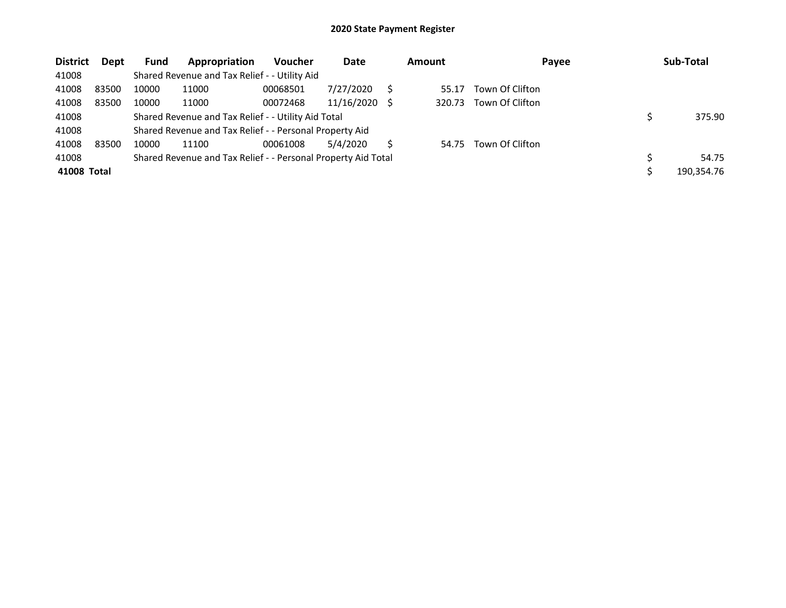| <b>District</b> | Dept  | <b>Fund</b> | Appropriation                                                 | <b>Voucher</b> | Date       |     | <b>Amount</b> | Payee           | Sub-Total  |
|-----------------|-------|-------------|---------------------------------------------------------------|----------------|------------|-----|---------------|-----------------|------------|
| 41008           |       |             | Shared Revenue and Tax Relief - - Utility Aid                 |                |            |     |               |                 |            |
| 41008           | 83500 | 10000       | 11000                                                         | 00068501       | 7/27/2020  |     | 55.17         | Town Of Clifton |            |
| 41008           | 83500 | 10000       | 11000                                                         | 00072468       | 11/16/2020 | - S | 320.73        | Town Of Clifton |            |
| 41008           |       |             | Shared Revenue and Tax Relief - - Utility Aid Total           |                |            |     |               |                 | 375.90     |
| 41008           |       |             | Shared Revenue and Tax Relief - - Personal Property Aid       |                |            |     |               |                 |            |
| 41008           | 83500 | 10000       | 11100                                                         | 00061008       | 5/4/2020   |     | 54.75         | Town Of Clifton |            |
| 41008           |       |             | Shared Revenue and Tax Relief - - Personal Property Aid Total |                |            |     |               |                 | 54.75      |
| 41008 Total     |       |             |                                                               |                |            |     |               |                 | 190,354.76 |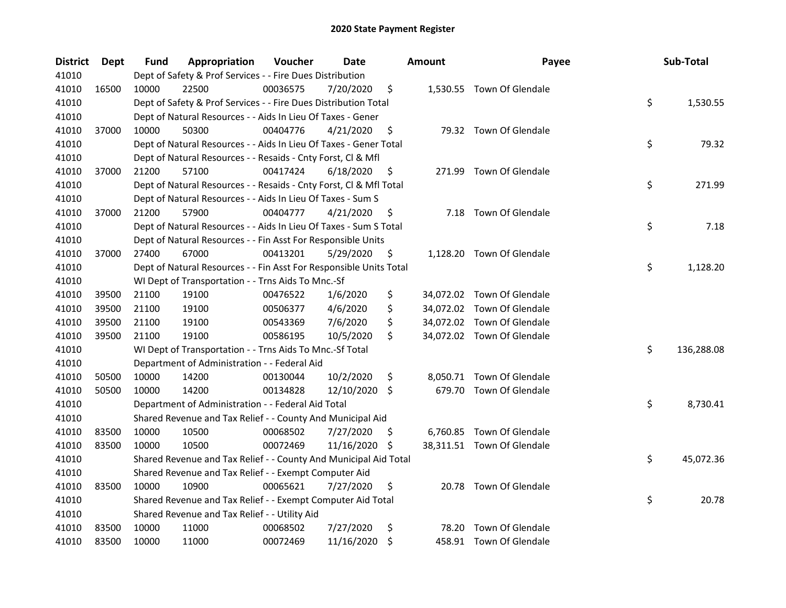| <b>District</b> | Dept  | Fund  | Appropriation                                                      | Voucher  | Date       |     | <b>Amount</b> | Payee                      | Sub-Total        |
|-----------------|-------|-------|--------------------------------------------------------------------|----------|------------|-----|---------------|----------------------------|------------------|
| 41010           |       |       | Dept of Safety & Prof Services - - Fire Dues Distribution          |          |            |     |               |                            |                  |
| 41010           | 16500 | 10000 | 22500                                                              | 00036575 | 7/20/2020  | \$  |               | 1,530.55 Town Of Glendale  |                  |
| 41010           |       |       | Dept of Safety & Prof Services - - Fire Dues Distribution Total    |          |            |     |               |                            | \$<br>1,530.55   |
| 41010           |       |       | Dept of Natural Resources - - Aids In Lieu Of Taxes - Gener        |          |            |     |               |                            |                  |
| 41010           | 37000 | 10000 | 50300                                                              | 00404776 | 4/21/2020  | \$  |               | 79.32 Town Of Glendale     |                  |
| 41010           |       |       | Dept of Natural Resources - - Aids In Lieu Of Taxes - Gener Total  |          |            |     |               |                            | \$<br>79.32      |
| 41010           |       |       | Dept of Natural Resources - - Resaids - Cnty Forst, Cl & Mfl       |          |            |     |               |                            |                  |
| 41010           | 37000 | 21200 | 57100                                                              | 00417424 | 6/18/2020  | \$  |               | 271.99 Town Of Glendale    |                  |
| 41010           |       |       | Dept of Natural Resources - - Resaids - Cnty Forst, Cl & Mfl Total |          |            |     |               |                            | \$<br>271.99     |
| 41010           |       |       | Dept of Natural Resources - - Aids In Lieu Of Taxes - Sum S        |          |            |     |               |                            |                  |
| 41010           | 37000 | 21200 | 57900                                                              | 00404777 | 4/21/2020  | \$  |               | 7.18 Town Of Glendale      |                  |
| 41010           |       |       | Dept of Natural Resources - - Aids In Lieu Of Taxes - Sum S Total  |          |            |     |               |                            | \$<br>7.18       |
| 41010           |       |       | Dept of Natural Resources - - Fin Asst For Responsible Units       |          |            |     |               |                            |                  |
| 41010           | 37000 | 27400 | 67000                                                              | 00413201 | 5/29/2020  | \$  |               | 1,128.20 Town Of Glendale  |                  |
| 41010           |       |       | Dept of Natural Resources - - Fin Asst For Responsible Units Total |          |            |     |               |                            | \$<br>1,128.20   |
| 41010           |       |       | WI Dept of Transportation - - Trns Aids To Mnc.-Sf                 |          |            |     |               |                            |                  |
| 41010           | 39500 | 21100 | 19100                                                              | 00476522 | 1/6/2020   | \$  |               | 34,072.02 Town Of Glendale |                  |
| 41010           | 39500 | 21100 | 19100                                                              | 00506377 | 4/6/2020   | \$  |               | 34,072.02 Town Of Glendale |                  |
| 41010           | 39500 | 21100 | 19100                                                              | 00543369 | 7/6/2020   | \$  |               | 34,072.02 Town Of Glendale |                  |
| 41010           | 39500 | 21100 | 19100                                                              | 00586195 | 10/5/2020  | \$  |               | 34,072.02 Town Of Glendale |                  |
| 41010           |       |       | WI Dept of Transportation - - Trns Aids To Mnc.-Sf Total           |          |            |     |               |                            | \$<br>136,288.08 |
| 41010           |       |       | Department of Administration - - Federal Aid                       |          |            |     |               |                            |                  |
| 41010           | 50500 | 10000 | 14200                                                              | 00130044 | 10/2/2020  | \$  |               | 8,050.71 Town Of Glendale  |                  |
| 41010           | 50500 | 10000 | 14200                                                              | 00134828 | 12/10/2020 | \$  |               | 679.70 Town Of Glendale    |                  |
| 41010           |       |       | Department of Administration - - Federal Aid Total                 |          |            |     |               |                            | \$<br>8,730.41   |
| 41010           |       |       | Shared Revenue and Tax Relief - - County And Municipal Aid         |          |            |     |               |                            |                  |
| 41010           | 83500 | 10000 | 10500                                                              | 00068502 | 7/27/2020  | -\$ |               | 6,760.85 Town Of Glendale  |                  |
| 41010           | 83500 | 10000 | 10500                                                              | 00072469 | 11/16/2020 | -\$ |               | 38,311.51 Town Of Glendale |                  |
| 41010           |       |       | Shared Revenue and Tax Relief - - County And Municipal Aid Total   |          |            |     |               |                            | \$<br>45,072.36  |
| 41010           |       |       | Shared Revenue and Tax Relief - - Exempt Computer Aid              |          |            |     |               |                            |                  |
| 41010           | 83500 | 10000 | 10900                                                              | 00065621 | 7/27/2020  | \$  |               | 20.78 Town Of Glendale     |                  |
| 41010           |       |       | Shared Revenue and Tax Relief - - Exempt Computer Aid Total        |          |            |     |               |                            | \$<br>20.78      |
| 41010           |       |       | Shared Revenue and Tax Relief - - Utility Aid                      |          |            |     |               |                            |                  |
| 41010           | 83500 | 10000 | 11000                                                              | 00068502 | 7/27/2020  | \$  | 78.20         | Town Of Glendale           |                  |
| 41010           | 83500 | 10000 | 11000                                                              | 00072469 | 11/16/2020 | \$  |               | 458.91 Town Of Glendale    |                  |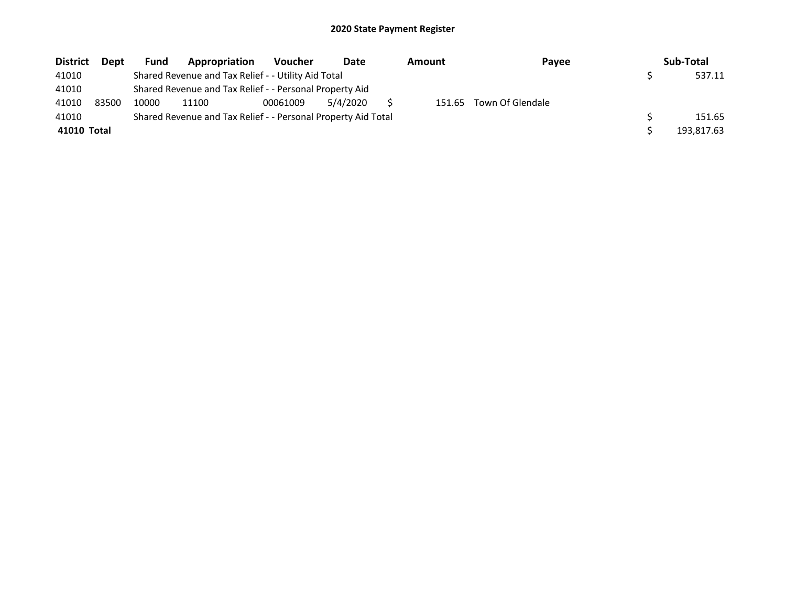| <b>District</b> | <b>Dept</b> | <b>Fund</b> | Appropriation                                                 | <b>Voucher</b> | Date     | <b>Amount</b> | Payee                   | Sub-Total  |
|-----------------|-------------|-------------|---------------------------------------------------------------|----------------|----------|---------------|-------------------------|------------|
| 41010           |             |             | Shared Revenue and Tax Relief - - Utility Aid Total           |                |          |               |                         | 537.11     |
| 41010           |             |             | Shared Revenue and Tax Relief - - Personal Property Aid       |                |          |               |                         |            |
| 41010           | 83500       | 10000       | 11100                                                         | 00061009       | 5/4/2020 |               | 151.65 Town Of Glendale |            |
| 41010           |             |             | Shared Revenue and Tax Relief - - Personal Property Aid Total |                |          |               |                         | 151.65     |
| 41010 Total     |             |             |                                                               |                |          |               |                         | 193,817.63 |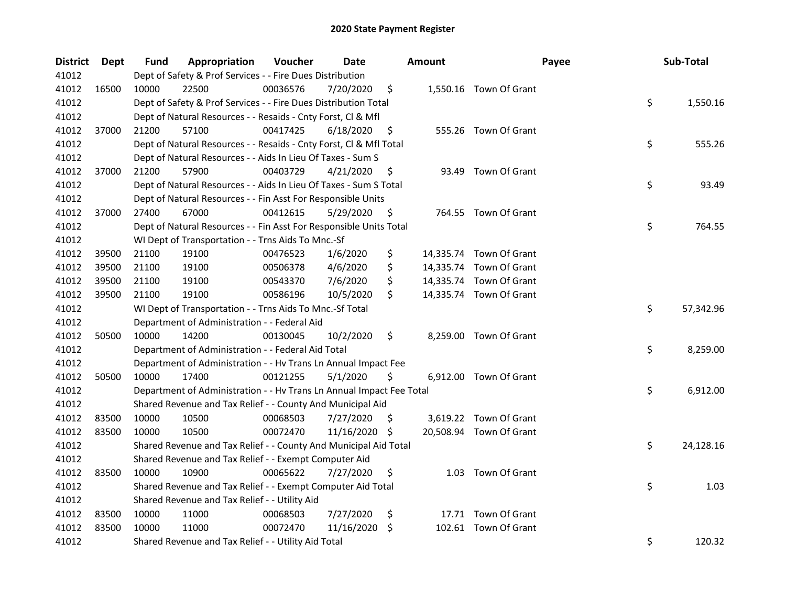| <b>District</b> | Dept  | Fund  | Appropriation                                                        | Voucher  | Date       |    | <b>Amount</b> | Payee                   | Sub-Total       |
|-----------------|-------|-------|----------------------------------------------------------------------|----------|------------|----|---------------|-------------------------|-----------------|
| 41012           |       |       | Dept of Safety & Prof Services - - Fire Dues Distribution            |          |            |    |               |                         |                 |
| 41012           | 16500 | 10000 | 22500                                                                | 00036576 | 7/20/2020  | \$ |               | 1,550.16 Town Of Grant  |                 |
| 41012           |       |       | Dept of Safety & Prof Services - - Fire Dues Distribution Total      |          |            |    |               |                         | \$<br>1,550.16  |
| 41012           |       |       | Dept of Natural Resources - - Resaids - Cnty Forst, Cl & Mfl         |          |            |    |               |                         |                 |
| 41012           | 37000 | 21200 | 57100                                                                | 00417425 | 6/18/2020  | \$ |               | 555.26 Town Of Grant    |                 |
| 41012           |       |       | Dept of Natural Resources - - Resaids - Cnty Forst, Cl & Mfl Total   |          |            |    |               |                         | \$<br>555.26    |
| 41012           |       |       | Dept of Natural Resources - - Aids In Lieu Of Taxes - Sum S          |          |            |    |               |                         |                 |
| 41012           | 37000 | 21200 | 57900                                                                | 00403729 | 4/21/2020  | \$ | 93.49         | Town Of Grant           |                 |
| 41012           |       |       | Dept of Natural Resources - - Aids In Lieu Of Taxes - Sum S Total    |          |            |    |               |                         | \$<br>93.49     |
| 41012           |       |       | Dept of Natural Resources - - Fin Asst For Responsible Units         |          |            |    |               |                         |                 |
| 41012           | 37000 | 27400 | 67000                                                                | 00412615 | 5/29/2020  | \$ |               | 764.55 Town Of Grant    |                 |
| 41012           |       |       | Dept of Natural Resources - - Fin Asst For Responsible Units Total   |          |            |    |               |                         | \$<br>764.55    |
| 41012           |       |       | WI Dept of Transportation - - Trns Aids To Mnc.-Sf                   |          |            |    |               |                         |                 |
| 41012           | 39500 | 21100 | 19100                                                                | 00476523 | 1/6/2020   | \$ |               | 14,335.74 Town Of Grant |                 |
| 41012           | 39500 | 21100 | 19100                                                                | 00506378 | 4/6/2020   | \$ |               | 14,335.74 Town Of Grant |                 |
| 41012           | 39500 | 21100 | 19100                                                                | 00543370 | 7/6/2020   | \$ |               | 14,335.74 Town Of Grant |                 |
| 41012           | 39500 | 21100 | 19100                                                                | 00586196 | 10/5/2020  | \$ |               | 14,335.74 Town Of Grant |                 |
| 41012           |       |       | WI Dept of Transportation - - Trns Aids To Mnc.-Sf Total             |          |            |    |               |                         | \$<br>57,342.96 |
| 41012           |       |       | Department of Administration - - Federal Aid                         |          |            |    |               |                         |                 |
| 41012           | 50500 | 10000 | 14200                                                                | 00130045 | 10/2/2020  | \$ |               | 8,259.00 Town Of Grant  |                 |
| 41012           |       |       | Department of Administration - - Federal Aid Total                   |          |            |    |               |                         | \$<br>8,259.00  |
| 41012           |       |       | Department of Administration - - Hv Trans Ln Annual Impact Fee       |          |            |    |               |                         |                 |
| 41012           | 50500 | 10000 | 17400                                                                | 00121255 | 5/1/2020   | \$ |               | 6,912.00 Town Of Grant  |                 |
| 41012           |       |       | Department of Administration - - Hv Trans Ln Annual Impact Fee Total |          |            |    |               |                         | \$<br>6,912.00  |
| 41012           |       |       | Shared Revenue and Tax Relief - - County And Municipal Aid           |          |            |    |               |                         |                 |
| 41012           | 83500 | 10000 | 10500                                                                | 00068503 | 7/27/2020  | S. |               | 3,619.22 Town Of Grant  |                 |
| 41012           | 83500 | 10000 | 10500                                                                | 00072470 | 11/16/2020 | -S |               | 20,508.94 Town Of Grant |                 |
| 41012           |       |       | Shared Revenue and Tax Relief - - County And Municipal Aid Total     |          |            |    |               |                         | \$<br>24,128.16 |
| 41012           |       |       | Shared Revenue and Tax Relief - - Exempt Computer Aid                |          |            |    |               |                         |                 |
| 41012           | 83500 | 10000 | 10900                                                                | 00065622 | 7/27/2020  | \$ |               | 1.03 Town Of Grant      |                 |
| 41012           |       |       | Shared Revenue and Tax Relief - - Exempt Computer Aid Total          |          |            |    |               |                         | \$<br>1.03      |
| 41012           |       |       | Shared Revenue and Tax Relief - - Utility Aid                        |          |            |    |               |                         |                 |
| 41012           | 83500 | 10000 | 11000                                                                | 00068503 | 7/27/2020  | \$ |               | 17.71 Town Of Grant     |                 |
| 41012           | 83500 | 10000 | 11000                                                                | 00072470 | 11/16/2020 | \$ |               | 102.61 Town Of Grant    |                 |
| 41012           |       |       | Shared Revenue and Tax Relief - - Utility Aid Total                  |          |            |    |               |                         | \$<br>120.32    |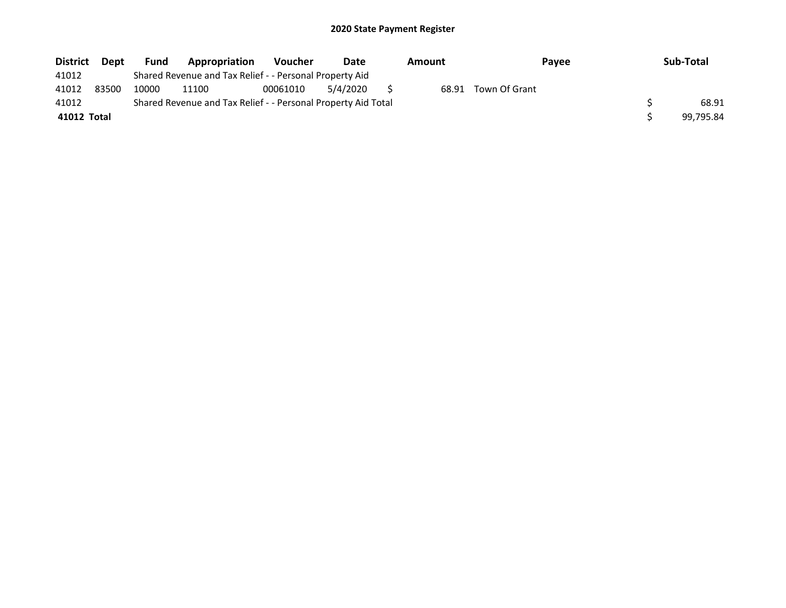| <b>District</b> | <b>Dept</b> | Fund  | Appropriation                                                 | <b>Voucher</b> | Date     | Amount | <b>Pavee</b>  | Sub-Total |
|-----------------|-------------|-------|---------------------------------------------------------------|----------------|----------|--------|---------------|-----------|
| 41012           |             |       | Shared Revenue and Tax Relief - - Personal Property Aid       |                |          |        |               |           |
| 41012           | 83500       | 10000 | 11100                                                         | 00061010       | 5/4/2020 | 68.91  | Town Of Grant |           |
| 41012           |             |       | Shared Revenue and Tax Relief - - Personal Property Aid Total |                |          |        |               | 68.91     |
| 41012 Total     |             |       |                                                               |                |          |        |               | 99.795.84 |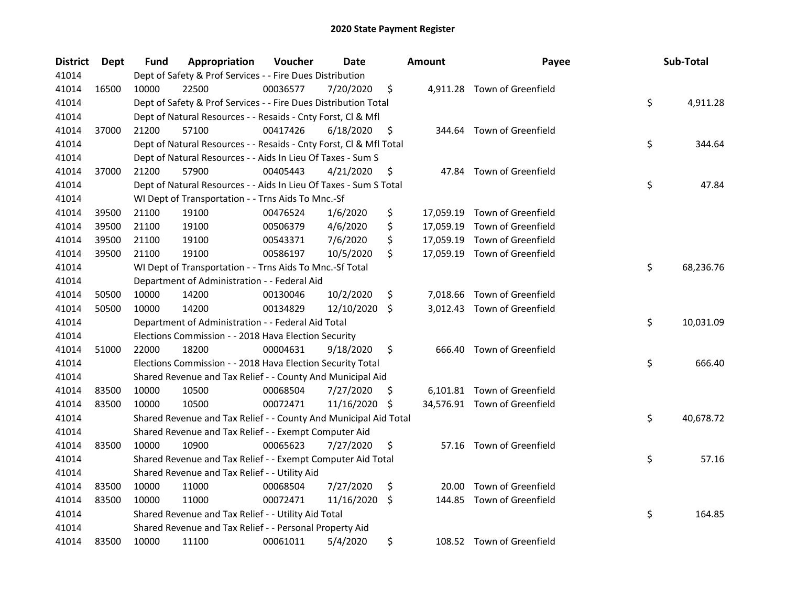| <b>District</b> | Dept  | <b>Fund</b> | Appropriation                                                      | Voucher  | Date       |     | <b>Amount</b> | Payee                        | Sub-Total       |
|-----------------|-------|-------------|--------------------------------------------------------------------|----------|------------|-----|---------------|------------------------------|-----------------|
| 41014           |       |             | Dept of Safety & Prof Services - - Fire Dues Distribution          |          |            |     |               |                              |                 |
| 41014           | 16500 | 10000       | 22500                                                              | 00036577 | 7/20/2020  | \$  |               | 4,911.28 Town of Greenfield  |                 |
| 41014           |       |             | Dept of Safety & Prof Services - - Fire Dues Distribution Total    |          |            |     |               |                              | \$<br>4,911.28  |
| 41014           |       |             | Dept of Natural Resources - - Resaids - Cnty Forst, Cl & Mfl       |          |            |     |               |                              |                 |
| 41014           | 37000 | 21200       | 57100                                                              | 00417426 | 6/18/2020  | \$  |               | 344.64 Town of Greenfield    |                 |
| 41014           |       |             | Dept of Natural Resources - - Resaids - Cnty Forst, Cl & Mfl Total |          |            |     |               |                              | \$<br>344.64    |
| 41014           |       |             | Dept of Natural Resources - - Aids In Lieu Of Taxes - Sum S        |          |            |     |               |                              |                 |
| 41014           | 37000 | 21200       | 57900                                                              | 00405443 | 4/21/2020  | \$  |               | 47.84 Town of Greenfield     |                 |
| 41014           |       |             | Dept of Natural Resources - - Aids In Lieu Of Taxes - Sum S Total  |          |            |     |               |                              | \$<br>47.84     |
| 41014           |       |             | WI Dept of Transportation - - Trns Aids To Mnc.-Sf                 |          |            |     |               |                              |                 |
| 41014           | 39500 | 21100       | 19100                                                              | 00476524 | 1/6/2020   | \$  |               | 17,059.19 Town of Greenfield |                 |
| 41014           | 39500 | 21100       | 19100                                                              | 00506379 | 4/6/2020   | \$  |               | 17,059.19 Town of Greenfield |                 |
| 41014           | 39500 | 21100       | 19100                                                              | 00543371 | 7/6/2020   | \$  |               | 17,059.19 Town of Greenfield |                 |
| 41014           | 39500 | 21100       | 19100                                                              | 00586197 | 10/5/2020  | \$  |               | 17,059.19 Town of Greenfield |                 |
| 41014           |       |             | WI Dept of Transportation - - Trns Aids To Mnc.-Sf Total           |          |            |     |               |                              | \$<br>68,236.76 |
| 41014           |       |             | Department of Administration - - Federal Aid                       |          |            |     |               |                              |                 |
| 41014           | 50500 | 10000       | 14200                                                              | 00130046 | 10/2/2020  | \$  |               | 7,018.66 Town of Greenfield  |                 |
| 41014           | 50500 | 10000       | 14200                                                              | 00134829 | 12/10/2020 | Ŝ.  |               | 3,012.43 Town of Greenfield  |                 |
| 41014           |       |             | Department of Administration - - Federal Aid Total                 |          |            |     |               |                              | \$<br>10,031.09 |
| 41014           |       |             | Elections Commission - - 2018 Hava Election Security               |          |            |     |               |                              |                 |
| 41014           | 51000 | 22000       | 18200                                                              | 00004631 | 9/18/2020  | \$  |               | 666.40 Town of Greenfield    |                 |
| 41014           |       |             | Elections Commission - - 2018 Hava Election Security Total         |          |            |     |               |                              | \$<br>666.40    |
| 41014           |       |             | Shared Revenue and Tax Relief - - County And Municipal Aid         |          |            |     |               |                              |                 |
| 41014           | 83500 | 10000       | 10500                                                              | 00068504 | 7/27/2020  | \$. |               | 6,101.81 Town of Greenfield  |                 |
| 41014           | 83500 | 10000       | 10500                                                              | 00072471 | 11/16/2020 | \$  |               | 34,576.91 Town of Greenfield |                 |
| 41014           |       |             | Shared Revenue and Tax Relief - - County And Municipal Aid Total   |          |            |     |               |                              | \$<br>40,678.72 |
| 41014           |       |             | Shared Revenue and Tax Relief - - Exempt Computer Aid              |          |            |     |               |                              |                 |
| 41014           | 83500 | 10000       | 10900                                                              | 00065623 | 7/27/2020  | \$  |               | 57.16 Town of Greenfield     |                 |
| 41014           |       |             | Shared Revenue and Tax Relief - - Exempt Computer Aid Total        |          |            |     |               |                              | \$<br>57.16     |
| 41014           |       |             | Shared Revenue and Tax Relief - - Utility Aid                      |          |            |     |               |                              |                 |
| 41014           | 83500 | 10000       | 11000                                                              | 00068504 | 7/27/2020  | \$  | 20.00         | Town of Greenfield           |                 |
| 41014           | 83500 | 10000       | 11000                                                              | 00072471 | 11/16/2020 | \$  | 144.85        | Town of Greenfield           |                 |
| 41014           |       |             | Shared Revenue and Tax Relief - - Utility Aid Total                |          |            |     |               |                              | \$<br>164.85    |
| 41014           |       |             | Shared Revenue and Tax Relief - - Personal Property Aid            |          |            |     |               |                              |                 |
| 41014           | 83500 | 10000       | 11100                                                              | 00061011 | 5/4/2020   | \$  |               | 108.52 Town of Greenfield    |                 |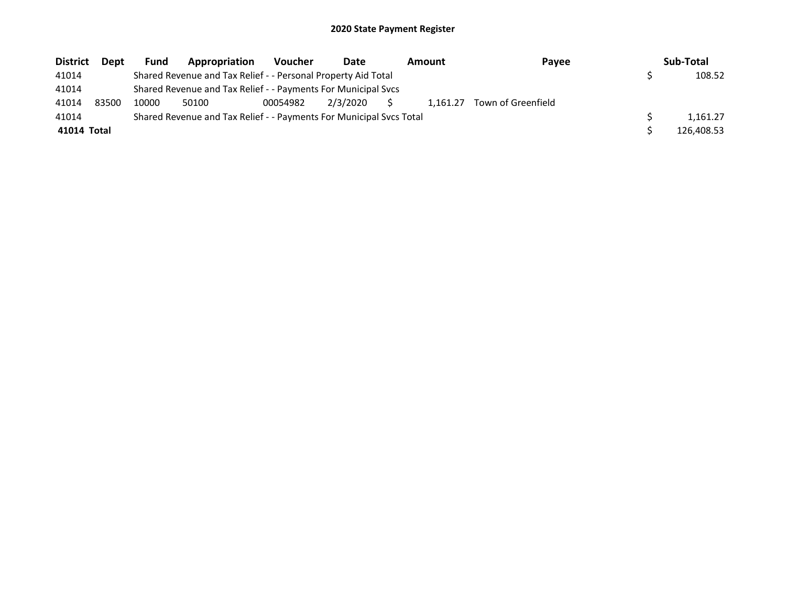| <b>District</b> | <b>Dept</b> | <b>Fund</b> | <b>Appropriation</b>                                                | <b>Voucher</b> | Date     |              | <b>Amount</b> | Payee              | Sub-Total  |
|-----------------|-------------|-------------|---------------------------------------------------------------------|----------------|----------|--------------|---------------|--------------------|------------|
| 41014           |             |             | Shared Revenue and Tax Relief - - Personal Property Aid Total       |                |          |              |               |                    | 108.52     |
| 41014           |             |             | Shared Revenue and Tax Relief - - Payments For Municipal Svcs       |                |          |              |               |                    |            |
| 41014           | 83500       | 10000       | 50100                                                               | 00054982       | 2/3/2020 | <sub>S</sub> | 1.161.27      | Town of Greenfield |            |
| 41014           |             |             | Shared Revenue and Tax Relief - - Payments For Municipal Svcs Total |                |          |              |               |                    | 1.161.27   |
| 41014 Total     |             |             |                                                                     |                |          |              |               |                    | 126,408.53 |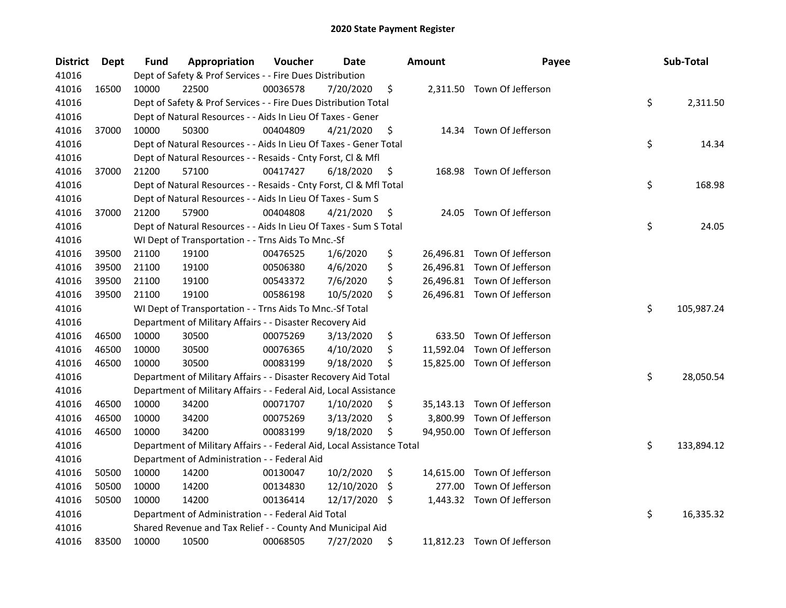| <b>District</b> | Dept  | Fund  | Appropriation                                                          | Voucher  | <b>Date</b> |     | Amount   | Payee                       | Sub-Total        |
|-----------------|-------|-------|------------------------------------------------------------------------|----------|-------------|-----|----------|-----------------------------|------------------|
| 41016           |       |       | Dept of Safety & Prof Services - - Fire Dues Distribution              |          |             |     |          |                             |                  |
| 41016           | 16500 | 10000 | 22500                                                                  | 00036578 | 7/20/2020   | \$  |          | 2,311.50 Town Of Jefferson  |                  |
| 41016           |       |       | Dept of Safety & Prof Services - - Fire Dues Distribution Total        |          |             |     |          |                             | \$<br>2,311.50   |
| 41016           |       |       | Dept of Natural Resources - - Aids In Lieu Of Taxes - Gener            |          |             |     |          |                             |                  |
| 41016           | 37000 | 10000 | 50300                                                                  | 00404809 | 4/21/2020   | \$  |          | 14.34 Town Of Jefferson     |                  |
| 41016           |       |       | Dept of Natural Resources - - Aids In Lieu Of Taxes - Gener Total      |          |             |     |          |                             | \$<br>14.34      |
| 41016           |       |       | Dept of Natural Resources - - Resaids - Cnty Forst, Cl & Mfl           |          |             |     |          |                             |                  |
| 41016           | 37000 | 21200 | 57100                                                                  | 00417427 | 6/18/2020   | \$  |          | 168.98 Town Of Jefferson    |                  |
| 41016           |       |       | Dept of Natural Resources - - Resaids - Cnty Forst, CI & Mfl Total     |          |             |     |          |                             | \$<br>168.98     |
| 41016           |       |       | Dept of Natural Resources - - Aids In Lieu Of Taxes - Sum S            |          |             |     |          |                             |                  |
| 41016           | 37000 | 21200 | 57900                                                                  | 00404808 | 4/21/2020   | \$  | 24.05    | Town Of Jefferson           |                  |
| 41016           |       |       | Dept of Natural Resources - - Aids In Lieu Of Taxes - Sum S Total      |          |             |     |          |                             | \$<br>24.05      |
| 41016           |       |       | WI Dept of Transportation - - Trns Aids To Mnc.-Sf                     |          |             |     |          |                             |                  |
| 41016           | 39500 | 21100 | 19100                                                                  | 00476525 | 1/6/2020    | \$  |          | 26,496.81 Town Of Jefferson |                  |
| 41016           | 39500 | 21100 | 19100                                                                  | 00506380 | 4/6/2020    | \$  |          | 26,496.81 Town Of Jefferson |                  |
| 41016           | 39500 | 21100 | 19100                                                                  | 00543372 | 7/6/2020    | \$  |          | 26,496.81 Town Of Jefferson |                  |
| 41016           | 39500 | 21100 | 19100                                                                  | 00586198 | 10/5/2020   | \$  |          | 26,496.81 Town Of Jefferson |                  |
| 41016           |       |       | WI Dept of Transportation - - Trns Aids To Mnc.-Sf Total               |          |             |     |          |                             | \$<br>105,987.24 |
| 41016           |       |       | Department of Military Affairs - - Disaster Recovery Aid               |          |             |     |          |                             |                  |
| 41016           | 46500 | 10000 | 30500                                                                  | 00075269 | 3/13/2020   | \$  | 633.50   | Town Of Jefferson           |                  |
| 41016           | 46500 | 10000 | 30500                                                                  | 00076365 | 4/10/2020   | \$  |          | 11,592.04 Town Of Jefferson |                  |
| 41016           | 46500 | 10000 | 30500                                                                  | 00083199 | 9/18/2020   | \$  |          | 15,825.00 Town Of Jefferson |                  |
| 41016           |       |       | Department of Military Affairs - - Disaster Recovery Aid Total         |          |             |     |          |                             | \$<br>28,050.54  |
| 41016           |       |       | Department of Military Affairs - - Federal Aid, Local Assistance       |          |             |     |          |                             |                  |
| 41016           | 46500 | 10000 | 34200                                                                  | 00071707 | 1/10/2020   | \$  |          | 35,143.13 Town Of Jefferson |                  |
| 41016           | 46500 | 10000 | 34200                                                                  | 00075269 | 3/13/2020   | \$  | 3,800.99 | Town Of Jefferson           |                  |
| 41016           | 46500 | 10000 | 34200                                                                  | 00083199 | 9/18/2020   | \$  |          | 94,950.00 Town Of Jefferson |                  |
| 41016           |       |       | Department of Military Affairs - - Federal Aid, Local Assistance Total |          |             |     |          |                             | \$<br>133,894.12 |
| 41016           |       |       | Department of Administration - - Federal Aid                           |          |             |     |          |                             |                  |
| 41016           | 50500 | 10000 | 14200                                                                  | 00130047 | 10/2/2020   | \$  |          | 14,615.00 Town Of Jefferson |                  |
| 41016           | 50500 | 10000 | 14200                                                                  | 00134830 | 12/10/2020  | \$. | 277.00   | Town Of Jefferson           |                  |
| 41016           | 50500 | 10000 | 14200                                                                  | 00136414 | 12/17/2020  | \$  |          | 1,443.32 Town Of Jefferson  |                  |
| 41016           |       |       | Department of Administration - - Federal Aid Total                     |          |             |     |          |                             | \$<br>16,335.32  |
| 41016           |       |       | Shared Revenue and Tax Relief - - County And Municipal Aid             |          |             |     |          |                             |                  |
| 41016           | 83500 | 10000 | 10500                                                                  | 00068505 | 7/27/2020   | \$  |          | 11,812.23 Town Of Jefferson |                  |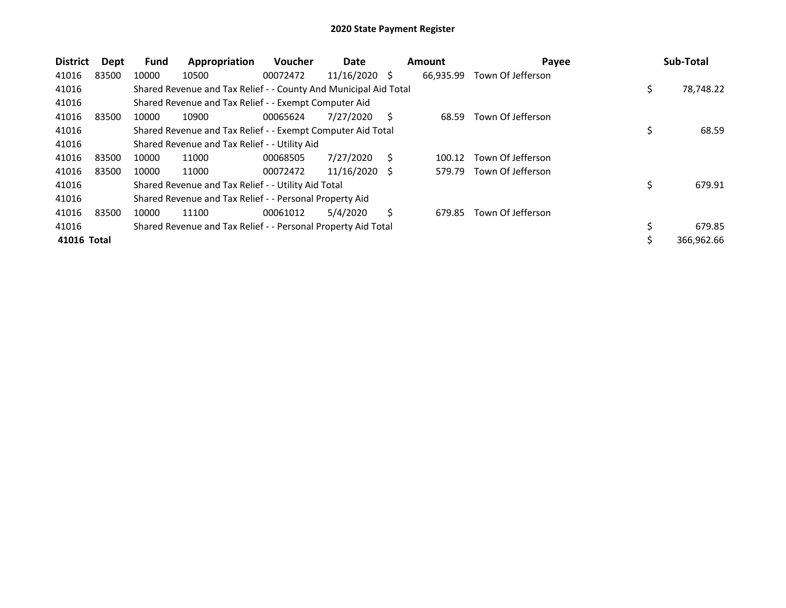| <b>District</b> | Dept  | <b>Fund</b> | Appropriation                                                    | <b>Voucher</b> | Date            |     | <b>Amount</b> | Payee             | Sub-Total       |
|-----------------|-------|-------------|------------------------------------------------------------------|----------------|-----------------|-----|---------------|-------------------|-----------------|
| 41016           | 83500 | 10000       | 10500                                                            | 00072472       | $11/16/2020$ \$ |     | 66,935.99     | Town Of Jefferson |                 |
| 41016           |       |             | Shared Revenue and Tax Relief - - County And Municipal Aid Total |                |                 |     |               |                   | \$<br>78,748.22 |
| 41016           |       |             | Shared Revenue and Tax Relief - - Exempt Computer Aid            |                |                 |     |               |                   |                 |
| 41016           | 83500 | 10000       | 10900                                                            | 00065624       | 7/27/2020       | S   | 68.59         | Town Of Jefferson |                 |
| 41016           |       |             | Shared Revenue and Tax Relief - - Exempt Computer Aid Total      |                |                 |     |               |                   | \$<br>68.59     |
| 41016           |       |             | Shared Revenue and Tax Relief - - Utility Aid                    |                |                 |     |               |                   |                 |
| 41016           | 83500 | 10000       | 11000                                                            | 00068505       | 7/27/2020       | S   | 100.12        | Town Of Jefferson |                 |
| 41016           | 83500 | 10000       | 11000                                                            | 00072472       | 11/16/2020      | - S | 579.79        | Town Of Jefferson |                 |
| 41016           |       |             | Shared Revenue and Tax Relief - - Utility Aid Total              |                |                 |     |               |                   | \$<br>679.91    |
| 41016           |       |             | Shared Revenue and Tax Relief - - Personal Property Aid          |                |                 |     |               |                   |                 |
| 41016           | 83500 | 10000       | 11100                                                            | 00061012       | 5/4/2020        | Ś.  | 679.85        | Town Of Jefferson |                 |
| 41016           |       |             | Shared Revenue and Tax Relief - - Personal Property Aid Total    |                |                 |     |               |                   | 679.85          |
| 41016 Total     |       |             |                                                                  |                |                 |     |               |                   | 366,962.66      |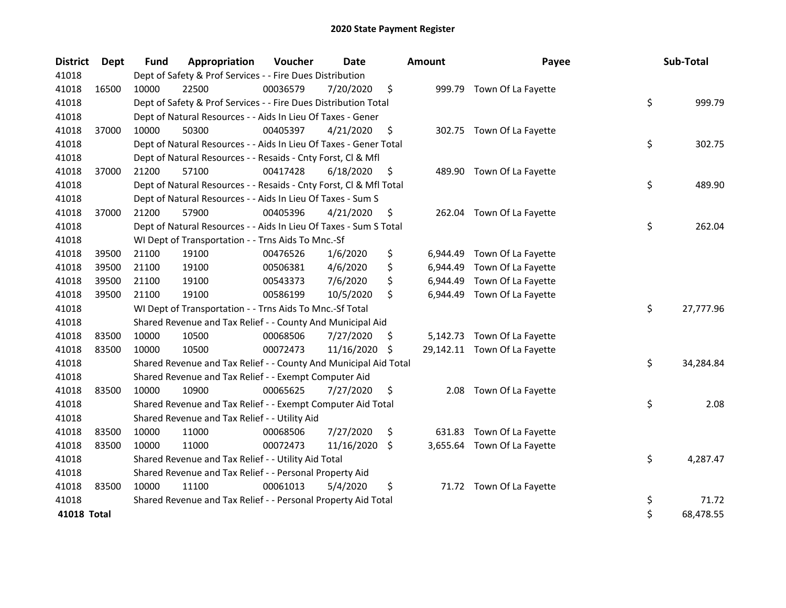| <b>District</b> | <b>Dept</b> | <b>Fund</b> | Appropriation                                                      | Voucher  | <b>Date</b>   |     | <b>Amount</b> | Payee                        | Sub-Total       |
|-----------------|-------------|-------------|--------------------------------------------------------------------|----------|---------------|-----|---------------|------------------------------|-----------------|
| 41018           |             |             | Dept of Safety & Prof Services - - Fire Dues Distribution          |          |               |     |               |                              |                 |
| 41018           | 16500       | 10000       | 22500                                                              | 00036579 | 7/20/2020     | \$  |               | 999.79 Town Of La Fayette    |                 |
| 41018           |             |             | Dept of Safety & Prof Services - - Fire Dues Distribution Total    |          |               |     |               |                              | \$<br>999.79    |
| 41018           |             |             | Dept of Natural Resources - - Aids In Lieu Of Taxes - Gener        |          |               |     |               |                              |                 |
| 41018           | 37000       | 10000       | 50300                                                              | 00405397 | 4/21/2020     | \$  |               | 302.75 Town Of La Fayette    |                 |
| 41018           |             |             | Dept of Natural Resources - - Aids In Lieu Of Taxes - Gener Total  |          |               |     |               |                              | \$<br>302.75    |
| 41018           |             |             | Dept of Natural Resources - - Resaids - Cnty Forst, Cl & Mfl       |          |               |     |               |                              |                 |
| 41018           | 37000       | 21200       | 57100                                                              | 00417428 | 6/18/2020     | \$  |               | 489.90 Town Of La Fayette    |                 |
| 41018           |             |             | Dept of Natural Resources - - Resaids - Cnty Forst, Cl & Mfl Total |          |               |     |               |                              | \$<br>489.90    |
| 41018           |             |             | Dept of Natural Resources - - Aids In Lieu Of Taxes - Sum S        |          |               |     |               |                              |                 |
| 41018           | 37000       | 21200       | 57900                                                              | 00405396 | 4/21/2020     | \$  |               | 262.04 Town Of La Fayette    |                 |
| 41018           |             |             | Dept of Natural Resources - - Aids In Lieu Of Taxes - Sum S Total  |          |               |     |               |                              | \$<br>262.04    |
| 41018           |             |             | WI Dept of Transportation - - Trns Aids To Mnc.-Sf                 |          |               |     |               |                              |                 |
| 41018           | 39500       | 21100       | 19100                                                              | 00476526 | 1/6/2020      | \$  | 6,944.49      | Town Of La Fayette           |                 |
| 41018           | 39500       | 21100       | 19100                                                              | 00506381 | 4/6/2020      | \$  | 6,944.49      | Town Of La Fayette           |                 |
| 41018           | 39500       | 21100       | 19100                                                              | 00543373 | 7/6/2020      | \$  | 6,944.49      | Town Of La Fayette           |                 |
| 41018           | 39500       | 21100       | 19100                                                              | 00586199 | 10/5/2020     | \$  | 6,944.49      | Town Of La Fayette           |                 |
| 41018           |             |             | WI Dept of Transportation - - Trns Aids To Mnc.-Sf Total           |          |               |     |               |                              | \$<br>27,777.96 |
| 41018           |             |             | Shared Revenue and Tax Relief - - County And Municipal Aid         |          |               |     |               |                              |                 |
| 41018           | 83500       | 10000       | 10500                                                              | 00068506 | 7/27/2020     | \$. |               | 5,142.73 Town Of La Fayette  |                 |
| 41018           | 83500       | 10000       | 10500                                                              | 00072473 | 11/16/2020 \$ |     |               | 29,142.11 Town Of La Fayette |                 |
| 41018           |             |             | Shared Revenue and Tax Relief - - County And Municipal Aid Total   |          |               |     |               |                              | \$<br>34,284.84 |
| 41018           |             |             | Shared Revenue and Tax Relief - - Exempt Computer Aid              |          |               |     |               |                              |                 |
| 41018           | 83500       | 10000       | 10900                                                              | 00065625 | 7/27/2020     | \$  | 2.08          | Town Of La Fayette           |                 |
| 41018           |             |             | Shared Revenue and Tax Relief - - Exempt Computer Aid Total        |          |               |     |               |                              | \$<br>2.08      |
| 41018           |             |             | Shared Revenue and Tax Relief - - Utility Aid                      |          |               |     |               |                              |                 |
| 41018           | 83500       | 10000       | 11000                                                              | 00068506 | 7/27/2020     | \$  | 631.83        | Town Of La Fayette           |                 |
| 41018           | 83500       | 10000       | 11000                                                              | 00072473 | 11/16/2020    | \$  |               | 3,655.64 Town Of La Fayette  |                 |
| 41018           |             |             | Shared Revenue and Tax Relief - - Utility Aid Total                |          |               |     |               |                              | \$<br>4,287.47  |
| 41018           |             |             | Shared Revenue and Tax Relief - - Personal Property Aid            |          |               |     |               |                              |                 |
| 41018           | 83500       | 10000       | 11100                                                              | 00061013 | 5/4/2020      | \$  |               | 71.72 Town Of La Fayette     |                 |
| 41018           |             |             | Shared Revenue and Tax Relief - - Personal Property Aid Total      |          |               |     |               |                              | \$<br>71.72     |
| 41018 Total     |             |             |                                                                    |          |               |     |               |                              | \$<br>68,478.55 |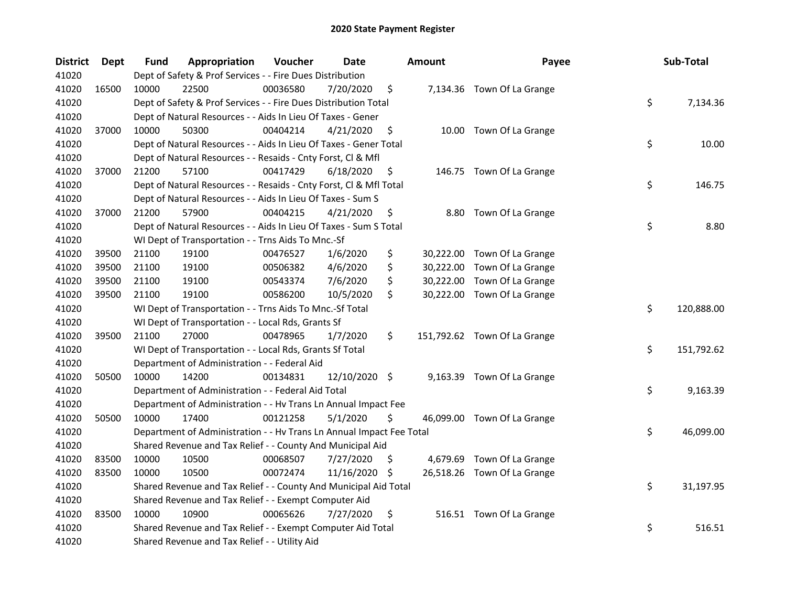| <b>District</b> | <b>Dept</b> | Fund  | Appropriation                                                        | Voucher  | <b>Date</b>   |     | <b>Amount</b> | Payee                        | Sub-Total        |
|-----------------|-------------|-------|----------------------------------------------------------------------|----------|---------------|-----|---------------|------------------------------|------------------|
| 41020           |             |       | Dept of Safety & Prof Services - - Fire Dues Distribution            |          |               |     |               |                              |                  |
| 41020           | 16500       | 10000 | 22500                                                                | 00036580 | 7/20/2020     | \$  |               | 7,134.36 Town Of La Grange   |                  |
| 41020           |             |       | Dept of Safety & Prof Services - - Fire Dues Distribution Total      |          |               |     |               |                              | \$<br>7,134.36   |
| 41020           |             |       | Dept of Natural Resources - - Aids In Lieu Of Taxes - Gener          |          |               |     |               |                              |                  |
| 41020           | 37000       | 10000 | 50300                                                                | 00404214 | 4/21/2020     | \$  |               | 10.00 Town Of La Grange      |                  |
| 41020           |             |       | Dept of Natural Resources - - Aids In Lieu Of Taxes - Gener Total    |          |               |     |               |                              | \$<br>10.00      |
| 41020           |             |       | Dept of Natural Resources - - Resaids - Cnty Forst, Cl & Mfl         |          |               |     |               |                              |                  |
| 41020           | 37000       | 21200 | 57100                                                                | 00417429 | 6/18/2020     | \$  |               | 146.75 Town Of La Grange     |                  |
| 41020           |             |       | Dept of Natural Resources - - Resaids - Cnty Forst, CI & Mfl Total   |          |               |     |               |                              | \$<br>146.75     |
| 41020           |             |       | Dept of Natural Resources - - Aids In Lieu Of Taxes - Sum S          |          |               |     |               |                              |                  |
| 41020           | 37000       | 21200 | 57900                                                                | 00404215 | 4/21/2020     | \$  |               | 8.80 Town Of La Grange       |                  |
| 41020           |             |       | Dept of Natural Resources - - Aids In Lieu Of Taxes - Sum S Total    |          |               |     |               |                              | \$<br>8.80       |
| 41020           |             |       | WI Dept of Transportation - - Trns Aids To Mnc.-Sf                   |          |               |     |               |                              |                  |
| 41020           | 39500       | 21100 | 19100                                                                | 00476527 | 1/6/2020      | \$  |               | 30,222.00 Town Of La Grange  |                  |
| 41020           | 39500       | 21100 | 19100                                                                | 00506382 | 4/6/2020      | \$  |               | 30,222.00 Town Of La Grange  |                  |
| 41020           | 39500       | 21100 | 19100                                                                | 00543374 | 7/6/2020      | \$  |               | 30,222.00 Town Of La Grange  |                  |
| 41020           | 39500       | 21100 | 19100                                                                | 00586200 | 10/5/2020     | \$  |               | 30,222.00 Town Of La Grange  |                  |
| 41020           |             |       | WI Dept of Transportation - - Trns Aids To Mnc.-Sf Total             |          |               |     |               |                              | \$<br>120,888.00 |
| 41020           |             |       | WI Dept of Transportation - - Local Rds, Grants Sf                   |          |               |     |               |                              |                  |
| 41020           | 39500       | 21100 | 27000                                                                | 00478965 | 1/7/2020      | \$  |               | 151,792.62 Town Of La Grange |                  |
| 41020           |             |       | WI Dept of Transportation - - Local Rds, Grants Sf Total             |          |               |     |               |                              | \$<br>151,792.62 |
| 41020           |             |       | Department of Administration - - Federal Aid                         |          |               |     |               |                              |                  |
| 41020           | 50500       | 10000 | 14200                                                                | 00134831 | 12/10/2020 \$ |     |               | 9,163.39 Town Of La Grange   |                  |
| 41020           |             |       | Department of Administration - - Federal Aid Total                   |          |               |     |               |                              | \$<br>9,163.39   |
| 41020           |             |       | Department of Administration - - Hv Trans Ln Annual Impact Fee       |          |               |     |               |                              |                  |
| 41020           | 50500       | 10000 | 17400                                                                | 00121258 | 5/1/2020      | \$  |               | 46,099.00 Town Of La Grange  |                  |
| 41020           |             |       | Department of Administration - - Hv Trans Ln Annual Impact Fee Total |          |               |     |               |                              | \$<br>46,099.00  |
| 41020           |             |       | Shared Revenue and Tax Relief - - County And Municipal Aid           |          |               |     |               |                              |                  |
| 41020           | 83500       | 10000 | 10500                                                                | 00068507 | 7/27/2020     | S   |               | 4,679.69 Town Of La Grange   |                  |
| 41020           | 83500       | 10000 | 10500                                                                | 00072474 | 11/16/2020    | \$. |               | 26,518.26 Town Of La Grange  |                  |
| 41020           |             |       | Shared Revenue and Tax Relief - - County And Municipal Aid Total     |          |               |     |               |                              | \$<br>31,197.95  |
| 41020           |             |       | Shared Revenue and Tax Relief - - Exempt Computer Aid                |          |               |     |               |                              |                  |
| 41020           | 83500       | 10000 | 10900                                                                | 00065626 | 7/27/2020     | \$  |               | 516.51 Town Of La Grange     |                  |
| 41020           |             |       | Shared Revenue and Tax Relief - - Exempt Computer Aid Total          |          |               |     |               |                              | \$<br>516.51     |
| 41020           |             |       | Shared Revenue and Tax Relief - - Utility Aid                        |          |               |     |               |                              |                  |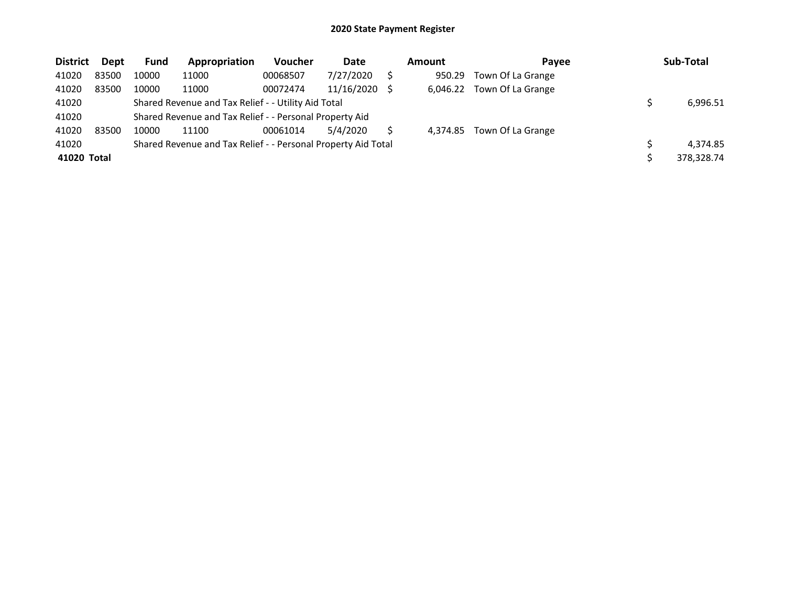| <b>District</b> | Dept  | Fund  | Appropriation                                                 | Voucher  | Date       | <b>Amount</b> | Payee             | Sub-Total  |
|-----------------|-------|-------|---------------------------------------------------------------|----------|------------|---------------|-------------------|------------|
| 41020           | 83500 | 10000 | 11000                                                         | 00068507 | 7/27/2020  | 950.29        | Town Of La Grange |            |
| 41020           | 83500 | 10000 | 11000                                                         | 00072474 | 11/16/2020 | 6.046.22      | Town Of La Grange |            |
| 41020           |       |       | Shared Revenue and Tax Relief - - Utility Aid Total           |          |            |               |                   | 6,996.51   |
| 41020           |       |       | Shared Revenue and Tax Relief - - Personal Property Aid       |          |            |               |                   |            |
| 41020           | 83500 | 10000 | 11100                                                         | 00061014 | 5/4/2020   | 4.374.85      | Town Of La Grange |            |
| 41020           |       |       | Shared Revenue and Tax Relief - - Personal Property Aid Total |          |            |               |                   | 4,374.85   |
| 41020 Total     |       |       |                                                               |          |            |               |                   | 378.328.74 |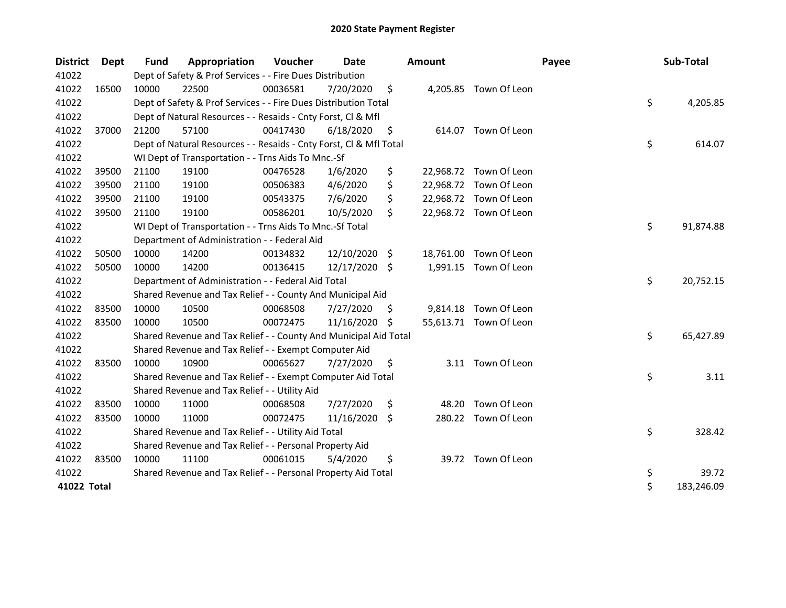| <b>District</b> | <b>Dept</b> | <b>Fund</b> | Appropriation                                                      | Voucher  | Date          |    | Amount    |                        | Payee | Sub-Total        |
|-----------------|-------------|-------------|--------------------------------------------------------------------|----------|---------------|----|-----------|------------------------|-------|------------------|
| 41022           |             |             | Dept of Safety & Prof Services - - Fire Dues Distribution          |          |               |    |           |                        |       |                  |
| 41022           | 16500       | 10000       | 22500                                                              | 00036581 | 7/20/2020     | \$ |           | 4,205.85 Town Of Leon  |       |                  |
| 41022           |             |             | Dept of Safety & Prof Services - - Fire Dues Distribution Total    |          |               |    |           |                        |       | \$<br>4,205.85   |
| 41022           |             |             | Dept of Natural Resources - - Resaids - Cnty Forst, Cl & Mfl       |          |               |    |           |                        |       |                  |
| 41022           | 37000       | 21200       | 57100                                                              | 00417430 | 6/18/2020     | \$ |           | 614.07 Town Of Leon    |       |                  |
| 41022           |             |             | Dept of Natural Resources - - Resaids - Cnty Forst, Cl & Mfl Total |          |               |    |           |                        |       | \$<br>614.07     |
| 41022           |             |             | WI Dept of Transportation - - Trns Aids To Mnc.-Sf                 |          |               |    |           |                        |       |                  |
| 41022           | 39500       | 21100       | 19100                                                              | 00476528 | 1/6/2020      | \$ |           | 22,968.72 Town Of Leon |       |                  |
| 41022           | 39500       | 21100       | 19100                                                              | 00506383 | 4/6/2020      | \$ | 22,968.72 | Town Of Leon           |       |                  |
| 41022           | 39500       | 21100       | 19100                                                              | 00543375 | 7/6/2020      | \$ |           | 22,968.72 Town Of Leon |       |                  |
| 41022           | 39500       | 21100       | 19100                                                              | 00586201 | 10/5/2020     | \$ |           | 22,968.72 Town Of Leon |       |                  |
| 41022           |             |             | WI Dept of Transportation - - Trns Aids To Mnc.-Sf Total           |          |               |    |           |                        |       | \$<br>91,874.88  |
| 41022           |             |             | Department of Administration - - Federal Aid                       |          |               |    |           |                        |       |                  |
| 41022           | 50500       | 10000       | 14200                                                              | 00134832 | 12/10/2020 \$ |    |           | 18,761.00 Town Of Leon |       |                  |
| 41022           | 50500       | 10000       | 14200                                                              | 00136415 | 12/17/2020 \$ |    | 1,991.15  | Town Of Leon           |       |                  |
| 41022           |             |             | Department of Administration - - Federal Aid Total                 |          |               |    |           |                        |       | \$<br>20,752.15  |
| 41022           |             |             | Shared Revenue and Tax Relief - - County And Municipal Aid         |          |               |    |           |                        |       |                  |
| 41022           | 83500       | 10000       | 10500                                                              | 00068508 | 7/27/2020     | S  |           | 9,814.18 Town Of Leon  |       |                  |
| 41022           | 83500       | 10000       | 10500                                                              | 00072475 | 11/16/2020    | -S |           | 55,613.71 Town Of Leon |       |                  |
| 41022           |             |             | Shared Revenue and Tax Relief - - County And Municipal Aid Total   |          |               |    |           |                        |       | \$<br>65,427.89  |
| 41022           |             |             | Shared Revenue and Tax Relief - - Exempt Computer Aid              |          |               |    |           |                        |       |                  |
| 41022           | 83500       | 10000       | 10900                                                              | 00065627 | 7/27/2020     | \$ |           | 3.11 Town Of Leon      |       |                  |
| 41022           |             |             | Shared Revenue and Tax Relief - - Exempt Computer Aid Total        |          |               |    |           |                        |       | \$<br>3.11       |
| 41022           |             |             | Shared Revenue and Tax Relief - - Utility Aid                      |          |               |    |           |                        |       |                  |
| 41022           | 83500       | 10000       | 11000                                                              | 00068508 | 7/27/2020     | \$ | 48.20     | Town Of Leon           |       |                  |
| 41022           | 83500       | 10000       | 11000                                                              | 00072475 | 11/16/2020 \$ |    |           | 280.22 Town Of Leon    |       |                  |
| 41022           |             |             | Shared Revenue and Tax Relief - - Utility Aid Total                |          |               |    |           |                        |       | \$<br>328.42     |
| 41022           |             |             | Shared Revenue and Tax Relief - - Personal Property Aid            |          |               |    |           |                        |       |                  |
| 41022           | 83500       | 10000       | 11100                                                              | 00061015 | 5/4/2020      | \$ |           | 39.72 Town Of Leon     |       |                  |
| 41022           |             |             | Shared Revenue and Tax Relief - - Personal Property Aid Total      |          |               |    |           |                        |       | \$<br>39.72      |
| 41022 Total     |             |             |                                                                    |          |               |    |           |                        |       | \$<br>183,246.09 |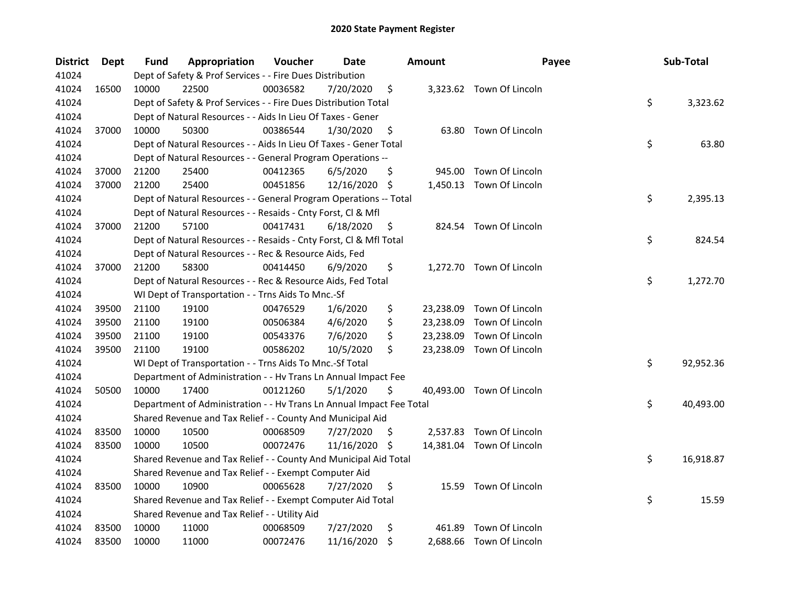| <b>District</b> | Dept  | Fund  | Appropriation                                                        | Voucher  | Date       | <b>Amount</b>   | Payee                     | Sub-Total       |
|-----------------|-------|-------|----------------------------------------------------------------------|----------|------------|-----------------|---------------------------|-----------------|
| 41024           |       |       | Dept of Safety & Prof Services - - Fire Dues Distribution            |          |            |                 |                           |                 |
| 41024           | 16500 | 10000 | 22500                                                                | 00036582 | 7/20/2020  | \$              | 3,323.62 Town Of Lincoln  |                 |
| 41024           |       |       | Dept of Safety & Prof Services - - Fire Dues Distribution Total      |          |            |                 |                           | \$<br>3,323.62  |
| 41024           |       |       | Dept of Natural Resources - - Aids In Lieu Of Taxes - Gener          |          |            |                 |                           |                 |
| 41024           | 37000 | 10000 | 50300                                                                | 00386544 | 1/30/2020  | \$              | 63.80 Town Of Lincoln     |                 |
| 41024           |       |       | Dept of Natural Resources - - Aids In Lieu Of Taxes - Gener Total    |          |            |                 |                           | \$<br>63.80     |
| 41024           |       |       | Dept of Natural Resources - - General Program Operations --          |          |            |                 |                           |                 |
| 41024           | 37000 | 21200 | 25400                                                                | 00412365 | 6/5/2020   | \$              | 945.00 Town Of Lincoln    |                 |
| 41024           | 37000 | 21200 | 25400                                                                | 00451856 | 12/16/2020 | \$              | 1,450.13 Town Of Lincoln  |                 |
| 41024           |       |       | Dept of Natural Resources - - General Program Operations -- Total    |          |            |                 |                           | \$<br>2,395.13  |
| 41024           |       |       | Dept of Natural Resources - - Resaids - Cnty Forst, Cl & Mfl         |          |            |                 |                           |                 |
| 41024           | 37000 | 21200 | 57100                                                                | 00417431 | 6/18/2020  | \$              | 824.54 Town Of Lincoln    |                 |
| 41024           |       |       | Dept of Natural Resources - - Resaids - Cnty Forst, Cl & Mfl Total   |          |            |                 |                           | \$<br>824.54    |
| 41024           |       |       | Dept of Natural Resources - - Rec & Resource Aids, Fed               |          |            |                 |                           |                 |
| 41024           | 37000 | 21200 | 58300                                                                | 00414450 | 6/9/2020   | \$              | 1,272.70 Town Of Lincoln  |                 |
| 41024           |       |       | Dept of Natural Resources - - Rec & Resource Aids, Fed Total         |          |            |                 |                           | \$<br>1,272.70  |
| 41024           |       |       | WI Dept of Transportation - - Trns Aids To Mnc.-Sf                   |          |            |                 |                           |                 |
| 41024           | 39500 | 21100 | 19100                                                                | 00476529 | 1/6/2020   | \$<br>23,238.09 | Town Of Lincoln           |                 |
| 41024           | 39500 | 21100 | 19100                                                                | 00506384 | 4/6/2020   | \$<br>23,238.09 | Town Of Lincoln           |                 |
| 41024           | 39500 | 21100 | 19100                                                                | 00543376 | 7/6/2020   | \$<br>23,238.09 | Town Of Lincoln           |                 |
| 41024           | 39500 | 21100 | 19100                                                                | 00586202 | 10/5/2020  | \$              | 23,238.09 Town Of Lincoln |                 |
| 41024           |       |       | WI Dept of Transportation - - Trns Aids To Mnc.-Sf Total             |          |            |                 |                           | \$<br>92,952.36 |
| 41024           |       |       | Department of Administration - - Hv Trans Ln Annual Impact Fee       |          |            |                 |                           |                 |
| 41024           | 50500 | 10000 | 17400                                                                | 00121260 | 5/1/2020   | \$              | 40,493.00 Town Of Lincoln |                 |
| 41024           |       |       | Department of Administration - - Hv Trans Ln Annual Impact Fee Total |          |            |                 |                           | \$<br>40,493.00 |
| 41024           |       |       | Shared Revenue and Tax Relief - - County And Municipal Aid           |          |            |                 |                           |                 |
| 41024           | 83500 | 10000 | 10500                                                                | 00068509 | 7/27/2020  | \$              | 2,537.83 Town Of Lincoln  |                 |
| 41024           | 83500 | 10000 | 10500                                                                | 00072476 | 11/16/2020 | \$              | 14,381.04 Town Of Lincoln |                 |
| 41024           |       |       | Shared Revenue and Tax Relief - - County And Municipal Aid Total     |          |            |                 |                           | \$<br>16,918.87 |
| 41024           |       |       | Shared Revenue and Tax Relief - - Exempt Computer Aid                |          |            |                 |                           |                 |
| 41024           | 83500 | 10000 | 10900                                                                | 00065628 | 7/27/2020  | \$              | 15.59 Town Of Lincoln     |                 |
| 41024           |       |       | Shared Revenue and Tax Relief - - Exempt Computer Aid Total          |          |            |                 |                           | \$<br>15.59     |
| 41024           |       |       | Shared Revenue and Tax Relief - - Utility Aid                        |          |            |                 |                           |                 |
| 41024           | 83500 | 10000 | 11000                                                                | 00068509 | 7/27/2020  | \$<br>461.89    | Town Of Lincoln           |                 |
| 41024           | 83500 | 10000 | 11000                                                                | 00072476 | 11/16/2020 | \$              | 2,688.66 Town Of Lincoln  |                 |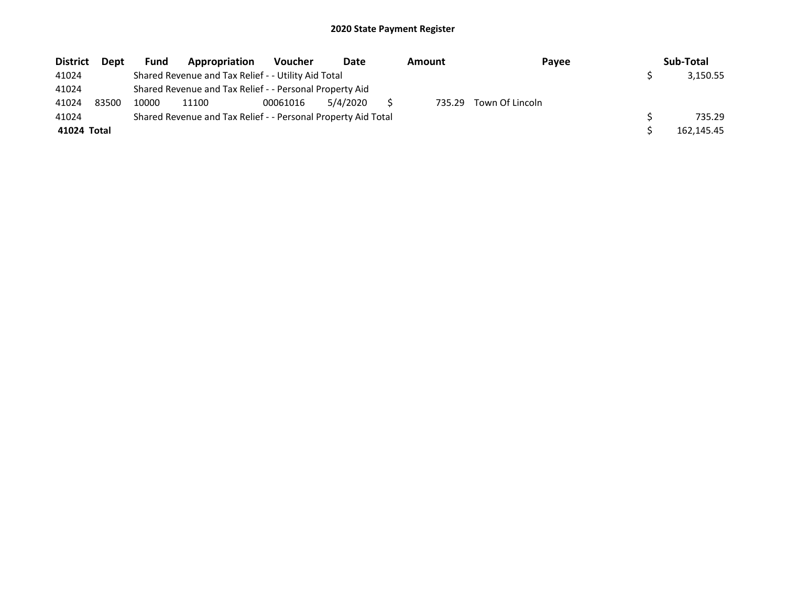| <b>District</b> | <b>Dept</b> | <b>Fund</b> | Appropriation                                                 | <b>Voucher</b> | Date     | Amount | Payee           | Sub-Total  |
|-----------------|-------------|-------------|---------------------------------------------------------------|----------------|----------|--------|-----------------|------------|
| 41024           |             |             | Shared Revenue and Tax Relief - - Utility Aid Total           |                |          |        |                 | 3,150.55   |
| 41024           |             |             | Shared Revenue and Tax Relief - - Personal Property Aid       |                |          |        |                 |            |
| 41024           | 83500       | 10000       | 11100                                                         | 00061016       | 5/4/2020 | 735.29 | Town Of Lincoln |            |
| 41024           |             |             | Shared Revenue and Tax Relief - - Personal Property Aid Total |                |          |        |                 | 735.29     |
| 41024 Total     |             |             |                                                               |                |          |        |                 | 162,145.45 |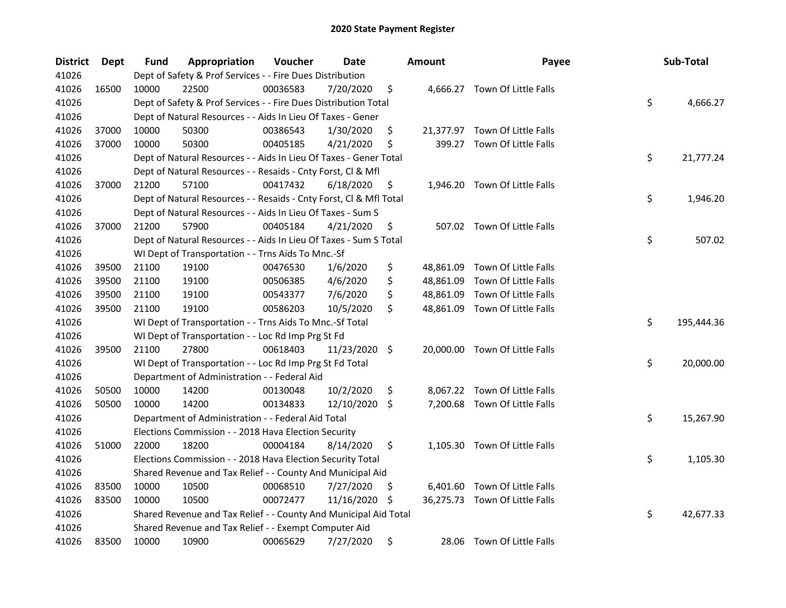| <b>District</b> | <b>Dept</b> | Fund  | Appropriation                                                      | Voucher  | <b>Date</b>   |     | <b>Amount</b> | Payee                          | Sub-Total        |
|-----------------|-------------|-------|--------------------------------------------------------------------|----------|---------------|-----|---------------|--------------------------------|------------------|
| 41026           |             |       | Dept of Safety & Prof Services - - Fire Dues Distribution          |          |               |     |               |                                |                  |
| 41026           | 16500       | 10000 | 22500                                                              | 00036583 | 7/20/2020     | \$  |               | 4,666.27 Town Of Little Falls  |                  |
| 41026           |             |       | Dept of Safety & Prof Services - - Fire Dues Distribution Total    |          |               |     |               |                                | \$<br>4,666.27   |
| 41026           |             |       | Dept of Natural Resources - - Aids In Lieu Of Taxes - Gener        |          |               |     |               |                                |                  |
| 41026           | 37000       | 10000 | 50300                                                              | 00386543 | 1/30/2020     | \$  |               | 21,377.97 Town Of Little Falls |                  |
| 41026           | 37000       | 10000 | 50300                                                              | 00405185 | 4/21/2020     | \$  | 399.27        | Town Of Little Falls           |                  |
| 41026           |             |       | Dept of Natural Resources - - Aids In Lieu Of Taxes - Gener Total  |          |               |     |               |                                | \$<br>21,777.24  |
| 41026           |             |       | Dept of Natural Resources - - Resaids - Cnty Forst, Cl & Mfl       |          |               |     |               |                                |                  |
| 41026           | 37000       | 21200 | 57100                                                              | 00417432 | 6/18/2020     | \$  |               | 1,946.20 Town Of Little Falls  |                  |
| 41026           |             |       | Dept of Natural Resources - - Resaids - Cnty Forst, Cl & Mfl Total |          |               |     |               |                                | \$<br>1,946.20   |
| 41026           |             |       | Dept of Natural Resources - - Aids In Lieu Of Taxes - Sum S        |          |               |     |               |                                |                  |
| 41026           | 37000       | 21200 | 57900                                                              | 00405184 | 4/21/2020     | \$  |               | 507.02 Town Of Little Falls    |                  |
| 41026           |             |       | Dept of Natural Resources - - Aids In Lieu Of Taxes - Sum S Total  |          |               |     |               |                                | \$<br>507.02     |
| 41026           |             |       | WI Dept of Transportation - - Trns Aids To Mnc.-Sf                 |          |               |     |               |                                |                  |
| 41026           | 39500       | 21100 | 19100                                                              | 00476530 | 1/6/2020      | \$  |               | 48,861.09 Town Of Little Falls |                  |
| 41026           | 39500       | 21100 | 19100                                                              | 00506385 | 4/6/2020      | \$  | 48,861.09     | Town Of Little Falls           |                  |
| 41026           | 39500       | 21100 | 19100                                                              | 00543377 | 7/6/2020      | \$  |               | 48,861.09 Town Of Little Falls |                  |
| 41026           | 39500       | 21100 | 19100                                                              | 00586203 | 10/5/2020     | \$  |               | 48,861.09 Town Of Little Falls |                  |
| 41026           |             |       | WI Dept of Transportation - - Trns Aids To Mnc.-Sf Total           |          |               |     |               |                                | \$<br>195,444.36 |
| 41026           |             |       | WI Dept of Transportation - - Loc Rd Imp Prg St Fd                 |          |               |     |               |                                |                  |
| 41026           | 39500       | 21100 | 27800                                                              | 00618403 | 11/23/2020 \$ |     |               | 20,000.00 Town Of Little Falls |                  |
| 41026           |             |       | WI Dept of Transportation - - Loc Rd Imp Prg St Fd Total           |          |               |     |               |                                | \$<br>20,000.00  |
| 41026           |             |       | Department of Administration - - Federal Aid                       |          |               |     |               |                                |                  |
| 41026           | 50500       | 10000 | 14200                                                              | 00130048 | 10/2/2020     | \$  |               | 8,067.22 Town Of Little Falls  |                  |
| 41026           | 50500       | 10000 | 14200                                                              | 00134833 | 12/10/2020    | \$  |               | 7,200.68 Town Of Little Falls  |                  |
| 41026           |             |       | Department of Administration - - Federal Aid Total                 |          |               |     |               |                                | \$<br>15,267.90  |
| 41026           |             |       | Elections Commission - - 2018 Hava Election Security               |          |               |     |               |                                |                  |
| 41026           | 51000       | 22000 | 18200                                                              | 00004184 | 8/14/2020     | \$  |               | 1,105.30 Town Of Little Falls  |                  |
| 41026           |             |       | Elections Commission - - 2018 Hava Election Security Total         |          |               |     |               |                                | \$<br>1,105.30   |
| 41026           |             |       | Shared Revenue and Tax Relief - - County And Municipal Aid         |          |               |     |               |                                |                  |
| 41026           | 83500       | 10000 | 10500                                                              | 00068510 | 7/27/2020     | \$  |               | 6,401.60 Town Of Little Falls  |                  |
| 41026           | 83500       | 10000 | 10500                                                              | 00072477 | 11/16/2020    | \$. |               | 36,275.73 Town Of Little Falls |                  |
| 41026           |             |       | Shared Revenue and Tax Relief - - County And Municipal Aid Total   |          |               |     |               |                                | \$<br>42,677.33  |
| 41026           |             |       | Shared Revenue and Tax Relief - - Exempt Computer Aid              |          |               |     |               |                                |                  |
| 41026           | 83500       | 10000 | 10900                                                              | 00065629 | 7/27/2020     | \$  |               | 28.06 Town Of Little Falls     |                  |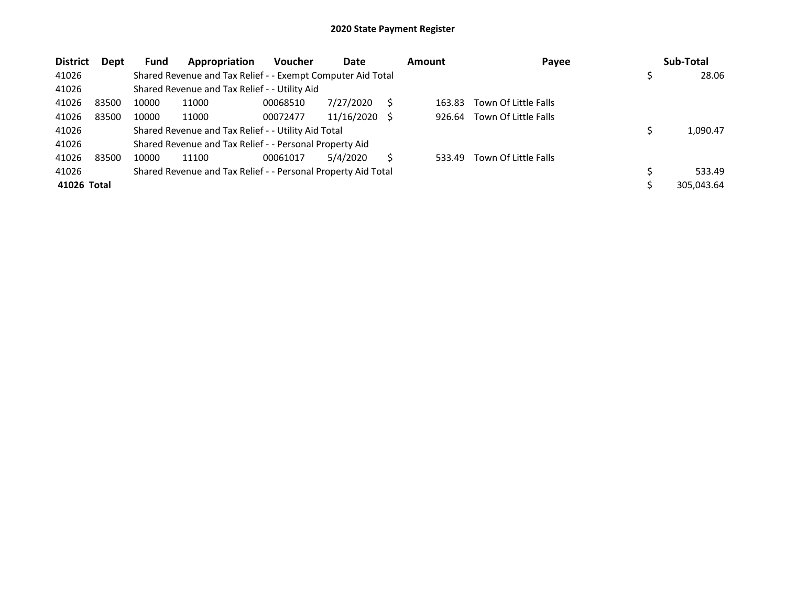| <b>District</b> | Dept  | <b>Fund</b> | Appropriation                                                 | <b>Voucher</b> | Date       |     | <b>Amount</b> | Payee                | Sub-Total  |
|-----------------|-------|-------------|---------------------------------------------------------------|----------------|------------|-----|---------------|----------------------|------------|
| 41026           |       |             | Shared Revenue and Tax Relief - - Exempt Computer Aid Total   |                |            |     |               |                      | 28.06      |
| 41026           |       |             | Shared Revenue and Tax Relief - - Utility Aid                 |                |            |     |               |                      |            |
| 41026           | 83500 | 10000       | 11000                                                         | 00068510       | 7/27/2020  |     | 163.83        | Town Of Little Falls |            |
| 41026           | 83500 | 10000       | 11000                                                         | 00072477       | 11/16/2020 | - S | 926.64        | Town Of Little Falls |            |
| 41026           |       |             | Shared Revenue and Tax Relief - - Utility Aid Total           |                |            |     |               |                      | 1,090.47   |
| 41026           |       |             | Shared Revenue and Tax Relief - - Personal Property Aid       |                |            |     |               |                      |            |
| 41026           | 83500 | 10000       | 11100                                                         | 00061017       | 5/4/2020   |     | 533.49        | Town Of Little Falls |            |
| 41026           |       |             | Shared Revenue and Tax Relief - - Personal Property Aid Total |                |            |     |               |                      | 533.49     |
| 41026 Total     |       |             |                                                               |                |            |     |               |                      | 305,043.64 |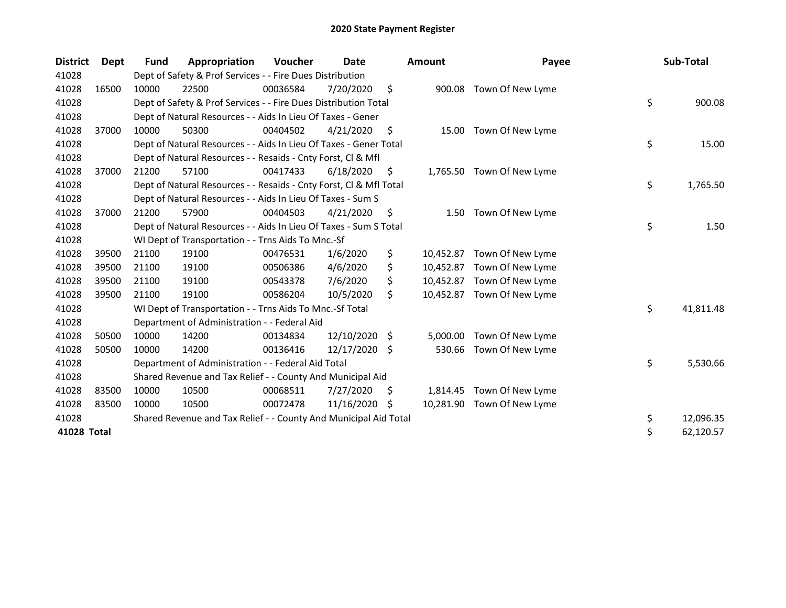| <b>District</b> | Dept  | <b>Fund</b> | Appropriation                                                      | <b>Voucher</b> | Date       |      | Amount    | Payee                      | Sub-Total       |
|-----------------|-------|-------------|--------------------------------------------------------------------|----------------|------------|------|-----------|----------------------------|-----------------|
| 41028           |       |             | Dept of Safety & Prof Services - - Fire Dues Distribution          |                |            |      |           |                            |                 |
| 41028           | 16500 | 10000       | 22500                                                              | 00036584       | 7/20/2020  | \$   |           | 900.08 Town Of New Lyme    |                 |
| 41028           |       |             | Dept of Safety & Prof Services - - Fire Dues Distribution Total    |                |            |      |           |                            | \$<br>900.08    |
| 41028           |       |             | Dept of Natural Resources - - Aids In Lieu Of Taxes - Gener        |                |            |      |           |                            |                 |
| 41028           | 37000 | 10000       | 50300                                                              | 00404502       | 4/21/2020  | \$   | 15.00     | Town Of New Lyme           |                 |
| 41028           |       |             | Dept of Natural Resources - - Aids In Lieu Of Taxes - Gener Total  |                |            |      |           |                            | \$<br>15.00     |
| 41028           |       |             | Dept of Natural Resources - - Resaids - Cnty Forst, Cl & Mfl       |                |            |      |           |                            |                 |
| 41028           | 37000 | 21200       | 57100                                                              | 00417433       | 6/18/2020  | \$   | 1,765.50  | Town Of New Lyme           |                 |
| 41028           |       |             | Dept of Natural Resources - - Resaids - Cnty Forst, Cl & Mfl Total |                |            |      |           |                            | \$<br>1,765.50  |
| 41028           |       |             | Dept of Natural Resources - - Aids In Lieu Of Taxes - Sum S        |                |            |      |           |                            |                 |
| 41028           | 37000 | 21200       | 57900                                                              | 00404503       | 4/21/2020  | \$   | 1.50      | Town Of New Lyme           |                 |
| 41028           |       |             | Dept of Natural Resources - - Aids In Lieu Of Taxes - Sum S Total  |                |            |      |           |                            | \$<br>1.50      |
| 41028           |       |             | WI Dept of Transportation - - Trns Aids To Mnc.-Sf                 |                |            |      |           |                            |                 |
| 41028           | 39500 | 21100       | 19100                                                              | 00476531       | 1/6/2020   | \$   | 10,452.87 | Town Of New Lyme           |                 |
| 41028           | 39500 | 21100       | 19100                                                              | 00506386       | 4/6/2020   | \$   | 10,452.87 | Town Of New Lyme           |                 |
| 41028           | 39500 | 21100       | 19100                                                              | 00543378       | 7/6/2020   | \$   | 10.452.87 | Town Of New Lyme           |                 |
| 41028           | 39500 | 21100       | 19100                                                              | 00586204       | 10/5/2020  | \$   |           | 10,452.87 Town Of New Lyme |                 |
| 41028           |       |             | WI Dept of Transportation - - Trns Aids To Mnc.-Sf Total           |                |            |      |           |                            | \$<br>41,811.48 |
| 41028           |       |             | Department of Administration - - Federal Aid                       |                |            |      |           |                            |                 |
| 41028           | 50500 | 10000       | 14200                                                              | 00134834       | 12/10/2020 | -\$  | 5,000.00  | Town Of New Lyme           |                 |
| 41028           | 50500 | 10000       | 14200                                                              | 00136416       | 12/17/2020 | - \$ | 530.66    | Town Of New Lyme           |                 |
| 41028           |       |             | Department of Administration - - Federal Aid Total                 |                |            |      |           |                            | \$<br>5,530.66  |
| 41028           |       |             | Shared Revenue and Tax Relief - - County And Municipal Aid         |                |            |      |           |                            |                 |
| 41028           | 83500 | 10000       | 10500                                                              | 00068511       | 7/27/2020  | S    | 1,814.45  | Town Of New Lyme           |                 |
| 41028           | 83500 | 10000       | 10500                                                              | 00072478       | 11/16/2020 | S    | 10,281.90 | Town Of New Lyme           |                 |
| 41028           |       |             | Shared Revenue and Tax Relief - - County And Municipal Aid Total   |                |            |      |           |                            | \$<br>12,096.35 |
| 41028 Total     |       |             |                                                                    |                |            |      |           |                            | \$<br>62,120.57 |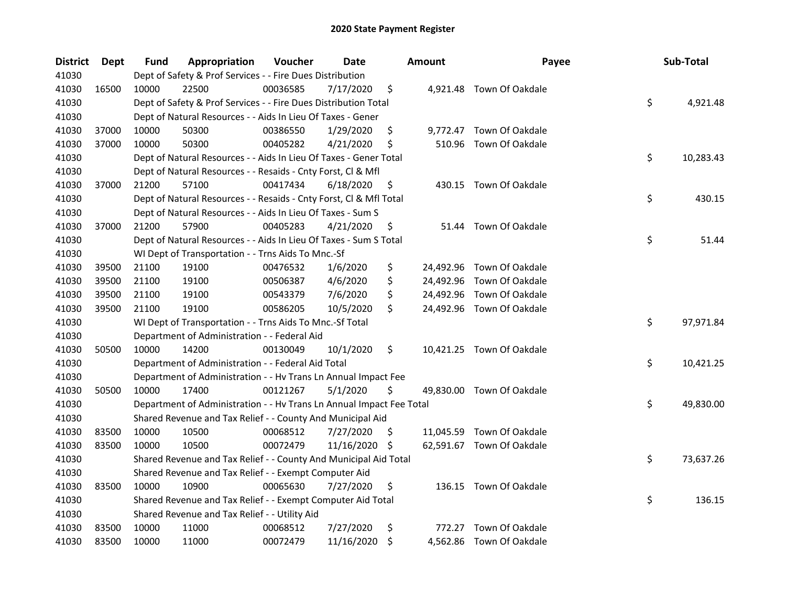| <b>District</b> | <b>Dept</b> | Fund  | Appropriation                                                        | Voucher  | Date       |    | <b>Amount</b> | Payee                     | Sub-Total       |
|-----------------|-------------|-------|----------------------------------------------------------------------|----------|------------|----|---------------|---------------------------|-----------------|
| 41030           |             |       | Dept of Safety & Prof Services - - Fire Dues Distribution            |          |            |    |               |                           |                 |
| 41030           | 16500       | 10000 | 22500                                                                | 00036585 | 7/17/2020  | \$ |               | 4,921.48 Town Of Oakdale  |                 |
| 41030           |             |       | Dept of Safety & Prof Services - - Fire Dues Distribution Total      |          |            |    |               |                           | \$<br>4,921.48  |
| 41030           |             |       | Dept of Natural Resources - - Aids In Lieu Of Taxes - Gener          |          |            |    |               |                           |                 |
| 41030           | 37000       | 10000 | 50300                                                                | 00386550 | 1/29/2020  | \$ |               | 9,772.47 Town Of Oakdale  |                 |
| 41030           | 37000       | 10000 | 50300                                                                | 00405282 | 4/21/2020  | \$ |               | 510.96 Town Of Oakdale    |                 |
| 41030           |             |       | Dept of Natural Resources - - Aids In Lieu Of Taxes - Gener Total    |          |            |    |               |                           | \$<br>10,283.43 |
| 41030           |             |       | Dept of Natural Resources - - Resaids - Cnty Forst, Cl & Mfl         |          |            |    |               |                           |                 |
| 41030           | 37000       | 21200 | 57100                                                                | 00417434 | 6/18/2020  | \$ |               | 430.15 Town Of Oakdale    |                 |
| 41030           |             |       | Dept of Natural Resources - - Resaids - Cnty Forst, Cl & Mfl Total   |          |            |    |               |                           | \$<br>430.15    |
| 41030           |             |       | Dept of Natural Resources - - Aids In Lieu Of Taxes - Sum S          |          |            |    |               |                           |                 |
| 41030           | 37000       | 21200 | 57900                                                                | 00405283 | 4/21/2020  | \$ | 51.44         | Town Of Oakdale           |                 |
| 41030           |             |       | Dept of Natural Resources - - Aids In Lieu Of Taxes - Sum S Total    |          |            |    |               |                           | \$<br>51.44     |
| 41030           |             |       | WI Dept of Transportation - - Trns Aids To Mnc.-Sf                   |          |            |    |               |                           |                 |
| 41030           | 39500       | 21100 | 19100                                                                | 00476532 | 1/6/2020   | \$ |               | 24,492.96 Town Of Oakdale |                 |
| 41030           | 39500       | 21100 | 19100                                                                | 00506387 | 4/6/2020   | \$ |               | 24,492.96 Town Of Oakdale |                 |
| 41030           | 39500       | 21100 | 19100                                                                | 00543379 | 7/6/2020   | \$ |               | 24,492.96 Town Of Oakdale |                 |
| 41030           | 39500       | 21100 | 19100                                                                | 00586205 | 10/5/2020  | \$ |               | 24,492.96 Town Of Oakdale |                 |
| 41030           |             |       | WI Dept of Transportation - - Trns Aids To Mnc.-Sf Total             |          |            |    |               |                           | \$<br>97,971.84 |
| 41030           |             |       | Department of Administration - - Federal Aid                         |          |            |    |               |                           |                 |
| 41030           | 50500       | 10000 | 14200                                                                | 00130049 | 10/1/2020  | \$ |               | 10,421.25 Town Of Oakdale |                 |
| 41030           |             |       | Department of Administration - - Federal Aid Total                   |          |            |    |               |                           | \$<br>10,421.25 |
| 41030           |             |       | Department of Administration - - Hv Trans Ln Annual Impact Fee       |          |            |    |               |                           |                 |
| 41030           | 50500       | 10000 | 17400                                                                | 00121267 | 5/1/2020   | \$ |               | 49,830.00 Town Of Oakdale |                 |
| 41030           |             |       | Department of Administration - - Hv Trans Ln Annual Impact Fee Total |          |            |    |               |                           | \$<br>49,830.00 |
| 41030           |             |       | Shared Revenue and Tax Relief - - County And Municipal Aid           |          |            |    |               |                           |                 |
| 41030           | 83500       | 10000 | 10500                                                                | 00068512 | 7/27/2020  | -S |               | 11,045.59 Town Of Oakdale |                 |
| 41030           | 83500       | 10000 | 10500                                                                | 00072479 | 11/16/2020 | -S |               | 62,591.67 Town Of Oakdale |                 |
| 41030           |             |       | Shared Revenue and Tax Relief - - County And Municipal Aid Total     |          |            |    |               |                           | \$<br>73,637.26 |
| 41030           |             |       | Shared Revenue and Tax Relief - - Exempt Computer Aid                |          |            |    |               |                           |                 |
| 41030           | 83500       | 10000 | 10900                                                                | 00065630 | 7/27/2020  | \$ |               | 136.15 Town Of Oakdale    |                 |
| 41030           |             |       | Shared Revenue and Tax Relief - - Exempt Computer Aid Total          |          |            |    |               |                           | \$<br>136.15    |
| 41030           |             |       | Shared Revenue and Tax Relief - - Utility Aid                        |          |            |    |               |                           |                 |
| 41030           | 83500       | 10000 | 11000                                                                | 00068512 | 7/27/2020  | \$ | 772.27        | Town Of Oakdale           |                 |
| 41030           | 83500       | 10000 | 11000                                                                | 00072479 | 11/16/2020 | \$ |               | 4,562.86 Town Of Oakdale  |                 |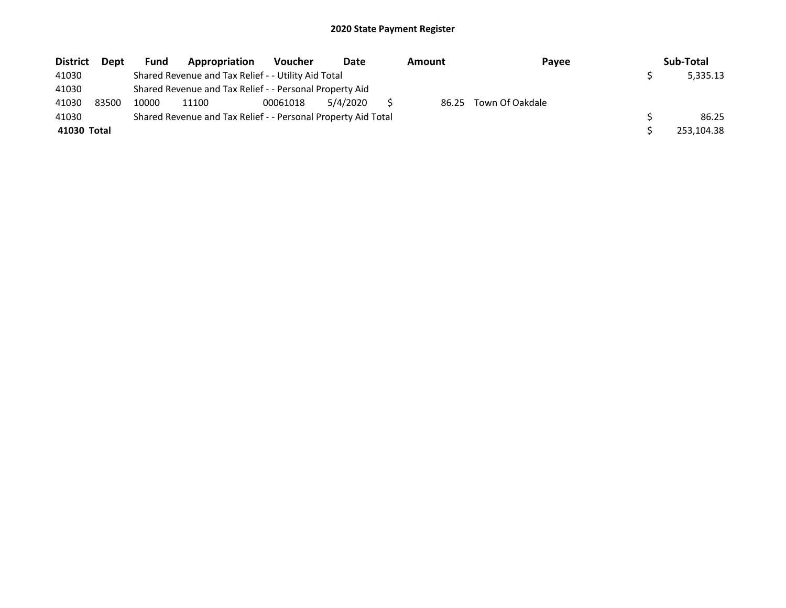| <b>District</b> | Dept  | <b>Fund</b> | Appropriation                                                 | <b>Voucher</b> | Date     | Amount | Payee           | Sub-Total  |
|-----------------|-------|-------------|---------------------------------------------------------------|----------------|----------|--------|-----------------|------------|
| 41030           |       |             | Shared Revenue and Tax Relief - - Utility Aid Total           |                |          |        |                 | 5,335.13   |
| 41030           |       |             | Shared Revenue and Tax Relief - - Personal Property Aid       |                |          |        |                 |            |
| 41030           | 83500 | 10000       | 11100                                                         | 00061018       | 5/4/2020 | 86.25  | Town Of Oakdale |            |
| 41030           |       |             | Shared Revenue and Tax Relief - - Personal Property Aid Total |                |          |        |                 | 86.25      |
| 41030 Total     |       |             |                                                               |                |          |        |                 | 253,104.38 |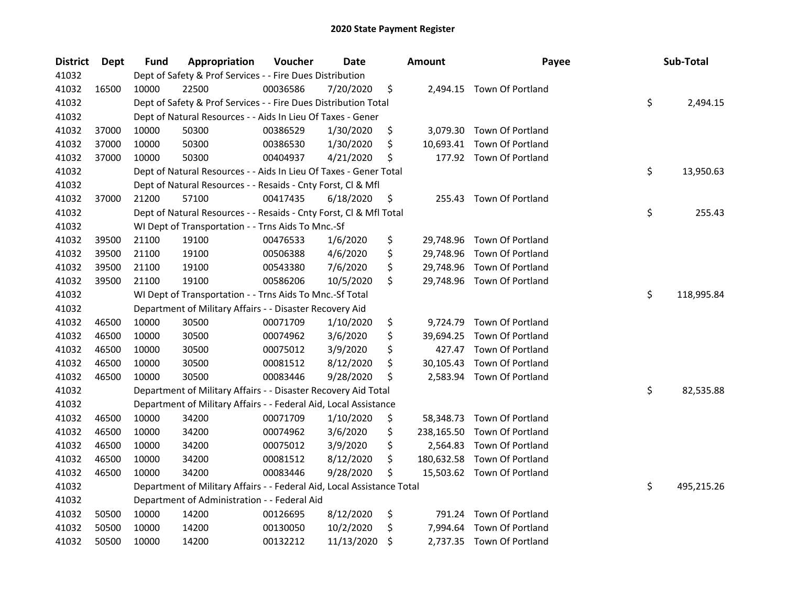| <b>District</b> | Dept  | <b>Fund</b> | <b>Appropriation</b>                                                   | Voucher  | Date       | <b>Amount</b>    | Payee                       | Sub-Total        |
|-----------------|-------|-------------|------------------------------------------------------------------------|----------|------------|------------------|-----------------------------|------------------|
| 41032           |       |             | Dept of Safety & Prof Services - - Fire Dues Distribution              |          |            |                  |                             |                  |
| 41032           | 16500 | 10000       | 22500                                                                  | 00036586 | 7/20/2020  | \$               | 2,494.15 Town Of Portland   |                  |
| 41032           |       |             | Dept of Safety & Prof Services - - Fire Dues Distribution Total        |          |            |                  |                             | \$<br>2,494.15   |
| 41032           |       |             | Dept of Natural Resources - - Aids In Lieu Of Taxes - Gener            |          |            |                  |                             |                  |
| 41032           | 37000 | 10000       | 50300                                                                  | 00386529 | 1/30/2020  | \$               | 3,079.30 Town Of Portland   |                  |
| 41032           | 37000 | 10000       | 50300                                                                  | 00386530 | 1/30/2020  | \$               | 10,693.41 Town Of Portland  |                  |
| 41032           | 37000 | 10000       | 50300                                                                  | 00404937 | 4/21/2020  | \$               | 177.92 Town Of Portland     |                  |
| 41032           |       |             | Dept of Natural Resources - - Aids In Lieu Of Taxes - Gener Total      |          |            |                  |                             | \$<br>13,950.63  |
| 41032           |       |             | Dept of Natural Resources - - Resaids - Cnty Forst, Cl & Mfl           |          |            |                  |                             |                  |
| 41032           | 37000 | 21200       | 57100                                                                  | 00417435 | 6/18/2020  | \$               | 255.43 Town Of Portland     |                  |
| 41032           |       |             | Dept of Natural Resources - - Resaids - Cnty Forst, Cl & Mfl Total     |          |            |                  |                             | \$<br>255.43     |
| 41032           |       |             | WI Dept of Transportation - - Trns Aids To Mnc.-Sf                     |          |            |                  |                             |                  |
| 41032           | 39500 | 21100       | 19100                                                                  | 00476533 | 1/6/2020   | \$               | 29,748.96 Town Of Portland  |                  |
| 41032           | 39500 | 21100       | 19100                                                                  | 00506388 | 4/6/2020   | \$               | 29,748.96 Town Of Portland  |                  |
| 41032           | 39500 | 21100       | 19100                                                                  | 00543380 | 7/6/2020   | \$               | 29,748.96 Town Of Portland  |                  |
| 41032           | 39500 | 21100       | 19100                                                                  | 00586206 | 10/5/2020  | \$               | 29,748.96 Town Of Portland  |                  |
| 41032           |       |             | WI Dept of Transportation - - Trns Aids To Mnc.-Sf Total               |          |            |                  |                             | \$<br>118,995.84 |
| 41032           |       |             | Department of Military Affairs - - Disaster Recovery Aid               |          |            |                  |                             |                  |
| 41032           | 46500 | 10000       | 30500                                                                  | 00071709 | 1/10/2020  | \$<br>9,724.79   | Town Of Portland            |                  |
| 41032           | 46500 | 10000       | 30500                                                                  | 00074962 | 3/6/2020   | \$               | 39,694.25 Town Of Portland  |                  |
| 41032           | 46500 | 10000       | 30500                                                                  | 00075012 | 3/9/2020   | \$<br>427.47     | Town Of Portland            |                  |
| 41032           | 46500 | 10000       | 30500                                                                  | 00081512 | 8/12/2020  | \$<br>30,105.43  | Town Of Portland            |                  |
| 41032           | 46500 | 10000       | 30500                                                                  | 00083446 | 9/28/2020  | \$               | 2,583.94 Town Of Portland   |                  |
| 41032           |       |             | Department of Military Affairs - - Disaster Recovery Aid Total         |          |            |                  |                             | \$<br>82,535.88  |
| 41032           |       |             | Department of Military Affairs - - Federal Aid, Local Assistance       |          |            |                  |                             |                  |
| 41032           | 46500 | 10000       | 34200                                                                  | 00071709 | 1/10/2020  | \$<br>58,348.73  | Town Of Portland            |                  |
| 41032           | 46500 | 10000       | 34200                                                                  | 00074962 | 3/6/2020   | \$<br>238,165.50 | Town Of Portland            |                  |
| 41032           | 46500 | 10000       | 34200                                                                  | 00075012 | 3/9/2020   | \$<br>2,564.83   | Town Of Portland            |                  |
| 41032           | 46500 | 10000       | 34200                                                                  | 00081512 | 8/12/2020  | \$               | 180,632.58 Town Of Portland |                  |
| 41032           | 46500 | 10000       | 34200                                                                  | 00083446 | 9/28/2020  | \$               | 15,503.62 Town Of Portland  |                  |
| 41032           |       |             | Department of Military Affairs - - Federal Aid, Local Assistance Total |          |            |                  |                             | \$<br>495,215.26 |
| 41032           |       |             | Department of Administration - - Federal Aid                           |          |            |                  |                             |                  |
| 41032           | 50500 | 10000       | 14200                                                                  | 00126695 | 8/12/2020  | \$<br>791.24     | <b>Town Of Portland</b>     |                  |
| 41032           | 50500 | 10000       | 14200                                                                  | 00130050 | 10/2/2020  | \$               | 7,994.64 Town Of Portland   |                  |
| 41032           | 50500 | 10000       | 14200                                                                  | 00132212 | 11/13/2020 | \$               | 2,737.35 Town Of Portland   |                  |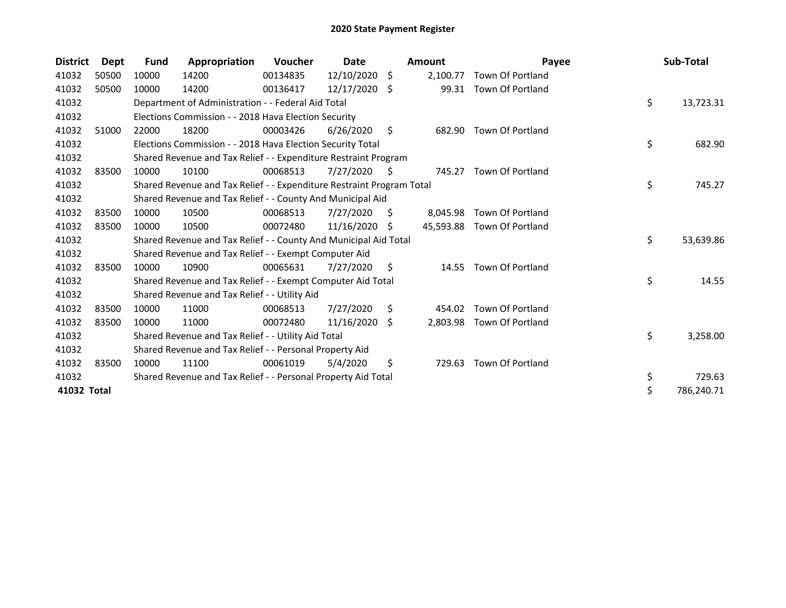| <b>District</b> | Dept  | <b>Fund</b> | Appropriation                                                         | <b>Voucher</b> | Date       |     | <b>Amount</b> | Payee                      | Sub-Total        |
|-----------------|-------|-------------|-----------------------------------------------------------------------|----------------|------------|-----|---------------|----------------------------|------------------|
| 41032           | 50500 | 10000       | 14200                                                                 | 00134835       | 12/10/2020 | -\$ | 2,100.77      | Town Of Portland           |                  |
| 41032           | 50500 | 10000       | 14200                                                                 | 00136417       | 12/17/2020 | - Ś | 99.31         | Town Of Portland           |                  |
| 41032           |       |             | Department of Administration - - Federal Aid Total                    |                |            |     |               |                            | \$<br>13,723.31  |
| 41032           |       |             | Elections Commission - - 2018 Hava Election Security                  |                |            |     |               |                            |                  |
| 41032           | 51000 | 22000       | 18200                                                                 | 00003426       | 6/26/2020  | \$  | 682.90        | <b>Town Of Portland</b>    |                  |
| 41032           |       |             | Elections Commission - - 2018 Hava Election Security Total            |                |            |     |               |                            | \$<br>682.90     |
| 41032           |       |             | Shared Revenue and Tax Relief - - Expenditure Restraint Program       |                |            |     |               |                            |                  |
| 41032           | 83500 | 10000       | 10100                                                                 | 00068513       | 7/27/2020  | S   | 745.27        | <b>Town Of Portland</b>    |                  |
| 41032           |       |             | Shared Revenue and Tax Relief - - Expenditure Restraint Program Total |                |            |     |               |                            | \$<br>745.27     |
| 41032           |       |             | Shared Revenue and Tax Relief - - County And Municipal Aid            |                |            |     |               |                            |                  |
| 41032           | 83500 | 10000       | 10500                                                                 | 00068513       | 7/27/2020  | S   | 8,045.98      | <b>Town Of Portland</b>    |                  |
| 41032           | 83500 | 10000       | 10500                                                                 | 00072480       | 11/16/2020 | -S  |               | 45,593.88 Town Of Portland |                  |
| 41032           |       |             | Shared Revenue and Tax Relief - - County And Municipal Aid Total      |                |            |     |               |                            | \$<br>53,639.86  |
| 41032           |       |             | Shared Revenue and Tax Relief - - Exempt Computer Aid                 |                |            |     |               |                            |                  |
| 41032           | 83500 | 10000       | 10900                                                                 | 00065631       | 7/27/2020  | S.  | 14.55         | <b>Town Of Portland</b>    |                  |
| 41032           |       |             | Shared Revenue and Tax Relief - - Exempt Computer Aid Total           |                |            |     |               |                            | \$<br>14.55      |
| 41032           |       |             | Shared Revenue and Tax Relief - - Utility Aid                         |                |            |     |               |                            |                  |
| 41032           | 83500 | 10000       | 11000                                                                 | 00068513       | 7/27/2020  | Ŝ.  | 454.02        | <b>Town Of Portland</b>    |                  |
| 41032           | 83500 | 10000       | 11000                                                                 | 00072480       | 11/16/2020 | Ŝ.  | 2,803.98      | Town Of Portland           |                  |
| 41032           |       |             | Shared Revenue and Tax Relief - - Utility Aid Total                   |                |            |     |               |                            | \$<br>3,258.00   |
| 41032           |       |             | Shared Revenue and Tax Relief - - Personal Property Aid               |                |            |     |               |                            |                  |
| 41032           | 83500 | 10000       | 11100                                                                 | 00061019       | 5/4/2020   | \$  | 729.63        | <b>Town Of Portland</b>    |                  |
| 41032           |       |             | Shared Revenue and Tax Relief - - Personal Property Aid Total         |                |            |     |               |                            | \$<br>729.63     |
| 41032 Total     |       |             |                                                                       |                |            |     |               |                            | \$<br>786,240.71 |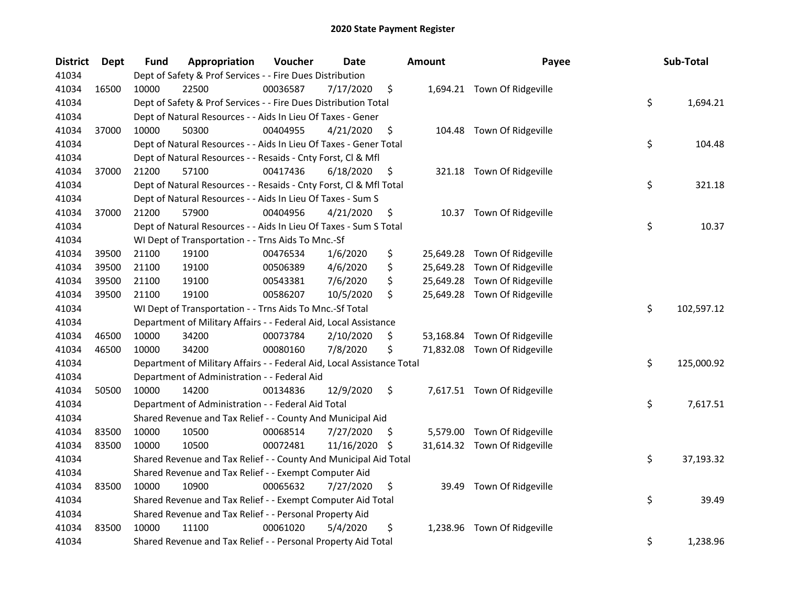| <b>District</b> | Dept  | Fund  | Appropriation                                                          | Voucher  | <b>Date</b> | <b>Amount</b>   | Payee                        | Sub-Total        |
|-----------------|-------|-------|------------------------------------------------------------------------|----------|-------------|-----------------|------------------------------|------------------|
| 41034           |       |       | Dept of Safety & Prof Services - - Fire Dues Distribution              |          |             |                 |                              |                  |
| 41034           | 16500 | 10000 | 22500                                                                  | 00036587 | 7/17/2020   | \$              | 1,694.21 Town Of Ridgeville  |                  |
| 41034           |       |       | Dept of Safety & Prof Services - - Fire Dues Distribution Total        |          |             |                 |                              | \$<br>1,694.21   |
| 41034           |       |       | Dept of Natural Resources - - Aids In Lieu Of Taxes - Gener            |          |             |                 |                              |                  |
| 41034           | 37000 | 10000 | 50300                                                                  | 00404955 | 4/21/2020   | \$              | 104.48 Town Of Ridgeville    |                  |
| 41034           |       |       | Dept of Natural Resources - - Aids In Lieu Of Taxes - Gener Total      |          |             |                 |                              | \$<br>104.48     |
| 41034           |       |       | Dept of Natural Resources - - Resaids - Cnty Forst, Cl & Mfl           |          |             |                 |                              |                  |
| 41034           | 37000 | 21200 | 57100                                                                  | 00417436 | 6/18/2020   | \$              | 321.18 Town Of Ridgeville    |                  |
| 41034           |       |       | Dept of Natural Resources - - Resaids - Cnty Forst, Cl & Mfl Total     |          |             |                 |                              | \$<br>321.18     |
| 41034           |       |       | Dept of Natural Resources - - Aids In Lieu Of Taxes - Sum S            |          |             |                 |                              |                  |
| 41034           | 37000 | 21200 | 57900                                                                  | 00404956 | 4/21/2020   | \$              | 10.37 Town Of Ridgeville     |                  |
| 41034           |       |       | Dept of Natural Resources - - Aids In Lieu Of Taxes - Sum S Total      |          |             |                 |                              | \$<br>10.37      |
| 41034           |       |       | WI Dept of Transportation - - Trns Aids To Mnc.-Sf                     |          |             |                 |                              |                  |
| 41034           | 39500 | 21100 | 19100                                                                  | 00476534 | 1/6/2020    | \$<br>25,649.28 | Town Of Ridgeville           |                  |
| 41034           | 39500 | 21100 | 19100                                                                  | 00506389 | 4/6/2020    | \$              | 25,649.28 Town Of Ridgeville |                  |
| 41034           | 39500 | 21100 | 19100                                                                  | 00543381 | 7/6/2020    | \$              | 25,649.28 Town Of Ridgeville |                  |
| 41034           | 39500 | 21100 | 19100                                                                  | 00586207 | 10/5/2020   | \$              | 25,649.28 Town Of Ridgeville |                  |
| 41034           |       |       | WI Dept of Transportation - - Trns Aids To Mnc.-Sf Total               |          |             |                 |                              | \$<br>102,597.12 |
| 41034           |       |       | Department of Military Affairs - - Federal Aid, Local Assistance       |          |             |                 |                              |                  |
| 41034           | 46500 | 10000 | 34200                                                                  | 00073784 | 2/10/2020   | \$              | 53,168.84 Town Of Ridgeville |                  |
| 41034           | 46500 | 10000 | 34200                                                                  | 00080160 | 7/8/2020    | \$              | 71,832.08 Town Of Ridgeville |                  |
| 41034           |       |       | Department of Military Affairs - - Federal Aid, Local Assistance Total |          |             |                 |                              | \$<br>125,000.92 |
| 41034           |       |       | Department of Administration - - Federal Aid                           |          |             |                 |                              |                  |
| 41034           | 50500 | 10000 | 14200                                                                  | 00134836 | 12/9/2020   | \$              | 7,617.51 Town Of Ridgeville  |                  |
| 41034           |       |       | Department of Administration - - Federal Aid Total                     |          |             |                 |                              | \$<br>7,617.51   |
| 41034           |       |       | Shared Revenue and Tax Relief - - County And Municipal Aid             |          |             |                 |                              |                  |
| 41034           | 83500 | 10000 | 10500                                                                  | 00068514 | 7/27/2020   | \$              | 5,579.00 Town Of Ridgeville  |                  |
| 41034           | 83500 | 10000 | 10500                                                                  | 00072481 | 11/16/2020  | \$              | 31,614.32 Town Of Ridgeville |                  |
| 41034           |       |       | Shared Revenue and Tax Relief - - County And Municipal Aid Total       |          |             |                 |                              | \$<br>37,193.32  |
| 41034           |       |       | Shared Revenue and Tax Relief - - Exempt Computer Aid                  |          |             |                 |                              |                  |
| 41034           | 83500 | 10000 | 10900                                                                  | 00065632 | 7/27/2020   | \$<br>39.49     | Town Of Ridgeville           |                  |
| 41034           |       |       | Shared Revenue and Tax Relief - - Exempt Computer Aid Total            |          |             |                 |                              | \$<br>39.49      |
| 41034           |       |       | Shared Revenue and Tax Relief - - Personal Property Aid                |          |             |                 |                              |                  |
| 41034           | 83500 | 10000 | 11100                                                                  | 00061020 | 5/4/2020    | \$<br>1,238.96  | Town Of Ridgeville           |                  |
| 41034           |       |       | Shared Revenue and Tax Relief - - Personal Property Aid Total          |          |             |                 |                              | \$<br>1,238.96   |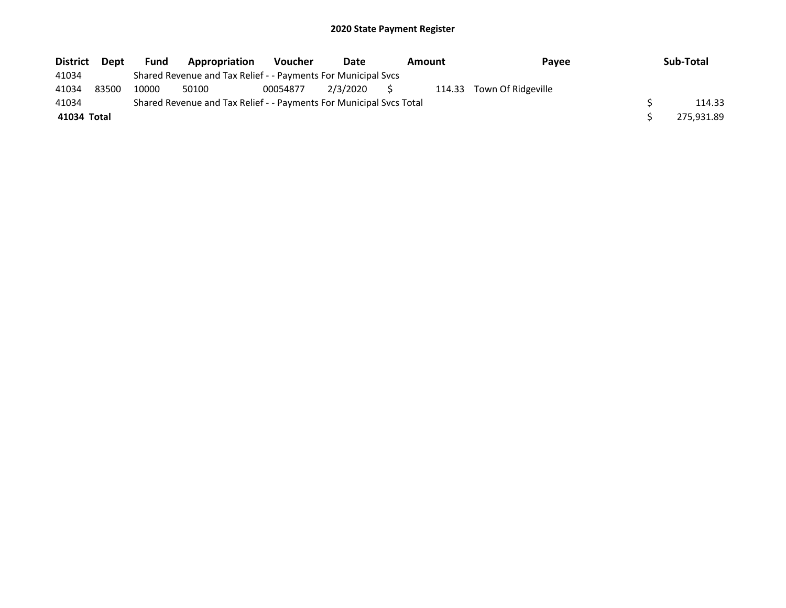| <b>District</b> | Dept  | <b>Fund</b> | Appropriation                                                       | <b>Voucher</b> | Date        | <b>Amount</b><br>Pavee |                           | Sub-Total  |
|-----------------|-------|-------------|---------------------------------------------------------------------|----------------|-------------|------------------------|---------------------------|------------|
| 41034           |       |             | Shared Revenue and Tax Relief - - Payments For Municipal Svcs       |                |             |                        |                           |            |
| 41034           | 83500 | 10000       | 50100                                                               | 00054877       | 2/3/2020 \$ |                        | 114.33 Town Of Ridgeville |            |
| 41034           |       |             | Shared Revenue and Tax Relief - - Payments For Municipal Svcs Total |                |             |                        |                           | 114.33     |
| 41034 Total     |       |             |                                                                     |                |             |                        |                           | 275,931.89 |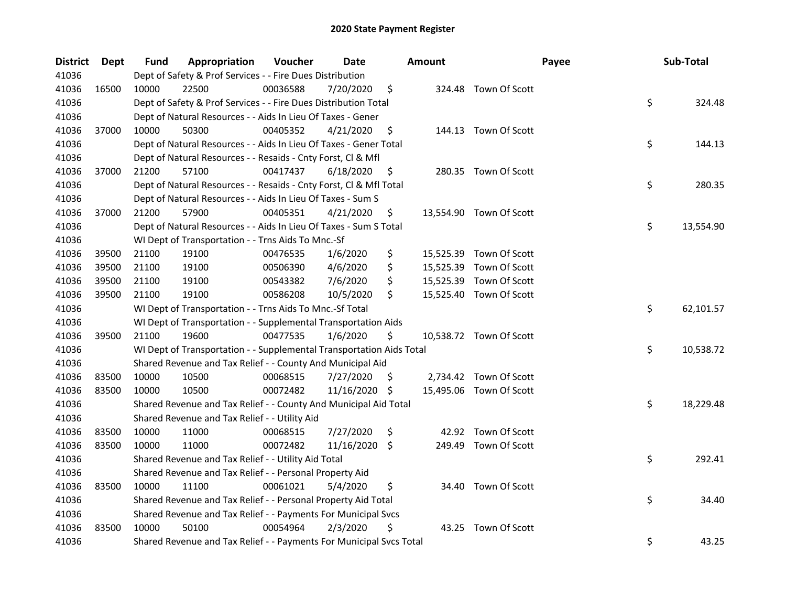| <b>District</b> | <b>Dept</b> | Fund  | Appropriation                                                        | Voucher  | Date          |     | <b>Amount</b> |                         | Payee | Sub-Total       |
|-----------------|-------------|-------|----------------------------------------------------------------------|----------|---------------|-----|---------------|-------------------------|-------|-----------------|
| 41036           |             |       | Dept of Safety & Prof Services - - Fire Dues Distribution            |          |               |     |               |                         |       |                 |
| 41036           | 16500       | 10000 | 22500                                                                | 00036588 | 7/20/2020     | \$  |               | 324.48 Town Of Scott    |       |                 |
| 41036           |             |       | Dept of Safety & Prof Services - - Fire Dues Distribution Total      |          |               |     |               |                         | \$    | 324.48          |
| 41036           |             |       | Dept of Natural Resources - - Aids In Lieu Of Taxes - Gener          |          |               |     |               |                         |       |                 |
| 41036           | 37000       | 10000 | 50300                                                                | 00405352 | 4/21/2020     | \$  |               | 144.13 Town Of Scott    |       |                 |
| 41036           |             |       | Dept of Natural Resources - - Aids In Lieu Of Taxes - Gener Total    |          |               |     |               |                         | \$    | 144.13          |
| 41036           |             |       | Dept of Natural Resources - - Resaids - Cnty Forst, Cl & Mfl         |          |               |     |               |                         |       |                 |
| 41036           | 37000       | 21200 | 57100                                                                | 00417437 | 6/18/2020     | \$  |               | 280.35 Town Of Scott    |       |                 |
| 41036           |             |       | Dept of Natural Resources - - Resaids - Cnty Forst, Cl & Mfl Total   |          |               |     |               |                         | \$    | 280.35          |
| 41036           |             |       | Dept of Natural Resources - - Aids In Lieu Of Taxes - Sum S          |          |               |     |               |                         |       |                 |
| 41036           | 37000       | 21200 | 57900                                                                | 00405351 | 4/21/2020     | \$. |               | 13,554.90 Town Of Scott |       |                 |
| 41036           |             |       | Dept of Natural Resources - - Aids In Lieu Of Taxes - Sum S Total    |          |               |     |               |                         |       | \$<br>13,554.90 |
| 41036           |             |       | WI Dept of Transportation - - Trns Aids To Mnc.-Sf                   |          |               |     |               |                         |       |                 |
| 41036           | 39500       | 21100 | 19100                                                                | 00476535 | 1/6/2020      | \$  |               | 15,525.39 Town Of Scott |       |                 |
| 41036           | 39500       | 21100 | 19100                                                                | 00506390 | 4/6/2020      | \$  |               | 15,525.39 Town Of Scott |       |                 |
| 41036           | 39500       | 21100 | 19100                                                                | 00543382 | 7/6/2020      | \$  |               | 15,525.39 Town Of Scott |       |                 |
| 41036           | 39500       | 21100 | 19100                                                                | 00586208 | 10/5/2020     | Ś.  |               | 15,525.40 Town Of Scott |       |                 |
| 41036           |             |       | WI Dept of Transportation - - Trns Aids To Mnc.-Sf Total             |          |               |     |               |                         |       | \$<br>62,101.57 |
| 41036           |             |       | WI Dept of Transportation - - Supplemental Transportation Aids       |          |               |     |               |                         |       |                 |
| 41036           | 39500       | 21100 | 19600                                                                | 00477535 | 1/6/2020      | \$  |               | 10,538.72 Town Of Scott |       |                 |
| 41036           |             |       | WI Dept of Transportation - - Supplemental Transportation Aids Total |          |               |     |               |                         |       | \$<br>10,538.72 |
| 41036           |             |       | Shared Revenue and Tax Relief - - County And Municipal Aid           |          |               |     |               |                         |       |                 |
| 41036           | 83500       | 10000 | 10500                                                                | 00068515 | 7/27/2020     | \$. |               | 2,734.42 Town Of Scott  |       |                 |
| 41036           | 83500       | 10000 | 10500                                                                | 00072482 | 11/16/2020    | -\$ |               | 15,495.06 Town Of Scott |       |                 |
| 41036           |             |       | Shared Revenue and Tax Relief - - County And Municipal Aid Total     |          |               |     |               |                         |       | \$<br>18,229.48 |
| 41036           |             |       | Shared Revenue and Tax Relief - - Utility Aid                        |          |               |     |               |                         |       |                 |
| 41036           | 83500       | 10000 | 11000                                                                | 00068515 | 7/27/2020     | \$  |               | 42.92 Town Of Scott     |       |                 |
| 41036           | 83500       | 10000 | 11000                                                                | 00072482 | 11/16/2020 \$ |     |               | 249.49 Town Of Scott    |       |                 |
| 41036           |             |       | Shared Revenue and Tax Relief - - Utility Aid Total                  |          |               |     |               |                         | \$    | 292.41          |
| 41036           |             |       | Shared Revenue and Tax Relief - - Personal Property Aid              |          |               |     |               |                         |       |                 |
| 41036           | 83500       | 10000 | 11100                                                                | 00061021 | 5/4/2020      | \$  |               | 34.40 Town Of Scott     |       |                 |
| 41036           |             |       | Shared Revenue and Tax Relief - - Personal Property Aid Total        |          |               |     |               |                         | \$    | 34.40           |
| 41036           |             |       | Shared Revenue and Tax Relief - - Payments For Municipal Svcs        |          |               |     |               |                         |       |                 |
| 41036           | 83500       | 10000 | 50100                                                                | 00054964 | 2/3/2020      | \$  | 43.25         | Town Of Scott           |       |                 |
| 41036           |             |       | Shared Revenue and Tax Relief - - Payments For Municipal Svcs Total  |          |               |     |               |                         | \$    | 43.25           |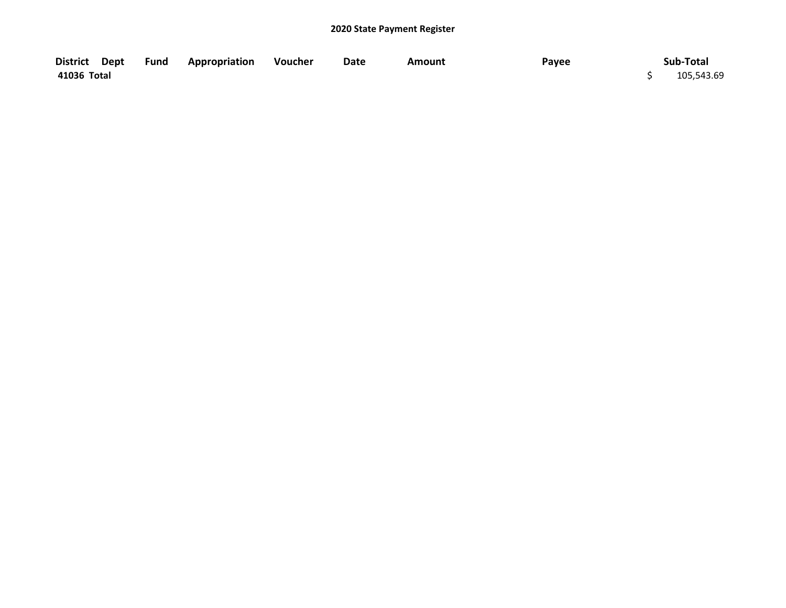| District Dept | <b>Example 2 Fund Appropriation</b> | Voucher | Date | Amount | Payee | Sub-Total  |
|---------------|-------------------------------------|---------|------|--------|-------|------------|
| 41036 Total   |                                     |         |      |        |       | 105,543.69 |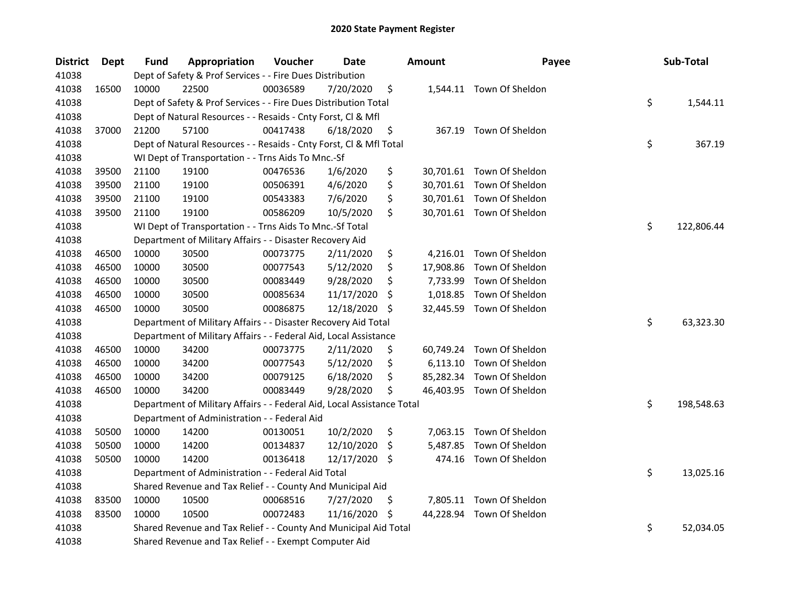| <b>District</b> | Dept  | <b>Fund</b> | Appropriation                                                          | Voucher  | <b>Date</b> |     | <b>Amount</b> | Payee                     | Sub-Total        |
|-----------------|-------|-------------|------------------------------------------------------------------------|----------|-------------|-----|---------------|---------------------------|------------------|
| 41038           |       |             | Dept of Safety & Prof Services - - Fire Dues Distribution              |          |             |     |               |                           |                  |
| 41038           | 16500 | 10000       | 22500                                                                  | 00036589 | 7/20/2020   | \$  |               | 1,544.11 Town Of Sheldon  |                  |
| 41038           |       |             | Dept of Safety & Prof Services - - Fire Dues Distribution Total        |          |             |     |               |                           | \$<br>1,544.11   |
| 41038           |       |             | Dept of Natural Resources - - Resaids - Cnty Forst, Cl & Mfl           |          |             |     |               |                           |                  |
| 41038           | 37000 | 21200       | 57100                                                                  | 00417438 | 6/18/2020   | \$  |               | 367.19 Town Of Sheldon    |                  |
| 41038           |       |             | Dept of Natural Resources - - Resaids - Cnty Forst, Cl & Mfl Total     |          |             |     |               |                           | \$<br>367.19     |
| 41038           |       |             | WI Dept of Transportation - - Trns Aids To Mnc.-Sf                     |          |             |     |               |                           |                  |
| 41038           | 39500 | 21100       | 19100                                                                  | 00476536 | 1/6/2020    | \$  |               | 30,701.61 Town Of Sheldon |                  |
| 41038           | 39500 | 21100       | 19100                                                                  | 00506391 | 4/6/2020    | \$  |               | 30,701.61 Town Of Sheldon |                  |
| 41038           | 39500 | 21100       | 19100                                                                  | 00543383 | 7/6/2020    | \$  |               | 30,701.61 Town Of Sheldon |                  |
| 41038           | 39500 | 21100       | 19100                                                                  | 00586209 | 10/5/2020   | \$  |               | 30,701.61 Town Of Sheldon |                  |
| 41038           |       |             | WI Dept of Transportation - - Trns Aids To Mnc.-Sf Total               |          |             |     |               |                           | \$<br>122,806.44 |
| 41038           |       |             | Department of Military Affairs - - Disaster Recovery Aid               |          |             |     |               |                           |                  |
| 41038           | 46500 | 10000       | 30500                                                                  | 00073775 | 2/11/2020   | \$  | 4,216.01      | Town Of Sheldon           |                  |
| 41038           | 46500 | 10000       | 30500                                                                  | 00077543 | 5/12/2020   | \$  | 17,908.86     | Town Of Sheldon           |                  |
| 41038           | 46500 | 10000       | 30500                                                                  | 00083449 | 9/28/2020   | \$  | 7,733.99      | Town Of Sheldon           |                  |
| 41038           | 46500 | 10000       | 30500                                                                  | 00085634 | 11/17/2020  | S   | 1,018.85      | Town Of Sheldon           |                  |
| 41038           | 46500 | 10000       | 30500                                                                  | 00086875 | 12/18/2020  | Ŝ.  |               | 32,445.59 Town Of Sheldon |                  |
| 41038           |       |             | Department of Military Affairs - - Disaster Recovery Aid Total         |          |             |     |               |                           | \$<br>63,323.30  |
| 41038           |       |             | Department of Military Affairs - - Federal Aid, Local Assistance       |          |             |     |               |                           |                  |
| 41038           | 46500 | 10000       | 34200                                                                  | 00073775 | 2/11/2020   | \$  | 60,749.24     | Town Of Sheldon           |                  |
| 41038           | 46500 | 10000       | 34200                                                                  | 00077543 | 5/12/2020   | \$  | 6,113.10      | Town Of Sheldon           |                  |
| 41038           | 46500 | 10000       | 34200                                                                  | 00079125 | 6/18/2020   | \$  | 85,282.34     | Town Of Sheldon           |                  |
| 41038           | 46500 | 10000       | 34200                                                                  | 00083449 | 9/28/2020   | \$  |               | 46,403.95 Town Of Sheldon |                  |
| 41038           |       |             | Department of Military Affairs - - Federal Aid, Local Assistance Total |          |             |     |               |                           | \$<br>198,548.63 |
| 41038           |       |             | Department of Administration - - Federal Aid                           |          |             |     |               |                           |                  |
| 41038           | 50500 | 10000       | 14200                                                                  | 00130051 | 10/2/2020   | \$  | 7,063.15      | Town Of Sheldon           |                  |
| 41038           | 50500 | 10000       | 14200                                                                  | 00134837 | 12/10/2020  | \$  | 5,487.85      | Town Of Sheldon           |                  |
| 41038           | 50500 | 10000       | 14200                                                                  | 00136418 | 12/17/2020  | -S  | 474.16        | Town Of Sheldon           |                  |
| 41038           |       |             | Department of Administration - - Federal Aid Total                     |          |             |     |               |                           | \$<br>13,025.16  |
| 41038           |       |             | Shared Revenue and Tax Relief - - County And Municipal Aid             |          |             |     |               |                           |                  |
| 41038           | 83500 | 10000       | 10500                                                                  | 00068516 | 7/27/2020   | \$. |               | 7,805.11 Town Of Sheldon  |                  |
| 41038           | 83500 | 10000       | 10500                                                                  | 00072483 | 11/16/2020  | \$  |               | 44,228.94 Town Of Sheldon |                  |
| 41038           |       |             | Shared Revenue and Tax Relief - - County And Municipal Aid Total       |          |             |     |               |                           | \$<br>52,034.05  |
| 41038           |       |             | Shared Revenue and Tax Relief - - Exempt Computer Aid                  |          |             |     |               |                           |                  |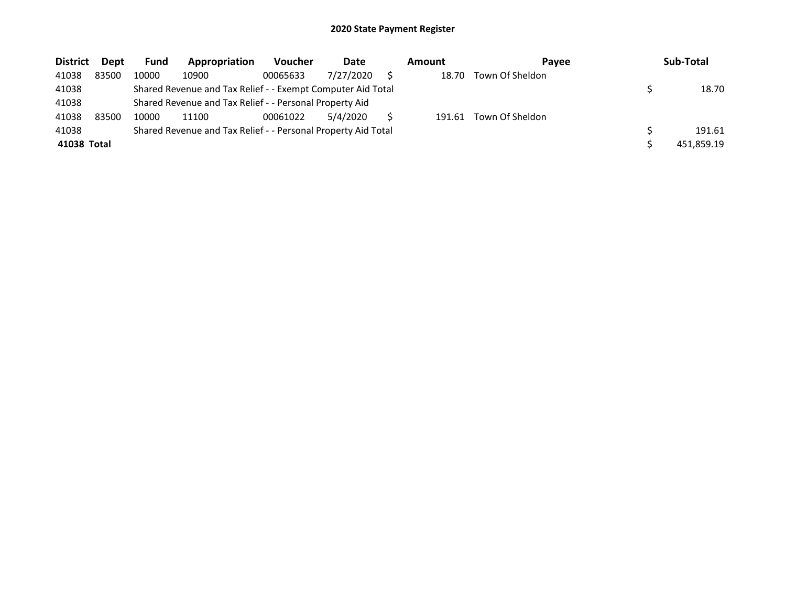| <b>District</b> | Dept  | Fund  | Appropriation                                                 | Voucher  | Date      | Amount | <b>Pavee</b>    | Sub-Total  |
|-----------------|-------|-------|---------------------------------------------------------------|----------|-----------|--------|-----------------|------------|
| 41038           | 83500 | 10000 | 10900                                                         | 00065633 | 7/27/2020 | 18.70  | Town Of Sheldon |            |
| 41038           |       |       | Shared Revenue and Tax Relief - - Exempt Computer Aid Total   |          |           |        |                 | 18.70      |
| 41038           |       |       | Shared Revenue and Tax Relief - - Personal Property Aid       |          |           |        |                 |            |
| 41038           | 83500 | 10000 | 11100                                                         | 00061022 | 5/4/2020  | 191.61 | Town Of Sheldon |            |
| 41038           |       |       | Shared Revenue and Tax Relief - - Personal Property Aid Total |          |           |        |                 | 191.61     |
| 41038 Total     |       |       |                                                               |          |           |        |                 | 451,859.19 |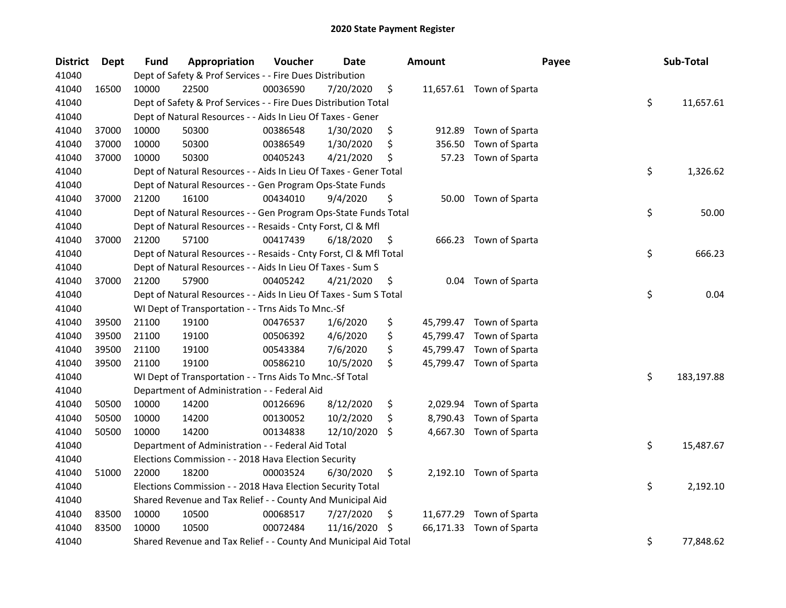| <b>District</b> | Dept  | Fund  | Appropriation                                                      | Voucher  | <b>Date</b> |     | <b>Amount</b> | Payee                    | Sub-Total        |
|-----------------|-------|-------|--------------------------------------------------------------------|----------|-------------|-----|---------------|--------------------------|------------------|
| 41040           |       |       | Dept of Safety & Prof Services - - Fire Dues Distribution          |          |             |     |               |                          |                  |
| 41040           | 16500 | 10000 | 22500                                                              | 00036590 | 7/20/2020   | \$  |               | 11,657.61 Town of Sparta |                  |
| 41040           |       |       | Dept of Safety & Prof Services - - Fire Dues Distribution Total    |          |             |     |               |                          | \$<br>11,657.61  |
| 41040           |       |       | Dept of Natural Resources - - Aids In Lieu Of Taxes - Gener        |          |             |     |               |                          |                  |
| 41040           | 37000 | 10000 | 50300                                                              | 00386548 | 1/30/2020   | \$  | 912.89        | Town of Sparta           |                  |
| 41040           | 37000 | 10000 | 50300                                                              | 00386549 | 1/30/2020   | \$  | 356.50        | Town of Sparta           |                  |
| 41040           | 37000 | 10000 | 50300                                                              | 00405243 | 4/21/2020   | \$  | 57.23         | Town of Sparta           |                  |
| 41040           |       |       | Dept of Natural Resources - - Aids In Lieu Of Taxes - Gener Total  |          |             |     |               |                          | \$<br>1,326.62   |
| 41040           |       |       | Dept of Natural Resources - - Gen Program Ops-State Funds          |          |             |     |               |                          |                  |
| 41040           | 37000 | 21200 | 16100                                                              | 00434010 | 9/4/2020    | \$  |               | 50.00 Town of Sparta     |                  |
| 41040           |       |       | Dept of Natural Resources - - Gen Program Ops-State Funds Total    |          |             |     |               |                          | \$<br>50.00      |
| 41040           |       |       | Dept of Natural Resources - - Resaids - Cnty Forst, Cl & Mfl       |          |             |     |               |                          |                  |
| 41040           | 37000 | 21200 | 57100                                                              | 00417439 | 6/18/2020   | \$  |               | 666.23 Town of Sparta    |                  |
| 41040           |       |       | Dept of Natural Resources - - Resaids - Cnty Forst, Cl & Mfl Total |          |             |     |               |                          | \$<br>666.23     |
| 41040           |       |       | Dept of Natural Resources - - Aids In Lieu Of Taxes - Sum S        |          |             |     |               |                          |                  |
| 41040           | 37000 | 21200 | 57900                                                              | 00405242 | 4/21/2020   | \$  | 0.04          | Town of Sparta           |                  |
| 41040           |       |       | Dept of Natural Resources - - Aids In Lieu Of Taxes - Sum S Total  |          |             |     |               |                          | \$<br>0.04       |
| 41040           |       |       | WI Dept of Transportation - - Trns Aids To Mnc.-Sf                 |          |             |     |               |                          |                  |
| 41040           | 39500 | 21100 | 19100                                                              | 00476537 | 1/6/2020    | \$  |               | 45,799.47 Town of Sparta |                  |
| 41040           | 39500 | 21100 | 19100                                                              | 00506392 | 4/6/2020    | \$  |               | 45,799.47 Town of Sparta |                  |
| 41040           | 39500 | 21100 | 19100                                                              | 00543384 | 7/6/2020    | \$  |               | 45,799.47 Town of Sparta |                  |
| 41040           | 39500 | 21100 | 19100                                                              | 00586210 | 10/5/2020   | \$  |               | 45,799.47 Town of Sparta |                  |
| 41040           |       |       | WI Dept of Transportation - - Trns Aids To Mnc.-Sf Total           |          |             |     |               |                          | \$<br>183,197.88 |
| 41040           |       |       | Department of Administration - - Federal Aid                       |          |             |     |               |                          |                  |
| 41040           | 50500 | 10000 | 14200                                                              | 00126696 | 8/12/2020   | \$  |               | 2,029.94 Town of Sparta  |                  |
| 41040           | 50500 | 10000 | 14200                                                              | 00130052 | 10/2/2020   | \$  | 8,790.43      | Town of Sparta           |                  |
| 41040           | 50500 | 10000 | 14200                                                              | 00134838 | 12/10/2020  | \$  |               | 4,667.30 Town of Sparta  |                  |
| 41040           |       |       | Department of Administration - - Federal Aid Total                 |          |             |     |               |                          | \$<br>15,487.67  |
| 41040           |       |       | Elections Commission - - 2018 Hava Election Security               |          |             |     |               |                          |                  |
| 41040           | 51000 | 22000 | 18200                                                              | 00003524 | 6/30/2020   | \$  |               | 2,192.10 Town of Sparta  |                  |
| 41040           |       |       | Elections Commission - - 2018 Hava Election Security Total         |          |             |     |               |                          | \$<br>2,192.10   |
| 41040           |       |       | Shared Revenue and Tax Relief - - County And Municipal Aid         |          |             |     |               |                          |                  |
| 41040           | 83500 | 10000 | 10500                                                              | 00068517 | 7/27/2020   | \$, |               | 11,677.29 Town of Sparta |                  |
| 41040           | 83500 | 10000 | 10500                                                              | 00072484 | 11/16/2020  | -\$ |               | 66,171.33 Town of Sparta |                  |
| 41040           |       |       | Shared Revenue and Tax Relief - - County And Municipal Aid Total   |          |             |     |               |                          | \$<br>77,848.62  |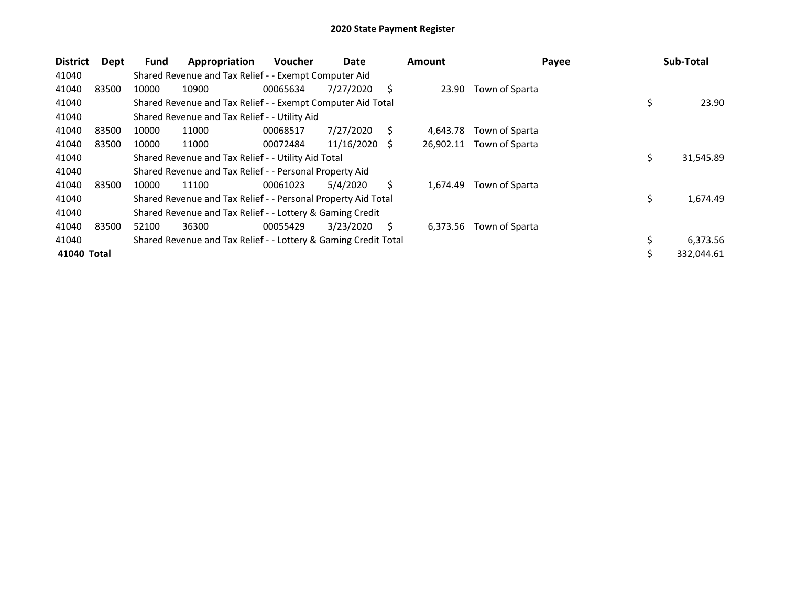| <b>District</b> | Dept  | <b>Fund</b> | Appropriation                                                   | <b>Voucher</b> | Date       |      | <b>Amount</b> | Payee          | Sub-Total        |
|-----------------|-------|-------------|-----------------------------------------------------------------|----------------|------------|------|---------------|----------------|------------------|
| 41040           |       |             | Shared Revenue and Tax Relief - - Exempt Computer Aid           |                |            |      |               |                |                  |
| 41040           | 83500 | 10000       | 10900                                                           | 00065634       | 7/27/2020  | S    | 23.90         | Town of Sparta |                  |
| 41040           |       |             | Shared Revenue and Tax Relief - - Exempt Computer Aid Total     |                |            |      |               |                | \$<br>23.90      |
| 41040           |       |             | Shared Revenue and Tax Relief - - Utility Aid                   |                |            |      |               |                |                  |
| 41040           | 83500 | 10000       | 11000                                                           | 00068517       | 7/27/2020  | S    | 4.643.78      | Town of Sparta |                  |
| 41040           | 83500 | 10000       | 11000                                                           | 00072484       | 11/16/2020 | - \$ | 26,902.11     | Town of Sparta |                  |
| 41040           |       |             | Shared Revenue and Tax Relief - - Utility Aid Total             |                |            |      |               |                | \$<br>31,545.89  |
| 41040           |       |             | Shared Revenue and Tax Relief - - Personal Property Aid         |                |            |      |               |                |                  |
| 41040           | 83500 | 10000       | 11100                                                           | 00061023       | 5/4/2020   | Ś.   | 1,674.49      | Town of Sparta |                  |
| 41040           |       |             | Shared Revenue and Tax Relief - - Personal Property Aid Total   |                |            |      |               |                | \$<br>1,674.49   |
| 41040           |       |             | Shared Revenue and Tax Relief - - Lottery & Gaming Credit       |                |            |      |               |                |                  |
| 41040           | 83500 | 52100       | 36300                                                           | 00055429       | 3/23/2020  | S    | 6,373.56      | Town of Sparta |                  |
| 41040           |       |             | Shared Revenue and Tax Relief - - Lottery & Gaming Credit Total |                |            |      |               |                | \$<br>6,373.56   |
| 41040 Total     |       |             |                                                                 |                |            |      |               |                | \$<br>332,044.61 |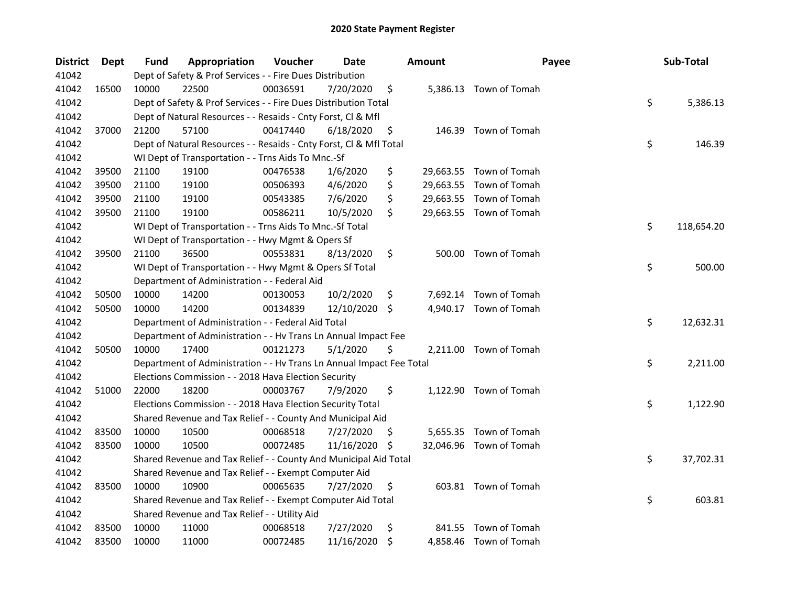| <b>District</b> | Dept  | <b>Fund</b> | Appropriation                                                        | Voucher  | Date          |     | <b>Amount</b> | Payee                   | Sub-Total        |
|-----------------|-------|-------------|----------------------------------------------------------------------|----------|---------------|-----|---------------|-------------------------|------------------|
| 41042           |       |             | Dept of Safety & Prof Services - - Fire Dues Distribution            |          |               |     |               |                         |                  |
| 41042           | 16500 | 10000       | 22500                                                                | 00036591 | 7/20/2020     | \$  |               | 5,386.13 Town of Tomah  |                  |
| 41042           |       |             | Dept of Safety & Prof Services - - Fire Dues Distribution Total      |          |               |     |               |                         | \$<br>5,386.13   |
| 41042           |       |             | Dept of Natural Resources - - Resaids - Cnty Forst, Cl & Mfl         |          |               |     |               |                         |                  |
| 41042           | 37000 | 21200       | 57100                                                                | 00417440 | 6/18/2020     | \$  |               | 146.39 Town of Tomah    |                  |
| 41042           |       |             | Dept of Natural Resources - - Resaids - Cnty Forst, Cl & Mfl Total   |          |               |     |               |                         | \$<br>146.39     |
| 41042           |       |             | WI Dept of Transportation - - Trns Aids To Mnc.-Sf                   |          |               |     |               |                         |                  |
| 41042           | 39500 | 21100       | 19100                                                                | 00476538 | 1/6/2020      | \$  |               | 29,663.55 Town of Tomah |                  |
| 41042           | 39500 | 21100       | 19100                                                                | 00506393 | 4/6/2020      | \$  |               | 29,663.55 Town of Tomah |                  |
| 41042           | 39500 | 21100       | 19100                                                                | 00543385 | 7/6/2020      | \$  |               | 29,663.55 Town of Tomah |                  |
| 41042           | 39500 | 21100       | 19100                                                                | 00586211 | 10/5/2020     | \$  |               | 29,663.55 Town of Tomah |                  |
| 41042           |       |             | WI Dept of Transportation - - Trns Aids To Mnc.-Sf Total             |          |               |     |               |                         | \$<br>118,654.20 |
| 41042           |       |             | WI Dept of Transportation - - Hwy Mgmt & Opers Sf                    |          |               |     |               |                         |                  |
| 41042           | 39500 | 21100       | 36500                                                                | 00553831 | 8/13/2020     | \$  |               | 500.00 Town of Tomah    |                  |
| 41042           |       |             | WI Dept of Transportation - - Hwy Mgmt & Opers Sf Total              |          |               |     |               |                         | \$<br>500.00     |
| 41042           |       |             | Department of Administration - - Federal Aid                         |          |               |     |               |                         |                  |
| 41042           | 50500 | 10000       | 14200                                                                | 00130053 | 10/2/2020     | \$  |               | 7,692.14 Town of Tomah  |                  |
| 41042           | 50500 | 10000       | 14200                                                                | 00134839 | 12/10/2020 \$ |     |               | 4,940.17 Town of Tomah  |                  |
| 41042           |       |             | Department of Administration - - Federal Aid Total                   |          |               |     |               |                         | \$<br>12,632.31  |
| 41042           |       |             | Department of Administration - - Hv Trans Ln Annual Impact Fee       |          |               |     |               |                         |                  |
| 41042           | 50500 | 10000       | 17400                                                                | 00121273 | 5/1/2020      | \$  |               | 2,211.00 Town of Tomah  |                  |
| 41042           |       |             | Department of Administration - - Hv Trans Ln Annual Impact Fee Total |          |               |     |               |                         | \$<br>2,211.00   |
| 41042           |       |             | Elections Commission - - 2018 Hava Election Security                 |          |               |     |               |                         |                  |
| 41042           | 51000 | 22000       | 18200                                                                | 00003767 | 7/9/2020      | \$  |               | 1,122.90 Town of Tomah  |                  |
| 41042           |       |             | Elections Commission - - 2018 Hava Election Security Total           |          |               |     |               |                         | \$<br>1,122.90   |
| 41042           |       |             | Shared Revenue and Tax Relief - - County And Municipal Aid           |          |               |     |               |                         |                  |
| 41042           | 83500 | 10000       | 10500                                                                | 00068518 | 7/27/2020     | -S  |               | 5,655.35 Town of Tomah  |                  |
| 41042           | 83500 | 10000       | 10500                                                                | 00072485 | 11/16/2020    | -\$ |               | 32,046.96 Town of Tomah |                  |
| 41042           |       |             | Shared Revenue and Tax Relief - - County And Municipal Aid Total     |          |               |     |               |                         | \$<br>37,702.31  |
| 41042           |       |             | Shared Revenue and Tax Relief - - Exempt Computer Aid                |          |               |     |               |                         |                  |
| 41042           | 83500 | 10000       | 10900                                                                | 00065635 | 7/27/2020     | \$  |               | 603.81 Town of Tomah    |                  |
| 41042           |       |             | Shared Revenue and Tax Relief - - Exempt Computer Aid Total          |          |               |     |               |                         | \$<br>603.81     |
| 41042           |       |             | Shared Revenue and Tax Relief - - Utility Aid                        |          |               |     |               |                         |                  |
| 41042           | 83500 | 10000       | 11000                                                                | 00068518 | 7/27/2020     | \$  | 841.55        | Town of Tomah           |                  |
| 41042           | 83500 | 10000       | 11000                                                                | 00072485 | 11/16/2020    | \$  |               | 4,858.46 Town of Tomah  |                  |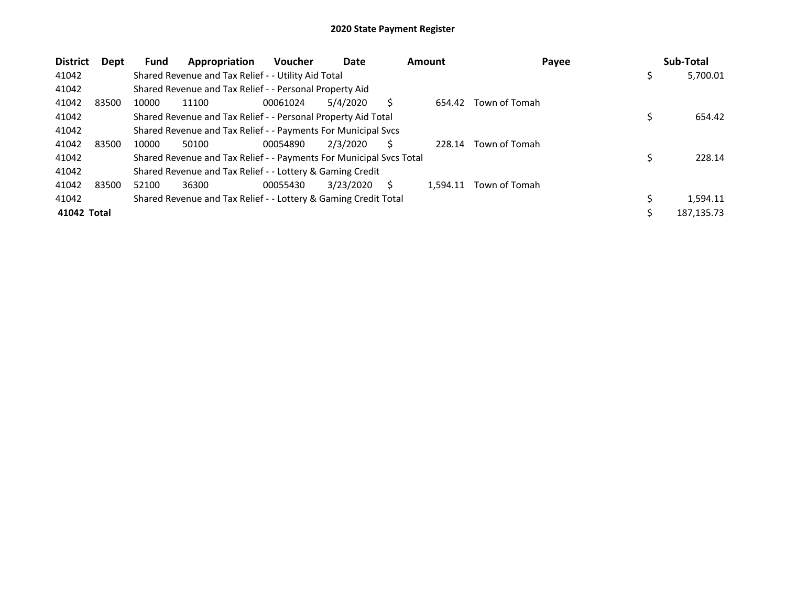| <b>District</b><br>Dept | Appropriation<br>Fund                                               | <b>Voucher</b> | Date      |   | <b>Amount</b> | Payee         |     | Sub-Total   |
|-------------------------|---------------------------------------------------------------------|----------------|-----------|---|---------------|---------------|-----|-------------|
| 41042                   | Shared Revenue and Tax Relief - - Utility Aid Total                 |                |           |   |               |               | \$. | 5,700.01    |
| 41042                   | Shared Revenue and Tax Relief - - Personal Property Aid             |                |           |   |               |               |     |             |
| 41042<br>83500          | 10000<br>11100                                                      | 00061024       | 5/4/2020  |   | 654.42        | Town of Tomah |     |             |
| 41042                   | Shared Revenue and Tax Relief - - Personal Property Aid Total       |                |           |   |               |               |     | 654.42      |
| 41042                   | Shared Revenue and Tax Relief - - Payments For Municipal Svcs       |                |           |   |               |               |     |             |
| 41042<br>83500          | 10000<br>50100                                                      | 00054890       | 2/3/2020  |   | 228.14        | Town of Tomah |     |             |
| 41042                   | Shared Revenue and Tax Relief - - Payments For Municipal Svcs Total |                |           |   |               |               |     | 228.14      |
| 41042                   | Shared Revenue and Tax Relief - - Lottery & Gaming Credit           |                |           |   |               |               |     |             |
| 41042<br>83500          | 52100<br>36300                                                      | 00055430       | 3/23/2020 | S | 1.594.11      | Town of Tomah |     |             |
| 41042                   | Shared Revenue and Tax Relief - - Lottery & Gaming Credit Total     |                |           |   |               |               |     | 1,594.11    |
| 41042 Total             |                                                                     |                |           |   |               |               |     | 187, 135.73 |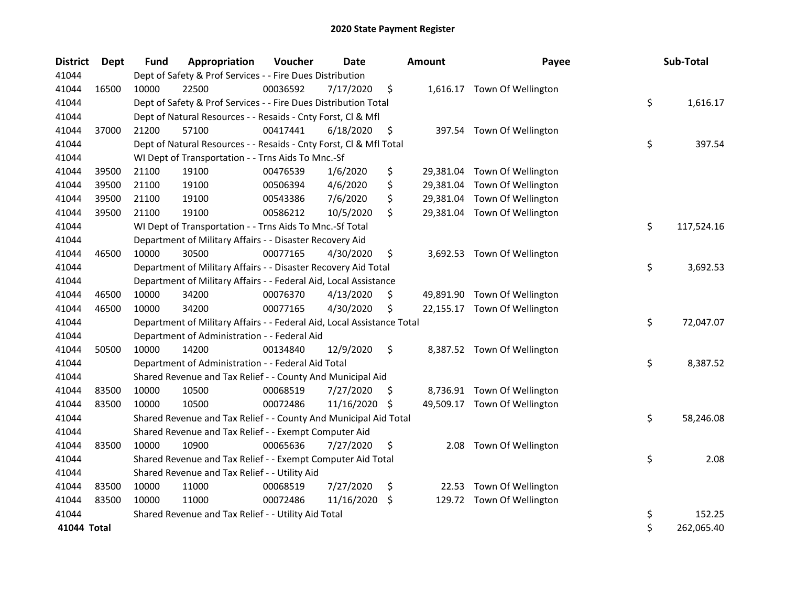| <b>District</b> | <b>Dept</b> | <b>Fund</b> | Appropriation                                                          | Voucher  | <b>Date</b> |     | <b>Amount</b> | Payee                        | Sub-Total        |
|-----------------|-------------|-------------|------------------------------------------------------------------------|----------|-------------|-----|---------------|------------------------------|------------------|
| 41044           |             |             | Dept of Safety & Prof Services - - Fire Dues Distribution              |          |             |     |               |                              |                  |
| 41044           | 16500       | 10000       | 22500                                                                  | 00036592 | 7/17/2020   | \$  |               | 1,616.17 Town Of Wellington  |                  |
| 41044           |             |             | Dept of Safety & Prof Services - - Fire Dues Distribution Total        |          |             |     |               |                              | \$<br>1,616.17   |
| 41044           |             |             | Dept of Natural Resources - - Resaids - Cnty Forst, CI & Mfl           |          |             |     |               |                              |                  |
| 41044           | 37000       | 21200       | 57100                                                                  | 00417441 | 6/18/2020   | \$  |               | 397.54 Town Of Wellington    |                  |
| 41044           |             |             | Dept of Natural Resources - - Resaids - Cnty Forst, Cl & Mfl Total     |          |             |     |               |                              | \$<br>397.54     |
| 41044           |             |             | WI Dept of Transportation - - Trns Aids To Mnc.-Sf                     |          |             |     |               |                              |                  |
| 41044           | 39500       | 21100       | 19100                                                                  | 00476539 | 1/6/2020    | \$  |               | 29,381.04 Town Of Wellington |                  |
| 41044           | 39500       | 21100       | 19100                                                                  | 00506394 | 4/6/2020    | \$  |               | 29,381.04 Town Of Wellington |                  |
| 41044           | 39500       | 21100       | 19100                                                                  | 00543386 | 7/6/2020    | \$  | 29,381.04     | Town Of Wellington           |                  |
| 41044           | 39500       | 21100       | 19100                                                                  | 00586212 | 10/5/2020   | \$  |               | 29,381.04 Town Of Wellington |                  |
| 41044           |             |             | WI Dept of Transportation - - Trns Aids To Mnc.-Sf Total               |          |             |     |               |                              | \$<br>117,524.16 |
| 41044           |             |             | Department of Military Affairs - - Disaster Recovery Aid               |          |             |     |               |                              |                  |
| 41044           | 46500       | 10000       | 30500                                                                  | 00077165 | 4/30/2020   | \$  |               | 3,692.53 Town Of Wellington  |                  |
| 41044           |             |             | Department of Military Affairs - - Disaster Recovery Aid Total         |          |             |     |               |                              | \$<br>3,692.53   |
| 41044           |             |             | Department of Military Affairs - - Federal Aid, Local Assistance       |          |             |     |               |                              |                  |
| 41044           | 46500       | 10000       | 34200                                                                  | 00076370 | 4/13/2020   | \$  |               | 49,891.90 Town Of Wellington |                  |
| 41044           | 46500       | 10000       | 34200                                                                  | 00077165 | 4/30/2020   | \$  |               | 22,155.17 Town Of Wellington |                  |
| 41044           |             |             | Department of Military Affairs - - Federal Aid, Local Assistance Total |          |             |     |               |                              | \$<br>72,047.07  |
| 41044           |             |             | Department of Administration - - Federal Aid                           |          |             |     |               |                              |                  |
| 41044           | 50500       | 10000       | 14200                                                                  | 00134840 | 12/9/2020   | \$  |               | 8,387.52 Town Of Wellington  |                  |
| 41044           |             |             | Department of Administration - - Federal Aid Total                     |          |             |     |               |                              | \$<br>8,387.52   |
| 41044           |             |             | Shared Revenue and Tax Relief - - County And Municipal Aid             |          |             |     |               |                              |                  |
| 41044           | 83500       | 10000       | 10500                                                                  | 00068519 | 7/27/2020   | \$  |               | 8,736.91 Town Of Wellington  |                  |
| 41044           | 83500       | 10000       | 10500                                                                  | 00072486 | 11/16/2020  | -S  |               | 49,509.17 Town Of Wellington |                  |
| 41044           |             |             | Shared Revenue and Tax Relief - - County And Municipal Aid Total       |          |             |     |               |                              | \$<br>58,246.08  |
| 41044           |             |             | Shared Revenue and Tax Relief - - Exempt Computer Aid                  |          |             |     |               |                              |                  |
| 41044           | 83500       | 10000       | 10900                                                                  | 00065636 | 7/27/2020   | \$  |               | 2.08 Town Of Wellington      |                  |
| 41044           |             |             | Shared Revenue and Tax Relief - - Exempt Computer Aid Total            |          |             |     |               |                              | \$<br>2.08       |
| 41044           |             |             | Shared Revenue and Tax Relief - - Utility Aid                          |          |             |     |               |                              |                  |
| 41044           | 83500       | 10000       | 11000                                                                  | 00068519 | 7/27/2020   | \$. |               | 22.53 Town Of Wellington     |                  |
| 41044           | 83500       | 10000       | 11000                                                                  | 00072486 | 11/16/2020  | \$  |               | 129.72 Town Of Wellington    |                  |
| 41044           |             |             | Shared Revenue and Tax Relief - - Utility Aid Total                    |          |             |     |               |                              | \$<br>152.25     |
| 41044 Total     |             |             |                                                                        |          |             |     |               |                              | \$<br>262,065.40 |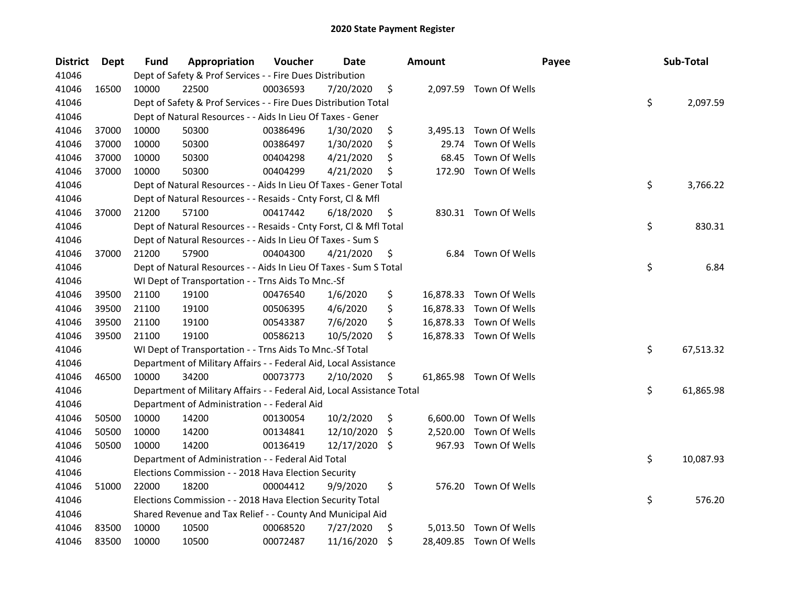| <b>District</b> | Dept  | Fund  | Appropriation                                                          | Voucher  | Date       |     | <b>Amount</b> |                         | Payee | Sub-Total |
|-----------------|-------|-------|------------------------------------------------------------------------|----------|------------|-----|---------------|-------------------------|-------|-----------|
| 41046           |       |       | Dept of Safety & Prof Services - - Fire Dues Distribution              |          |            |     |               |                         |       |           |
| 41046           | 16500 | 10000 | 22500                                                                  | 00036593 | 7/20/2020  | \$  |               | 2,097.59 Town Of Wells  |       |           |
| 41046           |       |       | Dept of Safety & Prof Services - - Fire Dues Distribution Total        |          |            |     |               |                         | \$    | 2,097.59  |
| 41046           |       |       | Dept of Natural Resources - - Aids In Lieu Of Taxes - Gener            |          |            |     |               |                         |       |           |
| 41046           | 37000 | 10000 | 50300                                                                  | 00386496 | 1/30/2020  | \$  |               | 3,495.13 Town Of Wells  |       |           |
| 41046           | 37000 | 10000 | 50300                                                                  | 00386497 | 1/30/2020  | \$  | 29.74         | Town Of Wells           |       |           |
| 41046           | 37000 | 10000 | 50300                                                                  | 00404298 | 4/21/2020  | \$  | 68.45         | Town Of Wells           |       |           |
| 41046           | 37000 | 10000 | 50300                                                                  | 00404299 | 4/21/2020  | \$  |               | 172.90 Town Of Wells    |       |           |
| 41046           |       |       | Dept of Natural Resources - - Aids In Lieu Of Taxes - Gener Total      |          |            |     |               |                         | \$    | 3,766.22  |
| 41046           |       |       | Dept of Natural Resources - - Resaids - Cnty Forst, Cl & Mfl           |          |            |     |               |                         |       |           |
| 41046           | 37000 | 21200 | 57100                                                                  | 00417442 | 6/18/2020  | \$  |               | 830.31 Town Of Wells    |       |           |
| 41046           |       |       | Dept of Natural Resources - - Resaids - Cnty Forst, Cl & Mfl Total     |          |            |     |               |                         | \$    | 830.31    |
| 41046           |       |       | Dept of Natural Resources - - Aids In Lieu Of Taxes - Sum S            |          |            |     |               |                         |       |           |
| 41046           | 37000 | 21200 | 57900                                                                  | 00404300 | 4/21/2020  | \$, |               | 6.84 Town Of Wells      |       |           |
| 41046           |       |       | Dept of Natural Resources - - Aids In Lieu Of Taxes - Sum S Total      |          |            |     |               |                         | \$    | 6.84      |
| 41046           |       |       | WI Dept of Transportation - - Trns Aids To Mnc.-Sf                     |          |            |     |               |                         |       |           |
| 41046           | 39500 | 21100 | 19100                                                                  | 00476540 | 1/6/2020   | \$  |               | 16,878.33 Town Of Wells |       |           |
| 41046           | 39500 | 21100 | 19100                                                                  | 00506395 | 4/6/2020   | \$  |               | 16,878.33 Town Of Wells |       |           |
| 41046           | 39500 | 21100 | 19100                                                                  | 00543387 | 7/6/2020   | \$  |               | 16,878.33 Town Of Wells |       |           |
| 41046           | 39500 | 21100 | 19100                                                                  | 00586213 | 10/5/2020  | \$  |               | 16,878.33 Town Of Wells |       |           |
| 41046           |       |       | WI Dept of Transportation - - Trns Aids To Mnc.-Sf Total               |          |            |     |               |                         | \$    | 67,513.32 |
| 41046           |       |       | Department of Military Affairs - - Federal Aid, Local Assistance       |          |            |     |               |                         |       |           |
| 41046           | 46500 | 10000 | 34200                                                                  | 00073773 | 2/10/2020  | \$  |               | 61,865.98 Town Of Wells |       |           |
| 41046           |       |       | Department of Military Affairs - - Federal Aid, Local Assistance Total |          |            |     |               |                         | \$    | 61,865.98 |
| 41046           |       |       | Department of Administration - - Federal Aid                           |          |            |     |               |                         |       |           |
| 41046           | 50500 | 10000 | 14200                                                                  | 00130054 | 10/2/2020  | \$  |               | 6,600.00 Town Of Wells  |       |           |
| 41046           | 50500 | 10000 | 14200                                                                  | 00134841 | 12/10/2020 | \$  | 2,520.00      | Town Of Wells           |       |           |
| 41046           | 50500 | 10000 | 14200                                                                  | 00136419 | 12/17/2020 | \$  |               | 967.93 Town Of Wells    |       |           |
| 41046           |       |       | Department of Administration - - Federal Aid Total                     |          |            |     |               |                         | \$    | 10,087.93 |
| 41046           |       |       | Elections Commission - - 2018 Hava Election Security                   |          |            |     |               |                         |       |           |
| 41046           | 51000 | 22000 | 18200                                                                  | 00004412 | 9/9/2020   | \$  |               | 576.20 Town Of Wells    |       |           |
| 41046           |       |       | Elections Commission - - 2018 Hava Election Security Total             |          |            |     |               |                         | \$    | 576.20    |
| 41046           |       |       | Shared Revenue and Tax Relief - - County And Municipal Aid             |          |            |     |               |                         |       |           |
| 41046           | 83500 | 10000 | 10500                                                                  | 00068520 | 7/27/2020  | \$, |               | 5,013.50 Town Of Wells  |       |           |
| 41046           | 83500 | 10000 | 10500                                                                  | 00072487 | 11/16/2020 | \$  |               | 28,409.85 Town Of Wells |       |           |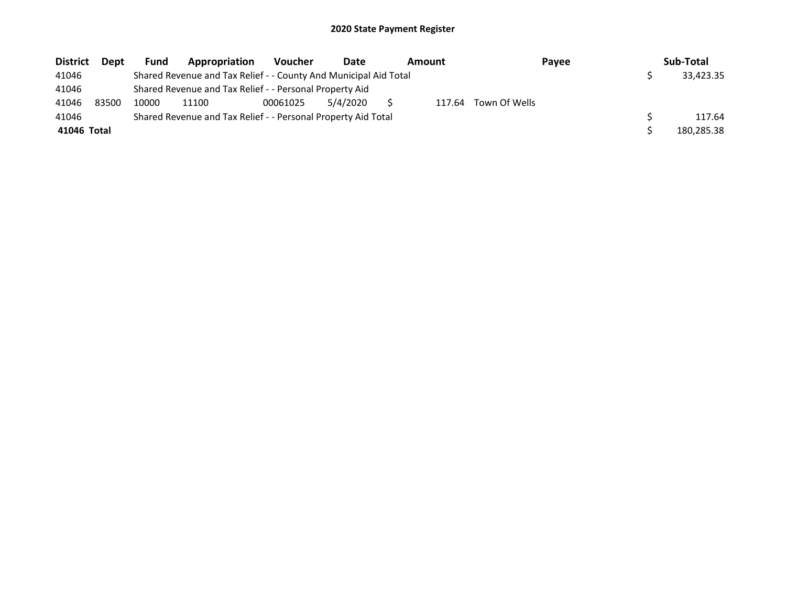| <b>District</b> | <b>Dept</b> | <b>Fund</b> | Appropriation                                                    | <b>Voucher</b> | Date     | Amount<br>Payee |        |               | Sub-Total |            |
|-----------------|-------------|-------------|------------------------------------------------------------------|----------------|----------|-----------------|--------|---------------|-----------|------------|
| 41046           |             |             | Shared Revenue and Tax Relief - - County And Municipal Aid Total |                |          |                 |        |               |           | 33.423.35  |
| 41046           |             |             | Shared Revenue and Tax Relief - - Personal Property Aid          |                |          |                 |        |               |           |            |
| 41046           | 83500       | 10000       | 11100                                                            | 00061025       | 5/4/2020 |                 | 117.64 | Town Of Wells |           |            |
| 41046           |             |             | Shared Revenue and Tax Relief - - Personal Property Aid Total    |                |          |                 |        |               |           | 117.64     |
| 41046 Total     |             |             |                                                                  |                |          |                 |        |               |           | 180,285.38 |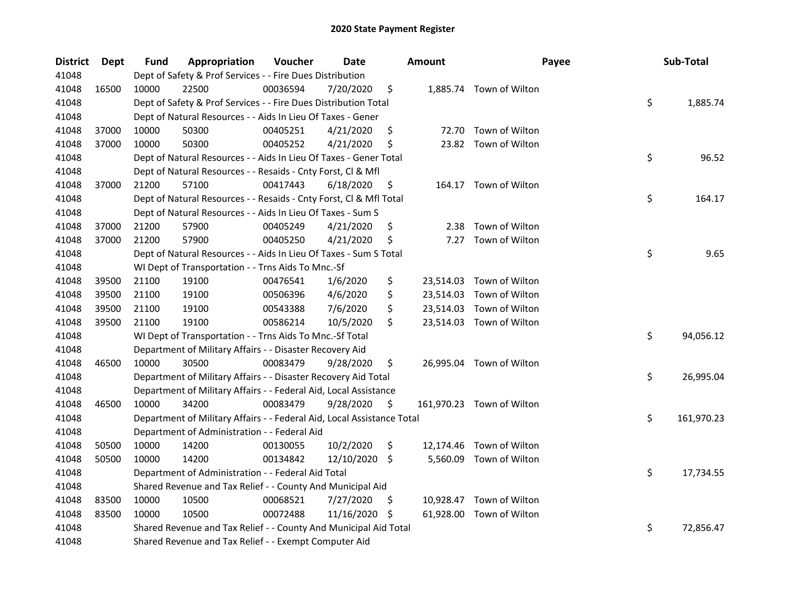| <b>District</b> | <b>Dept</b> | Fund  | Appropriation                                                          | Voucher  | <b>Date</b>   |     | <b>Amount</b> | Payee                     | Sub-Total        |
|-----------------|-------------|-------|------------------------------------------------------------------------|----------|---------------|-----|---------------|---------------------------|------------------|
| 41048           |             |       | Dept of Safety & Prof Services - - Fire Dues Distribution              |          |               |     |               |                           |                  |
| 41048           | 16500       | 10000 | 22500                                                                  | 00036594 | 7/20/2020     | \$  |               | 1,885.74 Town of Wilton   |                  |
| 41048           |             |       | Dept of Safety & Prof Services - - Fire Dues Distribution Total        |          |               |     |               |                           | \$<br>1,885.74   |
| 41048           |             |       | Dept of Natural Resources - - Aids In Lieu Of Taxes - Gener            |          |               |     |               |                           |                  |
| 41048           | 37000       | 10000 | 50300                                                                  | 00405251 | 4/21/2020     | \$  |               | 72.70 Town of Wilton      |                  |
| 41048           | 37000       | 10000 | 50300                                                                  | 00405252 | 4/21/2020     | \$  |               | 23.82 Town of Wilton      |                  |
| 41048           |             |       | Dept of Natural Resources - - Aids In Lieu Of Taxes - Gener Total      |          |               |     |               |                           | \$<br>96.52      |
| 41048           |             |       | Dept of Natural Resources - - Resaids - Cnty Forst, Cl & Mfl           |          |               |     |               |                           |                  |
| 41048           | 37000       | 21200 | 57100                                                                  | 00417443 | 6/18/2020     | \$  |               | 164.17 Town of Wilton     |                  |
| 41048           |             |       | Dept of Natural Resources - - Resaids - Cnty Forst, Cl & Mfl Total     |          |               |     |               |                           | \$<br>164.17     |
| 41048           |             |       | Dept of Natural Resources - - Aids In Lieu Of Taxes - Sum S            |          |               |     |               |                           |                  |
| 41048           | 37000       | 21200 | 57900                                                                  | 00405249 | 4/21/2020     | \$  | 2.38          | Town of Wilton            |                  |
| 41048           | 37000       | 21200 | 57900                                                                  | 00405250 | 4/21/2020     | \$  | 7.27          | Town of Wilton            |                  |
| 41048           |             |       | Dept of Natural Resources - - Aids In Lieu Of Taxes - Sum S Total      |          |               |     |               |                           | \$<br>9.65       |
| 41048           |             |       | WI Dept of Transportation - - Trns Aids To Mnc.-Sf                     |          |               |     |               |                           |                  |
| 41048           | 39500       | 21100 | 19100                                                                  | 00476541 | 1/6/2020      | \$  |               | 23,514.03 Town of Wilton  |                  |
| 41048           | 39500       | 21100 | 19100                                                                  | 00506396 | 4/6/2020      | \$  |               | 23,514.03 Town of Wilton  |                  |
| 41048           | 39500       | 21100 | 19100                                                                  | 00543388 | 7/6/2020      | \$  |               | 23,514.03 Town of Wilton  |                  |
| 41048           | 39500       | 21100 | 19100                                                                  | 00586214 | 10/5/2020     | \$  |               | 23,514.03 Town of Wilton  |                  |
| 41048           |             |       | WI Dept of Transportation - - Trns Aids To Mnc.-Sf Total               |          |               |     |               |                           | \$<br>94,056.12  |
| 41048           |             |       | Department of Military Affairs - - Disaster Recovery Aid               |          |               |     |               |                           |                  |
| 41048           | 46500       | 10000 | 30500                                                                  | 00083479 | 9/28/2020     | \$  |               | 26,995.04 Town of Wilton  |                  |
| 41048           |             |       | Department of Military Affairs - - Disaster Recovery Aid Total         |          |               |     |               |                           | \$<br>26,995.04  |
| 41048           |             |       | Department of Military Affairs - - Federal Aid, Local Assistance       |          |               |     |               |                           |                  |
| 41048           | 46500       | 10000 | 34200                                                                  | 00083479 | 9/28/2020     | \$. |               | 161,970.23 Town of Wilton |                  |
| 41048           |             |       | Department of Military Affairs - - Federal Aid, Local Assistance Total |          |               |     |               |                           | \$<br>161,970.23 |
| 41048           |             |       | Department of Administration - - Federal Aid                           |          |               |     |               |                           |                  |
| 41048           | 50500       | 10000 | 14200                                                                  | 00130055 | 10/2/2020     | \$  |               | 12,174.46 Town of Wilton  |                  |
| 41048           | 50500       | 10000 | 14200                                                                  | 00134842 | 12/10/2020 \$ |     |               | 5,560.09 Town of Wilton   |                  |
| 41048           |             |       | Department of Administration - - Federal Aid Total                     |          |               |     |               |                           | \$<br>17,734.55  |
| 41048           |             |       | Shared Revenue and Tax Relief - - County And Municipal Aid             |          |               |     |               |                           |                  |
| 41048           | 83500       | 10000 | 10500                                                                  | 00068521 | 7/27/2020     | S   |               | 10,928.47 Town of Wilton  |                  |
| 41048           | 83500       | 10000 | 10500                                                                  | 00072488 | 11/16/2020    | S   |               | 61,928.00 Town of Wilton  |                  |
| 41048           |             |       | Shared Revenue and Tax Relief - - County And Municipal Aid Total       |          |               |     |               |                           | \$<br>72,856.47  |
| 41048           |             |       | Shared Revenue and Tax Relief - - Exempt Computer Aid                  |          |               |     |               |                           |                  |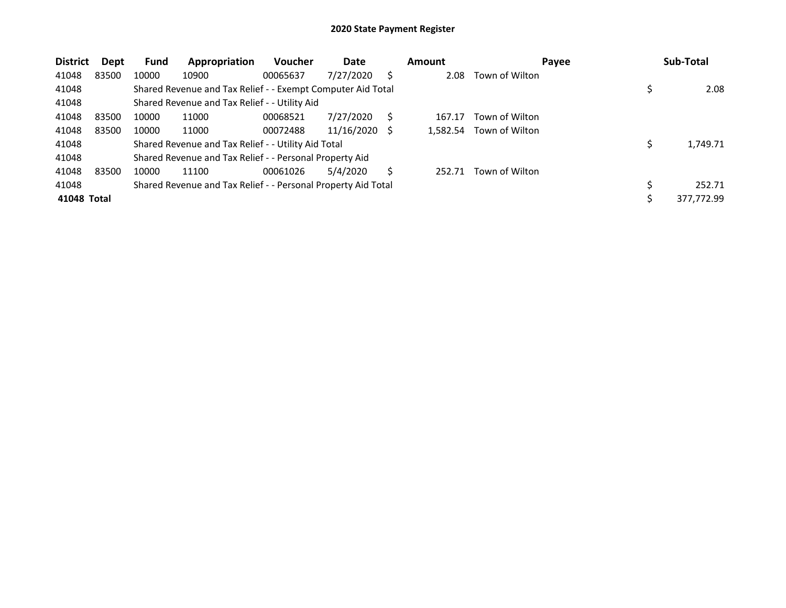| <b>District</b> | Dept  | <b>Fund</b> | Appropriation                                                 | <b>Voucher</b> | Date       |    | <b>Amount</b> | Payee          | Sub-Total  |
|-----------------|-------|-------------|---------------------------------------------------------------|----------------|------------|----|---------------|----------------|------------|
| 41048           | 83500 | 10000       | 10900                                                         | 00065637       | 7/27/2020  | S  | 2.08          | Town of Wilton |            |
| 41048           |       |             | Shared Revenue and Tax Relief - - Exempt Computer Aid Total   |                |            |    |               |                | 2.08       |
| 41048           |       |             | Shared Revenue and Tax Relief - - Utility Aid                 |                |            |    |               |                |            |
| 41048           | 83500 | 10000       | 11000                                                         | 00068521       | 7/27/2020  |    | 167.17        | Town of Wilton |            |
| 41048           | 83500 | 10000       | 11000                                                         | 00072488       | 11/16/2020 | -S | 1.582.54      | Town of Wilton |            |
| 41048           |       |             | Shared Revenue and Tax Relief - - Utility Aid Total           |                |            |    |               |                | 1,749.71   |
| 41048           |       |             | Shared Revenue and Tax Relief - - Personal Property Aid       |                |            |    |               |                |            |
| 41048           | 83500 | 10000       | 11100                                                         | 00061026       | 5/4/2020   | S  | 252.71        | Town of Wilton |            |
| 41048           |       |             | Shared Revenue and Tax Relief - - Personal Property Aid Total |                |            |    |               |                | 252.71     |
| 41048 Total     |       |             |                                                               |                |            |    |               |                | 377,772.99 |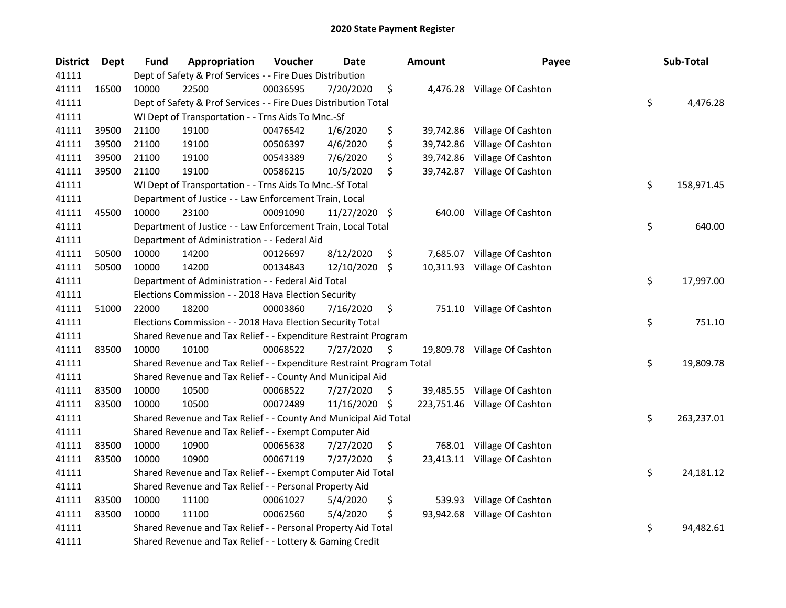| <b>District</b> | Dept  | <b>Fund</b> | Appropriation                                                         | Voucher  | <b>Date</b>   |     | <b>Amount</b> | Payee                         | Sub-Total        |
|-----------------|-------|-------------|-----------------------------------------------------------------------|----------|---------------|-----|---------------|-------------------------------|------------------|
| 41111           |       |             | Dept of Safety & Prof Services - - Fire Dues Distribution             |          |               |     |               |                               |                  |
| 41111           | 16500 | 10000       | 22500                                                                 | 00036595 | 7/20/2020     | \$  |               | 4,476.28 Village Of Cashton   |                  |
| 41111           |       |             | Dept of Safety & Prof Services - - Fire Dues Distribution Total       |          |               |     |               |                               | \$<br>4,476.28   |
| 41111           |       |             | WI Dept of Transportation - - Trns Aids To Mnc.-Sf                    |          |               |     |               |                               |                  |
| 41111           | 39500 | 21100       | 19100                                                                 | 00476542 | 1/6/2020      | \$  |               | 39,742.86 Village Of Cashton  |                  |
| 41111           | 39500 | 21100       | 19100                                                                 | 00506397 | 4/6/2020      | \$  | 39,742.86     | Village Of Cashton            |                  |
| 41111           | 39500 | 21100       | 19100                                                                 | 00543389 | 7/6/2020      | \$  | 39,742.86     | Village Of Cashton            |                  |
| 41111           | 39500 | 21100       | 19100                                                                 | 00586215 | 10/5/2020     | \$  |               | 39,742.87 Village Of Cashton  |                  |
| 41111           |       |             | WI Dept of Transportation - - Trns Aids To Mnc.-Sf Total              |          |               |     |               |                               | \$<br>158,971.45 |
| 41111           |       |             | Department of Justice - - Law Enforcement Train, Local                |          |               |     |               |                               |                  |
| 41111           | 45500 | 10000       | 23100                                                                 | 00091090 | 11/27/2020 \$ |     |               | 640.00 Village Of Cashton     |                  |
| 41111           |       |             | Department of Justice - - Law Enforcement Train, Local Total          |          |               |     |               |                               | \$<br>640.00     |
| 41111           |       |             | Department of Administration - - Federal Aid                          |          |               |     |               |                               |                  |
| 41111           | 50500 | 10000       | 14200                                                                 | 00126697 | 8/12/2020     | \$  | 7,685.07      | Village Of Cashton            |                  |
| 41111           | 50500 | 10000       | 14200                                                                 | 00134843 | 12/10/2020    | \$  | 10,311.93     | Village Of Cashton            |                  |
| 41111           |       |             | Department of Administration - - Federal Aid Total                    |          |               |     |               |                               | \$<br>17,997.00  |
| 41111           |       |             | Elections Commission - - 2018 Hava Election Security                  |          |               |     |               |                               |                  |
| 41111           | 51000 | 22000       | 18200                                                                 | 00003860 | 7/16/2020     | \$  |               | 751.10 Village Of Cashton     |                  |
| 41111           |       |             | Elections Commission - - 2018 Hava Election Security Total            |          |               |     |               |                               | \$<br>751.10     |
| 41111           |       |             | Shared Revenue and Tax Relief - - Expenditure Restraint Program       |          |               |     |               |                               |                  |
| 41111           | 83500 | 10000       | 10100                                                                 | 00068522 | 7/27/2020     | \$  |               | 19,809.78 Village Of Cashton  |                  |
| 41111           |       |             | Shared Revenue and Tax Relief - - Expenditure Restraint Program Total |          |               |     |               |                               | \$<br>19,809.78  |
| 41111           |       |             | Shared Revenue and Tax Relief - - County And Municipal Aid            |          |               |     |               |                               |                  |
| 41111           | 83500 | 10000       | 10500                                                                 | 00068522 | 7/27/2020     | \$  |               | 39,485.55 Village Of Cashton  |                  |
| 41111           | 83500 | 10000       | 10500                                                                 | 00072489 | 11/16/2020    | \$  |               | 223,751.46 Village Of Cashton |                  |
| 41111           |       |             | Shared Revenue and Tax Relief - - County And Municipal Aid Total      |          |               |     |               |                               | \$<br>263,237.01 |
| 41111           |       |             | Shared Revenue and Tax Relief - - Exempt Computer Aid                 |          |               |     |               |                               |                  |
| 41111           | 83500 | 10000       | 10900                                                                 | 00065638 | 7/27/2020     | \$  |               | 768.01 Village Of Cashton     |                  |
| 41111           | 83500 | 10000       | 10900                                                                 | 00067119 | 7/27/2020     | \$, |               | 23,413.11 Village Of Cashton  |                  |
| 41111           |       |             | Shared Revenue and Tax Relief - - Exempt Computer Aid Total           |          |               |     |               |                               | \$<br>24,181.12  |
| 41111           |       |             | Shared Revenue and Tax Relief - - Personal Property Aid               |          |               |     |               |                               |                  |
| 41111           | 83500 | 10000       | 11100                                                                 | 00061027 | 5/4/2020      | \$  | 539.93        | Village Of Cashton            |                  |
| 41111           | 83500 | 10000       | 11100                                                                 | 00062560 | 5/4/2020      | \$  | 93,942.68     | Village Of Cashton            |                  |
| 41111           |       |             | Shared Revenue and Tax Relief - - Personal Property Aid Total         |          |               |     |               |                               | \$<br>94,482.61  |
| 41111           |       |             | Shared Revenue and Tax Relief - - Lottery & Gaming Credit             |          |               |     |               |                               |                  |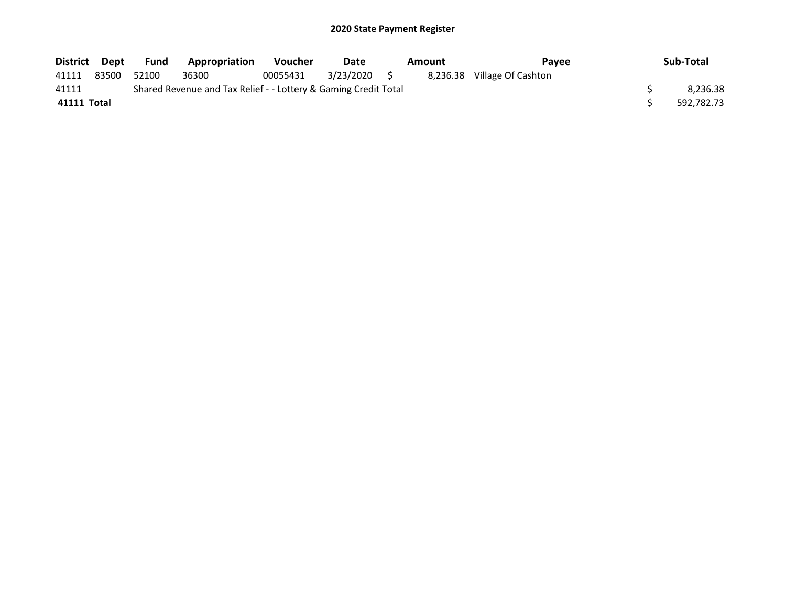| District Dept |       | Fund  | Appropriation                                                   | <b>Voucher</b> | Date      | Amount |  | Pavee                       | Sub-Total  |
|---------------|-------|-------|-----------------------------------------------------------------|----------------|-----------|--------|--|-----------------------------|------------|
| 41111         | 83500 | 52100 | 36300                                                           | 00055431       | 3/23/2020 |        |  | 8,236.38 Village Of Cashton |            |
| 41111         |       |       | Shared Revenue and Tax Relief - - Lottery & Gaming Credit Total |                |           |        |  |                             | 8.236.38   |
| 41111 Total   |       |       |                                                                 |                |           |        |  |                             | 592,782.73 |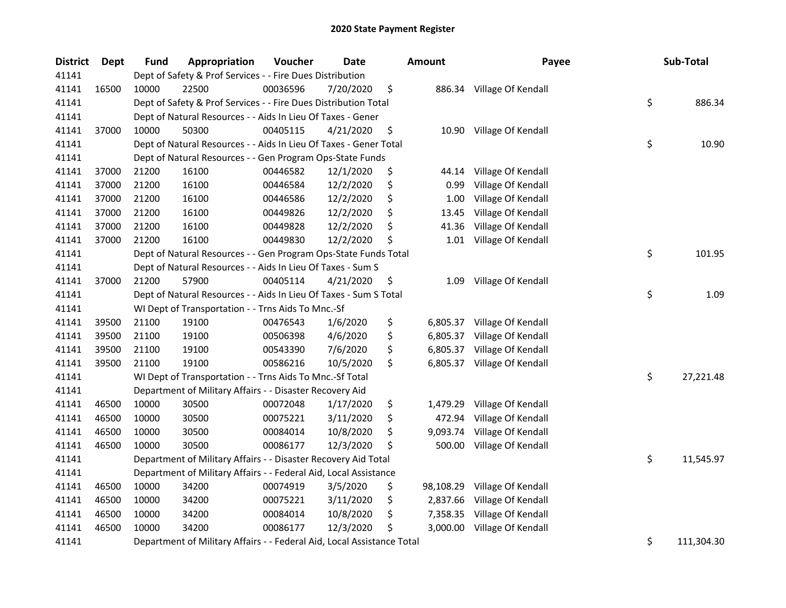| <b>District</b> | Dept  | <b>Fund</b> | Appropriation                                                          | Voucher  | Date      | Amount          | Payee                       | Sub-Total        |
|-----------------|-------|-------------|------------------------------------------------------------------------|----------|-----------|-----------------|-----------------------------|------------------|
| 41141           |       |             | Dept of Safety & Prof Services - - Fire Dues Distribution              |          |           |                 |                             |                  |
| 41141           | 16500 | 10000       | 22500                                                                  | 00036596 | 7/20/2020 | \$              | 886.34 Village Of Kendall   |                  |
| 41141           |       |             | Dept of Safety & Prof Services - - Fire Dues Distribution Total        |          |           |                 |                             | \$<br>886.34     |
| 41141           |       |             | Dept of Natural Resources - - Aids In Lieu Of Taxes - Gener            |          |           |                 |                             |                  |
| 41141           | 37000 | 10000       | 50300                                                                  | 00405115 | 4/21/2020 | \$              | 10.90 Village Of Kendall    |                  |
| 41141           |       |             | Dept of Natural Resources - - Aids In Lieu Of Taxes - Gener Total      |          |           |                 |                             | \$<br>10.90      |
| 41141           |       |             | Dept of Natural Resources - - Gen Program Ops-State Funds              |          |           |                 |                             |                  |
| 41141           | 37000 | 21200       | 16100                                                                  | 00446582 | 12/1/2020 | \$<br>44.14     | Village Of Kendall          |                  |
| 41141           | 37000 | 21200       | 16100                                                                  | 00446584 | 12/2/2020 | \$<br>0.99      | Village Of Kendall          |                  |
| 41141           | 37000 | 21200       | 16100                                                                  | 00446586 | 12/2/2020 | \$<br>1.00      | Village Of Kendall          |                  |
| 41141           | 37000 | 21200       | 16100                                                                  | 00449826 | 12/2/2020 | \$<br>13.45     | Village Of Kendall          |                  |
| 41141           | 37000 | 21200       | 16100                                                                  | 00449828 | 12/2/2020 | \$<br>41.36     | Village Of Kendall          |                  |
| 41141           | 37000 | 21200       | 16100                                                                  | 00449830 | 12/2/2020 | \$              | 1.01 Village Of Kendall     |                  |
| 41141           |       |             | Dept of Natural Resources - - Gen Program Ops-State Funds Total        |          |           |                 |                             | \$<br>101.95     |
| 41141           |       |             | Dept of Natural Resources - - Aids In Lieu Of Taxes - Sum S            |          |           |                 |                             |                  |
| 41141           | 37000 | 21200       | 57900                                                                  | 00405114 | 4/21/2020 | \$<br>1.09      | Village Of Kendall          |                  |
| 41141           |       |             | Dept of Natural Resources - - Aids In Lieu Of Taxes - Sum S Total      |          |           |                 |                             | \$<br>1.09       |
| 41141           |       |             | WI Dept of Transportation - - Trns Aids To Mnc.-Sf                     |          |           |                 |                             |                  |
| 41141           | 39500 | 21100       | 19100                                                                  | 00476543 | 1/6/2020  | \$<br>6,805.37  | Village Of Kendall          |                  |
| 41141           | 39500 | 21100       | 19100                                                                  | 00506398 | 4/6/2020  | \$<br>6,805.37  | Village Of Kendall          |                  |
| 41141           | 39500 | 21100       | 19100                                                                  | 00543390 | 7/6/2020  | \$              | 6,805.37 Village Of Kendall |                  |
| 41141           | 39500 | 21100       | 19100                                                                  | 00586216 | 10/5/2020 | \$              | 6,805.37 Village Of Kendall |                  |
| 41141           |       |             | WI Dept of Transportation - - Trns Aids To Mnc.-Sf Total               |          |           |                 |                             | \$<br>27,221.48  |
| 41141           |       |             | Department of Military Affairs - - Disaster Recovery Aid               |          |           |                 |                             |                  |
| 41141           | 46500 | 10000       | 30500                                                                  | 00072048 | 1/17/2020 | \$<br>1,479.29  | Village Of Kendall          |                  |
| 41141           | 46500 | 10000       | 30500                                                                  | 00075221 | 3/11/2020 | \$<br>472.94    | Village Of Kendall          |                  |
| 41141           | 46500 | 10000       | 30500                                                                  | 00084014 | 10/8/2020 | \$<br>9,093.74  | Village Of Kendall          |                  |
| 41141           | 46500 | 10000       | 30500                                                                  | 00086177 | 12/3/2020 | \$<br>500.00    | Village Of Kendall          |                  |
| 41141           |       |             | Department of Military Affairs - - Disaster Recovery Aid Total         |          |           |                 |                             | \$<br>11,545.97  |
| 41141           |       |             | Department of Military Affairs - - Federal Aid, Local Assistance       |          |           |                 |                             |                  |
| 41141           | 46500 | 10000       | 34200                                                                  | 00074919 | 3/5/2020  | \$<br>98,108.29 | Village Of Kendall          |                  |
| 41141           | 46500 | 10000       | 34200                                                                  | 00075221 | 3/11/2020 | \$<br>2,837.66  | Village Of Kendall          |                  |
| 41141           | 46500 | 10000       | 34200                                                                  | 00084014 | 10/8/2020 | \$<br>7,358.35  | Village Of Kendall          |                  |
| 41141           | 46500 | 10000       | 34200                                                                  | 00086177 | 12/3/2020 | \$<br>3,000.00  | Village Of Kendall          |                  |
| 41141           |       |             | Department of Military Affairs - - Federal Aid, Local Assistance Total |          |           |                 |                             | \$<br>111,304.30 |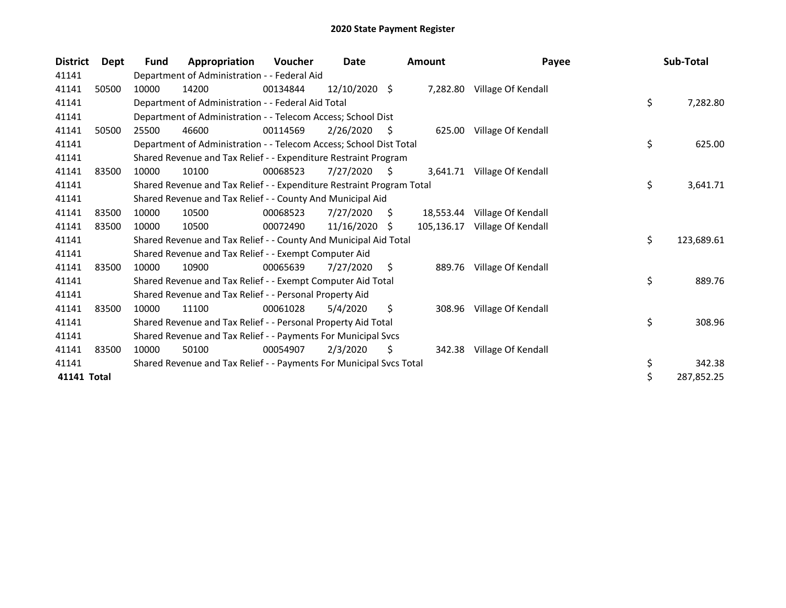| <b>District</b> | <b>Dept</b> | Fund  | Appropriation                                                         | Voucher  | Date          |     | <b>Amount</b> | Payee                     | Sub-Total        |
|-----------------|-------------|-------|-----------------------------------------------------------------------|----------|---------------|-----|---------------|---------------------------|------------------|
| 41141           |             |       | Department of Administration - - Federal Aid                          |          |               |     |               |                           |                  |
| 41141           | 50500       | 10000 | 14200                                                                 | 00134844 | 12/10/2020 \$ |     | 7,282.80      | Village Of Kendall        |                  |
| 41141           |             |       | Department of Administration - - Federal Aid Total                    |          |               |     |               |                           | \$<br>7,282.80   |
| 41141           |             |       | Department of Administration - - Telecom Access; School Dist          |          |               |     |               |                           |                  |
| 41141           | 50500       | 25500 | 46600                                                                 | 00114569 | 2/26/2020     | \$. | 625.00        | Village Of Kendall        |                  |
| 41141           |             |       | Department of Administration - - Telecom Access; School Dist Total    |          |               |     |               |                           | \$<br>625.00     |
| 41141           |             |       | Shared Revenue and Tax Relief - - Expenditure Restraint Program       |          |               |     |               |                           |                  |
| 41141           | 83500       | 10000 | 10100                                                                 | 00068523 | 7/27/2020     | \$. | 3,641.71      | Village Of Kendall        |                  |
| 41141           |             |       | Shared Revenue and Tax Relief - - Expenditure Restraint Program Total |          |               |     |               |                           | \$<br>3,641.71   |
| 41141           |             |       | Shared Revenue and Tax Relief - - County And Municipal Aid            |          |               |     |               |                           |                  |
| 41141           | 83500       | 10000 | 10500                                                                 | 00068523 | 7/27/2020     | \$. | 18,553.44     | Village Of Kendall        |                  |
| 41141           | 83500       | 10000 | 10500                                                                 | 00072490 | 11/16/2020    | S.  | 105,136.17    | Village Of Kendall        |                  |
| 41141           |             |       | Shared Revenue and Tax Relief - - County And Municipal Aid Total      |          |               |     |               |                           | \$<br>123,689.61 |
| 41141           |             |       | Shared Revenue and Tax Relief - - Exempt Computer Aid                 |          |               |     |               |                           |                  |
| 41141           | 83500       | 10000 | 10900                                                                 | 00065639 | 7/27/2020     | S   | 889.76        | Village Of Kendall        |                  |
| 41141           |             |       | Shared Revenue and Tax Relief - - Exempt Computer Aid Total           |          |               |     |               |                           | \$<br>889.76     |
| 41141           |             |       | Shared Revenue and Tax Relief - - Personal Property Aid               |          |               |     |               |                           |                  |
| 41141           | 83500       | 10000 | 11100                                                                 | 00061028 | 5/4/2020      | \$  | 308.96        | Village Of Kendall        |                  |
| 41141           |             |       | Shared Revenue and Tax Relief - - Personal Property Aid Total         |          |               |     |               |                           | \$<br>308.96     |
| 41141           |             |       | Shared Revenue and Tax Relief - - Payments For Municipal Svcs         |          |               |     |               |                           |                  |
| 41141           | 83500       | 10000 | 50100                                                                 | 00054907 | 2/3/2020      | \$. |               | 342.38 Village Of Kendall |                  |
| 41141           |             |       | Shared Revenue and Tax Relief - - Payments For Municipal Svcs Total   |          |               |     |               |                           | \$<br>342.38     |
| 41141 Total     |             |       |                                                                       |          |               |     |               |                           | \$<br>287,852.25 |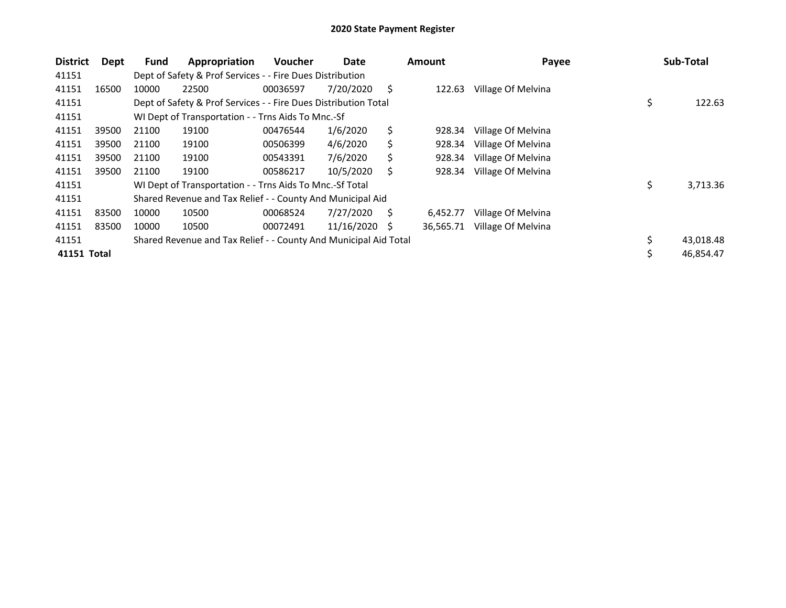| <b>District</b> | Dept  | Fund  | Appropriation                                                    | <b>Voucher</b> | Date       |     | <b>Amount</b> | Payee              | Sub-Total       |
|-----------------|-------|-------|------------------------------------------------------------------|----------------|------------|-----|---------------|--------------------|-----------------|
| 41151           |       |       | Dept of Safety & Prof Services - - Fire Dues Distribution        |                |            |     |               |                    |                 |
| 41151           | 16500 | 10000 | 22500                                                            | 00036597       | 7/20/2020  | S   | 122.63        | Village Of Melvina |                 |
| 41151           |       |       | Dept of Safety & Prof Services - - Fire Dues Distribution Total  |                |            |     |               |                    | \$<br>122.63    |
| 41151           |       |       | WI Dept of Transportation - - Trns Aids To Mnc.-Sf               |                |            |     |               |                    |                 |
| 41151           | 39500 | 21100 | 19100                                                            | 00476544       | 1/6/2020   | \$  | 928.34        | Village Of Melvina |                 |
| 41151           | 39500 | 21100 | 19100                                                            | 00506399       | 4/6/2020   | \$  | 928.34        | Village Of Melvina |                 |
| 41151           | 39500 | 21100 | 19100                                                            | 00543391       | 7/6/2020   | Ś   | 928.34        | Village Of Melvina |                 |
| 41151           | 39500 | 21100 | 19100                                                            | 00586217       | 10/5/2020  | S   | 928.34        | Village Of Melvina |                 |
| 41151           |       |       | WI Dept of Transportation - - Trns Aids To Mnc.-Sf Total         |                |            |     |               |                    | \$<br>3,713.36  |
| 41151           |       |       | Shared Revenue and Tax Relief - - County And Municipal Aid       |                |            |     |               |                    |                 |
| 41151           | 83500 | 10000 | 10500                                                            | 00068524       | 7/27/2020  | S   | 6,452.77      | Village Of Melvina |                 |
| 41151           | 83500 | 10000 | 10500                                                            | 00072491       | 11/16/2020 | - S | 36.565.71     | Village Of Melvina |                 |
| 41151           |       |       | Shared Revenue and Tax Relief - - County And Municipal Aid Total |                |            |     |               |                    | \$<br>43,018.48 |
| 41151 Total     |       |       |                                                                  |                |            |     |               |                    | \$<br>46,854.47 |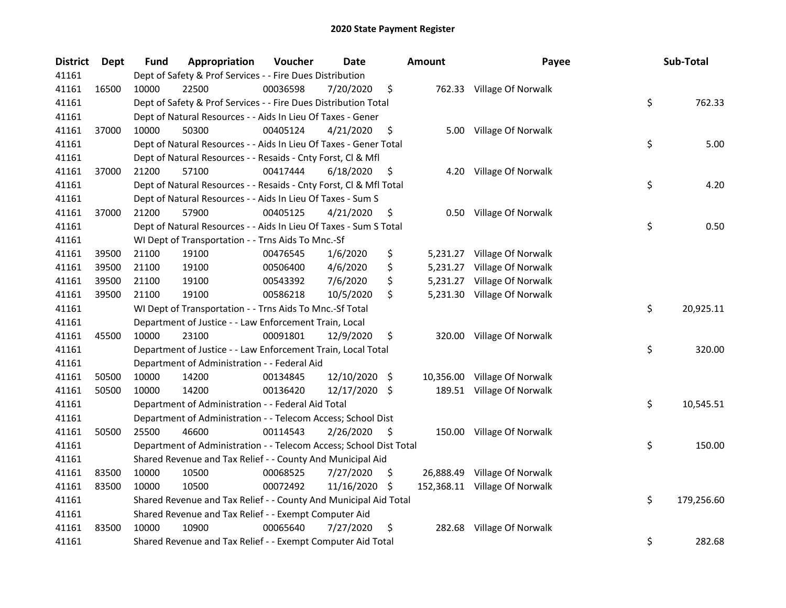| <b>District</b> | Dept  | Fund  | Appropriation                                                      | Voucher  | Date          |      | <b>Amount</b> | Payee                         | Sub-Total        |
|-----------------|-------|-------|--------------------------------------------------------------------|----------|---------------|------|---------------|-------------------------------|------------------|
| 41161           |       |       | Dept of Safety & Prof Services - - Fire Dues Distribution          |          |               |      |               |                               |                  |
| 41161           | 16500 | 10000 | 22500                                                              | 00036598 | 7/20/2020     | \$   |               | 762.33 Village Of Norwalk     |                  |
| 41161           |       |       | Dept of Safety & Prof Services - - Fire Dues Distribution Total    |          |               |      |               |                               | \$<br>762.33     |
| 41161           |       |       | Dept of Natural Resources - - Aids In Lieu Of Taxes - Gener        |          |               |      |               |                               |                  |
| 41161           | 37000 | 10000 | 50300                                                              | 00405124 | 4/21/2020     | \$   | 5.00          | Village Of Norwalk            |                  |
| 41161           |       |       | Dept of Natural Resources - - Aids In Lieu Of Taxes - Gener Total  |          |               |      |               |                               | \$<br>5.00       |
| 41161           |       |       | Dept of Natural Resources - - Resaids - Cnty Forst, Cl & Mfl       |          |               |      |               |                               |                  |
| 41161           | 37000 | 21200 | 57100                                                              | 00417444 | 6/18/2020     | \$   |               | 4.20 Village Of Norwalk       |                  |
| 41161           |       |       | Dept of Natural Resources - - Resaids - Cnty Forst, Cl & Mfl Total |          |               |      |               |                               | \$<br>4.20       |
| 41161           |       |       | Dept of Natural Resources - - Aids In Lieu Of Taxes - Sum S        |          |               |      |               |                               |                  |
| 41161           | 37000 | 21200 | 57900                                                              | 00405125 | 4/21/2020     | \$   |               | 0.50 Village Of Norwalk       |                  |
| 41161           |       |       | Dept of Natural Resources - - Aids In Lieu Of Taxes - Sum S Total  |          |               |      |               |                               | \$<br>0.50       |
| 41161           |       |       | WI Dept of Transportation - - Trns Aids To Mnc.-Sf                 |          |               |      |               |                               |                  |
| 41161           | 39500 | 21100 | 19100                                                              | 00476545 | 1/6/2020      | \$   |               | 5,231.27 Village Of Norwalk   |                  |
| 41161           | 39500 | 21100 | 19100                                                              | 00506400 | 4/6/2020      | \$   | 5,231.27      | Village Of Norwalk            |                  |
| 41161           | 39500 | 21100 | 19100                                                              | 00543392 | 7/6/2020      | \$   | 5,231.27      | Village Of Norwalk            |                  |
| 41161           | 39500 | 21100 | 19100                                                              | 00586218 | 10/5/2020     | \$   |               | 5,231.30 Village Of Norwalk   |                  |
| 41161           |       |       | WI Dept of Transportation - - Trns Aids To Mnc.-Sf Total           |          |               |      |               |                               | \$<br>20,925.11  |
| 41161           |       |       | Department of Justice - - Law Enforcement Train, Local             |          |               |      |               |                               |                  |
| 41161           | 45500 | 10000 | 23100                                                              | 00091801 | 12/9/2020     | \$   |               | 320.00 Village Of Norwalk     |                  |
| 41161           |       |       | Department of Justice - - Law Enforcement Train, Local Total       |          |               |      |               |                               | \$<br>320.00     |
| 41161           |       |       | Department of Administration - - Federal Aid                       |          |               |      |               |                               |                  |
| 41161           | 50500 | 10000 | 14200                                                              | 00134845 | 12/10/2020    | - \$ |               | 10,356.00 Village Of Norwalk  |                  |
| 41161           | 50500 | 10000 | 14200                                                              | 00136420 | 12/17/2020 \$ |      |               | 189.51 Village Of Norwalk     |                  |
| 41161           |       |       | Department of Administration - - Federal Aid Total                 |          |               |      |               |                               | \$<br>10,545.51  |
| 41161           |       |       | Department of Administration - - Telecom Access; School Dist       |          |               |      |               |                               |                  |
| 41161           | 50500 | 25500 | 46600                                                              | 00114543 | 2/26/2020     | \$   |               | 150.00 Village Of Norwalk     |                  |
| 41161           |       |       | Department of Administration - - Telecom Access; School Dist Total |          |               |      |               |                               | \$<br>150.00     |
| 41161           |       |       | Shared Revenue and Tax Relief - - County And Municipal Aid         |          |               |      |               |                               |                  |
| 41161           | 83500 | 10000 | 10500                                                              | 00068525 | 7/27/2020     | \$   | 26,888.49     | Village Of Norwalk            |                  |
| 41161           | 83500 | 10000 | 10500                                                              | 00072492 | 11/16/2020    | -\$  |               | 152,368.11 Village Of Norwalk |                  |
| 41161           |       |       | Shared Revenue and Tax Relief - - County And Municipal Aid Total   |          |               |      |               |                               | \$<br>179,256.60 |
| 41161           |       |       | Shared Revenue and Tax Relief - - Exempt Computer Aid              |          |               |      |               |                               |                  |
| 41161           | 83500 | 10000 | 10900                                                              | 00065640 | 7/27/2020     | \$   | 282.68        | Village Of Norwalk            |                  |
| 41161           |       |       | Shared Revenue and Tax Relief - - Exempt Computer Aid Total        |          |               |      |               |                               | \$<br>282.68     |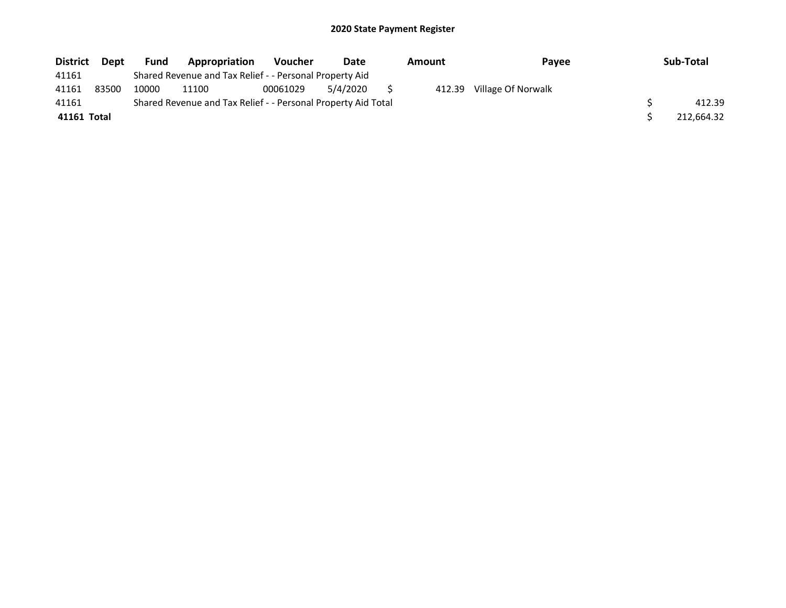| <b>District</b> | <b>Dept</b> | <b>Fund</b> | Appropriation                                                 | <b>Voucher</b> | Date     | Amount | Pavee              | Sub-Total  |
|-----------------|-------------|-------------|---------------------------------------------------------------|----------------|----------|--------|--------------------|------------|
| 41161           |             |             | Shared Revenue and Tax Relief - - Personal Property Aid       |                |          |        |                    |            |
| 41161           | 83500       | 10000       | 11100                                                         | 00061029       | 5/4/2020 | 412.39 | Village Of Norwalk |            |
| 41161           |             |             | Shared Revenue and Tax Relief - - Personal Property Aid Total |                |          |        |                    | 412.39     |
| 41161 Total     |             |             |                                                               |                |          |        |                    | 212,664.32 |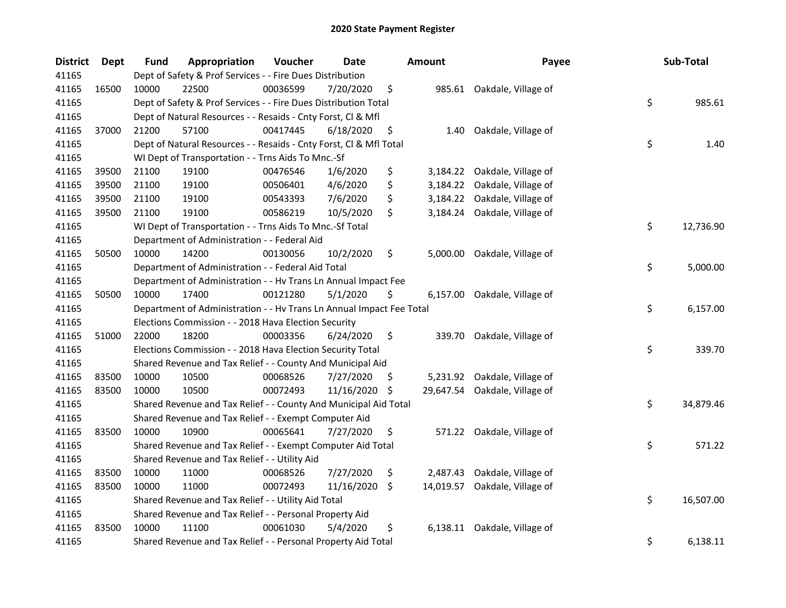| <b>District</b> | Dept  | <b>Fund</b> | Appropriation                                                        | Voucher  | Date          |     | <b>Amount</b> | Payee                         | Sub-Total       |
|-----------------|-------|-------------|----------------------------------------------------------------------|----------|---------------|-----|---------------|-------------------------------|-----------------|
| 41165           |       |             | Dept of Safety & Prof Services - - Fire Dues Distribution            |          |               |     |               |                               |                 |
| 41165           | 16500 | 10000       | 22500                                                                | 00036599 | 7/20/2020     | \$  |               | 985.61 Oakdale, Village of    |                 |
| 41165           |       |             | Dept of Safety & Prof Services - - Fire Dues Distribution Total      |          |               |     |               |                               | \$<br>985.61    |
| 41165           |       |             | Dept of Natural Resources - - Resaids - Cnty Forst, Cl & Mfl         |          |               |     |               |                               |                 |
| 41165           | 37000 | 21200       | 57100                                                                | 00417445 | 6/18/2020     | \$  |               | 1.40 Oakdale, Village of      |                 |
| 41165           |       |             | Dept of Natural Resources - - Resaids - Cnty Forst, Cl & Mfl Total   |          |               |     |               |                               | \$<br>1.40      |
| 41165           |       |             | WI Dept of Transportation - - Trns Aids To Mnc.-Sf                   |          |               |     |               |                               |                 |
| 41165           | 39500 | 21100       | 19100                                                                | 00476546 | 1/6/2020      | \$  |               | 3,184.22 Oakdale, Village of  |                 |
| 41165           | 39500 | 21100       | 19100                                                                | 00506401 | 4/6/2020      | \$  | 3,184.22      | Oakdale, Village of           |                 |
| 41165           | 39500 | 21100       | 19100                                                                | 00543393 | 7/6/2020      | \$  |               | 3,184.22 Oakdale, Village of  |                 |
| 41165           | 39500 | 21100       | 19100                                                                | 00586219 | 10/5/2020     | \$  |               | 3,184.24 Oakdale, Village of  |                 |
| 41165           |       |             | WI Dept of Transportation - - Trns Aids To Mnc.-Sf Total             |          |               |     |               |                               | \$<br>12,736.90 |
| 41165           |       |             | Department of Administration - - Federal Aid                         |          |               |     |               |                               |                 |
| 41165           | 50500 | 10000       | 14200                                                                | 00130056 | 10/2/2020     | \$  | 5,000.00      | Oakdale, Village of           |                 |
| 41165           |       |             | Department of Administration - - Federal Aid Total                   |          |               |     |               |                               | \$<br>5,000.00  |
| 41165           |       |             | Department of Administration - - Hv Trans Ln Annual Impact Fee       |          |               |     |               |                               |                 |
| 41165           | 50500 | 10000       | 17400                                                                | 00121280 | 5/1/2020      | \$  |               | 6,157.00 Oakdale, Village of  |                 |
| 41165           |       |             | Department of Administration - - Hv Trans Ln Annual Impact Fee Total |          |               |     |               |                               | \$<br>6,157.00  |
| 41165           |       |             | Elections Commission - - 2018 Hava Election Security                 |          |               |     |               |                               |                 |
| 41165           | 51000 | 22000       | 18200                                                                | 00003356 | 6/24/2020     | \$  | 339.70        | Oakdale, Village of           |                 |
| 41165           |       |             | Elections Commission - - 2018 Hava Election Security Total           |          |               |     |               |                               | \$<br>339.70    |
| 41165           |       |             | Shared Revenue and Tax Relief - - County And Municipal Aid           |          |               |     |               |                               |                 |
| 41165           | 83500 | 10000       | 10500                                                                | 00068526 | 7/27/2020     | \$. |               | 5,231.92 Oakdale, Village of  |                 |
| 41165           | 83500 | 10000       | 10500                                                                | 00072493 | 11/16/2020 \$ |     |               | 29,647.54 Oakdale, Village of |                 |
| 41165           |       |             | Shared Revenue and Tax Relief - - County And Municipal Aid Total     |          |               |     |               |                               | \$<br>34,879.46 |
| 41165           |       |             | Shared Revenue and Tax Relief - - Exempt Computer Aid                |          |               |     |               |                               |                 |
| 41165           | 83500 | 10000       | 10900                                                                | 00065641 | 7/27/2020     | \$  |               | 571.22 Oakdale, Village of    |                 |
| 41165           |       |             | Shared Revenue and Tax Relief - - Exempt Computer Aid Total          |          |               |     |               |                               | \$<br>571.22    |
| 41165           |       |             | Shared Revenue and Tax Relief - - Utility Aid                        |          |               |     |               |                               |                 |
| 41165           | 83500 | 10000       | 11000                                                                | 00068526 | 7/27/2020     | \$  |               | 2,487.43 Oakdale, Village of  |                 |
| 41165           | 83500 | 10000       | 11000                                                                | 00072493 | 11/16/2020 \$ |     |               | 14,019.57 Oakdale, Village of |                 |
| 41165           |       |             | Shared Revenue and Tax Relief - - Utility Aid Total                  |          |               |     |               |                               | \$<br>16,507.00 |
| 41165           |       |             | Shared Revenue and Tax Relief - - Personal Property Aid              |          |               |     |               |                               |                 |
| 41165           | 83500 | 10000       | 11100                                                                | 00061030 | 5/4/2020      | \$  |               | 6,138.11 Oakdale, Village of  |                 |
| 41165           |       |             | Shared Revenue and Tax Relief - - Personal Property Aid Total        |          |               |     |               |                               | \$<br>6,138.11  |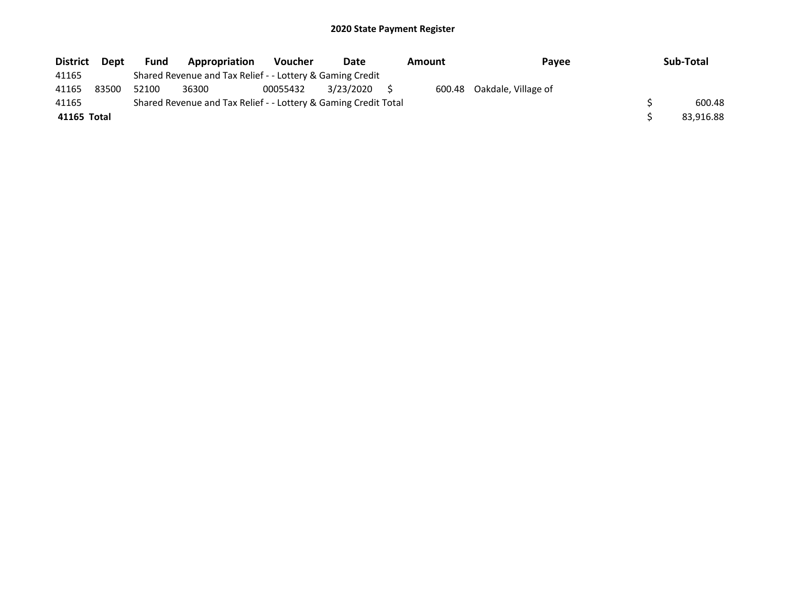| <b>District</b> | Dept  | <b>Fund</b> | <b>Appropriation</b>                                            | <b>Voucher</b> | Date      | <b>Amount</b> | Pavee                      | Sub-Total |
|-----------------|-------|-------------|-----------------------------------------------------------------|----------------|-----------|---------------|----------------------------|-----------|
| 41165           |       |             | Shared Revenue and Tax Relief - - Lottery & Gaming Credit       |                |           |               |                            |           |
| 41165           | 83500 | 52100       | 36300                                                           | 00055432       | 3/23/2020 |               | 600.48 Oakdale, Village of |           |
| 41165           |       |             | Shared Revenue and Tax Relief - - Lottery & Gaming Credit Total |                |           |               |                            | 600.48    |
| 41165 Total     |       |             |                                                                 |                |           |               |                            | 83.916.88 |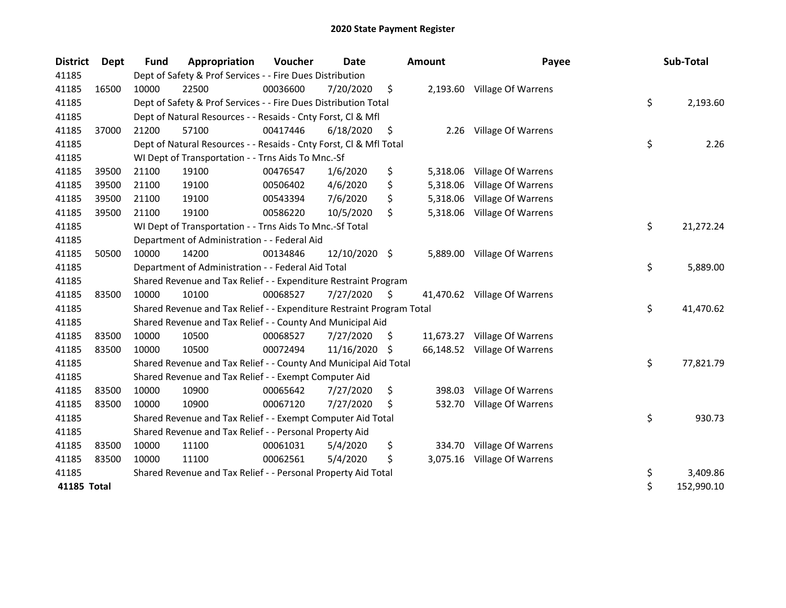| <b>District</b> | Dept  | <b>Fund</b> | Appropriation                                                         | Voucher  | <b>Date</b>   |     | <b>Amount</b> | Payee                        | Sub-Total        |
|-----------------|-------|-------------|-----------------------------------------------------------------------|----------|---------------|-----|---------------|------------------------------|------------------|
| 41185           |       |             | Dept of Safety & Prof Services - - Fire Dues Distribution             |          |               |     |               |                              |                  |
| 41185           | 16500 | 10000       | 22500                                                                 | 00036600 | 7/20/2020     | \$  |               | 2,193.60 Village Of Warrens  |                  |
| 41185           |       |             | Dept of Safety & Prof Services - - Fire Dues Distribution Total       |          |               |     |               |                              | \$<br>2,193.60   |
| 41185           |       |             | Dept of Natural Resources - - Resaids - Cnty Forst, Cl & Mfl          |          |               |     |               |                              |                  |
| 41185           | 37000 | 21200       | 57100                                                                 | 00417446 | 6/18/2020     | \$  | 2.26          | Village Of Warrens           |                  |
| 41185           |       |             | Dept of Natural Resources - - Resaids - Cnty Forst, CI & Mfl Total    |          |               |     |               |                              | \$<br>2.26       |
| 41185           |       |             | WI Dept of Transportation - - Trns Aids To Mnc.-Sf                    |          |               |     |               |                              |                  |
| 41185           | 39500 | 21100       | 19100                                                                 | 00476547 | 1/6/2020      | \$  | 5,318.06      | Village Of Warrens           |                  |
| 41185           | 39500 | 21100       | 19100                                                                 | 00506402 | 4/6/2020      | \$  | 5,318.06      | Village Of Warrens           |                  |
| 41185           | 39500 | 21100       | 19100                                                                 | 00543394 | 7/6/2020      | \$  | 5,318.06      | Village Of Warrens           |                  |
| 41185           | 39500 | 21100       | 19100                                                                 | 00586220 | 10/5/2020     | \$  | 5,318.06      | Village Of Warrens           |                  |
| 41185           |       |             | WI Dept of Transportation - - Trns Aids To Mnc.-Sf Total              |          |               |     |               |                              | \$<br>21,272.24  |
| 41185           |       |             | Department of Administration - - Federal Aid                          |          |               |     |               |                              |                  |
| 41185           | 50500 | 10000       | 14200                                                                 | 00134846 | 12/10/2020 \$ |     | 5,889.00      | Village Of Warrens           |                  |
| 41185           |       |             | Department of Administration - - Federal Aid Total                    |          |               |     |               |                              | \$<br>5,889.00   |
| 41185           |       |             | Shared Revenue and Tax Relief - - Expenditure Restraint Program       |          |               |     |               |                              |                  |
| 41185           | 83500 | 10000       | 10100                                                                 | 00068527 | 7/27/2020     | \$  |               | 41,470.62 Village Of Warrens |                  |
| 41185           |       |             | Shared Revenue and Tax Relief - - Expenditure Restraint Program Total |          |               |     |               |                              | \$<br>41,470.62  |
| 41185           |       |             | Shared Revenue and Tax Relief - - County And Municipal Aid            |          |               |     |               |                              |                  |
| 41185           | 83500 | 10000       | 10500                                                                 | 00068527 | 7/27/2020     | \$  |               | 11,673.27 Village Of Warrens |                  |
| 41185           | 83500 | 10000       | 10500                                                                 | 00072494 | 11/16/2020    | \$. |               | 66,148.52 Village Of Warrens |                  |
| 41185           |       |             | Shared Revenue and Tax Relief - - County And Municipal Aid Total      |          |               |     |               |                              | \$<br>77,821.79  |
| 41185           |       |             | Shared Revenue and Tax Relief - - Exempt Computer Aid                 |          |               |     |               |                              |                  |
| 41185           | 83500 | 10000       | 10900                                                                 | 00065642 | 7/27/2020     | \$  | 398.03        | Village Of Warrens           |                  |
| 41185           | 83500 | 10000       | 10900                                                                 | 00067120 | 7/27/2020     | \$. | 532.70        | Village Of Warrens           |                  |
| 41185           |       |             | Shared Revenue and Tax Relief - - Exempt Computer Aid Total           |          |               |     |               |                              | \$<br>930.73     |
| 41185           |       |             | Shared Revenue and Tax Relief - - Personal Property Aid               |          |               |     |               |                              |                  |
| 41185           | 83500 | 10000       | 11100                                                                 | 00061031 | 5/4/2020      | \$  | 334.70        | Village Of Warrens           |                  |
| 41185           | 83500 | 10000       | 11100                                                                 | 00062561 | 5/4/2020      | \$  |               | 3,075.16 Village Of Warrens  |                  |
| 41185           |       |             | Shared Revenue and Tax Relief - - Personal Property Aid Total         |          |               |     |               |                              | \$<br>3,409.86   |
| 41185 Total     |       |             |                                                                       |          |               |     |               |                              | \$<br>152,990.10 |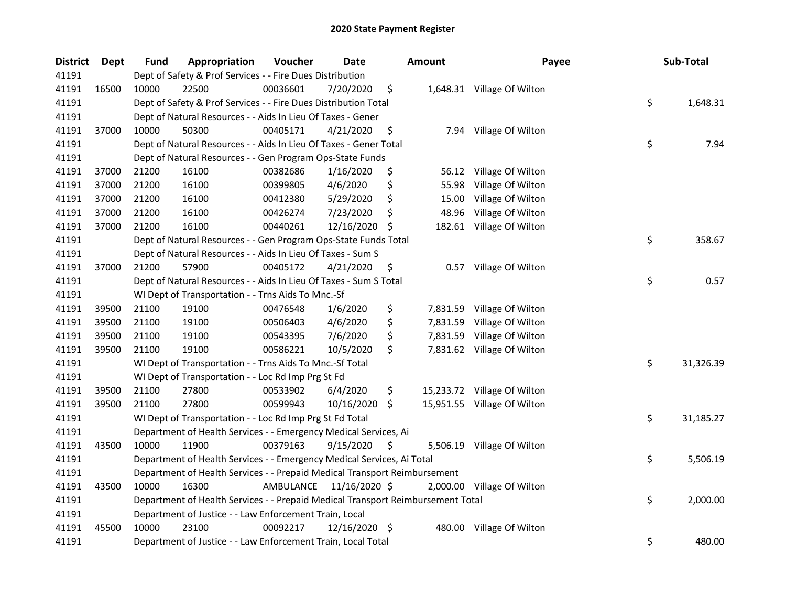| <b>District</b> | Dept  | Fund  | Appropriation                                                                   | Voucher   | Date          |     | <b>Amount</b> | Payee                       | Sub-Total       |
|-----------------|-------|-------|---------------------------------------------------------------------------------|-----------|---------------|-----|---------------|-----------------------------|-----------------|
| 41191           |       |       | Dept of Safety & Prof Services - - Fire Dues Distribution                       |           |               |     |               |                             |                 |
| 41191           | 16500 | 10000 | 22500                                                                           | 00036601  | 7/20/2020     | \$  |               | 1,648.31 Village Of Wilton  |                 |
| 41191           |       |       | Dept of Safety & Prof Services - - Fire Dues Distribution Total                 |           |               |     |               |                             | \$<br>1,648.31  |
| 41191           |       |       | Dept of Natural Resources - - Aids In Lieu Of Taxes - Gener                     |           |               |     |               |                             |                 |
| 41191           | 37000 | 10000 | 50300                                                                           | 00405171  | 4/21/2020     | \$  |               | 7.94 Village Of Wilton      |                 |
| 41191           |       |       | Dept of Natural Resources - - Aids In Lieu Of Taxes - Gener Total               |           |               |     |               |                             | \$<br>7.94      |
| 41191           |       |       | Dept of Natural Resources - - Gen Program Ops-State Funds                       |           |               |     |               |                             |                 |
| 41191           | 37000 | 21200 | 16100                                                                           | 00382686  | 1/16/2020     | \$  |               | 56.12 Village Of Wilton     |                 |
| 41191           | 37000 | 21200 | 16100                                                                           | 00399805  | 4/6/2020      | \$  | 55.98         | Village Of Wilton           |                 |
| 41191           | 37000 | 21200 | 16100                                                                           | 00412380  | 5/29/2020     | \$  | 15.00         | Village Of Wilton           |                 |
| 41191           | 37000 | 21200 | 16100                                                                           | 00426274  | 7/23/2020     | \$  | 48.96         | Village Of Wilton           |                 |
| 41191           | 37000 | 21200 | 16100                                                                           | 00440261  | 12/16/2020    | -\$ |               | 182.61 Village Of Wilton    |                 |
| 41191           |       |       | Dept of Natural Resources - - Gen Program Ops-State Funds Total                 |           |               |     |               |                             | \$<br>358.67    |
| 41191           |       |       | Dept of Natural Resources - - Aids In Lieu Of Taxes - Sum S                     |           |               |     |               |                             |                 |
| 41191           | 37000 | 21200 | 57900                                                                           | 00405172  | 4/21/2020     | \$  |               | 0.57 Village Of Wilton      |                 |
| 41191           |       |       | Dept of Natural Resources - - Aids In Lieu Of Taxes - Sum S Total               |           |               |     |               |                             | \$<br>0.57      |
| 41191           |       |       | WI Dept of Transportation - - Trns Aids To Mnc.-Sf                              |           |               |     |               |                             |                 |
| 41191           | 39500 | 21100 | 19100                                                                           | 00476548  | 1/6/2020      | \$  | 7,831.59      | Village Of Wilton           |                 |
| 41191           | 39500 | 21100 | 19100                                                                           | 00506403  | 4/6/2020      | \$  | 7,831.59      | Village Of Wilton           |                 |
| 41191           | 39500 | 21100 | 19100                                                                           | 00543395  | 7/6/2020      | \$  |               | 7,831.59 Village Of Wilton  |                 |
| 41191           | 39500 | 21100 | 19100                                                                           | 00586221  | 10/5/2020     | \$  |               | 7,831.62 Village Of Wilton  |                 |
| 41191           |       |       | WI Dept of Transportation - - Trns Aids To Mnc.-Sf Total                        |           |               |     |               |                             | \$<br>31,326.39 |
| 41191           |       |       | WI Dept of Transportation - - Loc Rd Imp Prg St Fd                              |           |               |     |               |                             |                 |
| 41191           | 39500 | 21100 | 27800                                                                           | 00533902  | 6/4/2020      | \$  |               | 15,233.72 Village Of Wilton |                 |
| 41191           | 39500 | 21100 | 27800                                                                           | 00599943  | 10/16/2020    | \$  |               | 15,951.55 Village Of Wilton |                 |
| 41191           |       |       | WI Dept of Transportation - - Loc Rd Imp Prg St Fd Total                        |           |               |     |               |                             | \$<br>31,185.27 |
| 41191           |       |       | Department of Health Services - - Emergency Medical Services, Ai                |           |               |     |               |                             |                 |
| 41191           | 43500 | 10000 | 11900                                                                           | 00379163  | 9/15/2020     | \$  |               | 5,506.19 Village Of Wilton  |                 |
| 41191           |       |       | Department of Health Services - - Emergency Medical Services, Ai Total          |           |               |     |               |                             | \$<br>5,506.19  |
| 41191           |       |       | Department of Health Services - - Prepaid Medical Transport Reimbursement       |           |               |     |               |                             |                 |
| 41191           | 43500 | 10000 | 16300                                                                           | AMBULANCE | 11/16/2020 \$ |     |               | 2,000.00 Village Of Wilton  |                 |
| 41191           |       |       | Department of Health Services - - Prepaid Medical Transport Reimbursement Total |           |               |     |               |                             | \$<br>2,000.00  |
| 41191           |       |       | Department of Justice - - Law Enforcement Train, Local                          |           |               |     |               |                             |                 |
| 41191           | 45500 | 10000 | 23100                                                                           | 00092217  | 12/16/2020 \$ |     |               | 480.00 Village Of Wilton    |                 |
| 41191           |       |       | Department of Justice - - Law Enforcement Train, Local Total                    |           |               |     |               |                             | \$<br>480.00    |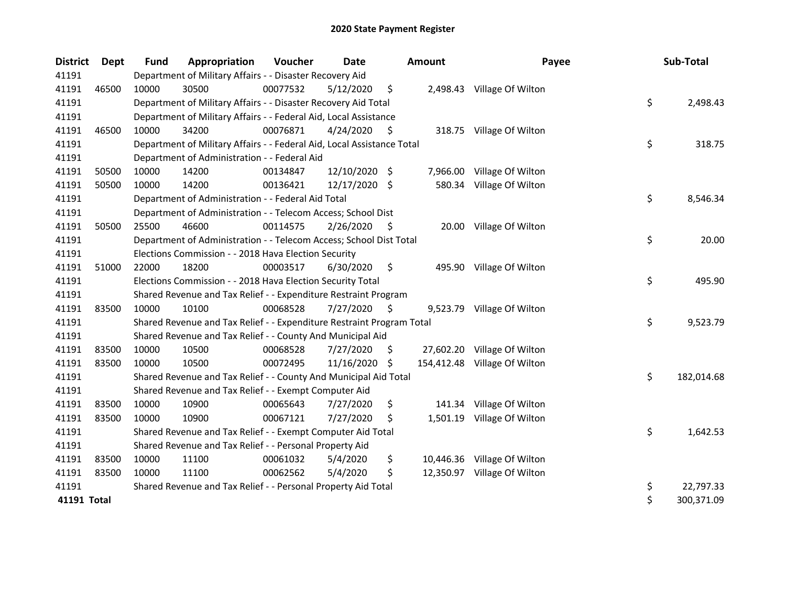| <b>District</b> | Dept  | Fund  | Appropriation                                                          | Voucher  | Date          |    | <b>Amount</b> | Payee                        |         | Sub-Total  |
|-----------------|-------|-------|------------------------------------------------------------------------|----------|---------------|----|---------------|------------------------------|---------|------------|
| 41191           |       |       | Department of Military Affairs - - Disaster Recovery Aid               |          |               |    |               |                              |         |            |
| 41191           | 46500 | 10000 | 30500                                                                  | 00077532 | 5/12/2020     | \$ |               | 2,498.43 Village Of Wilton   |         |            |
| 41191           |       |       | Department of Military Affairs - - Disaster Recovery Aid Total         |          |               |    |               |                              | \$      | 2,498.43   |
| 41191           |       |       | Department of Military Affairs - - Federal Aid, Local Assistance       |          |               |    |               |                              |         |            |
| 41191           | 46500 | 10000 | 34200                                                                  | 00076871 | 4/24/2020     | \$ |               | 318.75 Village Of Wilton     |         |            |
| 41191           |       |       | Department of Military Affairs - - Federal Aid, Local Assistance Total |          |               |    |               |                              | \$      | 318.75     |
| 41191           |       |       | Department of Administration - - Federal Aid                           |          |               |    |               |                              |         |            |
| 41191           | 50500 | 10000 | 14200                                                                  | 00134847 | 12/10/2020 \$ |    | 7,966.00      | Village Of Wilton            |         |            |
| 41191           | 50500 | 10000 | 14200                                                                  | 00136421 | 12/17/2020 \$ |    | 580.34        | Village Of Wilton            |         |            |
| 41191           |       |       | Department of Administration - - Federal Aid Total                     |          |               |    |               |                              | \$      | 8,546.34   |
| 41191           |       |       | Department of Administration - - Telecom Access; School Dist           |          |               |    |               |                              |         |            |
| 41191           | 50500 | 25500 | 46600                                                                  | 00114575 | 2/26/2020     | \$ | 20.00         | Village Of Wilton            |         |            |
| 41191           |       |       | Department of Administration - - Telecom Access; School Dist Total     |          |               |    |               |                              | \$      | 20.00      |
| 41191           |       |       | Elections Commission - - 2018 Hava Election Security                   |          |               |    |               |                              |         |            |
| 41191           | 51000 | 22000 | 18200                                                                  | 00003517 | 6/30/2020     | \$ | 495.90        | Village Of Wilton            |         |            |
| 41191           |       |       | Elections Commission - - 2018 Hava Election Security Total             |          |               |    |               |                              | \$      | 495.90     |
| 41191           |       |       | Shared Revenue and Tax Relief - - Expenditure Restraint Program        |          |               |    |               |                              |         |            |
| 41191           | 83500 | 10000 | 10100                                                                  | 00068528 | 7/27/2020     | \$ |               | 9,523.79 Village Of Wilton   |         |            |
| 41191           |       |       | Shared Revenue and Tax Relief - - Expenditure Restraint Program Total  |          |               |    |               |                              | \$      | 9,523.79   |
| 41191           |       |       | Shared Revenue and Tax Relief - - County And Municipal Aid             |          |               |    |               |                              |         |            |
| 41191           | 83500 | 10000 | 10500                                                                  | 00068528 | 7/27/2020     | S  |               | 27,602.20 Village Of Wilton  |         |            |
| 41191           | 83500 | 10000 | 10500                                                                  | 00072495 | 11/16/2020 \$ |    |               | 154,412.48 Village Of Wilton |         |            |
| 41191           |       |       | Shared Revenue and Tax Relief - - County And Municipal Aid Total       |          |               |    |               |                              | \$      | 182,014.68 |
| 41191           |       |       | Shared Revenue and Tax Relief - - Exempt Computer Aid                  |          |               |    |               |                              |         |            |
| 41191           | 83500 | 10000 | 10900                                                                  | 00065643 | 7/27/2020     | \$ |               | 141.34 Village Of Wilton     |         |            |
| 41191           | 83500 | 10000 | 10900                                                                  | 00067121 | 7/27/2020     | \$ |               | 1,501.19 Village Of Wilton   |         |            |
| 41191           |       |       | Shared Revenue and Tax Relief - - Exempt Computer Aid Total            |          |               |    |               |                              | \$      | 1,642.53   |
| 41191           |       |       | Shared Revenue and Tax Relief - - Personal Property Aid                |          |               |    |               |                              |         |            |
| 41191           | 83500 | 10000 | 11100                                                                  | 00061032 | 5/4/2020      | \$ |               | 10,446.36 Village Of Wilton  |         |            |
| 41191           | 83500 | 10000 | 11100                                                                  | 00062562 | 5/4/2020      | \$ |               | 12,350.97 Village Of Wilton  |         |            |
| 41191           |       |       | Shared Revenue and Tax Relief - - Personal Property Aid Total          |          |               |    |               |                              | \$      | 22,797.33  |
| 41191 Total     |       |       |                                                                        |          |               |    |               |                              | $\zeta$ | 300,371.09 |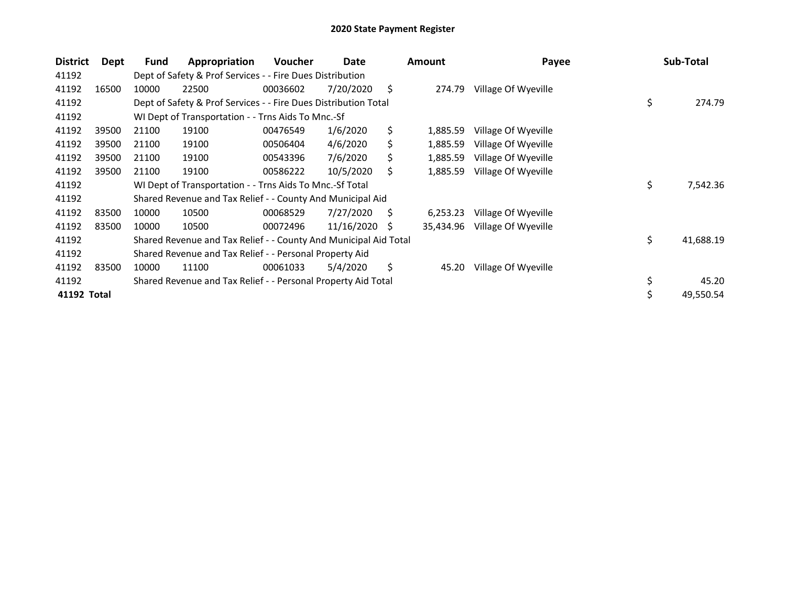| <b>District</b> | Dept  | <b>Fund</b> | Appropriation                                                    | Voucher  | Date       |    | <b>Amount</b> | Payee               | Sub-Total       |
|-----------------|-------|-------------|------------------------------------------------------------------|----------|------------|----|---------------|---------------------|-----------------|
| 41192           |       |             | Dept of Safety & Prof Services - - Fire Dues Distribution        |          |            |    |               |                     |                 |
| 41192           | 16500 | 10000       | 22500                                                            | 00036602 | 7/20/2020  | \$ | 274.79        | Village Of Wyeville |                 |
| 41192           |       |             | Dept of Safety & Prof Services - - Fire Dues Distribution Total  |          |            |    |               |                     | \$<br>274.79    |
| 41192           |       |             | WI Dept of Transportation - - Trns Aids To Mnc.-Sf               |          |            |    |               |                     |                 |
| 41192           | 39500 | 21100       | 19100                                                            | 00476549 | 1/6/2020   | \$ | 1,885.59      | Village Of Wyeville |                 |
| 41192           | 39500 | 21100       | 19100                                                            | 00506404 | 4/6/2020   | S  | 1,885.59      | Village Of Wyeville |                 |
| 41192           | 39500 | 21100       | 19100                                                            | 00543396 | 7/6/2020   | Ś. | 1,885.59      | Village Of Wyeville |                 |
| 41192           | 39500 | 21100       | 19100                                                            | 00586222 | 10/5/2020  | \$ | 1,885.59      | Village Of Wyeville |                 |
| 41192           |       |             | WI Dept of Transportation - - Trns Aids To Mnc.-Sf Total         |          |            |    |               |                     | \$<br>7,542.36  |
| 41192           |       |             | Shared Revenue and Tax Relief - - County And Municipal Aid       |          |            |    |               |                     |                 |
| 41192           | 83500 | 10000       | 10500                                                            | 00068529 | 7/27/2020  | \$ | 6,253.23      | Village Of Wyeville |                 |
| 41192           | 83500 | 10000       | 10500                                                            | 00072496 | 11/16/2020 | S  | 35,434.96     | Village Of Wyeville |                 |
| 41192           |       |             | Shared Revenue and Tax Relief - - County And Municipal Aid Total |          |            |    |               |                     | \$<br>41,688.19 |
| 41192           |       |             | Shared Revenue and Tax Relief - - Personal Property Aid          |          |            |    |               |                     |                 |
| 41192           | 83500 | 10000       | 11100                                                            | 00061033 | 5/4/2020   | \$ | 45.20         | Village Of Wyeville |                 |
| 41192           |       |             | Shared Revenue and Tax Relief - - Personal Property Aid Total    |          |            |    |               |                     | \$<br>45.20     |
| 41192 Total     |       |             |                                                                  |          |            |    |               |                     | \$<br>49,550.54 |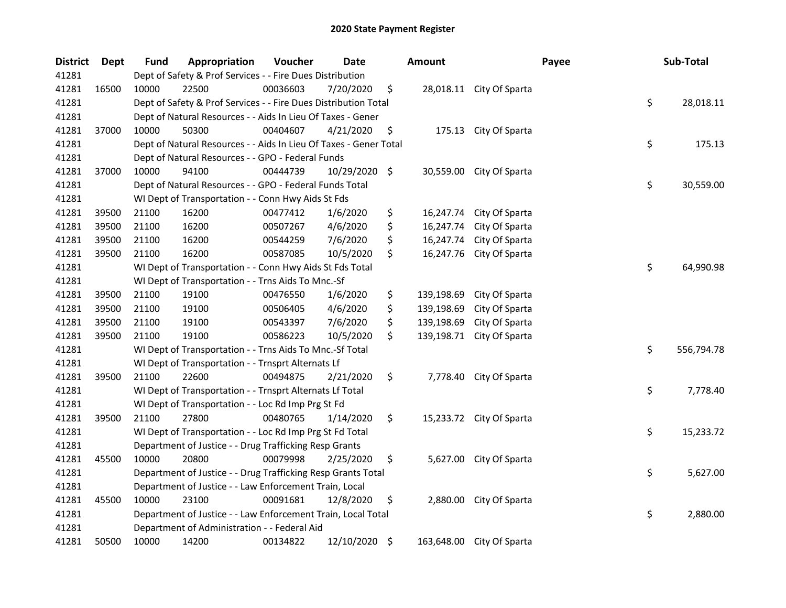| <b>District</b> | Dept  | Fund  | Appropriation                                                     | Voucher  | Date          | <b>Amount</b>    |                           | Payee | Sub-Total        |
|-----------------|-------|-------|-------------------------------------------------------------------|----------|---------------|------------------|---------------------------|-------|------------------|
| 41281           |       |       | Dept of Safety & Prof Services - - Fire Dues Distribution         |          |               |                  |                           |       |                  |
| 41281           | 16500 | 10000 | 22500                                                             | 00036603 | 7/20/2020     | \$               | 28,018.11 City Of Sparta  |       |                  |
| 41281           |       |       | Dept of Safety & Prof Services - - Fire Dues Distribution Total   |          |               |                  |                           |       | \$<br>28,018.11  |
| 41281           |       |       | Dept of Natural Resources - - Aids In Lieu Of Taxes - Gener       |          |               |                  |                           |       |                  |
| 41281           | 37000 | 10000 | 50300                                                             | 00404607 | 4/21/2020     | \$               | 175.13 City Of Sparta     |       |                  |
| 41281           |       |       | Dept of Natural Resources - - Aids In Lieu Of Taxes - Gener Total |          |               |                  |                           |       | \$<br>175.13     |
| 41281           |       |       | Dept of Natural Resources - - GPO - Federal Funds                 |          |               |                  |                           |       |                  |
| 41281           | 37000 | 10000 | 94100                                                             | 00444739 | 10/29/2020 \$ |                  | 30,559.00 City Of Sparta  |       |                  |
| 41281           |       |       | Dept of Natural Resources - - GPO - Federal Funds Total           |          |               |                  |                           |       | \$<br>30,559.00  |
| 41281           |       |       | WI Dept of Transportation - - Conn Hwy Aids St Fds                |          |               |                  |                           |       |                  |
| 41281           | 39500 | 21100 | 16200                                                             | 00477412 | 1/6/2020      | \$<br>16,247.74  | City Of Sparta            |       |                  |
| 41281           | 39500 | 21100 | 16200                                                             | 00507267 | 4/6/2020      | \$<br>16,247.74  | City Of Sparta            |       |                  |
| 41281           | 39500 | 21100 | 16200                                                             | 00544259 | 7/6/2020      | \$<br>16,247.74  | City Of Sparta            |       |                  |
| 41281           | 39500 | 21100 | 16200                                                             | 00587085 | 10/5/2020     | \$<br>16,247.76  | City Of Sparta            |       |                  |
| 41281           |       |       | WI Dept of Transportation - - Conn Hwy Aids St Fds Total          |          |               |                  |                           |       | \$<br>64,990.98  |
| 41281           |       |       | WI Dept of Transportation - - Trns Aids To Mnc.-Sf                |          |               |                  |                           |       |                  |
| 41281           | 39500 | 21100 | 19100                                                             | 00476550 | 1/6/2020      | \$<br>139,198.69 | City Of Sparta            |       |                  |
| 41281           | 39500 | 21100 | 19100                                                             | 00506405 | 4/6/2020      | \$<br>139,198.69 | City Of Sparta            |       |                  |
| 41281           | 39500 | 21100 | 19100                                                             | 00543397 | 7/6/2020      | \$<br>139,198.69 | City Of Sparta            |       |                  |
| 41281           | 39500 | 21100 | 19100                                                             | 00586223 | 10/5/2020     | \$<br>139,198.71 | City Of Sparta            |       |                  |
| 41281           |       |       | WI Dept of Transportation - - Trns Aids To Mnc.-Sf Total          |          |               |                  |                           |       | \$<br>556,794.78 |
| 41281           |       |       | WI Dept of Transportation - - Trnsprt Alternats Lf                |          |               |                  |                           |       |                  |
| 41281           | 39500 | 21100 | 22600                                                             | 00494875 | 2/21/2020     | \$<br>7,778.40   | City Of Sparta            |       |                  |
| 41281           |       |       | WI Dept of Transportation - - Trnsprt Alternats Lf Total          |          |               |                  |                           |       | \$<br>7,778.40   |
| 41281           |       |       | WI Dept of Transportation - - Loc Rd Imp Prg St Fd                |          |               |                  |                           |       |                  |
| 41281           | 39500 | 21100 | 27800                                                             | 00480765 | 1/14/2020     | \$               | 15,233.72 City Of Sparta  |       |                  |
| 41281           |       |       | WI Dept of Transportation - - Loc Rd Imp Prg St Fd Total          |          |               |                  |                           |       | \$<br>15,233.72  |
| 41281           |       |       | Department of Justice - - Drug Trafficking Resp Grants            |          |               |                  |                           |       |                  |
| 41281           | 45500 | 10000 | 20800                                                             | 00079998 | 2/25/2020     | \$               | 5,627.00 City Of Sparta   |       |                  |
| 41281           |       |       | Department of Justice - - Drug Trafficking Resp Grants Total      |          |               |                  |                           |       | \$<br>5,627.00   |
| 41281           |       |       | Department of Justice - - Law Enforcement Train, Local            |          |               |                  |                           |       |                  |
| 41281           | 45500 | 10000 | 23100                                                             | 00091681 | 12/8/2020     | \$<br>2,880.00   | City Of Sparta            |       |                  |
| 41281           |       |       | Department of Justice - - Law Enforcement Train, Local Total      |          |               |                  |                           |       | \$<br>2,880.00   |
| 41281           |       |       | Department of Administration - - Federal Aid                      |          |               |                  |                           |       |                  |
| 41281           | 50500 | 10000 | 14200                                                             | 00134822 | 12/10/2020 \$ |                  | 163,648.00 City Of Sparta |       |                  |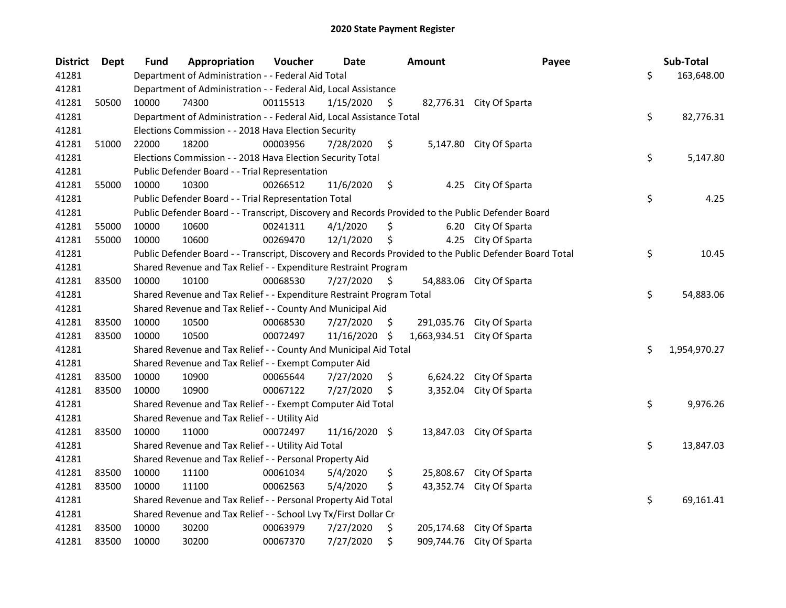| <b>District</b> | <b>Dept</b> | <b>Fund</b> | Appropriation                                                                                     | Voucher  | Date          | <b>Amount</b>      | Payee                                                                                                   | Sub-Total          |
|-----------------|-------------|-------------|---------------------------------------------------------------------------------------------------|----------|---------------|--------------------|---------------------------------------------------------------------------------------------------------|--------------------|
| 41281           |             |             | Department of Administration - - Federal Aid Total                                                |          |               |                    |                                                                                                         | \$<br>163,648.00   |
| 41281           |             |             | Department of Administration - - Federal Aid, Local Assistance                                    |          |               |                    |                                                                                                         |                    |
| 41281           | 50500       | 10000       | 74300                                                                                             | 00115513 | 1/15/2020     | \$                 | 82,776.31 City Of Sparta                                                                                |                    |
| 41281           |             |             | Department of Administration - - Federal Aid, Local Assistance Total                              |          |               |                    |                                                                                                         | \$<br>82,776.31    |
| 41281           |             |             | Elections Commission - - 2018 Hava Election Security                                              |          |               |                    |                                                                                                         |                    |
| 41281           | 51000       | 22000       | 18200                                                                                             | 00003956 | 7/28/2020     | \$                 | 5,147.80 City Of Sparta                                                                                 |                    |
| 41281           |             |             | Elections Commission - - 2018 Hava Election Security Total                                        |          |               |                    |                                                                                                         | \$<br>5,147.80     |
| 41281           |             |             | Public Defender Board - - Trial Representation                                                    |          |               |                    |                                                                                                         |                    |
| 41281           | 55000       | 10000       | 10300                                                                                             | 00266512 | 11/6/2020     | \$                 | 4.25 City Of Sparta                                                                                     |                    |
| 41281           |             |             | Public Defender Board - - Trial Representation Total                                              |          |               |                    |                                                                                                         | \$<br>4.25         |
| 41281           |             |             | Public Defender Board - - Transcript, Discovery and Records Provided to the Public Defender Board |          |               |                    |                                                                                                         |                    |
| 41281           | 55000       | 10000       | 10600                                                                                             | 00241311 | 4/1/2020      | \$                 | 6.20 City Of Sparta                                                                                     |                    |
| 41281           | 55000       | 10000       | 10600                                                                                             | 00269470 | 12/1/2020     | \$                 | 4.25 City Of Sparta                                                                                     |                    |
| 41281           |             |             |                                                                                                   |          |               |                    | Public Defender Board - - Transcript, Discovery and Records Provided to the Public Defender Board Total | \$<br>10.45        |
| 41281           |             |             | Shared Revenue and Tax Relief - - Expenditure Restraint Program                                   |          |               |                    |                                                                                                         |                    |
| 41281           | 83500       | 10000       | 10100                                                                                             | 00068530 | 7/27/2020     | \$                 | 54,883.06 City Of Sparta                                                                                |                    |
| 41281           |             |             | Shared Revenue and Tax Relief - - Expenditure Restraint Program Total                             |          |               |                    |                                                                                                         | \$<br>54,883.06    |
| 41281           |             |             | Shared Revenue and Tax Relief - - County And Municipal Aid                                        |          |               |                    |                                                                                                         |                    |
| 41281           | 83500       | 10000       | 10500                                                                                             | 00068530 | 7/27/2020     | \$<br>291,035.76   | City Of Sparta                                                                                          |                    |
| 41281           | 83500       | 10000       | 10500                                                                                             | 00072497 | 11/16/2020    | \$<br>1,663,934.51 | City Of Sparta                                                                                          |                    |
| 41281           |             |             | Shared Revenue and Tax Relief - - County And Municipal Aid Total                                  |          |               |                    |                                                                                                         | \$<br>1,954,970.27 |
| 41281           |             |             | Shared Revenue and Tax Relief - - Exempt Computer Aid                                             |          |               |                    |                                                                                                         |                    |
| 41281           | 83500       | 10000       | 10900                                                                                             | 00065644 | 7/27/2020     | \$                 | 6,624.22 City Of Sparta                                                                                 |                    |
| 41281           | 83500       | 10000       | 10900                                                                                             | 00067122 | 7/27/2020     | \$<br>3,352.04     | City Of Sparta                                                                                          |                    |
| 41281           |             |             | Shared Revenue and Tax Relief - - Exempt Computer Aid Total                                       |          |               |                    |                                                                                                         | \$<br>9,976.26     |
| 41281           |             |             | Shared Revenue and Tax Relief - - Utility Aid                                                     |          |               |                    |                                                                                                         |                    |
| 41281           | 83500       | 10000       | 11000                                                                                             | 00072497 | 11/16/2020 \$ |                    | 13,847.03 City Of Sparta                                                                                |                    |
| 41281           |             |             | Shared Revenue and Tax Relief - - Utility Aid Total                                               |          |               |                    |                                                                                                         | \$<br>13,847.03    |
| 41281           |             |             | Shared Revenue and Tax Relief - - Personal Property Aid                                           |          |               |                    |                                                                                                         |                    |
| 41281           | 83500       | 10000       | 11100                                                                                             | 00061034 | 5/4/2020      | \$<br>25,808.67    | City Of Sparta                                                                                          |                    |
| 41281           | 83500       | 10000       | 11100                                                                                             | 00062563 | 5/4/2020      | \$<br>43,352.74    | City Of Sparta                                                                                          |                    |
| 41281           |             |             | Shared Revenue and Tax Relief - - Personal Property Aid Total                                     |          |               |                    |                                                                                                         | \$<br>69,161.41    |
| 41281           |             |             | Shared Revenue and Tax Relief - - School Lvy Tx/First Dollar Cr                                   |          |               |                    |                                                                                                         |                    |
| 41281           | 83500       | 10000       | 30200                                                                                             | 00063979 | 7/27/2020     | \$                 | 205,174.68 City Of Sparta                                                                               |                    |
| 41281           | 83500       | 10000       | 30200                                                                                             | 00067370 | 7/27/2020     | \$                 | 909,744.76 City Of Sparta                                                                               |                    |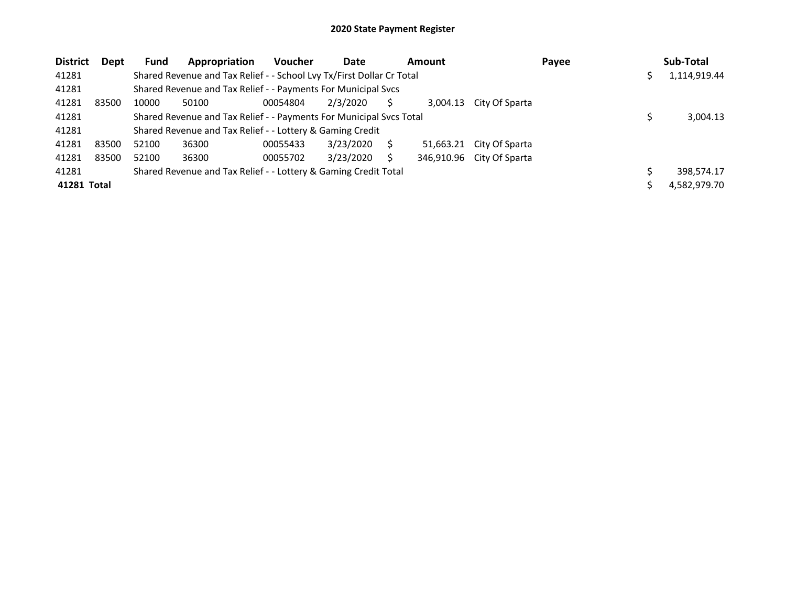| <b>District</b>                                                          | Dept        | <b>Fund</b>                                                           | Appropriation                                                 | <b>Voucher</b> | Date      |  | <b>Amount</b> | Payee          |  |  | Sub-Total    |  |
|--------------------------------------------------------------------------|-------------|-----------------------------------------------------------------------|---------------------------------------------------------------|----------------|-----------|--|---------------|----------------|--|--|--------------|--|
| 41281                                                                    |             | Shared Revenue and Tax Relief - - School Lvy Tx/First Dollar Cr Total |                                                               |                |           |  |               |                |  |  | 1,114,919.44 |  |
| 41281                                                                    |             |                                                                       | Shared Revenue and Tax Relief - - Payments For Municipal Svcs |                |           |  |               |                |  |  |              |  |
| 41281                                                                    | 83500       | 10000                                                                 | 50100                                                         | 00054804       | 2/3/2020  |  | 3.004.13      | City Of Sparta |  |  |              |  |
| 41281                                                                    |             | Shared Revenue and Tax Relief - - Payments For Municipal Svcs Total   |                                                               |                |           |  |               |                |  |  | 3,004.13     |  |
| 41281                                                                    |             | Shared Revenue and Tax Relief - - Lottery & Gaming Credit             |                                                               |                |           |  |               |                |  |  |              |  |
| 41281                                                                    | 83500       | 52100                                                                 | 36300                                                         | 00055433       | 3/23/2020 |  | 51,663.21     | City Of Sparta |  |  |              |  |
| 41281                                                                    | 83500       | 52100                                                                 | 36300                                                         | 00055702       | 3/23/2020 |  | 346,910.96    | City Of Sparta |  |  |              |  |
| Shared Revenue and Tax Relief - - Lottery & Gaming Credit Total<br>41281 |             |                                                                       |                                                               |                |           |  |               |                |  |  | 398,574.17   |  |
|                                                                          | 41281 Total |                                                                       |                                                               |                |           |  |               |                |  |  | 4,582,979.70 |  |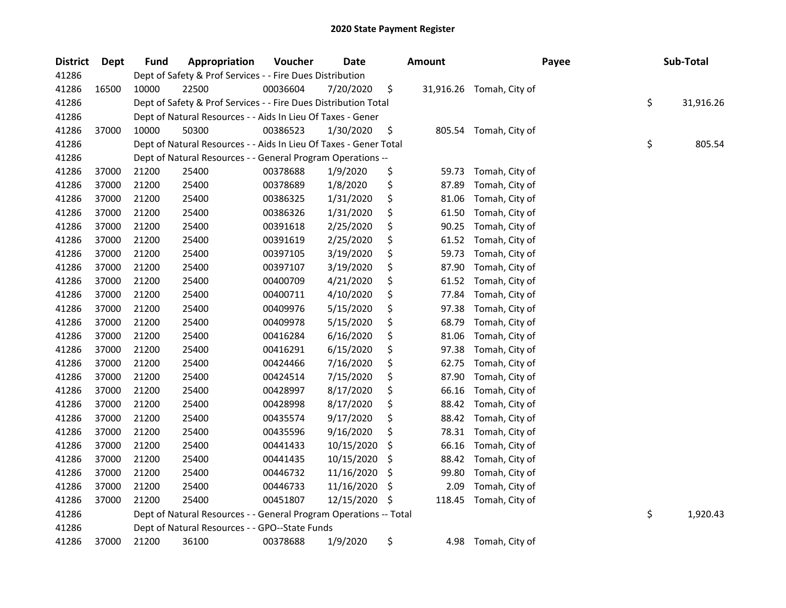## 2020 State Payment Register

| <b>District</b> | Dept  | <b>Fund</b> | Appropriation                                                     | Voucher  | <b>Date</b> |    | <b>Amount</b> |                          | Payee | Sub-Total       |
|-----------------|-------|-------------|-------------------------------------------------------------------|----------|-------------|----|---------------|--------------------------|-------|-----------------|
| 41286           |       |             | Dept of Safety & Prof Services - - Fire Dues Distribution         |          |             |    |               |                          |       |                 |
| 41286           | 16500 | 10000       | 22500                                                             | 00036604 | 7/20/2020   | \$ |               | 31,916.26 Tomah, City of |       |                 |
| 41286           |       |             | Dept of Safety & Prof Services - - Fire Dues Distribution Total   |          |             |    |               |                          |       | \$<br>31,916.26 |
| 41286           |       |             | Dept of Natural Resources - - Aids In Lieu Of Taxes - Gener       |          |             |    |               |                          |       |                 |
| 41286           | 37000 | 10000       | 50300                                                             | 00386523 | 1/30/2020   | \$ |               | 805.54 Tomah, City of    |       |                 |
| 41286           |       |             | Dept of Natural Resources - - Aids In Lieu Of Taxes - Gener Total |          |             |    |               |                          |       | \$<br>805.54    |
| 41286           |       |             | Dept of Natural Resources - - General Program Operations --       |          |             |    |               |                          |       |                 |
| 41286           | 37000 | 21200       | 25400                                                             | 00378688 | 1/9/2020    | \$ | 59.73         | Tomah, City of           |       |                 |
| 41286           | 37000 | 21200       | 25400                                                             | 00378689 | 1/8/2020    | \$ | 87.89         | Tomah, City of           |       |                 |
| 41286           | 37000 | 21200       | 25400                                                             | 00386325 | 1/31/2020   | \$ | 81.06         | Tomah, City of           |       |                 |
| 41286           | 37000 | 21200       | 25400                                                             | 00386326 | 1/31/2020   | \$ | 61.50         | Tomah, City of           |       |                 |
| 41286           | 37000 | 21200       | 25400                                                             | 00391618 | 2/25/2020   | \$ | 90.25         | Tomah, City of           |       |                 |
| 41286           | 37000 | 21200       | 25400                                                             | 00391619 | 2/25/2020   | \$ | 61.52         | Tomah, City of           |       |                 |
| 41286           | 37000 | 21200       | 25400                                                             | 00397105 | 3/19/2020   | \$ | 59.73         | Tomah, City of           |       |                 |
| 41286           | 37000 | 21200       | 25400                                                             | 00397107 | 3/19/2020   | \$ | 87.90         | Tomah, City of           |       |                 |
| 41286           | 37000 | 21200       | 25400                                                             | 00400709 | 4/21/2020   | \$ | 61.52         | Tomah, City of           |       |                 |
| 41286           | 37000 | 21200       | 25400                                                             | 00400711 | 4/10/2020   | \$ | 77.84         | Tomah, City of           |       |                 |
| 41286           | 37000 | 21200       | 25400                                                             | 00409976 | 5/15/2020   | \$ | 97.38         | Tomah, City of           |       |                 |
| 41286           | 37000 | 21200       | 25400                                                             | 00409978 | 5/15/2020   | \$ | 68.79         | Tomah, City of           |       |                 |
| 41286           | 37000 | 21200       | 25400                                                             | 00416284 | 6/16/2020   | \$ | 81.06         | Tomah, City of           |       |                 |
| 41286           | 37000 | 21200       | 25400                                                             | 00416291 | 6/15/2020   | \$ | 97.38         | Tomah, City of           |       |                 |
| 41286           | 37000 | 21200       | 25400                                                             | 00424466 | 7/16/2020   | \$ | 62.75         | Tomah, City of           |       |                 |
| 41286           | 37000 | 21200       | 25400                                                             | 00424514 | 7/15/2020   | \$ | 87.90         | Tomah, City of           |       |                 |
| 41286           | 37000 | 21200       | 25400                                                             | 00428997 | 8/17/2020   | \$ | 66.16         | Tomah, City of           |       |                 |
| 41286           | 37000 | 21200       | 25400                                                             | 00428998 | 8/17/2020   | \$ | 88.42         | Tomah, City of           |       |                 |
| 41286           | 37000 | 21200       | 25400                                                             | 00435574 | 9/17/2020   | \$ | 88.42         | Tomah, City of           |       |                 |
| 41286           | 37000 | 21200       | 25400                                                             | 00435596 | 9/16/2020   | \$ | 78.31         | Tomah, City of           |       |                 |
| 41286           | 37000 | 21200       | 25400                                                             | 00441433 | 10/15/2020  | \$ | 66.16         | Tomah, City of           |       |                 |
| 41286           | 37000 | 21200       | 25400                                                             | 00441435 | 10/15/2020  | \$ | 88.42         | Tomah, City of           |       |                 |
| 41286           | 37000 | 21200       | 25400                                                             | 00446732 | 11/16/2020  | \$ | 99.80         | Tomah, City of           |       |                 |
| 41286           | 37000 | 21200       | 25400                                                             | 00446733 | 11/16/2020  | \$ | 2.09          | Tomah, City of           |       |                 |
| 41286           | 37000 | 21200       | 25400                                                             | 00451807 | 12/15/2020  | -S | 118.45        | Tomah, City of           |       |                 |
| 41286           |       |             | Dept of Natural Resources - - General Program Operations -- Total |          |             |    |               |                          |       | \$<br>1,920.43  |
| 41286           |       |             | Dept of Natural Resources - - GPO--State Funds                    |          |             |    |               |                          |       |                 |
| 41286           | 37000 | 21200       | 36100                                                             | 00378688 | 1/9/2020    | \$ | 4.98          | Tomah, City of           |       |                 |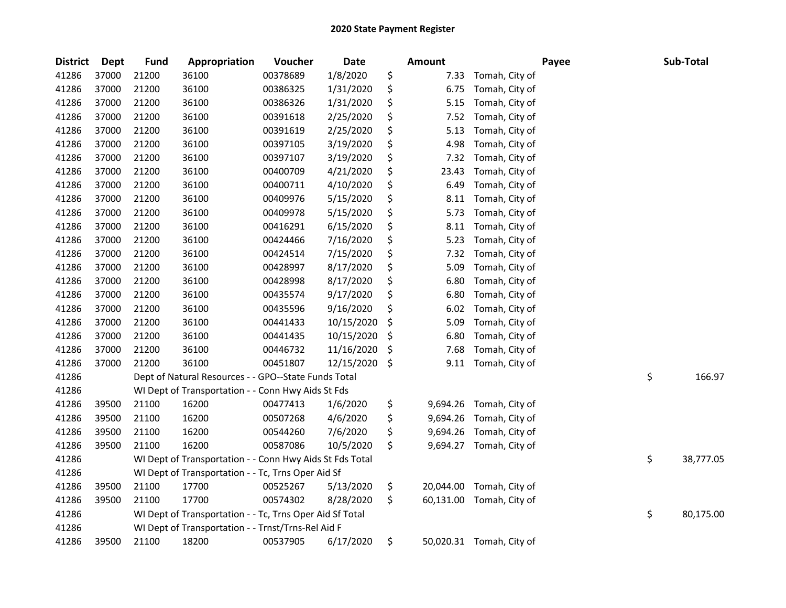## 2020 State Payment Register

| <b>District</b> | Dept  | <b>Fund</b> | Appropriation                                            | Voucher  | <b>Date</b> | <b>Amount</b>   |                          | Payee | Sub-Total       |
|-----------------|-------|-------------|----------------------------------------------------------|----------|-------------|-----------------|--------------------------|-------|-----------------|
| 41286           | 37000 | 21200       | 36100                                                    | 00378689 | 1/8/2020    | \$<br>7.33      | Tomah, City of           |       |                 |
| 41286           | 37000 | 21200       | 36100                                                    | 00386325 | 1/31/2020   | \$<br>6.75      | Tomah, City of           |       |                 |
| 41286           | 37000 | 21200       | 36100                                                    | 00386326 | 1/31/2020   | \$<br>5.15      | Tomah, City of           |       |                 |
| 41286           | 37000 | 21200       | 36100                                                    | 00391618 | 2/25/2020   | \$<br>7.52      | Tomah, City of           |       |                 |
| 41286           | 37000 | 21200       | 36100                                                    | 00391619 | 2/25/2020   | \$<br>5.13      | Tomah, City of           |       |                 |
| 41286           | 37000 | 21200       | 36100                                                    | 00397105 | 3/19/2020   | \$<br>4.98      | Tomah, City of           |       |                 |
| 41286           | 37000 | 21200       | 36100                                                    | 00397107 | 3/19/2020   | \$<br>7.32      | Tomah, City of           |       |                 |
| 41286           | 37000 | 21200       | 36100                                                    | 00400709 | 4/21/2020   | \$<br>23.43     | Tomah, City of           |       |                 |
| 41286           | 37000 | 21200       | 36100                                                    | 00400711 | 4/10/2020   | \$<br>6.49      | Tomah, City of           |       |                 |
| 41286           | 37000 | 21200       | 36100                                                    | 00409976 | 5/15/2020   | \$<br>8.11      | Tomah, City of           |       |                 |
| 41286           | 37000 | 21200       | 36100                                                    | 00409978 | 5/15/2020   | \$<br>5.73      | Tomah, City of           |       |                 |
| 41286           | 37000 | 21200       | 36100                                                    | 00416291 | 6/15/2020   | \$<br>8.11      | Tomah, City of           |       |                 |
| 41286           | 37000 | 21200       | 36100                                                    | 00424466 | 7/16/2020   | \$<br>5.23      | Tomah, City of           |       |                 |
| 41286           | 37000 | 21200       | 36100                                                    | 00424514 | 7/15/2020   | \$<br>7.32      | Tomah, City of           |       |                 |
| 41286           | 37000 | 21200       | 36100                                                    | 00428997 | 8/17/2020   | \$<br>5.09      | Tomah, City of           |       |                 |
| 41286           | 37000 | 21200       | 36100                                                    | 00428998 | 8/17/2020   | \$<br>6.80      | Tomah, City of           |       |                 |
| 41286           | 37000 | 21200       | 36100                                                    | 00435574 | 9/17/2020   | \$<br>6.80      | Tomah, City of           |       |                 |
| 41286           | 37000 | 21200       | 36100                                                    | 00435596 | 9/16/2020   | \$<br>6.02      | Tomah, City of           |       |                 |
| 41286           | 37000 | 21200       | 36100                                                    | 00441433 | 10/15/2020  | \$<br>5.09      | Tomah, City of           |       |                 |
| 41286           | 37000 | 21200       | 36100                                                    | 00441435 | 10/15/2020  | \$<br>6.80      | Tomah, City of           |       |                 |
| 41286           | 37000 | 21200       | 36100                                                    | 00446732 | 11/16/2020  | \$<br>7.68      | Tomah, City of           |       |                 |
| 41286           | 37000 | 21200       | 36100                                                    | 00451807 | 12/15/2020  | \$<br>9.11      | Tomah, City of           |       |                 |
| 41286           |       |             | Dept of Natural Resources - - GPO--State Funds Total     |          |             |                 |                          |       | \$<br>166.97    |
| 41286           |       |             | WI Dept of Transportation - - Conn Hwy Aids St Fds       |          |             |                 |                          |       |                 |
| 41286           | 39500 | 21100       | 16200                                                    | 00477413 | 1/6/2020    | \$<br>9,694.26  | Tomah, City of           |       |                 |
| 41286           | 39500 | 21100       | 16200                                                    | 00507268 | 4/6/2020    | \$<br>9,694.26  | Tomah, City of           |       |                 |
| 41286           | 39500 | 21100       | 16200                                                    | 00544260 | 7/6/2020    | \$<br>9,694.26  | Tomah, City of           |       |                 |
| 41286           | 39500 | 21100       | 16200                                                    | 00587086 | 10/5/2020   | \$              | 9,694.27 Tomah, City of  |       |                 |
| 41286           |       |             | WI Dept of Transportation - - Conn Hwy Aids St Fds Total |          |             |                 |                          |       | \$<br>38,777.05 |
| 41286           |       |             | WI Dept of Transportation - - Tc, Trns Oper Aid Sf       |          |             |                 |                          |       |                 |
| 41286           | 39500 | 21100       | 17700                                                    | 00525267 | 5/13/2020   | \$<br>20,044.00 | Tomah, City of           |       |                 |
| 41286           | 39500 | 21100       | 17700                                                    | 00574302 | 8/28/2020   | \$<br>60,131.00 | Tomah, City of           |       |                 |
| 41286           |       |             | WI Dept of Transportation - - Tc, Trns Oper Aid Sf Total |          |             |                 |                          |       | \$<br>80,175.00 |
| 41286           |       |             | WI Dept of Transportation - - Trnst/Trns-Rel Aid F       |          |             |                 |                          |       |                 |
| 41286           | 39500 | 21100       | 18200                                                    | 00537905 | 6/17/2020   | \$              | 50,020.31 Tomah, City of |       |                 |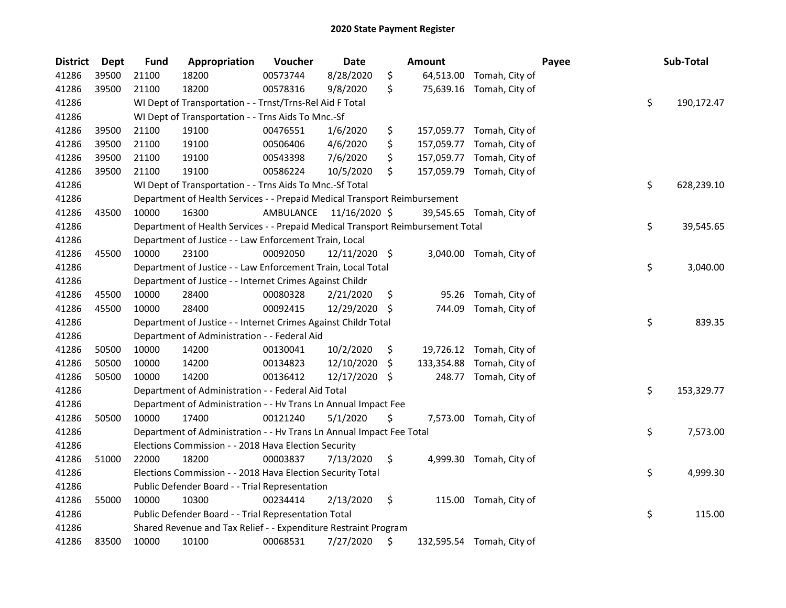| <b>District</b> | <b>Dept</b> | <b>Fund</b>                                    | Appropriation                                                                   | Voucher   | Date          |    | <b>Amount</b> |                           | Payee |    | Sub-Total  |
|-----------------|-------------|------------------------------------------------|---------------------------------------------------------------------------------|-----------|---------------|----|---------------|---------------------------|-------|----|------------|
| 41286           | 39500       | 21100                                          | 18200                                                                           | 00573744  | 8/28/2020     | \$ |               | 64,513.00 Tomah, City of  |       |    |            |
| 41286           | 39500       | 21100                                          | 18200                                                                           | 00578316  | 9/8/2020      | \$ |               | 75,639.16 Tomah, City of  |       |    |            |
| 41286           |             |                                                | WI Dept of Transportation - - Trnst/Trns-Rel Aid F Total                        |           |               |    |               |                           |       | \$ | 190,172.47 |
| 41286           |             |                                                | WI Dept of Transportation - - Trns Aids To Mnc.-Sf                              |           |               |    |               |                           |       |    |            |
| 41286           | 39500       | 21100                                          | 19100                                                                           | 00476551  | 1/6/2020      | \$ |               | 157,059.77 Tomah, City of |       |    |            |
| 41286           | 39500       | 21100                                          | 19100                                                                           | 00506406  | 4/6/2020      | \$ | 157,059.77    | Tomah, City of            |       |    |            |
| 41286           | 39500       | 21100                                          | 19100                                                                           | 00543398  | 7/6/2020      | \$ | 157,059.77    | Tomah, City of            |       |    |            |
| 41286           | 39500       | 21100                                          | 19100                                                                           | 00586224  | 10/5/2020     | \$ | 157,059.79    | Tomah, City of            |       |    |            |
| 41286           |             |                                                | WI Dept of Transportation - - Trns Aids To Mnc.-Sf Total                        |           |               |    |               |                           |       | \$ | 628,239.10 |
| 41286           |             |                                                | Department of Health Services - - Prepaid Medical Transport Reimbursement       |           |               |    |               |                           |       |    |            |
| 41286           | 43500       | 10000                                          | 16300                                                                           | AMBULANCE | 11/16/2020 \$ |    |               | 39,545.65 Tomah, City of  |       |    |            |
| 41286           |             |                                                | Department of Health Services - - Prepaid Medical Transport Reimbursement Total |           |               |    |               |                           |       | \$ | 39,545.65  |
| 41286           |             |                                                | Department of Justice - - Law Enforcement Train, Local                          |           |               |    |               |                           |       |    |            |
| 41286           | 45500       | 10000                                          | 23100                                                                           | 00092050  | 12/11/2020 \$ |    | 3,040.00      | Tomah, City of            |       |    |            |
| 41286           |             |                                                | Department of Justice - - Law Enforcement Train, Local Total                    |           |               |    |               |                           |       | \$ | 3,040.00   |
| 41286           |             |                                                | Department of Justice - - Internet Crimes Against Childr                        |           |               |    |               |                           |       |    |            |
| 41286           | 45500       | 10000                                          | 28400                                                                           | 00080328  | 2/21/2020     | \$ | 95.26         | Tomah, City of            |       |    |            |
| 41286           | 45500       | 10000                                          | 28400                                                                           | 00092415  | 12/29/2020    | S  | 744.09        | Tomah, City of            |       |    |            |
| 41286           |             |                                                | Department of Justice - - Internet Crimes Against Childr Total                  |           |               |    |               |                           |       | \$ | 839.35     |
| 41286           |             |                                                | Department of Administration - - Federal Aid                                    |           |               |    |               |                           |       |    |            |
| 41286           | 50500       | 10000                                          | 14200                                                                           | 00130041  | 10/2/2020     | \$ |               | 19,726.12 Tomah, City of  |       |    |            |
| 41286           | 50500       | 10000                                          | 14200                                                                           | 00134823  | 12/10/2020    | \$ |               | 133,354.88 Tomah, City of |       |    |            |
| 41286           | 50500       | 10000                                          | 14200                                                                           | 00136412  | 12/17/2020 \$ |    |               | 248.77 Tomah, City of     |       |    |            |
| 41286           |             |                                                | Department of Administration - - Federal Aid Total                              |           |               |    |               |                           |       | \$ | 153,329.77 |
| 41286           |             |                                                | Department of Administration - - Hv Trans Ln Annual Impact Fee                  |           |               |    |               |                           |       |    |            |
| 41286           | 50500       | 10000                                          | 17400                                                                           | 00121240  | 5/1/2020      | \$ |               | 7,573.00 Tomah, City of   |       |    |            |
| 41286           |             |                                                | Department of Administration - - Hv Trans Ln Annual Impact Fee Total            |           |               |    |               |                           |       | \$ | 7,573.00   |
| 41286           |             |                                                | Elections Commission - - 2018 Hava Election Security                            |           |               |    |               |                           |       |    |            |
| 41286           | 51000       | 22000                                          | 18200                                                                           | 00003837  | 7/13/2020     | \$ |               | 4,999.30 Tomah, City of   |       |    |            |
| 41286           |             |                                                | Elections Commission - - 2018 Hava Election Security Total                      |           |               |    |               |                           |       | \$ | 4,999.30   |
| 41286           |             | Public Defender Board - - Trial Representation |                                                                                 |           |               |    |               |                           |       |    |            |
| 41286           | 55000       | 10000                                          | 10300                                                                           | 00234414  | 2/13/2020     | \$ |               | 115.00 Tomah, City of     |       |    |            |
| 41286           |             |                                                | Public Defender Board - - Trial Representation Total                            |           |               |    |               |                           |       | \$ | 115.00     |
| 41286           |             |                                                | Shared Revenue and Tax Relief - - Expenditure Restraint Program                 |           |               |    |               |                           |       |    |            |
| 41286           | 83500       | 10000                                          | 10100                                                                           | 00068531  | 7/27/2020     | \$ |               | 132,595.54 Tomah, City of |       |    |            |